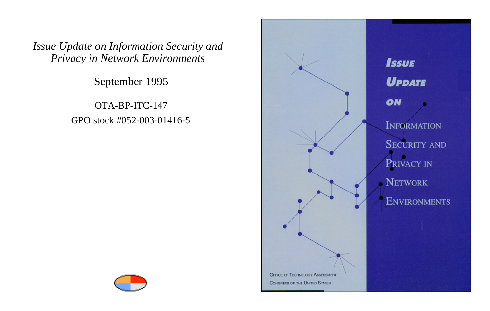September 1995

OTA-BP-ITC-147 GPO stock #052-003-01416-5



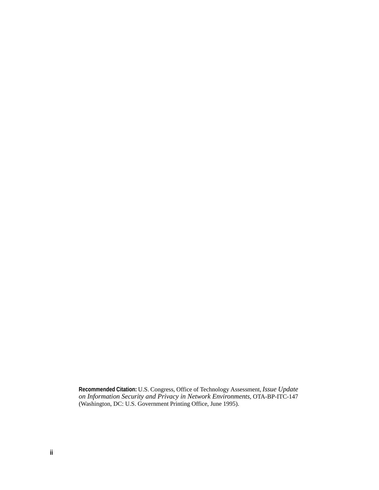**Recommended Citation:** U.S. Congress, Office of Technology Assessment, *Issue Update on Information Security and Privacy in Network Environments,* OTA-BP-ITC-147 (Washington, DC: U.S. Government Printing Office, June 1995).

**ii**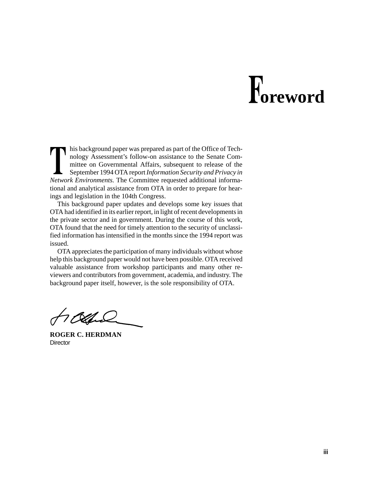## **oreword**

his background paper was prepared as part of the Office of Technology Assessment's follow-on assistance to the Senate Committee on Governmental Affairs, subsequent to release of the September 1994 OTA report *Information Security and Privacy in Network Environments.* The Committee requested additional informational and analytical assistance from OTA in order to prepare for hearings and legislation in the 104th Congress.

This background paper updates and develops some key issues that OTA had identified in its earlier report, in light of recent developments in the private sector and in government. During the course of this work, OTA found that the need for timely attention to the security of unclassified information has intensified in the months since the 1994 report was issued.

OTA appreciates the participation of many individuals without whose help this background paper would not have been possible. OTA received valuable assistance from workshop participants and many other reviewers and contributors from government, academia, and industry. The background paper itself, however, is the sole responsibility of OTA.

Tossa

**ROGER C. HERDMAN Director**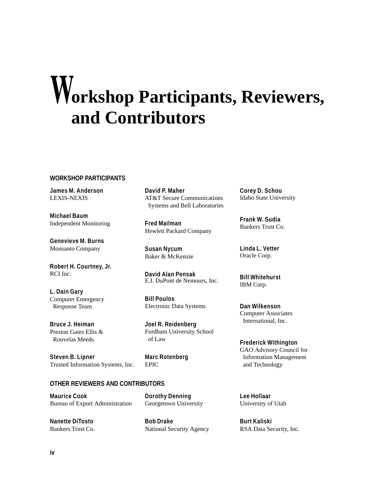### **orkshop Participants, Reviewers, and Contributors**

#### **WORKSHOP PARTICIPANTS**

**James M. Anderson** LEXIS-NEXIS

**Michael Baum** Independent Monitoring

**Genevieve M. Burns** Monsanto Company

**Robert H. Courtney, Jr.** RCI Inc.

**L. Dain Gary** Computer Emergency Response Team

**Bruce J. Heiman** Preston Gates Ellis & Rouvelas Meeds

**Steven B. Lipner** Trusted Information Systems, Inc. **David P. Maher** AT&T Secure Communications Systems and Bell Laboratories

**Fred Mailman** Hewlett Packard Company

**Susan Nycum** Baker & McKenzie

**David Alan Pensak** E.I. DuPont de Nemours, Inc.

**Bill Poulos** Electronic Data Systems

**Joel R. Reidenberg** Fordham University School of Law

**Marc Rotenberg** EPIC

#### **OTHER REVIEWERS AND CONTRIBUTORS**

**Maurice Cook** Bureau of Export Administration **Dorothy Denning** Georgetown University

**Nanette DiTosto** Bankers Trust Co. **Bob Drake** National Security Agency **Corey D. Schou** Idaho State University

**Frank W. Sudia** Bankers Trust Co.

**Linda L. Vetter** Oracle Corp.

**Bill Whitehurst** IBM Corp.

**Dan Wilkenson** Computer Associates International, Inc.

**Frederick Withington** GAO Advisory Council for Information Management and Technology

**Lee Hollaar** University of Utah

**Burt Kaliski** RSA Data Security, Inc.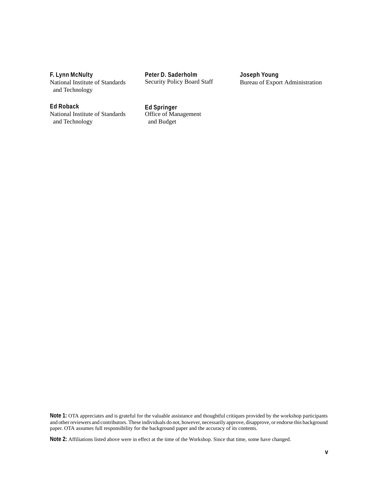**F. Lynn McNulty**

National Institute of Standards and Technology

**Peter D. Saderholm** Security Policy Board Staff **Joseph Young** Bureau of Export Administration

#### **Ed Roback**

National Institute of Standards and Technology

**Ed Springer** Office of Management and Budget

**Note 1:** OTA appreciates and is grateful for the valuable assistance and thoughtful critiques provided by the workshop participants and other reviewers and contributors. These individuals do not, however, necessarily approve, disapprove, or endorse this background paper. OTA assumes full responsibility for the background paper and the accuracy of its contents.

**Note 2:** Affiliations listed above were in effect at the time of the Workshop. Since that time, some have changed.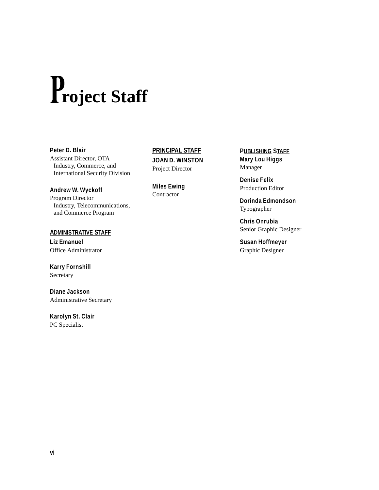# **roject Staff**

#### **Peter D. Blair**

Assistant Director, OTA Industry, Commerce, and International Security Division

#### **Andrew W. Wyckoff**

Program Director Industry, Telecommunications, and Commerce Program

#### **ADMINISTRATIVE STAFF**

**Liz Emanuel** Office Administrator

**Karry Fornshill** Secretary

**Diane Jackson** Administrative Secretary

**Karolyn St. Clair** PC Specialist

#### **PRINCIPAL STAFF**

**JOAN D. WINSTON** Project Director

**Miles Ewing** Contractor

**PUBLISHING STAFF Mary Lou Higgs** Manager

**Denise Felix** Production Editor

**Dorinda Edmondson** Typographer

**Chris Onrubia** Senior Graphic Designer

**Susan Hoffmeyer** Graphic Designer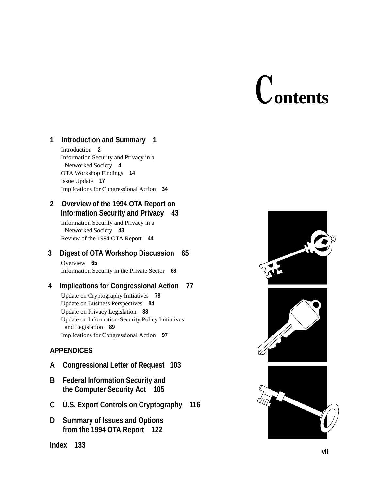# **ontents**

#### **1 Introduction and Summary 1**

Introduction **2** Information Security and Privacy in a Networked Society **4** OTA Workshop Findings **14** Issue Update **17** Implications for Congressional Action **34**

#### **2 Overview of the 1994 OTA Report on Information Security and Privacy 43**

Information Security and Privacy in a Networked Society **43** Review of the 1994 OTA Report **44**

#### **3 Digest of OTA Workshop Discussion 65** Overview **65**

Information Security in the Private Sector **68**

#### **4 Implications for Congressional Action 77**

Update on Cryptography Initiatives **78** Update on Business Perspectives **84** Update on Privacy Legislation **88** Update on Information-Security Policy Initiatives and Legislation **89** Implications for Congressional Action **97**

### **APPENDICES**

- **A Congressional Letter of Request 103**
- **B Federal Information Security and the Computer Security Act 105**
- **C U.S. Export Controls on Cryptography 116**
- **D Summary of Issues and Options from the 1994 OTA Report 122**

#### **Index 133**

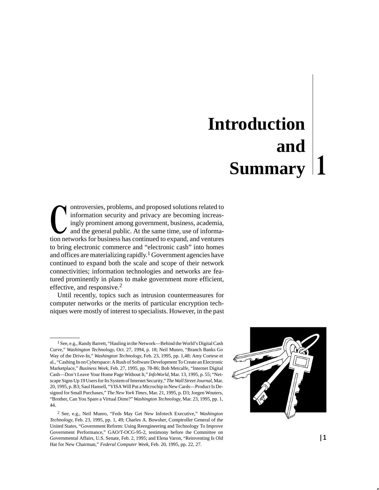### **Introduction and Summary**

ontroversies, problems, and proposed solutions related to information security and privacy are becoming increasingly prominent among government, business, academia, and the general public. At the same time, use of information networks for business has continued to expand, and ventures to bring electronic commerce and "electronic cash" into homes and offices are materializing rapidly.<sup>1</sup> Government agencies have continued to expand both the scale and scope of their network connectivities; information technologies and networks are featured prominently in plans to make government more efficient, effective, and responsive.<sup>2</sup>

Until recently, topics such as intrusion countermeasures for computer networks or the merits of particular encryption techniques were mostly of interest to specialists. However, in the past

<sup>2</sup> See, e.g., Neil Munro, "Feds May Get New Infotech Executive," *Washington Technology*, Feb. 23, 1995, pp. 1, 49; Charles A. Bowsher, Comptroller General of the United States, "Government Reform: Using Reengineering and Technology To Improve Government Performance," GAO/T-OCG-95-2, testimony before the Committee on Governmental Affairs, U.S. Senate, Feb. 2, 1995; and Elena Varon, "Reinventing Is Old Hat for New Chairman," *Federal Computer Week*, Feb. 20, 1995, pp. 22, 27.



<sup>1</sup> See, e.g., Randy Barrett, "Hauling in the Network—Behind the World's Digital Cash Curve," *Washington Technology*, Oct. 27, 1994, p. 18; Neil Munro, "Branch Banks Go Way of the Drive-In," *Washington Technology,* Feb. 23, 1995, pp. 1,48; Amy Cortese et al., "Cashing In on Cyberspace: A Rush of Software Development To Create an Electronic Marketplace," *Business Week*, Feb. 27, 1995, pp. 78-86; Bob Metcalfe, "Internet Digital Cash—Don't Leave Your Home Page Without It," *InfoWorld*, Mar. 13, 1995, p. 55; "Netscape Signs Up 19 Users for Its System of Internet Security," *The Wall Street Journal*, Mar. 20, 1995, p. B3; Saul Hansell, "VISA Will Put a Microchip in New Cards—Product Is Designed for Small Purchases," *The New York Times*, Mar. 21, 1995, p. D3; Jorgen Wouters, "Brother, Can You Spare a Virtual Dime?" *Washington Technology*, Mar. 23, 1995, pp. 1, 44.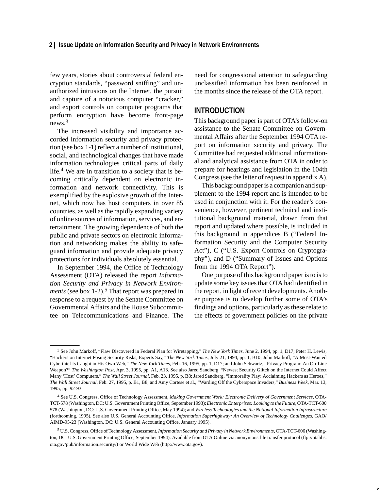few years, stories about controversial federal encryption standards, "password sniffing" and unauthorized intrusions on the Internet, the pursuit and capture of a notorious computer "cracker," and export controls on computer programs that perform encryption have become front-page news.3

The increased visibility and importance accorded information security and privacy protection (see box 1-1) reflect a number of institutional, social, and technological changes that have made information technologies critical parts of daily life.4 We are in transition to a society that is becoming critically dependent on electronic information and network connectivity. This is exemplified by the explosive growth of the Internet, which now has host computers in over 85 countries, as well as the rapidly expanding variety of online sources of information, services, and entertainment. The growing dependence of both the public and private sectors on electronic information and networking makes the ability to safeguard information and provide adequate privacy protections for individuals absolutely essential.

In September 1994, the Office of Technology Assessment (OTA) released the report *Information Security and Privacy in Network Environments* (see box 1-2).<sup>5</sup> That report was prepared in response to a request by the Senate Committee on Governmental Affairs and the House Subcommittee on Telecommunications and Finance. The need for congressional attention to safeguarding unclassified information has been reinforced in the months since the release of the OTA report.

#### **INTRODUCTION**

This background paper is part of OTA's follow-on assistance to the Senate Committee on Governmental Affairs after the September 1994 OTA report on information security and privacy. The Committee had requested additional informational and analytical assistance from OTA in order to prepare for hearings and legislation in the 104th Congress(see the letter of request in appendix A).

This background paper is a companion and supplement to the 1994 report and is intended to be used in conjunction with it. For the reader's convenience, however, pertinent technical and institutional background material, drawn from that report and updated where possible, is included in this background in appendices B ("Federal Information Security and the Computer Security Act"), C ("U.S. Export Controls on Cryptography"), and D ("Summary of Issues and Options from the 1994 OTA Report").

One purpose of this background paper is to is to update some key issues that OTA had identified in the report, in light of recent developments. Another purpose is to develop further some of OTA's findings and options, particularly as these relate to the effects of government policies on the private

<sup>3</sup> See John Markoff, "Flaw Discovered in Federal Plan for Wiretapping," *The New York Times,* June 2, 1994, pp. 1, D17; Peter H. Lewis, "Hackers on Internet Posing Security Risks, Experts Say," *The New York Times*, July 21, 1994, pp. 1, B10; John Markoff, "A Most-Wanted Cyberthief Is Caught in His Own Web," *The New York Times*, Feb. 16, 1995, pp. 1, D17; and John Schwartz, "Privacy Program: An On-Line Weapon?" *The Washington Post*, Apr. 3, 1995, pp. A1, A13. See also Jared Sandberg, "Newest Security Glitch on the Internet Could Affect Many 'Host' Computers," *The Wall Street Journal*, Feb. 23, 1995, p. B8; Jared Sandberg, "Immorality Play: Acclaiming Hackers as Heroes," *The Wall Street Journal*, Feb. 27, 1995, p. B1, B8; and Amy Cortese et al., "Warding Off the Cyberspace Invaders," *Business Week*, Mar. 13, 1995, pp. 92-93.

<sup>4</sup> See U.S. Congress, Office of Technology Assessment, *Making Government Work: Electronic Delivery of Government Services*, OTA-TCT-578 (Washington, DC: U.S. Government Printing Office, September 1993); *Electronic Enterprises: Looking to the Future*, OTA-TCT-600 578 (Washington, DC: U.S. Government Printing Office, May 1994); and *Wireless Technologies and the National Information Infrastructure* (forthcoming, 1995). See also U.S. General Accounting Office, *Information Superhighway: An Overview of Technology Challenges*, GAO/ AIMD-95-23 (Washington, DC: U.S. General Accounting Office, January 1995).

<sup>5</sup> U.S. Congress, Office of Technology Assessment, *Information Security and Privacy in Network Environments*, OTA-TCT-606 (Washington, DC: U.S. Government Printing Office, September 1994). Available from OTA Online via anonymous file transfer protocol (ftp://otabbs. ota.gov/pub/information.security/) or World Wide Web (http://www.ota.gov).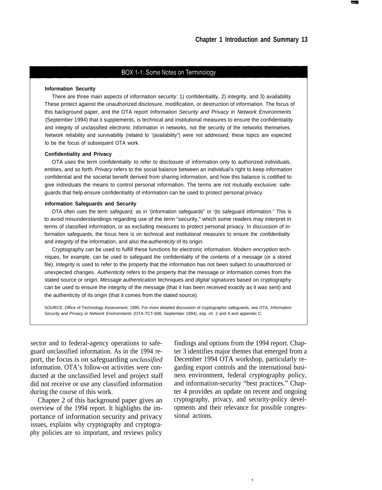#### BOX 1-1: Some Notes on Terminology

#### **Information Security**

There are three main aspects of information security: 1) confidentiality, 2) integrity, and 3) availability These protect against the unauthorized disclosure, modification, or destruction of information. The focus of this background paper, and the OTA report Information Security and Privacy in Network Environments (September 1994) that it supplements, is technical and institutional measures to ensure the confidentiality and integrity of unclassified electronic *Information* in networks, not the security of the networks themselves. Network reliability and survivability (related to '(availability") were not addressed; these topics are expected to be the focus of subsequent OTA work.

#### **Confidentiality and Privacy**

OTA uses the term confidentiality to refer to disclosure of information only to authorized individuals, entities, and so forth. Privacy refers to the social balance between an individual's right to keep information confidential and the societal benefit derived from sharing information, and how this balance is codified to give individuals the means to control personal information. The terms are not mutually exclusive: safeguards that help ensure confidentiality of information can be used to protect personal privacy.

#### **information Safeguards and Security**

OTA often uses the term safeguard, as in '(information safeguards" or '(to safeguard information." This is to avoid misunderstandings regarding use of the term "security," which some readers may interpret in terms of classified information, or as excluding measures to protect personal privacy. In discussion of information safeguards, the focus here is on technical and institutional measures to ensure the confidentiality and *integrity* of the information, and also the *authenticity* of its origin.

Cryptography can be used to fulfill these functions for electronic information. Modern encryption techniques, for example, can be used to safeguard the confidentiality of the contents of a message (or a stored file). Integrity is used to refer to the property that the information has not been subject to unauthorized or unexpected changes. Authenticity refers to the property that the message or information comes from the stated source or origin. Message authentication techniques and digital signatures based on cryptography can be used to ensure the integrity of the message (that it has been received exactly as it was sent) and the authenticity of its origin (that it comes from the stated source).

SOURCE: Office of Technology Assessment, 1995. For more detailed discussion of cryptographic safeguards, see OTA, Information Security and Privacy in Network Environments (OTA-TCT-606, September 1994), esp. ch. 2 and 4 and appendix C.

sector and to federal-agency operations to safeguard unclassified information. As in the 1994 report, the focus is on safeguarding *unclassified* information. OTA's follow-on activities were conducted at the unclassified level and project staff did not receive or use any classified information during the course of this work.

Chapter 2 of this background paper gives an overview of the 1994 report. It highlights the importance of information security and privacy issues, explains why cryptography and cryptography policies are so important, and reviews policy

findings and options from the 1994 report. Chapter 3 identifies major themes that emerged from a December 1994 OTA workshop, particularly regarding export controls and the international business environment, federal cryptography policy, and information-security "best practices." Chapter 4 provides an update on recent and ongoing cryptography, privacy, and security-policy developments and their relevance for possible congressional actions.

Ý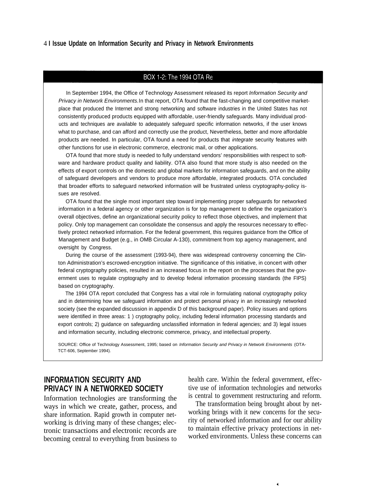#### BOX 1-2: The 1994 OTA Re

In September 1994, the Office of Technology Assessment released its report Information Security and Privacy in Network Environments. In that report, OTA found that the fast-changing and competitive marketplace that produced the Internet and strong networking and software industries in the United States has not consistently produced products equipped with affordable, user-friendly safeguards. Many individual products and techniques are available to adequately safeguard specific information networks, if the user knows what to purchase, and can afford and correctly use the product, Nevertheless, better and more affordable products are needed. In particular, OTA found a need for products that integrate security features with other functions for use in electronic commerce, electronic mail, or other applications.

OTA found that more study is needed to fully understand vendors' responsibilities with respect to software and hardware product quality and liability. OTA also found that more study is also needed on the effects of export controls on the domestic and global markets for information safeguards, and on the ability of safeguard developers and vendors to produce more affordable, integrated products. OTA concluded that broader efforts to safeguard networked information will be frustrated unless cryptography-policy issues are resolved.

OTA found that the single most important step toward implementing proper safeguards for networked information in a federal agency or other organization is for top management to define the organization's overall objectives, define an organizational security policy to reflect those objectives, and implement that policy. Only top management can consolidate the consensus and apply the resources necessary to effectively protect networked information. For the federal government, this requires guidance from the Office of Management and Budget (e.g., in OMB Circular A-130), commitment from top agency management, and oversight by Congress.

During the course of the assessment (1993-94), there was widespread controversy concerning the Clinton Administration's escrowed-encryption initiative. The significance of this initiative, in concert with other federal cryptography policies, resulted in an increased focus in the report on the processes that the government uses to regulate cryptography and to develop federal information processing standards (the FIPS) based on cryptography.

The 1994 OTA report concluded that Congress has a vital role in formulating national cryptography policy and in determining how we safeguard information and protect personal privacy in an increasingly networked society (see the expanded discussion in appendix D of this background paper). Policy issues and options were identified in three areas: 1 ) cryptography policy, including federal information processing standards and export controls; 2) guidance on safeguarding unclassified information in federal agencies; and 3) legal issues and information security, including electronic commerce, privacy, and intellectual property.

SOURCE: Office of Technology Assessment, 1995; based on Information Security and Privacy in Network Environments (OTA-TCT-606, September 1994).

Information technologies are transforming the is central to government restructuring and reform.<br>The transformation being brought about by networking is driving many of these changes; elecbecoming central to everything from business to

**INFORMATION SECURITY AND** health care. Within the federal government, effec-**PRIVACY IN A NETWORKED SOCIETY** tive use of information technologies and networks Information technologies are transforming the is central to government restructuring and reform.

ways in which we create, gather, process, and<br>the transformation being brought about by net-<br>working brings with it new concerns for the secushare information. Rapid growth in computer net-<br>working brings with it new concerns for the secu-<br>rity of networked information and for our ability tronic transactions and electronic records are<br>here to maintain effective privacy protections in net-<br>here the experiments of the successive proposed to the worked environments. Unless these concerns can

¥,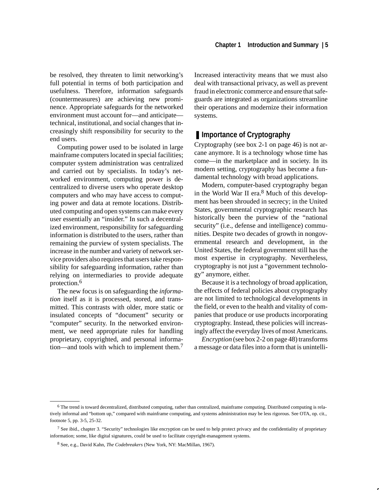be resolved, they threaten to limit networking's full potential in terms of both participation and usefulness. Therefore, information safeguards (countermeasures) are achieving new prominence. Appropriate safeguards for the networked environment must account for—and anticipate technical, institutional, and social changes that increasingly shift responsibility for security to the end users.

Computing power used to be isolated in large mainframe computers located in special facilities; computer system administration was centralized and carried out by specialists. In today's networked environment, computing power is decentralized to diverse users who operate desktop computers and who may have access to computing power and data at remote locations. Distributed computing and open systems can make every user essentially an "insider." In such a decentralized environment, responsibility for safeguarding information is distributed to the users, rather than remaining the purview of system specialists. The increase in the number and variety of network service providers also requires that users take responsibility for safeguarding information, rather than relying on intermediaries to provide adequate protection.<sup>6</sup>

The new focus is on safeguarding the *information* itself as it is processed, stored, and transmitted. This contrasts with older, more static or insulated concepts of "document" security or "computer" security. In the networked environment, we need appropriate rules for handling proprietary, copyrighted, and personal information—and tools with which to implement them.<sup>7</sup> Increased interactivity means that we must also deal with transactional privacy, as well as prevent fraud in electronic commerce and ensure that safeguards are integrated as organizations streamline their operations and modernize their information systems.

#### ■ **Importance of Cryptography**

Cryptography (see box 2-1 on page 46) is not arcane anymore. It is a technology whose time has come—in the marketplace and in society. In its modern setting, cryptography has become a fundamental technology with broad applications.

Modern, computer-based cryptography began in the World War II era.<sup>8</sup> Much of this development has been shrouded in secrecy; in the United States, governmental cryptographic research has historically been the purview of the "national security" (*i.e.*, defense and intelligence) communities. Despite two decades of growth in nongovernmental research and development, in the United States, the federal government still has the most expertise in cryptography. Nevertheless, cryptography is not just a "government technology" anymore, either.

Because it is a technology of broad application, the effects of federal policies about cryptography are not limited to technological developments in the field, or even to the health and vitality of companies that produce or use products incorporating cryptography. Instead, these policies will increasingly affect the everyday lives of most Americans.

*Encryption* (see box 2-2 on page 48) transforms a message or data files into a form that is unintelli-

<sup>6</sup> The trend is toward decentralized, distributed computing, rather than centralized, mainframe computing. Distributed computing is relatively informal and "bottom up," compared with mainframe computing, and systems administration may be less rigorous. See OTA, op. cit., footnote 5, pp. 3-5, 25-32.

 $7$  See ibid., chapter 3. "Security" technologies like encryption can be used to help protect privacy and the confidentiality of proprietary information; some, like digital signatures, could be used to facilitate copyright-management systems.

<sup>8</sup> See, e.g., David Kahn, *The Codebreakers* (New York, NY: MacMillan, 1967).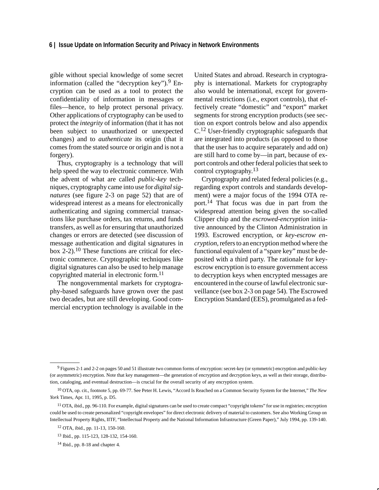gible without special knowledge of some secret information (called the "decryption key").  $9$  Encryption can be used as a tool to protect the confidentiality of information in messages or files—hence, to help protect personal privacy. Other applications of cryptography can be used to protect the *integrity* of information (that it has not been subject to unauthorized or unexpected changes) and to *authenticate* its origin (that it comes from the stated source or origin and is not a forgery).

Thus, cryptography is a technology that will help speed the way to electronic commerce. With the advent of what are called *public-key* techniques, cryptography came into use for *digital signatures* (see figure 2-3 on page 52) that are of widespread interest as a means for electronically authenticating and signing commercial transactions like purchase orders, tax returns, and funds transfers, as well as for ensuring that unauthorized changes or errors are detected (see discussion of message authentication and digital signatures in box  $2-2$ ).<sup>10</sup> These functions are critical for electronic commerce. Cryptographic techniques like digital signatures can also be used to help manage copyrighted material in electronic form.<sup>11</sup>

The nongovernmental markets for cryptography-based safeguards have grown over the past two decades, but are still developing. Good commercial encryption technology is available in the United States and abroad. Research in cryptography is international. Markets for cryptography also would be international, except for governmental restrictions (i.e., export controls), that effectively create "domestic" and "export" market segments for strong encryption products (see section on export controls below and also appendix C.<sup>12</sup> User-friendly cryptographic safeguards that are integrated into products (as opposed to those that the user has to acquire separately and add on) are still hard to come by—in part, because of export controls and other federal policies that seek to control cryptography.<sup>13</sup>

Cryptography and related federal policies (e.g., regarding export controls and standards development) were a major focus of the 1994 OTA report.<sup>14</sup> That focus was due in part from the widespread attention being given the so-called Clipper chip and the *escrowed-encryption* initiative announced by the Clinton Administration in 1993. Escrowed encryption, or *key-escrow encryption,* refers to an encryption method where the functional equivalent of a "spare key" must be deposited with a third party. The rationale for keyescrow encryption is to ensure government access to decryption keys when encrypted messages are encountered in the course of lawful electronic surveillance (see box 2-3 on page 54). The Escrowed Encryption Standard (EES), promulgated as a fed-

<sup>9</sup> Figures 2-1 and 2-2 on pages 50 and 51 illustrate two common forms of encryption: secret-key (or symmetric) encryption and public-key (or asymmetric) encryption. Note that key management—the generation of encryption and decryption keys, as well as their storage, distribution, cataloging, and eventual destruction—is crucial for the overall security of any encryption system.

<sup>10</sup> OTA, op. cit., footnote 5, pp. 69-77. See Peter H. Lewis, "Accord Is Reached on a Common Security System for the Internet," *The New York* Times, Apr. 11, 1995, p. D5.

<sup>11</sup> OTA, ibid., pp. 96-110. For example, digital signatures can be used to create compact "copyright tokens" for use in registries; encryption could be used to create personalized "copyright envelopes" for direct electronic delivery of material to customers. See also Working Group on Intellectual Property Rights, IITF, "Intellectual Property and the National Information Infrastructure (Green Paper)," July 1994, pp. 139-140.

<sup>12</sup> OTA, ibid., pp. 11-13, 150-160.

<sup>13</sup> Ibid., pp. 115-123, 128-132, 154-160.

<sup>14</sup> Ibid., pp. 8-18 and chapter 4.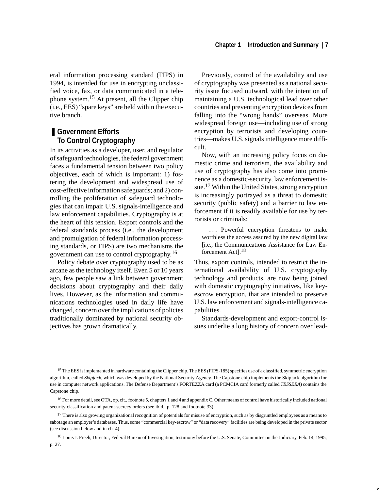eral information processing standard (FIPS) in 1994, is intended for use in encrypting unclassified voice, fax, or data communicated in a telephone system.15 At present, all the Clipper chip (i.e., EES) "spare keys" are held within the executive branch.

#### ■ Government Efforts **To Control Cryptography**

In its activities as a developer, user, and regulator of safeguard technologies, the federal government faces a fundamental tension between two policy objectives, each of which is important: 1) fostering the development and widespread use of cost-effective information safeguards; and 2) controlling the proliferation of safeguard technologies that can impair U.S. signals-intelligence and law enforcement capabilities. Cryptography is at the heart of this tension. Export controls and the federal standards process (i.e., the development and promulgation of federal information processing standards, or FIPS) are two mechanisms the government can use to control cryptography.<sup>16</sup>

Policy debate over cryptography used to be as arcane as the technology itself. Even 5 or 10 years ago, few people saw a link between government decisions about cryptography and their daily lives. However, as the information and communications technologies used in daily life have changed, concern over the implications of policies traditionally dominated by national security objectives has grown dramatically.

Previously, control of the availability and use of cryptography was presented as a national security issue focused outward, with the intention of maintaining a U.S. technological lead over other countries and preventing encryption devices from falling into the "wrong hands" overseas. More widespread foreign use—including use of strong encryption by terrorists and developing countries—makes U.S. signals intelligence more difficult.

Now, with an increasing policy focus on domestic crime and terrorism, the availability and use of cryptography has also come into prominence as a domestic-security, law enforcement issue.<sup>17</sup> Within the United States, strong encryption is increasingly portrayed as a threat to domestic security (public safety) and a barrier to law enforcement if it is readily available for use by terrorists or criminals:

. . . Powerful encryption threatens to make worthless the access assured by the new digital law [i.e., the Communications Assistance for Law Enforcement Act].18

Thus, export controls, intended to restrict the international availability of U.S. cryptography technology and products, are now being joined with domestic cryptography initiatives, like keyescrow encryption, that are intended to preserve U.S. law enforcement and signals-intelligence capabilities.

Standards-development and export-control issues underlie a long history of concern over lead-

<sup>&</sup>lt;sup>15</sup> The EES is implemented in hardware containing the Clipper chip. The EES (FIPS-185) specifies use of a classified, symmetric encryption algorithm, called *Skipjack*, which was developed by the National Security Agency. The Capstone chip implements the Skipjack algorithm for use in computer network applications. The Defense Department's FORTEZZA card (a PCMCIA card formerly called *TESSERA*) contains the Capstone chip.

<sup>&</sup>lt;sup>16</sup> For more detail, see OTA, op. cit., footnote 5, chapters 1 and 4 and appendix C. Other means of control have historically included national security classification and patent-secrecy orders (see ibid., p. 128 and footnote 33).

<sup>&</sup>lt;sup>17</sup> There is also growing organizational recognition of potentials for misuse of encryption, such as by disgruntled employees as a means to sabotage an employer's databases. Thus, some "commercial key-escrow" or "data recovery" facilities are being developed in the private sector (see discussion below and in ch. 4).

<sup>18</sup> Louis J. Freeh, Director, Federal Bureau of Investigation, testimony before the U.S. Senate, Committee on the Judiciary, Feb. 14, 1995, p. 27.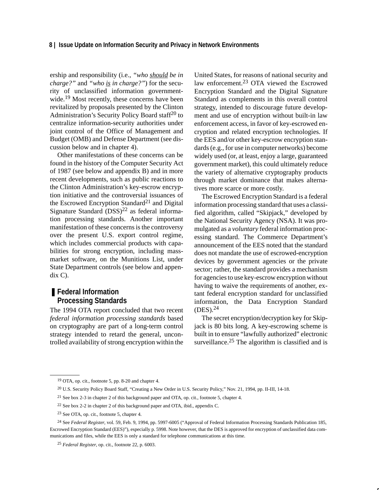ership and responsibility (i.e., *"who should be in charge?"* and *"who is in charge?"*) for the security of unclassified information governmentwide.<sup>19</sup> Most recently, these concerns have been revitalized by proposals presented by the Clinton Administration's Security Policy Board staff<sup>20</sup> to centralize information-security authorities under joint control of the Office of Management and Budget (OMB) and Defense Department (see discussion below and in chapter 4).

Other manifestations of these concerns can be found in the history of the Computer Security Act of 1987 (see below and appendix B) and in more recent developments, such as public reactions to the Clinton Administration's key-escrow encryption initiative and the controversial issuances of the Escrowed Encryption Standard<sup>21</sup> and Digital Signature Standard  $(DSS)^{22}$  as federal information processing standards. Another important manifestation of these concerns is the controversy over the present U.S. export control regime, which includes commercial products with capabilities for strong encryption, including massmarket software, on the Munitions List, under State Department controls (see below and appendix C).

#### ■ **Federal Information Processing Standards**

The 1994 OTA report concluded that two recent *federal information processing standards* based on cryptography are part of a long-term control strategy intended to retard the general, uncontrolled availability of strong encryption within the United States, for reasons of national security and law enforcement.<sup>23</sup> OTA viewed the Escrowed Encryption Standard and the Digital Signature Standard as complements in this overall control strategy, intended to discourage future development and use of encryption without built-in law enforcement access, in favor of key-escrowed encryption and related encryption technologies. If the EES and/or other key-escrow encryption standards (e.g., for use in computer networks) become widely used (or, at least, enjoy a large, guaranteed government market), this could ultimately reduce the variety of alternative cryptography products through market dominance that makes alternatives more scarce or more costly.

The Escrowed Encryption Standard is a federal information processing standard that uses a classified algorithm, called "Skipjack," developed by the National Security Agency (NSA). It was promulgated as a *voluntary* federal information processing standard. The Commerce Department's announcement of the EES noted that the standard does not mandate the use of escrowed-encryption devices by government agencies or the private sector; rather, the standard provides a mechanism for agencies to use key-escrow encryption without having to waive the requirements of another, extant federal encryption standard for unclassified information, the Data Encryption Standard (DES).<sup>24</sup>

The secret encryption/decryption key for Skipjack is 80 bits long. A key-escrowing scheme is built in to ensure "lawfully authorized" electronic surveillance.<sup>25</sup> The algorithm is classified and is

<sup>19</sup> OTA, op. cit., footnote 5, pp. 8-20 and chapter 4.

<sup>&</sup>lt;sup>20</sup> U.S. Security Policy Board Staff, "Creating a New Order in U.S. Security Policy," Nov. 21, 1994, pp. II-III, 14-18.

<sup>21</sup> See box 2-3 in chapter 2 of this background paper and OTA, op. cit., footnote 5, chapter 4.

<sup>22</sup> See box 2-2 in chapter 2 of this background paper and OTA, ibid., appendix C.

<sup>23</sup> See OTA, op. cit., footnote 5, chapter 4.

<sup>24</sup> See *Federal Register*, vol. 59, Feb. 9, 1994, pp. 5997-6005 ("Approval of Federal Information Processing Standards Publication 185, Escrowed Encryption Standard (EES)"), especially p. 5998. Note however, that the DES is approved for encryption of unclassified data communications and files, while the EES is only a standard for telephone communications at this time.

<sup>25</sup> *Federal Register*, op. cit., footnote 22, p. 6003.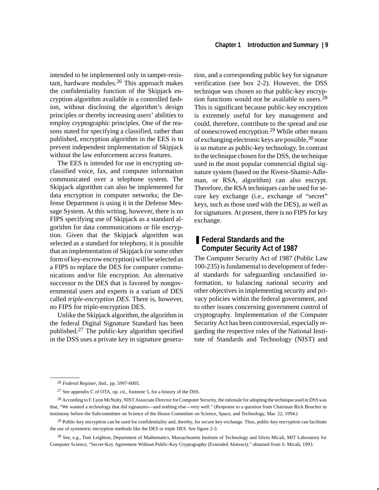intended to be implemented only in tamper-resistant, hardware modules.26 This approach makes the confidentiality function of the Skipjack encryption algorithm available in a controlled fashion, without disclosing the algorithm's design principles or thereby increasing users' abilities to employ cryptographic principles. One of the reasons stated for specifying a classified, rather than published, encryption algorithm in the EES is to prevent independent implementation of Skipjack without the law enforcement access features.

The EES is intended for use in encrypting unclassified voice, fax, and computer information communicated over a telephone system. The Skipjack algorithm can also be implemented for data encryption in computer networks; the Defense Department is using it in the Defense Message System. At this writing, however, there is no FIPS specifying use of Skipjack as a standard algorithm for data communications or file encryption. Given that the Skipjack algorithm was selected as a standard for telephony, it is possible that an implementation of Skipjack (or some other form of key-escrow encryption) will be selected as a FIPS to replace the DES for computer communications and/or file encryption. An alternative successor to the DES that is favored by nongovernmental users and experts is a variant of DES called *triple-encryption DES*. There is, however, no FIPS for triple-encryption DES.

Unlike the Skipjack algorithm, the algorithm in the federal Digital Signature Standard has been published.27 The public-key algorithm specified in the DSS uses a private key in signature generation, and a corresponding public key for signature verification (see box 2-2). However, the DSS technique was chosen so that public-key encryption functions would *not* be available to users.28 This is significant because public-key encryption is extremely useful for key management and could, therefore, contribute to the spread and use of nonescrowed encryption.<sup>29</sup> While other means of exchanging electronic keys are possible,<sup>30</sup> none is so mature as public-key technology. In contrast to the technique chosen for the DSS, the technique used in the most popular commercial digital signature system (based on the Rivest-Shamir-Adleman*,* or RSA*,* algorithm) can also encrypt. Therefore, the RSA techniques can be used for secure key exchange (i.e., exchange of "secret" keys, such as those used with the DES), as well as for signatures. At present, there is no FIPS for key exchange.

#### ■ Federal Standards and the **Computer Security Act of 1987**

The Computer Security Act of 1987 (Public Law 100-235) is fundamental to development of federal standards for safeguarding unclassified information, to balancing national security and other objectives in implementing security and privacy policies within the federal government, and to other issues concerning government control of cryptography. Implementation of the Computer Security Act has been controversial, especially regarding the respective roles of the National Institute of Standards and Technology (NIST) and

<sup>26</sup> *Federal Register*, ibid., pp. 5997-6005.

<sup>27</sup> See appendix C of OTA, op. cit., footnote 5, for a history of the DSS.

<sup>&</sup>lt;sup>28</sup> According to F. Lynn McNulty, NIST Associate Director for Computer Security, the rationale for adopting the technique used in DSS was that, "We wanted a technology that did signatures—and nothing else—very well." (Response to a question from Chairman Rick Boucher in testimony before the Subcommittee on Science of the House Committee on Science, Space, and Technology, Mar. 22, 1994.)

<sup>&</sup>lt;sup>29</sup> Public-key encryption can be used for confidentiality and, thereby, for secure key exchange. Thus, public-key encryption can facilitate the use of symmetric encryption methods like the DES or triple DES. See figure 2-3.

<sup>30</sup> See, e.g., Tom Leighton, Department of Mathematics, Massachusetts Institute of Technology and Silvio Micali, MIT Laboratory for Computer Science, "Secret-Key Agreement Without Public-Key Cryptography (Extended Abstract)," obtained from S. Micali, 1993.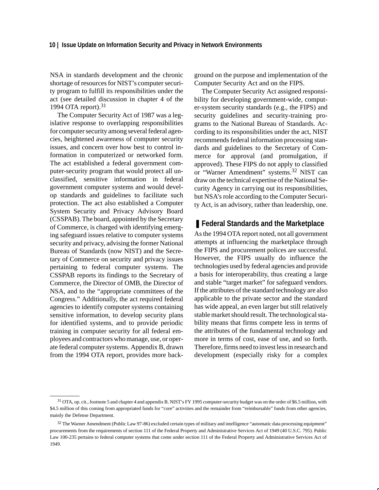NSA in standards development and the chronic shortage of resources for NIST's computer security program to fulfill its responsibilities under the act (see detailed discussion in chapter 4 of the 1994 OTA report). $31$ 

The Computer Security Act of 1987 was a legislative response to overlapping responsibilities for computer security among several federal agencies, heightened awareness of computer security issues, and concern over how best to control information in computerized or networked form. The act established a federal government computer-security program that would protect all unclassified, sensitive information in federal government computer systems and would develop standards and guidelines to facilitate such protection. The act also established a Computer System Security and Privacy Advisory Board (CSSPAB). The board, appointed by the Secretary of Commerce, is charged with identifying emerging safeguard issues relative to computer systems security and privacy, advising the former National Bureau of Standards (now NIST) and the Secretary of Commerce on security and privacy issues pertaining to federal computer systems. The CSSPAB reports its findings to the Secretary of Commerce, the Director of OMB, the Director of NSA, and to the "appropriate committees of the Congress." Additionally, the act required federal agencies to identify computer systems containing sensitive information, to develop security plans for identified systems, and to provide periodic training in computer security for all federal employees and contractors who manage, use, or operate federal computer systems. Appendix B, drawn from the 1994 OTA report, provides more background on the purpose and implementation of the Computer Security Act and on the FIPS.

The Computer Security Act assigned responsibility for developing government-wide, computer-system security standards (e.g., the FIPS) and security guidelines and security-training programs to the National Bureau of Standards. According to its responsibilities under the act, NIST recommends federal information processing standards and guidelines to the Secretary of Commerce for approval (and promulgation, if approved). These FIPS do not apply to classified or "Warner Amendment" systems.32 NIST can draw on the technical expertise of the National Security Agency in carrying out its responsibilities, but NSA's role according to the Computer Security Act, is an advisory, rather than leadership, one.

#### ■ Federal Standards and the Marketplace

As the 1994 OTA report noted, not all government attempts at influencing the marketplace through the FIPS and procurement polices are successful. However, the FIPS usually do influence the technologies used by federal agencies and provide a basis for interoperability, thus creating a large and stable "target market" for safeguard vendors. If the attributes of the standard technology are also applicable to the private sector and the standard has wide appeal, an even larger but still relatively stable market should result. The technological stability means that firms compete less in terms of the attributes of the fundamental technology and more in terms of cost, ease of use, and so forth. Therefore, firms need to invest less in research and development (especially risky for a complex

<sup>&</sup>lt;sup>31</sup> OTA, op. cit., footnote 5 and chapter 4 and appendix B. NIST's FY 1995 computer-security budget was on the order of \$6.5 million, with \$4.5 million of this coming from appropriated funds for "core" activities and the remainder from "reimbursable" funds from other agencies, mainly the Defense Department.

<sup>32</sup> The Warner Amendment (Public Law 97-86) excluded certain types of military and intelligence "automatic data processing equipment" procurements from the requirements of section 111 of the Federal Property and Administrative Services Act of 1949 (40 U.S.C. 795). Public Law 100-235 pertains to federal computer systems that come under section 111 of the Federal Property and Administrative Services Act of 1949.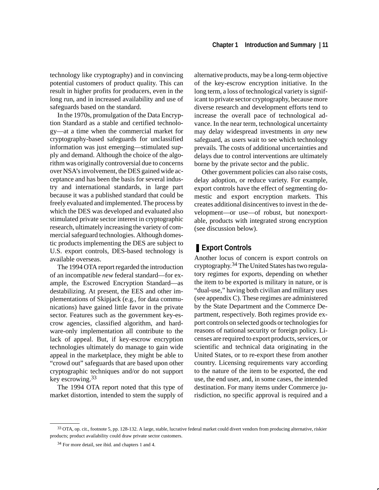technology like cryptography) and in convincing potential customers of product quality. This can result in higher profits for producers, even in the long run, and in increased availability and use of safeguards based on the standard.

In the 1970s, promulgation of the Data Encryption Standard as a stable and certified technology—at a time when the commercial market for cryptography-based safeguards for unclassified information was just emerging—stimulated supply and demand. Although the choice of the algorithm was originally controversial due to concerns over NSA's involvement, the DES gained wide acceptance and has been the basis for several industry and international standards, in large part because it was a published standard that could be freely evaluated and implemented. The process by which the DES was developed and evaluated also stimulated private sector interest in cryptographic research, ultimately increasing the variety of commercial safeguard technologies. Although domestic products implementing the DES are subject to U.S. export controls, DES-based technology is available overseas.

The 1994 OTA report regarded the introduction of an incompatible *new* federal standard—for example, the Escrowed Encryption Standard—as destabilizing. At present, the EES and other implementations of Skipjack (e.g., for data communications) have gained little favor in the private sector. Features such as the government key-escrow agencies, classified algorithm, and hardware-only implementation all contribute to the lack of appeal. But, if key-escrow encryption technologies ultimately do manage to gain wide appeal in the marketplace, they might be able to "crowd out" safeguards that are based upon other cryptographic techniques and/or do not support key escrowing.33

The 1994 OTA report noted that this type of market distortion, intended to stem the supply of alternative products, may be a long-term objective of the key-escrow encryption initiative. In the long term, a loss of technological variety is significant to private sector cryptography, because more diverse research and development efforts tend to increase the overall pace of technological advance. In the near term, technological uncertainty may delay widespread investments in *any* new safeguard, as users wait to see which technology prevails. The costs of additional uncertainties and delays due to control interventions are ultimately borne by the private sector and the public.

Other government policies can also raise costs, delay adoption, or reduce variety. For example, export controls have the effect of segmenting domestic and export encryption markets. This creates additional disincentives to invest in the development—or use—of robust, but nonexportable, products with integrated strong encryption (see discussion below).

### ❚ **Export Controls**

Another locus of concern is export controls on cryptography.<sup>34</sup> The United States has two regulatory regimes for exports, depending on whether the item to be exported is military in nature, or is "dual-use," having both civilian and military uses (see appendix C). These regimes are administered by the State Department and the Commerce Department, respectively. Both regimes provide export controls on selected goods or technologies for reasons of national security or foreign policy. Licenses are required to export products, services, or scientific and technical data originating in the United States, or to re-export these from another country. Licensing requirements vary according to the nature of the item to be exported, the end use, the end user, and, in some cases, the intended destination. For many items under Commerce jurisdiction, no specific approval is required and a

<sup>33</sup> OTA, op. cit., footnote 5, pp. 128-132. A large, stable, lucrative federal market could divert vendors from producing alternative, riskier products; product availability could draw private sector customers.

<sup>34</sup> For more detail, see ibid. and chapters 1 and 4.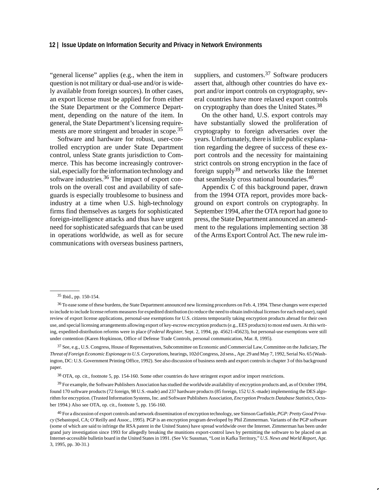"general license" applies (e.g., when the item in question is not military or dual-use and/or is widely available from foreign sources). In other cases, an export license must be applied for from either the State Department or the Commerce Department, depending on the nature of the item. In general, the State Department's licensing requirements are more stringent and broader in scope.<sup>35</sup>

Software and hardware for robust, user-controlled encryption are under State Department control, unless State grants jurisdiction to Commerce. This has become increasingly controversial, especially for the information technology and software industries.36 The impact of export controls on the overall cost and availability of safeguards is especially troublesome to business and industry at a time when U.S. high-technology firms find themselves as targets for sophisticated foreign-intelligence attacks and thus have urgent need for sophisticated safeguards that can be used in operations worldwide, as well as for secure communications with overseas business partners, suppliers, and customers.<sup>37</sup> Software producers assert that, although other countries do have export and/or import controls on cryptography, several countries have more relaxed export controls on cryptography than does the United States.<sup>38</sup>

On the other hand, U.S. export controls may have substantially slowed the proliferation of cryptography to foreign adversaries over the years. Unfortunately, there is little public explanation regarding the degree of success of these export controls and the necessity for maintaining strict controls on strong encryption in the face of foreign supply<sup>39</sup> and networks like the Internet that seamlessly cross national boundaries.<sup>40</sup>

Appendix C of this background paper, drawn from the 1994 OTA report, provides more background on export controls on cryptography. In September 1994, after the OTA report had gone to press, the State Department announced an amendment to the regulations implementing section 38 of the Arms Export Control Act. The new rule im-

37 See, e.g., U.S. Congress, House of Representatives, Subcommittee on Economic and Commercial Law, Committee on the Judiciary, *The Threat of Foreign Economic Espionage to U.S. Corporations*, hearings, 102d Congress, 2d sess., Apr. 29 and May 7, 1992, Serial No. 65 (Washington, DC: U.S. Government Printing Office, 1992). See also discussion of business needs and export controls in chapter 3 of this background paper.

38 OTA, op. cit., footnote 5, pp. 154-160. Some other countries do have stringent export and/or import restrictions.

<sup>39</sup> For example, the Software Publishers Association has studied the worldwide availability of encryption products and, as of October 1994, found 170 software products (72 foreign, 98 U.S.-made) and 237 hardware products (85 foreign, 152 U.S.-made) implementing the DES algorithm for encryption. (Trusted Information Systems, Inc. and Software Publishers Association, *Encryption Products Database Statistics*, October 1994.) Also see OTA, op. cit., footnote 5, pp. 156-160.

<sup>35</sup> Ibid., pp. 150-154.

<sup>&</sup>lt;sup>36</sup> To ease some of these burdens, the State Department announced new licensing procedures on Feb. 4, 1994. These changes were expected to include to include license reform measures for expedited distribution (to reduce the need to obtain individual licenses for each end user), rapid review of export license applications, personal-use exemptions for U.S. citizens temporarily taking encryption products abroad for their own use, and special licensing arrangements allowing export of key-escrow encryption products (e.g., EES products) to most end users. At this writing, expedited-distribution reforms were in place (*Federal Register*, Sept. 2, 1994, pp. 45621-45623), but personal-use exemptions were still under contention (Karen Hopkinson, Office of Defense Trade Controls, personal communication, Mar. 8, 1995).

<sup>40</sup> For a discussion of export controls and network dissemination of encryption technology, see Simson Garfinkle, *PGP: Pretty Good Privacy* (Sebastopol, CA; O'Reilly and Assoc., 1995). PGP is an encryption program developed by Phil Zimmerman. Variants of the PGP software (some of which are said to infringe the RSA patent in the United States) have spread worldwide over the Internet. Zimmerman has been under grand jury investigation since 1993 for allegedly breaking the munitions export-control laws by permitting the software to be placed on an Internet-accessible bulletin board in the United States in 1991. (See Vic Sussman, "Lost in Kafka Territory," *U.S. News and World Report*, Apr. 3, 1995, pp. 30-31.)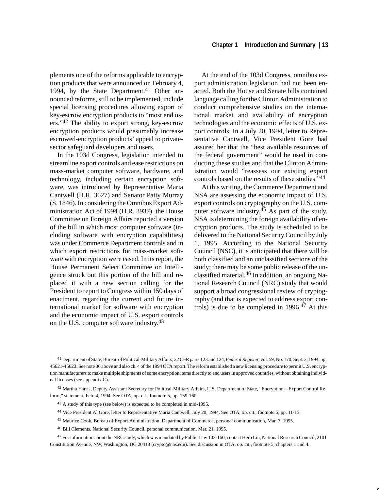plements one of the reforms applicable to encryption products that were announced on February 4, 1994, by the State Department.<sup>41</sup> Other announced reforms, still to be implemented, include special licensing procedures allowing export of key-escrow encryption products to "most end users."42 The ability to export strong, key-escrow encryption products would presumably increase escrowed-encryption products' appeal to privatesector safeguard developers and users.

In the 103d Congress, legislation intended to streamline export controls and ease restrictions on mass-market computer software, hardware, and technology, including certain encryption software, was introduced by Representative Maria Cantwell (H.R. 3627) and Senator Patty Murray (S. 1846). In considering the Omnibus Export Administration Act of 1994 (H.R. 3937), the House Committee on Foreign Affairs reported a version of the bill in which most computer software (including software with encryption capabilities) was under Commerce Department controls and in which export restrictions for mass-market software with encryption were eased. In its report, the House Permanent Select Committee on Intelligence struck out this portion of the bill and replaced it with a new section calling for the President to report to Congress within 150 days of enactment, regarding the current and future international market for software with encryption and the economic impact of U.S. export controls on the U.S. computer software industry.<sup>43</sup>

At the end of the 103d Congress, omnibus export administration legislation had not been enacted. Both the House and Senate bills contained language calling for the Clinton Administration to conduct comprehensive studies on the international market and availability of encryption technologies and the economic effects of U.S. export controls. In a July 20, 1994, letter to Representative Cantwell, Vice President Gore had assured her that the "best available resources of the federal government" would be used in conducting these studies and that the Clinton Administration would "reassess our existing export controls based on the results of these studies."44

At this writing, the Commerce Department and NSA are assessing the economic impact of U.S. export controls on cryptography on the U.S. computer software industry.<sup>45</sup> As part of the study, NSA is determining the foreign availability of encryption products. The study is scheduled to be delivered to the National Security Council by July 1, 1995. According to the National Security Council (NSC), it is anticipated that there will be both classified and an unclassified sections of the study; there may be some public release of the unclassified material.<sup>46</sup> In addition, an ongoing National Research Council (NRC) study that would support a broad congressional review of cryptography (and that is expected to address export controls) is due to be completed in 1996.<sup>47</sup> At this

<sup>41</sup> Department of State, Bureau of Political-Military Affairs, 22 CFR parts 123 and 124, *Federal Register*, vol. 59, No. 170, Sept. 2, 1994, pp. 45621-45623. See note 36 above and also ch. 4 of the 1994 OTA report. The reform established a new licensing procedure to permit U.S. encryption manufacturers to make multiple shipments of some encryption items directly to end users in approved countries, without obtaining individual licenses (see appendix C).

<sup>42</sup> Martha Harris, Deputy Assistant Secretary for Political-Military Affairs, U.S. Department of State, "Encryption—Export Control Reform," statement, Feb. 4, 1994. See OTA, op. cit., footnote 5, pp. 159-160.

<sup>43</sup> A study of this type (see below) is expected to be completed in mid-1995.

<sup>44</sup> Vice President Al Gore, letter to Representative Maria Cantwell, July 20, 1994. See OTA, op. cit., footnote 5, pp. 11-13.

<sup>45</sup> Maurice Cook, Bureau of Export Administration, Department of Commerce, personal communication, Mar. 7, 1995.

<sup>46</sup> Bill Clements, National Security Council, personal communication, Mar. 21, 1995.

<sup>47</sup> For information about the NRC study, which was mandated by Public Law 103-160, contact Herb Lin, National Research Council, 2101 Constitution Avenue, NW, Washington, DC 20418 (crypto@nas.edu). See discussion in OTA, op. cit., footnote 5, chapters 1 and 4.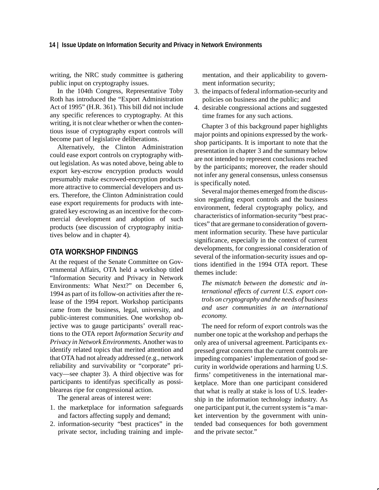writing, the NRC study committee is gathering public input on cryptography issues.

In the 104th Congress, Representative Toby Roth has introduced the "Export Administration Act of 1995" (H.R. 361). This bill did not include any specific references to cryptography. At this writing, it is not clear whether or when the contentious issue of cryptography export controls will become part of legislative deliberations.

Alternatively, the Clinton Administration could ease export controls on cryptography without legislation. As was noted above, being able to export key-escrow encryption products would presumably make escrowed-encryption products more attractive to commercial developers and users. Therefore, the Clinton Administration could ease export requirements for products with integrated key escrowing as an incentive for the commercial development and adoption of such products (see discussion of cryptography initiatives below and in chapter 4).

#### **OTA WORKSHOP FINDINGS**

At the request of the Senate Committee on Governmental Affairs, OTA held a workshop titled "Information Security and Privacy in Network Environments: What Next?" on December 6, 1994 as part of its follow-on activities after the release of the 1994 report. Workshop participants came from the business, legal, university, and public-interest communities. One workshop objective was to gauge participants' overall reactions to the OTA report *Information Security and Privacy in Network Environments.* Another was to identify related topics that merited attention and that OTA had not already addressed (e.g., network reliability and survivability or "corporate" privacy—see chapter 3). A third objective was for participants to identifyas specifically as possibleareas ripe for congressional action.

The general areas of interest were:

- 1. the marketplace for information safeguards and factors affecting supply and demand;
- 2. information-security "best practices" in the private sector, including training and imple-

mentation, and their applicability to government information security;

- 3. the impacts of federal information-security and policies on business and the public; and
- 4. desirable congressional actions and suggested time frames for any such actions.

Chapter 3 of this background paper highlights major points and opinions expressed by the workshop participants. It is important to note that the presentation in chapter 3 and the summary below are not intended to represent conclusions reached by the participants; moreover, the reader should not infer any general consensus, unless consensus is specifically noted.

Several major themes emerged from the discussion regarding export controls and the business environment, federal cryptography policy, and characteristics of information-security "best practices" that are germane to consideration of government information security. These have particular significance, especially in the context of current developments, for congressional consideration of several of the information-security issues and options identified in the 1994 OTA report. These themes include:

*The mismatch between the domestic and international effects of current U.S. export controls on cryptography and the needs of business and user communities in an international economy.*

The need for reform of export controls was the number one topic at the workshop and perhaps the only area of universal agreement. Participants expressed great concern that the current controls are impeding companies' implementation of good security in worldwide operations and harming U.S. firms' competitiveness in the international marketplace. More than one participant considered that what is really at stake is loss of U.S. leadership in the information technology industry. As one participant put it, the current system is "a market intervention by the government with unintended bad consequences for both government and the private sector."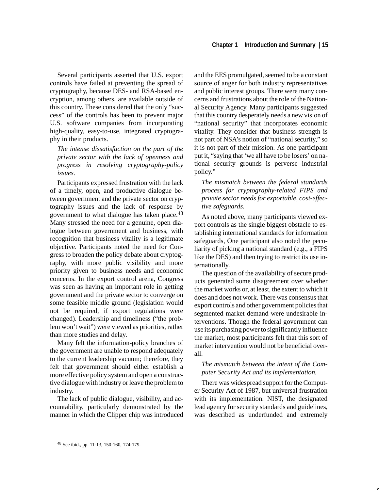Several participants asserted that U.S. export controls have failed at preventing the spread of cryptography, because DES- and RSA-based encryption, among others, are available outside of this country. These considered that the only "success" of the controls has been to prevent major U.S. software companies from incorporating high-quality, easy-to-use, integrated cryptography in their products.

*The intense dissatisfaction on the part of the private sector with the lack of openness and progress in resolving cryptography-policy issues.*

Participants expressed frustration with the lack of a timely, open, and productive dialogue between government and the private sector on cryptography issues and the lack of response by government to what dialogue has taken place.48 Many stressed the need for a genuine, open dialogue between government and business, with recognition that business vitality is a legitimate objective. Participants noted the need for Congress to broaden the policy debate about cryptography, with more public visibility and more priority given to business needs and economic concerns. In the export control arena, Congress was seen as having an important role in getting government and the private sector to converge on some feasible middle ground (legislation would not be required, if export regulations were changed). Leadership and timeliness ("the problem won't wait") were viewed as priorities, rather than more studies and delay.

Many felt the information-policy branches of the government are unable to respond adequately to the current leadership vacuum; therefore, they felt that government should either establish a more effective policy system and open a constructive dialogue with industry or leave the problem to industry.

The lack of public dialogue, visibility, and accountability, particularly demonstrated by the manner in which the Clipper chip was introduced

and the EES promulgated, seemed to be a constant source of anger for both industry representatives and public interest groups. There were many concerns and frustrations about the role of the National Security Agency. Many participants suggested that this country desperately needs a new vision of "national security" that incorporates economic vitality. They consider that business strength is not part of NSA's notion of "national security," so it is not part of their mission. As one participant put it, "saying that 'we all have to be losers' on national security grounds is perverse industrial policy."

*The mismatch between the federal standards process for cryptography-related FIPS and private sector needs for exportable, cost-effective safeguards.*

As noted above, many participants viewed export controls as the single biggest obstacle to establishing international standards for information safeguards, One participant also noted the peculiarity of picking a national standard (e.g., a FIPS like the DES) and then trying to restrict its use internationally.

The question of the availability of secure products generated some disagreement over whether the market works or, at least, the extent to which it does and does not work. There was consensus that export controls and other government policies that segmented market demand were undesirable interventions. Though the federal government can use its purchasing power to significantly influence the market, most participants felt that this sort of market intervention would not be beneficial overall.

#### *The mismatch between the intent of the Computer Security Act and its implementation.*

There was widespread support for the Computer Security Act of 1987, but universal frustration with its implementation. NIST, the designated lead agency for security standards and guidelines, was described as underfunded and extremely

<sup>48</sup> See ibid., pp. 11-13, 150-160, 174-179.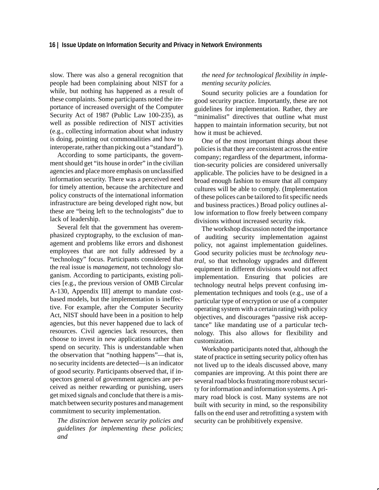slow. There was also a general recognition that people had been complaining about NIST for a while, but nothing has happened as a result of these complaints. Some participants noted the importance of increased oversight of the Computer Security Act of 1987 (Public Law 100-235), as well as possible redirection of NIST activities (e.g., collecting information about what industry is doing, pointing out commonalities and how to interoperate, rather than picking out a "standard").

According to some participants, the government should get "its house in order" in the civilian agencies and place more emphasis on unclassified information security. There was a perceived need for timely attention, because the architecture and policy constructs of the international information infrastructure are being developed right now, but these are "being left to the technologists" due to lack of leadership.

Several felt that the government has overemphasized cryptography, to the exclusion of management and problems like errors and dishonest employees that are not fully addressed by a "technology" focus. Participants considered that the real issue is *management*, not technology sloganism. According to participants, existing policies [e.g., the previous version of OMB Circular A-130, Appendix III] attempt to mandate costbased models, but the implementation is ineffective. For example, after the Computer Security Act, NIST should have been in a position to help agencies, but this never happened due to lack of resources. Civil agencies lack resources, then choose to invest in new applications rather than spend on security. This is understandable when the observation that "nothing happens"—that is, no security incidents are detected—is an indicator of good security. Participants observed that, if inspectors general of government agencies are perceived as neither rewarding or punishing, users get mixed signals and conclude that there is a mismatch between security postures and management commitment to security implementation.

*The distinction between security policies and guidelines for implementing these policies; and*

#### *the need for technological flexibility in implementing security policies.*

Sound security policies are a foundation for good security practice. Importantly, these are not guidelines for implementation. Rather, they are "minimalist" directives that outline what must happen to maintain information security, but not how it must be achieved.

One of the most important things about these policies is that they are consistent across the entire company; regardless of the department, information-security policies are considered universally applicable. The policies have to be designed in a broad enough fashion to ensure that all company cultures will be able to comply. (Implementation of these polices can be tailored to fit specific needs and business practices.) Broad policy outlines allow information to flow freely between company divisions without increased security risk.

The workshop discussion noted the importance of auditing security implementation against policy, not against implementation guidelines. Good security policies must be *technology neutral,* so that technology upgrades and different equipment in different divisions would not affect implementation. Ensuring that policies are technology neutral helps prevent confusing implementation techniques and tools (e.g., use of a particular type of encryption or use of a computer operating system with a certain rating) with policy objectives, and discourages "passive risk acceptance" like mandating use of a particular technology. This also allows for flexibility and customization.

Workshop participants noted that, although the state of practice in setting security policy often has not lived up to the ideals discussed above, many companies are improving. At this point there are several road blocks frustrating more robust security for information and information systems. A primary road block is cost. Many systems are not built with security in mind, so the responsibility falls on the end user and retrofitting a system with security can be prohibitively expensive.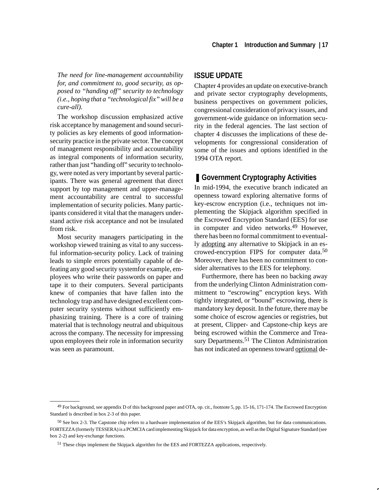*The need for line-management accountability for, and commitment to, good security, as opposed to "handing off" security to technology (i.e., hoping that a "technological fix" will be a cure-all).*

The workshop discussion emphasized active risk acceptance by management and sound security policies as key elements of good informationsecurity practice in the private sector. The concept of management responsibility and accountability as integral components of information security, rather than just "handing off" security to technology, were noted as very important by several participants. There was general agreement that direct support by top management and upper-management accountability are central to successful implementation of security policies. Many participants considered it vital that the managers understand active risk acceptance and not be insulated from risk.

Most security managers participating in the workshop viewed training as vital to any successful information-security policy. Lack of training leads to simple errors potentially capable of defeating any good security systemfor example, employees who write their passwords on paper and tape it to their computers. Several participants knew of companies that have fallen into the technology trap and have designed excellent computer security systems without sufficiently emphasizing training. There is a core of training material that is technology neutral and ubiquitous across the company. The necessity for impressing upon employees their role in information security was seen as paramount.

#### **ISSUE UPDATE**

Chapter 4 provides an update on executive-branch and private sector cryptography developments, business perspectives on government policies, congressional consideration of privacy issues, and government-wide guidance on information security in the federal agencies. The last section of chapter 4 discusses the implications of these developments for congressional consideration of some of the issues and options identified in the 1994 OTA report*.*

#### ■ Government Cryptography Activities

In mid-1994, the executive branch indicated an openness toward exploring alternative forms of key-escrow encryption (i.e., techniques not implementing the Skipjack algorithm specified in the Escrowed Encryption Standard (EES) for use in computer and video networks.<sup>49</sup> However, there has been no formal commitment to eventually adopting any alternative to Skipjack in an escrowed-encryption FIPS for computer data.<sup>50</sup> Moreover, there has been no commitment to consider alternatives to the EES for telephony.

Furthermore, there has been no backing away from the underlying Clinton Administration commitment to "escrowing" encryption keys. With tightly integrated, or "bound" escrowing, there is mandatory key deposit. In the future, there may be some choice of escrow agencies or registries, but at present, Clipper- and Capstone-chip keys are being escrowed within the Commerce and Treasury Departments.<sup>51</sup> The Clinton Administration has not indicated an openness toward optional de-

<sup>49</sup> For background, see appendix D of this background paper and OTA, op. cit., footnote 5, pp. 15-16, 171-174. The Escrowed Encryption Standard is described in box 2-3 of this paper.

<sup>50</sup> See box 2-3. The Capstone chip refers to a hardware implementation of the EES's Skipjack algorithm, but for data communications. FORTEZZA (formerly TESSERA) is a PCMCIA card implementing Skipjack for data encryption, as well as the Digital Signature Standard (see box 2-2) and key-exchange functions.

<sup>51</sup> These chips implement the Skipjack algorithm for the EES and FORTEZZA applications, respectively.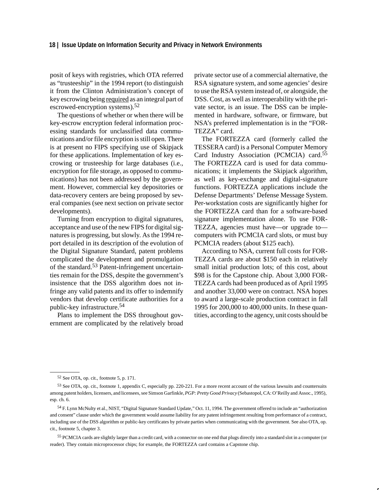posit of keys with registries, which OTA referred as "trusteeship" in the 1994 report (to distinguish it from the Clinton Administration's concept of key escrowing being required as an integral part of escrowed-encryption systems).52

The questions of whether or when there will be key-escrow encryption federal information processing standards for unclassified data communications and/or file encryption is still open. There is at present no FIPS specifying use of Skipjack for these applications. Implementation of key escrowing or trusteeship for large databases (i.e., encryption for file storage, as opposed to communications) has not been addressed by the government. However, commercial key depositories or data-recovery centers are being proposed by several companies (see next section on private sector developments).

Turning from encryption to digital signatures, acceptance and use of the new FIPS for digital signatures is progressing, but slowly. As the 1994 report detailed in its description of the evolution of the Digital Signature Standard, patent problems complicated the development and promulgation of the standard.53 Patent-infringement uncertainties remain for the DSS, despite the government's insistence that the DSS algorithm does not infringe any valid patents and its offer to indemnify vendors that develop certificate authorities for a public-key infrastructure.<sup>54</sup>

Plans to implement the DSS throughout government are complicated by the relatively broad private sector use of a commercial alternative, the RSA signature system, and some agencies' desire to use the RSA system instead of, or alongside, the DSS. Cost, as well as interoperability with the private sector, is an issue. The DSS can be implemented in hardware, software, or firmware, but NSA's preferred implementation is in the "FOR-TEZZA" card.

The FORTEZZA card (formerly called the TESSERA card) is a Personal Computer Memory Card Industry Association (PCMCIA) card.<sup>55</sup> The FORTEZZA card is used for data communications; it implements the Skipjack algorithm, as well as key-exchange and digital-signature functions. FORTEZZA applications include the Defense Departments' Defense Message System. Per-workstation costs are significantly higher for the FORTEZZA card than for a software-based signature implementation alone. To use FOR-TEZZA, agencies must have—or upgrade to computers with PCMCIA card slots, or must buy PCMCIA readers (about \$125 each).

According to NSA, current full costs for FOR-TEZZA cards are about \$150 each in relatively small initial production lots; of this cost, about \$98 is for the Capstone chip. About 3,000 FOR-TEZZA cards had been produced as of April 1995 and another 33,000 were on contract. NSA hopes to award a large-scale production contract in fall 1995 for 200,000 to 400,000 units. In these quantities, according to the agency, unit costs should be

<sup>52</sup> See OTA, op. cit., footnote 5, p. 171.

<sup>53</sup> See OTA, op. cit., footnote 1, appendix C, especially pp. 220-221. For a more recent account of the various lawsuits and countersuits among patent holders, licensers, and licensees, see Simson Garfinkle, *PGP: Pretty Good Privacy* (Sebastopol, CA: O'Reilly and Assoc., 1995), esp. ch. 6.

<sup>54</sup> F. Lynn McNulty et al., NIST, "Digital Signature Standard Update," Oct. 11, 1994. The government offered to include an "authorization and consent" clause under which the government would assume liability for any patent infringement resulting from performance of a contract, including use of the DSS algorithm or public-key certificates by private parties when communicating with the government. See also OTA, op. cit., footnote 5, chapter 3.

<sup>55</sup> PCMCIA cards are slightly larger than a credit card, with a connector on one end that plugs directly into a standard slot in a computer (or reader). They contain microprocessor chips; for example, the FORTEZZA card contains a Capstone chip.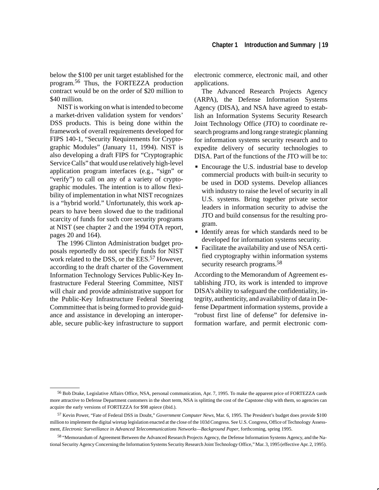below the \$100 per unit target established for the program.56 Thus, the FORTEZZA production contract would be on the order of \$20 million to \$40 million.

NIST is working on what is intended to become a market-driven validation system for vendors' DSS products. This is being done within the framework of overall requirements developed for FIPS 140-1, "Security Requirements for Cryptographic Modules" (January 11, 1994). NIST is also developing a draft FIPS for "Cryptographic Service Calls" that would use relatively high-level application program interfaces (e.g., "sign" or "verify") to call on any of a variety of cryptographic modules. The intention is to allow flexibility of implementation in what NIST recognizes is a "hybrid world." Unfortunately, this work appears to have been slowed due to the traditional scarcity of funds for such core security programs at NIST (see chapter 2 and the 1994 OTA report, pages 20 and 164).

The 1996 Clinton Administration budget proposals reportedly do not specify funds for NIST work related to the DSS, or the EES.<sup>57</sup> However, according to the draft charter of the Government Information Technology Services Public-Key Infrastructure Federal Steering Committee, NIST will chair and provide administrative support for the Public-Key Infrastructure Federal Steering Commmittee that is being formed to provide guidance and assistance in developing an interoperable, secure public-key infrastructure to support electronic commerce, electronic mail, and other applications.

The Advanced Research Projects Agency (ARPA), the Defense Information Systems Agency (DISA), and NSA have agreed to establish an Information Systems Security Research Joint Technology Office (JTO) to coordinate research programs and long range strategic planning for information systems security research and to expedite delivery of security technologies to DISA. Part of the functions of the JTO will be to:  $\overline{\phantom{a}}$ 

- Encourage the U.S. industrial base to develop commercial products with built-in security to be used in DOD systems. Develop alliances with industry to raise the level of security in all U.S. systems. Bring together private sector leaders in information security to advise the JTO and build consensus for the resulting program.
- Identify areas for which standards need to be developed for information systems security.
- Facilitate the availability and use of NSA certified cryptography within information systems security research programs.<sup>58</sup>

According to the Memorandum of Agreement establishing JTO, its work is intended to improve DISA's ability to safeguard the confidentiality, integrity, authenticity, and availability of data in Defense Department information systems, provide a "robust first line of defense" for defensive information warfare, and permit electronic com-

<sup>56</sup> Bob Drake, Legislative Affairs Office, NSA, personal communication, Apr. 7, 1995. To make the apparent price of FORTEZZA cards more attractive to Defense Department customers in the short term, NSA is splitting the cost of the Capstone chip with them, so agencies can acquire the early versions of FORTEZZA for \$98 apiece (ibid.).

<sup>57</sup> Kevin Power, "Fate of Federal DSS in Doubt," *Government Computer News*, Mar. 6, 1995. The President's budget does provide \$100 million to implement the digital wiretap legislation enacted at the close of the 103d Congress. See U.S. Congress, Office of Technology Assessment, *Electronic Surveillance in Advanced Telecommunications Networks—Background Paper*, forthcoming, spring 1995.

<sup>58 &</sup>quot;Memorandum of Agreement Between the Advanced Research Projects Agency, the Defense Information Systems Agency, and the National Security Agency Concerning the Information Systems Security Research Joint Technology Office," Mar. 3, 1995 (effective Apr. 2, 1995).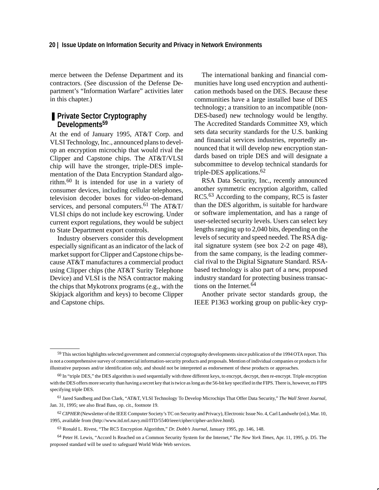merce between the Defense Department and its contractors. (See discussion of the Defense Department's "Information Warfare" activities later in this chapter.)

#### ■ Private Sector Cryptography **Developments59**

At the end of January 1995, AT&T Corp. and VLSI Technology, Inc., announced plans to develop an encryption microchip that would rival the Clipper and Capstone chips. The AT&T/VLSI chip will have the stronger, triple-DES implementation of the Data Encryption Standard algorithm.60 It is intended for use in a variety of consumer devices, including cellular telephones, television decoder boxes for video-on-demand services, and personal computers.<sup>61</sup> The AT&T/ VLSI chips do not include key escrowing. Under current export regulations, they would be subject to State Department export controls.

Industry observers consider this development especially significant as an indicator of the lack of market support for Clipper and Capstone chips because AT&T manufactures a commercial product using Clipper chips (the AT&T Surity Telephone Device) and VLSI is the NSA contractor making the chips that Mykotronx programs (e.g., with the Skipjack algorithm and keys) to become Clipper and Capstone chips.

The international banking and financial communities have long used encryption and authentication methods based on the DES. Because these communities have a large installed base of DES technology; a transition to an incompatible (non-DES-based) new technology would be lengthy. The Accredited Standards Committee X9, which sets data security standards for the U.S. banking and financial services industries, reportedly announced that it will develop new encryption standards based on triple DES and will designate a subcommittee to develop technical standards for triple-DES applications.<sup>62</sup>

RSA Data Security, Inc., recently announced another symmetric encryption algorithm, called RC5.<sup>63</sup> According to the company, RC5 is faster than the DES algorithm, is suitable for hardware or software implementation, and has a range of user-selected security levels. Users can select key lengths ranging up to 2,040 bits, depending on the levels of security and speed needed. The RSA digital signature system (see box 2-2 on page 48), from the same company, is the leading commercial rival to the Digital Signature Standard. RSAbased technology is also part of a new, proposed industry standard for protecting business transactions on the Internet.<sup>64</sup>

Another private sector standards group, the IEEE P1363 working group on public-key cryp-

- 61 Jared Sandberg and Don Clark, "AT&T, VLSI Technology To Develop Microchips That Offer Data Security," *The Wall Street Journal*, Jan. 31, 1995; see also Brad Bass, op. cit., footnote 19.
- 62*CIPHER* (Newsletter of the IEEE Computer Society's TC on Security and Privacy), Electronic Issue No. 4, Carl Landwehr (ed.), Mar. 10, 1995, available from (http://www.itd.nrl.navy.mil/ITD/5540/ieee/cipher/cipher-archive.html).

64 Peter H. Lewis, "Accord Is Reached on a Common Security System for the Internet," *The New York Times*, Apr. 11, 1995, p. D5. The proposed standard will be used to safeguard World Wide Web services.

<sup>&</sup>lt;sup>59</sup> This section highlights selected government and commercial cryptography developments since publication of the 1994 OTA report. This is not a coomprehensive survey of commercial information-security products and proposals. Mention of individual companies or products is for illustrative purposes and/or identification only, and should not be interpreted as endorsement of these products or approaches.

 $60$  In "triple DES," the DES algorithm is used sequentially with three different keys, to encrypt, decrypt, then re-encrypt. Triple encryption with the DES offers more security than having a secret key that is twice as long as the 56-bit key specified in the FIPS. There is, however, no FIPS specifying triple DES.

<sup>63</sup> Ronald L. Rivest, "The RC5 Encryption Algorithm," *Dr. Dobb's Journal*, January 1995, pp. 146, 148.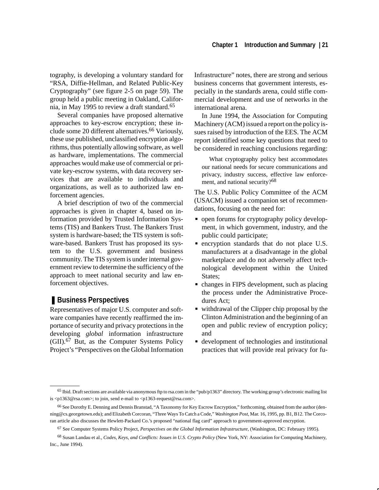tography, is developing a voluntary standard for "RSA, Diffie-Hellman, and Related Public-Key Cryptography" (see figure 2-5 on page 59). The group held a public meeting in Oakland, California, in May 1995 to review a draft standard.65

Several companies have proposed alternative approaches to key-escrow encryption; these include some 20 different alternatives.<sup>66</sup> Variously, these use published, unclassified encryption algorithms, thus potentially allowing software, as well as hardware, implementations. The commercial approaches would make use of commercial or private key-escrow systems, with data recovery services that are available to individuals and organizations, as well as to authorized law enforcement agencies.

A brief description of two of the commercial approaches is given in chapter 4, based on information provided by Trusted Information Systems (TIS) and Bankers Trust. The Bankers Trust system is hardware-based; the TIS system is software-based. Bankers Trust has proposed its system to the U.S. government and business community. The TIS system is under internal government review to determine the sufficiency of the approach to meet national security and law enforcement objectives.

#### ■ Business Perspectives

Representatives of major U.S. computer and software companies have recently reaffirmed the importance of security and privacy protections in the developing *global* information infrastructure  $(GII)$ .<sup>67</sup> But, as the Computer Systems Policy Project's "Perspectives on the Global Information Infrastructure" notes, there are strong and serious business concerns that government interests, especially in the standards arena, could stifle commercial development and use of networks in the international arena.

In June 1994, the Association for Computing Machinery (ACM) issued a report on the policy issues raised by introduction of the EES. The ACM report identified some key questions that need to be considered in reaching conclusions regarding:

What cryptography policy best accommodates our national needs for secure communications and privacy, industry success, effective law enforcement, and national security?68

The U.S. Public Policy Committee of the ACM (USACM) issued a companion set of recommendations, focusing on the need for: Ĩ

- open forums for cryptography policy development, in which government, industry, and the public could participate;
- encryption standards that do not place U.S. manufacturers at a disadvantage in the global marketplace and do not adversely affect technological development within the United States;
- changes in FIPS development, such as placing the process under the Administrative Procedures Act;
- withdrawal of the Clipper chip proposal by the Clinton Administration and the beginning of an open and public review of encryption policy; and
- development of technologies and institutional practices that will provide real privacy for fu-

<sup>&</sup>lt;sup>65</sup> Ibid. Draft sections are available via anonymous ftp to rsa.com in the "pub/p1363" directory. The working group's electronic mailing list is <p1363@rsa.com>; to join, send e-mail to <p1363-request@rsa.com>.

<sup>66</sup> See Dorothy E. Denning and Dennis Branstad, "A Taxonomy for Key Escrow Encryption," forthcoming, obtained from the author (denning@cs.georgetown.edu); and Elizabeth Corcoran, "Three Ways To Catch a Code," *Washington Post*, Mar. 16, 1995, pp. B1, B12. The Corcoran article also discusses the Hewlett-Packard Co.'s proposed "national flag card" approach to government-approved encryption.

<sup>67</sup> See Computer Systems Policy Project, *Perspectives on the Global Information Infrastructure*, (Washington, DC: February 1995).

<sup>68</sup> Susan Landau et al., *Codes, Keys, and Conflicts: Issues in U.S. Crypto Policy* (New York, NY: Association for Computing Machinery, Inc., June 1994).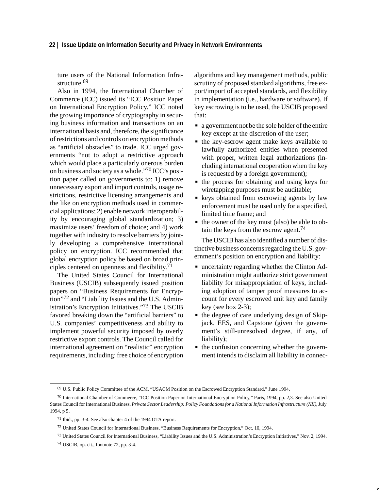ture users of the National Information Infrastructure.<sup>69</sup>

Also in 1994, the International Chamber of Commerce (ICC) issued its "ICC Position Paper on International Encryption Policy." ICC noted the growing importance of cryptography in securing business information and transactions on an international basis and, therefore, the significance of restrictions and controls on encryption methods as "artificial obstacles" to trade. ICC urged governments "not to adopt a restrictive approach which would place a particularly onerous burden on business and society as a whole."70 ICC's position paper called on governments to: 1) remove unnecessary export and import controls, usage restrictions, restrictive licensing arrangements and the like on encryption methods used in commercial applications; 2) enable network interoperability by encouraging global standardization; 3) maximize users' freedom of choice; and 4) work together with industry to resolve barriers by jointly developing a comprehensive international policy on encryption. ICC recommended that global encryption policy be based on broad principles centered on openness and flexibility.<sup>71</sup>

The United States Council for International Business (USCIB) subsequently issued position papers on "Business Requirements for Encryption"72 and "Liability Issues and the U.S. Administration's Encryption Initiatives."73 The USCIB favored breaking down the "artificial barriers" to U.S. companies' competitiveness and ability to implement powerful security imposed by overly restrictive export controls. The Council called for international agreement on "realistic" encryption requirements, including: free choice of encryption algorithms and key management methods, public scrutiny of proposed standard algorithms, free export/import of accepted standards, and flexibility in implementation (i.e., hardware or software). If key escrowing is to be used, the USCIB proposed that:  $\overline{a}$ 

- a government not be the sole holder of the entire key except at the discretion of the user;
- the key-escrow agent make keys available to lawfully authorized entities when presented with proper, written legal authorizations (including international cooperation when the key is requested by a foreign government);
- the process for obtaining and using keys for wiretapping purposes must be auditable;
- **Example 1** keys obtained from escrowing agents by law enforcement must be used only for a specified, limited time frame; and
- the owner of the key must (also) be able to obtain the keys from the escrow agent.<sup>74</sup>

The USCIB has also identified a number of distinctive business concerns regarding the U.S. government's position on encryption and liability:

- uncertainty regarding whether the Clinton Administration might authorize strict government liability for misappropriation of keys, including adoption of tamper proof measures to account for every escrowed unit key and family key (see box  $2-3$ );
- the degree of care underlying design of Skipjack, EES, and Capstone (given the government's still-unresolved degree, if any, of liability);
- the confusion concerning whether the government intends to disclaim all liability in connec-

<sup>69</sup> U.S. Public Policy Committee of the ACM, "USACM Position on the Escrowed Encryption Standard," June 1994.

<sup>70</sup> International Chamber of Commerce, "ICC Position Paper on International Encryption Policy," Paris, 1994, pp. 2,3. See also United States Council for International Business, *Private Sector Leadership: Policy Foundations for a National Information Infrastructure (NII)*, July 1994, p 5.

<sup>71</sup> Ibid., pp. 3-4. See also chapter 4 of the 1994 OTA report.

<sup>72</sup> United States Council for International Business, "Business Requirements for Encryption," Oct. 10, 1994.

<sup>73</sup> United States Council for International Business, "Liability Issues and the U.S. Administration's Encryption Initiatives," Nov. 2, 1994.

<sup>74</sup> USCIB, op. cit., footnote 72, pp. 3-4.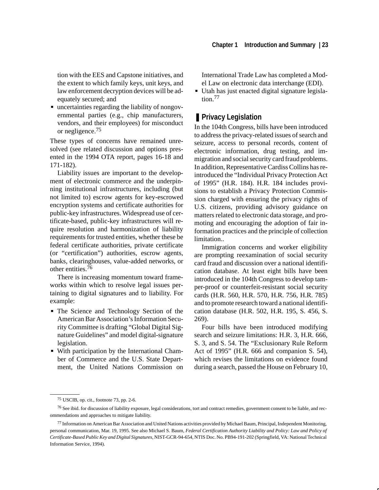tion with the EES and Capstone initiatives, and the extent to which family keys, unit keys, and law enforcement decryption devices will be adequately secured; and

 uncertainties regarding the liability of nongovernmental parties (e.g., chip manufacturers, vendors, and their employees) for misconduct or negligence.<sup>75</sup>

These types of concerns have remained unresolved (see related discussion and options presented in the 1994 OTA report, pages 16-18 and 171-182).

Liability issues are important to the development of electronic commerce and the underpinning institutional infrastructures, including (but not limited to) escrow agents for key-escrowed encryption systems and certificate authorities for public-key infrastructures. Widespread use of certificate-based, public-key infrastructures will require resolution and harmonization of liability requirements for trusted entities, whether these be federal certificate authorities, private certificate (or "certification") authorities, escrow agents, banks, clearinghouses, value-added networks, or other entities.<sup>76</sup>

There is increasing momentum toward frameworks within which to resolve legal issues pertaining to digital signatures and to liability. For example:

- The Science and Technology Section of the American Bar Association's Information Security Committee is drafting "Global Digital Signature Guidelines" and model digital-signature legislation.
- With participation by the International Chamber of Commerce and the U.S. State Department, the United Nations Commission on

International Trade Law has completed a Model Law on electronic data interchange (EDI).

 Utah has just enacted digital signature legislation<sup>77</sup>

#### ■ **Privacy Legislation**

In the 104th Congress, bills have been introduced to address the privacy-related issues of search and seizure, access to personal records, content of electronic information, drug testing, and immigration and social security card fraud problems. In addition, Representative Cardiss Collins has reintroduced the "Individual Privacy Protection Act of 1995" (H.R. 184). H.R. 184 includes provisions to establish a Privacy Protection Commission charged with ensuring the privacy rights of U.S. citizens, providing advisory guidance on matters related to electronic data storage, and promoting and encouraging the adoption of fair information practices and the principle of collection limitation..

Immigration concerns and worker eligibility are prompting reexamination of social security card fraud and discussion over a national identification database. At least eight bills have been introduced in the 104th Congress to develop tamper-proof or counterfeit-resistant social security cards (H.R. 560, H.R. 570, H.R. 756, H.R. 785) and to promote research toward a national identification database (H.R. 502, H.R. 195, S. 456, S. 269).

Four bills have been introduced modifying search and seizure limitations: H.R. 3, H.R. 666, S. 3, and S. 54. The "Exclusionary Rule Reform Act of 1995" (H.R. 666 and companion S. 54), which revises the limitations on evidence found during a search, passed the House on February 10,

<sup>75</sup> USCIB, op. cit., footnote 73, pp. 2-6.

<sup>76</sup> See ibid. for discussion of liability exposure, legal considerations, tort and contract remedies, government consent to be liable, and recommendations and approaches to mitigate liability.

<sup>77</sup> Information on American Bar Association and United Nations activities provided by Michael Baum, Principal, Independent Monitoring, personal communication, Mar. 19, 1995. See also Michael S. Baum, *Federal Certification Authority Liability and Policy: Law and Policy of Certificate-Based Public Key and Digital Signatures*, NIST-GCR-94-654, NTIS Doc. No. PB94-191-202 (Springfield, VA: National Technical Information Service, 1994).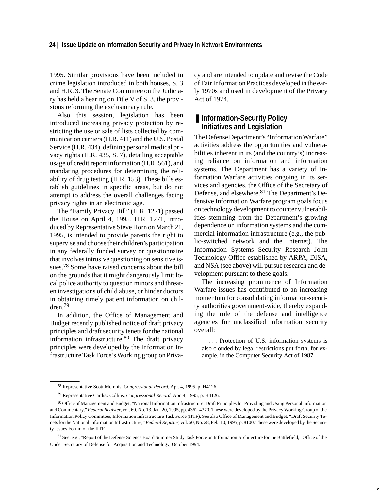1995. Similar provisions have been included in crime legislation introduced in both houses, S. 3 and H.R. 3. The Senate Committee on the Judiciary has held a hearing on Title V of S. 3, the provisions reforming the exclusionary rule.

Also this session, legislation has been introduced increasing privacy protection by restricting the use or sale of lists collected by communication carriers (H.R. 411) and the U.S. Postal Service (H.R. 434), defining personal medical privacy rights (H.R. 435, S. 7), detailing acceptable usage of credit report information (H.R. 561), and mandating procedures for determining the reliability of drug testing (H.R. 153). These bills establish guidelines in specific areas, but do not attempt to address the overall challenges facing privacy rights in an electronic age.

The "Family Privacy Bill" (H.R. 1271) passed the House on April 4, 1995. H.R. 1271, introduced by Representative Steve Horn on March 21, 1995, is intended to provide parents the right to supervise and choose their children's participation in any federally funded survey or questionnaire that involves intrusive questioning on sensitive issues.78 Some have raised concerns about the bill on the grounds that it might dangerously limit local police authority to question minors and threaten investigations of child abuse, or hinder doctors in obtaining timely patient information on children.<sup>79</sup>

In addition, the Office of Management and Budget recently published notice of draft privacy principles and draft security tenets for the national information infrastructure.80 The draft privacy principles were developed by the Information Infrastructure Task Force's Working group on Privacy and are intended to update and revise the Code of Fair Information Practices developed in the early 1970s and used in development of the Privacy Act of 1974.

#### ■ **Information-Security Policy Initiatives and Legislation**

The Defense Department's "Information Warfare" activities address the opportunities and vulnerabilities inherent in its (and the country's) increasing reliance on information and information systems. The Department has a variety of Information Warfare activities ongoing in its services and agencies, the Office of the Secretary of Defense, and elsewhere.<sup>81</sup> The Department's Defensive Information Warfare program goals focus on technology development to counter vulnerabilities stemming from the Department's growing dependence on information systems and the commercial information infrastructure (e.g., the public-switched network and the Internet). The Information Systems Security Research Joint Technology Office established by ARPA, DISA, and NSA (see above) will pursue research and development pursuant to these goals.

The increasing prominence of Information Warfare issues has contributed to an increasing momentum for consolidating information-security authorities government-wide, thereby expanding the role of the defense and intelligence agencies for unclassified information security overall:

. . . Protection of U.S. information systems is also clouded by legal restrictions put forth, for example, in the Computer Security Act of 1987.

<sup>78</sup> Representative Scott McInnis, *Congressional Record*, Apr. 4, 1995, p. H4126.

<sup>79</sup> Representative Cardiss Collins, *Congressional Record*, Apr. 4, 1995, p. H4126.

<sup>80</sup> Office of Management and Budget, "National Information Infrastructure: Draft Principles for Providing and Using Personal Information and Commentary," *Federal Register*, vol. 60, No. 13, Jan. 20, 1995, pp. 4362-4370. These were developed by the Privacy Working Group of the Information Policy Committee, Information Infrastructure Task Force (IITF). See also Office of Management and Budget, "Draft Security Tenets for the National Information Infrastructure," *Federal Register*, vol. 60, No. 28, Feb. 10, 1995, p. 8100. These were developed by the Security Issues Forum of the IITF.

<sup>81</sup> See, e.g., "Report of the Defense Science Board Summer Study Task Force on Information Architecture for the Battlefield," Office of the Under Secretary of Defense for Acquisition and Technology, October 1994.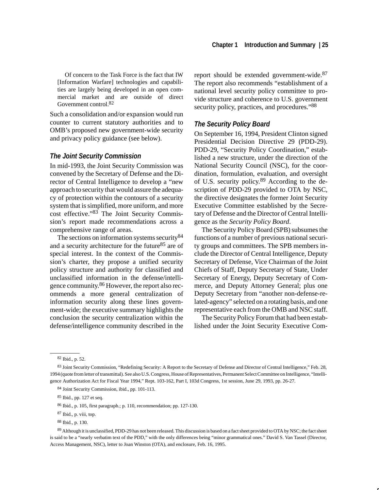Of concern to the Task Force is the fact that IW [Information Warfare] technologies and capabilities are largely being developed in an open commercial market and are outside of direct Government control.82

Such a consolidation and/or expansion would run counter to current statutory authorities and to OMB's proposed new government-wide security and privacy policy guidance (see below).

#### *The Joint Security Commission*

In mid-1993, the Joint Security Commission was convened by the Secretary of Defense and the Director of Central Intelligence to develop a "new approach to security that would assure the adequacy of protection within the contours of a security system that is simplified, more uniform, and more cost effective."83 The Joint Security Commission's report made recommendations across a comprehensive range of areas.

The sections on information systems security<sup>84</sup> and a security architecture for the future<sup>85</sup> are of special interest. In the context of the Commission's charter, they propose a unified security policy structure and authority for classified and unclassified information in the defense/intelligence community.86 However, the report also recommends a more general centralization of information security along these lines government-wide; the executive summary highlights the conclusion the security centralization within the defense/intelligence community described in the report should be extended government-wide.<sup>87</sup> The report also recommends "establishment of a national level security policy committee to provide structure and coherence to U.S. government security policy, practices, and procedures."<sup>88</sup>

#### *The Security Policy Board*

On September 16, 1994, President Clinton signed Presidential Decision Directive 29 (PDD-29). PDD-29, "Security Policy Coordination," established a new structure, under the direction of the National Security Council (NSC), for the coordination, formulation, evaluation, and oversight of U.S. security policy.89 According to the description of PDD-29 provided to OTA by NSC, the directive designates the former Joint Security Executive Committee established by the Secretary of Defense and the Director of Central Intelligence as the *Security Policy Board*.

The Security Policy Board (SPB) subsumes the functions of a number of previous national security groups and committees. The SPB members include the Director of Central Intelligence, Deputy Secretary of Defense, Vice Chairman of the Joint Chiefs of Staff, Deputy Secretary of State, Under Secretary of Energy, Deputy Secretary of Commerce, and Deputy Attorney General; plus one Deputy Secretary from "another non-defense-related-agency" selected on a rotating basis, and one representative each from the OMB and NSC staff.

The Security Policy Forum that had been established under the Joint Security Executive Com-

<sup>82</sup> Ibid., p. 52.

<sup>83</sup> Joint Security Commission, "Redefining Security: A Report to the Secretary of Defense and Director of Central Intelligence," Feb. 28, 1994 (quote from letter of transmittal). See also U.S. Congress, House of Representatives, Permanent Select Committee on Intelligence, "Intelligence Authorization Act for Fiscal Year 1994," Rept. 103-162, Part I, 103d Congress, 1st session, June 29, 1993, pp. 26-27.

<sup>84</sup> Joint Security Commission, ibid., pp. 101-113.

<sup>85</sup> Ibid., pp. 127 et seq.

<sup>86</sup> Ibid., p. 105, first paragraph.; p. 110, recommendation; pp. 127-130.

<sup>87</sup> Ibid., p. viii, top.

<sup>88</sup> Ibid., p. 130.

<sup>&</sup>lt;sup>89</sup> Although it is unclassified, PDD-29 has not been released. This discussion is based on a fact sheet provided to OTA by NSC; the fact sheet is said to be a "nearly verbatim text of the PDD," with the only differences being "minor grammatical ones." David S. Van Tassel (Director, Access Management, NSC), letter to Joan Winston (OTA), and enclosure, Feb. 16, 1995.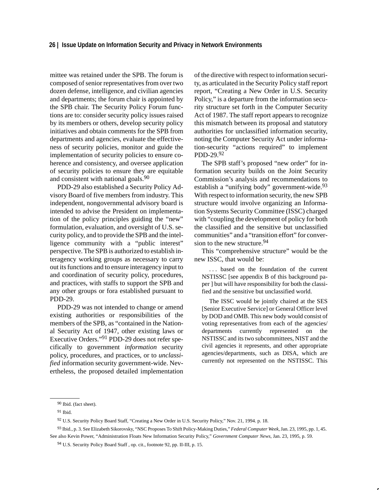mittee was retained under the SPB. The forum is composed of senior representatives from over two dozen defense, intelligence, and civilian agencies and departments; the forum chair is appointed by the SPB chair. The Security Policy Forum functions are to: consider security policy issues raised by its members or others, develop security policy initiatives and obtain comments for the SPB from departments and agencies, evaluate the effectiveness of security policies, monitor and guide the implementation of security policies to ensure coherence and consistency, and oversee application of security policies to ensure they are equitable and consistent with national goals.90

PDD-29 also established a Security Policy Advisory Board of five members from industry. This independent, nongovernmental advisory board is intended to advise the President on implementation of the policy principles guiding the "new" formulation, evaluation, and oversight of U.S. security policy, and to provide the SPB and the intelligence community with a "public interest" perspective. The SPB is authorized to establish interagency working groups as necessary to carry out its functions and to ensure interagency input to and coordination of security policy, procedures, and practices, with staffs to support the SPB and any other groups or fora established pursuant to PDD-29.

PDD-29 was not intended to change or amend existing authorities or responsibilities of the members of the SPB, as "contained in the National Security Act of 1947, other existing laws or Executive Orders."91 PDD-29 does not refer specifically to government *information* security policy, procedures, and practices, or to *unclassified* information security government-wide. Nevertheless, the proposed detailed implementation of the directive with respect to information security, as articulated in the Security Policy staff report report, "Creating a New Order in U.S. Security Policy," is a departure from the information security structure set forth in the Computer Security Act of 1987. The staff report appears to recognize this mismatch between its proposal and statutory authorities for unclassified information security, noting the Computer Security Act under information-security "actions required" to implement PDD-29.<sup>92</sup>

The SPB staff's proposed "new order" for information security builds on the Joint Security Commission's analysis and recommendations to establish a "unifying body" government-wide.<sup>93</sup> With respect to information security, the new SPB structure would involve organizing an Information Systems Security Committee (ISSC) charged with "coupling the development of policy for both the classified and the sensitive but unclassified communities" and a "transition effort" for conversion to the new structure.<sup>94</sup>

This "comprehensive structure" would be the new ISSC, that would be:

. . . based on the foundation of the current NSTISSC [see appendix B of this background paper ] but will have responsibility for both the classified and the sensitive but unclassified world.

The ISSC would be jointly chaired at the SES [Senior Executive Service] or General Officer level by DOD and OMB. This new body would consist of voting representatives from each of the agencies/ departments currently represented on the NSTISSC and its two subcommittees, NIST and the civil agencies it represents, and other appropriate agencies/departments, such as DISA, which are currently not represented on the NSTISSC. This

93 Ibid., p. 3. See Elizabeth Sikorovsky, "NSC Proposes To Shift Policy-Making Duties," *Federal Computer Week*, Jan. 23, 1995, pp. 1, 45. See also Kevin Power, "Administration Floats New Information Security Policy," *Government Computer News*, Jan. 23, 1995, p. 59.

<sup>90</sup> Ibid. (fact sheet).

<sup>91</sup> Ibid.

<sup>92</sup> U.S. Security Policy Board Staff, "Creating a New Order in U.S. Security Policy," Nov. 21, 1994. p. 18.

<sup>94</sup> U.S. Security Policy Board Staff , op. cit., footnote 92, pp. II-III, p. 15.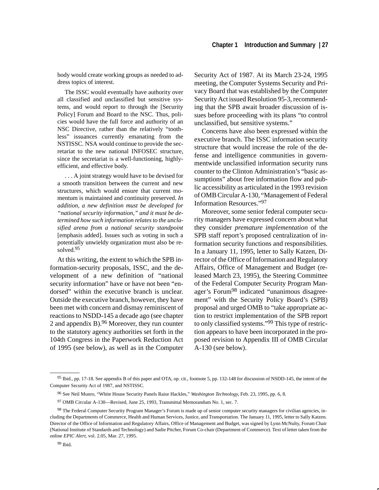body would create working groups as needed to address topics of interest.

The ISSC would eventually have authority over all classified and unclassified but sensitive systems, and would report to through the [Security Policy] Forum and Board to the NSC. Thus, policies would have the full force and authority of an NSC Directive, rather than the relatively "toothless" issuances currently emanating from the NSTISSC. NSA would continue to provide the secretariat to the new national INFOSEC structure, since the secretariat is a well-functioning, highlyefficient, and effective body.

. . . A joint strategy would have to be devised for a smooth transition between the current and new structures, which would ensure that current momentum is maintained and continuity preserved. *In addition, a new definition must be developed for "national security information," and it must be determined how such information relates to the unclasified arena from a national security standpoint* [emphasis added]. Issues such as voting in such a potentially unwieldy organization must also be resolved.95

At this writing, the extent to which the SPB information-security proposals, ISSC, and the development of a new definition of "national security information" have or have not been "endorsed" within the executive branch is unclear. Outside the executive branch, however, they have been met with concern and dismay reminiscent of reactions to NSDD-145 a decade ago (see chapter 2 and appendix B).  $96$  Moreover, they run counter to the statutory agency authorities set forth in the 104th Congress in the Paperwork Reduction Act of 1995 (see below), as well as in the Computer Security Act of 1987. At its March 23-24, 1995 meeting, the Computer Systems Security and Privacy Board that was established by the Computer Security Act issued Resolution 95-3, recommending that the SPB await broader discussion of issues before proceeding with its plans "to control unclassified, but sensitive systems."

Concerns have also been expressed within the executive branch. The ISSC information security structure that would increase the role of the defense and intelligence communities in governmentwide unclassified information security runs counter to the Clinton Administration's "basic assumptions" about free information flow and public accessibility as articulated in the 1993 revision of OMB Circular A-130, "Management of Federal Information Resources."97

Moreover, some senior federal computer security managers have expressed concern about what they consider *premature implementation* of the SPB staff report's proposed centralization of information security functions and responsibilities. In a January 11, 1995, letter to Sally Katzen, Director of the Office of Information and Regulatory Affairs, Office of Management and Budget (released March 23, 1995), the Steering Committee of the Federal Computer Security Program Manager's Forum<sup>98</sup> indicated "unanimous disagreement" with the Security Policy Board's (SPB) proposal and urged OMB to "take appropriate action to restrict implementation of the SPB report to only classified systems."99 This type of restriction appears to have been incorporated in the proposed revision to Appendix III of OMB Circular A-130 (see below).

<sup>95</sup> Ibid., pp. 17-18. See appendix B of this paper and OTA, op. cit., footnote 5, pp. 132-148 for discussion of NSDD-145, the intent of the Computer Security Act of 1987, and NSTISSC.

<sup>96</sup> See Neil Munro, "White House Security Panels Raise Hackles," *Washington Technology*, Feb. 23, 1995, pp. 6, 8.

<sup>97</sup> OMB Circular A-130—Revised, June 25, 1993, Transmittal Memorandum No. 1, sec. 7.

<sup>98</sup> The Federal Computer Security Program Manager's Forum is made up of senior computer security managers for civilian agencies, including the Departments of Commerce, Health and Human Services, Justice, and Transportation. The January 11, 1995, letter to Sally Katzen. Director of the Office of Information and Regulatory Affairs, Office of Management and Budget, was signed by Lynn McNulty, Forum Chair (National Institute of Standards and Technology) and Sadie Pitcher, Forum Co-chair (Department of Commerce). Text of letter taken from the online *EPIC Alert,* vol. 2.05, Mar. 27, 1995.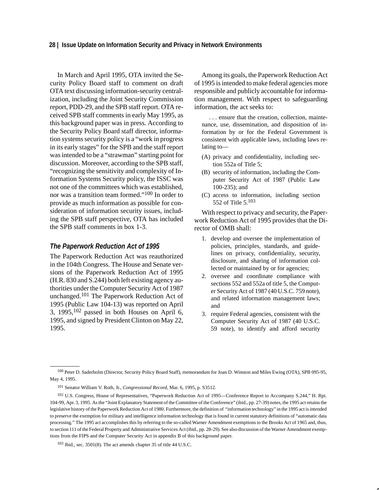In March and April 1995, OTA invited the Security Policy Board staff to comment on draft OTA text discussing information-security centralization, including the Joint Security Commission report, PDD-29, and the SPB staff report. OTA received SPB staff comments in early May 1995, as this background paper was in press. According to the Security Policy Board staff director, information systems security policy is a "work in progress in its early stages" for the SPB and the staff report was intended to be a "strawman" starting point for discussion. Moreover, according to the SPB staff, "recognizing the sensitivity and complexity of Information Systems Security policy, the ISSC was not one of the committees which was established, nor was a transition team formed."100 In order to provide as much information as possible for consideration of information security issues, including the SPB staff perspective, OTA has included the SPB staff comments in box 1-3.

#### *The Paperwork Reduction Act of 1995*

The Paperwork Reduction Act was reauthorized in the 104th Congress. The House and Senate versions of the Paperwork Reduction Act of 1995 (H.R. 830 and S.244) both left existing agency authorities under the Computer Security Act of 1987 unchanged.101 The Paperwork Reduction Act of 1995 (Public Law 104-13) was reported on April 3, 1995, $102$  passed in both Houses on April 6, 1995*,* and signed by President Clinton on May 22, 1995.

Among its goals, the Paperwork Reduction Act of 1995 is intended to make federal agencies more responsible and publicly accountable for information management. With respect to safeguarding information, the act seeks to:

. . . ensure that the creation, collection, maintenance, use, dissemination, and disposition of information by or for the Federal Government is consistent with applicable laws, including laws relating to—

- (A) privacy and confidentiality, including section 552a of Title 5;
- (B) security of information, including the Computer Security Act of 1987 (Public Law 100-235); and
- (C) access to information, including section 552 of Title 5.<sup>103</sup>

With respect to privacy and security, the Paperwork Reduction Act of 1995 provides that the Director of OMB shall:

- 1. develop and oversee the implementation of policies, principles, standards, and guidelines on privacy, confidentiality, security, disclosure, and sharing of information collected or maintained by or for agencies;
- 2. oversee and coordinate compliance with sections 552 and 552a of title 5, the Computer Security Act of 1987 (40 U.S.C. 759 note), and related information management laws; and
- 3. require Federal agencies, consistent with the Computer Security Act of 1987 (40 U.S.C. 59 note), to identify and afford security

<sup>100</sup> Peter D. Saderholm (Director, Security Policy Board Staff), memorandum for Joan D. Winston and Miles Ewing (OTA), SPB 095-95, May 4, 1995.

<sup>101</sup> Senator William V. Roth, Jr., *Congressional Record*, Mar. 6, 1995, p. S3512.

<sup>102</sup> U.S. Congress, House of Representatives, "Paperwork Reduction Act of 1995—Conference Report to Accompany S.244," H. Rpt. 104-99, Apr. 3, 1995. As the "Joint Explanatory Statement of the Committee of the Conference" (ibid., pp. 27-39) notes, the 1995 act retains the legislative history of the Paperwork Reduction Act of 1980. Furthermore, the definition of "information technology" in the 1995 act is intended to preserve the exemption for military and intelligence information technology that is found in current statutory definitions of "automatic data processing." The 1995 act accomplishes this by referring to the so-called Warner Amendment exemptions to the Brooks Act of 1965 and, thus, to section 111 of the Federal Property and Administrative Services Act (ibid., pp. 28-29). See also discussion of the Warner Amendment exemptions from the FIPS and the Computer Security Act in appendix B of this background paper.

<sup>103</sup> Ibid., sec. 3501(8). The act amends chapter 35 of title 44 U.S.C.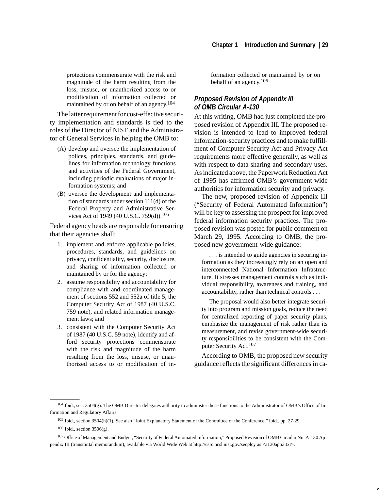protections commensurate with the risk and magnitude of the harm resulting from the loss, misuse, or unauthorized access to or modification of information collected or maintained by or on behalf of an agency.104

The latter requirement for cost-effective security implementation and standards is tied to the roles of the Director of NIST and the Administrator of General Services in helping the OMB to:

- (A) develop and oversee the implementation of polices, principles, standards, and guidelines for information technology functions and activities of the Federal Government, including periodic evaluations of major information systems; and
- (B) oversee the development and implementation of standards under section 111(d) of the Federal Property and Administrative Services Act of 1949 (40 U.S.C. 759(d)).<sup>105</sup>

Federal agency heads are responsible for ensuring that their agencies shall:

- 1. implement and enforce applicable policies, procedures, standards, and guidelines on privacy, confidentiality, security, disclosure, and sharing of information collected or maintained by or for the agency;
- 2. assume responsibility and accountability for compliance with and coordinated management of sections 552 and 552a of title 5, the Computer Security Act of 1987 (40 U.S.C. 759 note), and related information management laws; and
- 3. consistent with the Computer Security Act of 1987 (40 U.S.C. 59 note), identify and afford security protections commensurate with the risk and magnitude of the harm resulting from the loss, misuse, or unauthorized access to or modification of in-

formation collected or maintained by or on behalf of an agency.106

#### *Proposed Revision of Appendix III of OMB Circular A-130*

At this writing, OMB had just completed the proposed revision of Appendix III. The proposed revision is intended to lead to improved federal information-security practices and to make fulfillment of Computer Security Act and Privacy Act requirements more effective generally, as well as with respect to data sharing and secondary uses. As indicated above, the Paperwork Reduction Act of 1995 has affirmed OMB's government-wide authorities for information security and privacy.

The new, proposed revision of Appendix III ("Security of Federal Automated Information") will be key to assessing the prospect for improved federal information security practices. The proposed revision was posted for public comment on March 29, 1995. According to OMB, the proposed new government-wide guidance:

. . . is intended to guide agencies in securing information as they increasingly rely on an open and interconnected National Information Infrastructure. It stresses management controls such as individual responsibility, awareness and training, and accountability, rather than technical controls . . .

The proposal would also better integrate security into program and mission goals, reduce the need for centralized reporting of paper security plans, emphasize the management of risk rather than its measurement, and revise government-wide security responsibilities to be consistent with the Computer Security Act.107

According to OMB, the proposed new security guidance reflects the significant differences in ca-

<sup>104</sup> Ibid., sec. 3504(g). The OMB Director delegates authority to administer these functions to the Administrator of OMB's Office of Information and Regulatory Affairs.

<sup>105</sup> Ibid., section 3504(h)(1). See also "Joint Explanatory Statement of the Committee of the Conference," ibid., pp. 27-29.

<sup>106</sup> Ibid., section 3506(g).

<sup>107</sup> Office of Management and Budget, "Security of Federal Automated Information," Proposed Revision of OMB Circular No. A-130 Appendix III (transmittal memorandum), available via World Wide Web at http://csrc.ncsl.nist.gov/secplcy as <a130app3.txt>.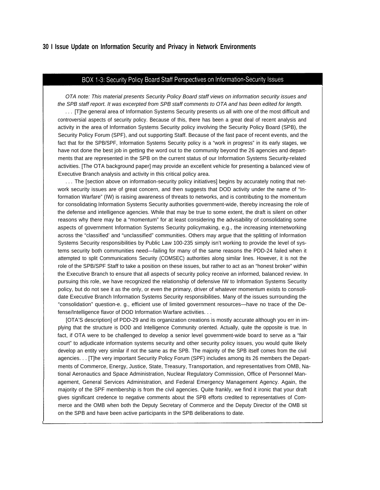## BOX 1-3: Security Policy Board Staff Perspectives on Information-Security Issues

OTA note: This material presents Security Policy Board staff views on information security issues and the SPB staff report. It was excerpted from SPB staff comments to OTA and has been edited for length.

. . . [T]he general area of Information Systems Security presents us all with one of the most difficult and controversial aspects of security policy. Because of this, there has been a great deal of recent analysis and activity in the area of Information Systems Security policy involving the Security Policy Board (SPB), the Security Policy Forum (SPF), and out supporting Staff. Because of the fast pace of recent events, and the fact that for the SPB/SPF, Information Systems Security policy is a "work in progress" in its early stages, we have not done the best job in getting the word out to the community beyond the 26 agencies and departments that are represented in the SPB on the current status of our Information Systems Security-related activities. [The OTA background paper] may provide an excellent vehicle for presenting a balanced view of Executive Branch analysis and activity in this critical policy area.

... The [section above on information-security policy initiatives] begins by accurately noting that network security issues are of great concern, and then suggests that DOD activity under the name of "Information Warfare" (IW) is raising awareness of threats to networks, and is contributing to the momentum for consolidating Information Systems Security authorities government-wide, thereby increasing the role of the defense and intelligence agencies. While that may be true to some extent, the draft is silent on other reasons why there may be a "momentum" for at least considering the advisability of consolidating some aspects of government Information Systems Security policymaking, e.g., the increasing internetworking across the "classified' and "unclassified" communities. Others may argue that the splitting of Information Systems Security responsibilities by Public Law 100-235 simply isn't working to provide the level of systems security both communities need—failing for many of the same reasons the PDD-24 failed when it attempted to split Communications Security (COMSEC) authorities along similar lines. However, it is not the role of the SPB/SPF Staff to take a position on these issues, but rather to act as an "honest broker" within the Executive Branch to ensure that all aspects of security policy receive an informed, balanced review. In pursuing this role, we have recognized the relationship of defensive IW to Information Systems Security policy, but do not see it as the only, or even the primary, driver of whatever momentum exists to consolidate Executive Branch Information Systems Security responsibilities. Many of the issues surrounding the "consolidation" question-e. g., efficient use of limited government resources—have no trace of the Defense/Intelligence flavor of DOD Information Warfare activities. . .

[OTA'S description] of PDD-29 and its organization creations is mostly accurate although you err in implying that the structure is DOD and Intelligence Community oriented. Actually, quite the opposite is true. In fact, if OTA were to be challenged to develop a senior level government-wide board to serve as a "fair court" to adjudicate information systems security and other security policy issues, you would quite likely develop an entity very similar if not the same as the SPB. The majority of the SPB itself comes from the civil agencies. . . [T]he very important Security Policy Forum (SPF) includes among its 26 members the Departments of Commerce, Energy, Justice, State, Treasury, Transportation, and representatives from OMB, National Aeronautics and Space Administration, Nuclear Regulatory Commission, Office of Personnel Management, General Services Administration, and Federal Emergency Management Agency. Again, the majority of the SPF membership is from the civil agencies. Quite frankly, we find it ironic that your draft gives significant credence to negative comments about the SPB efforts credited to representatives of Commerce and the OMB when both the Deputy Secretary of Commerce and the Deputy Director of the OMB sit on the SPB and have been active participants in the SPB deliberations to date.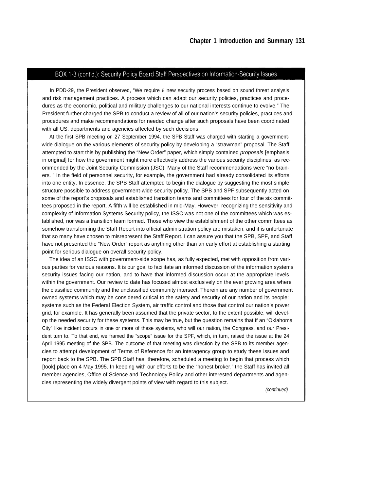# BOX 1-3 (cont'd.): Security Policy Board Staff Perspectives on Information-Security Issues

In PDD-29, the President observed, "We require a new security process based on sound threat analysis and risk management practices. A process which can adapt our security policies, practices and procedures as the economic, political and military challenges to our national interests continue to evolve." The President further charged the SPB to conduct a review of all of our nation's security policies, practices and procedures and make recommendations for needed change after such proposals have been coordinated with all US. departments and agencies affected by such decisions.

At the first SPB meeting on 27 September 1994, the SPB Staff was charged with starting a governmentwide dialogue on the various elements of security policy by developing a "strawman" proposal. The Staff attempted to start this by publishing the "New Order" paper, which simply contained *proposals* [emphasis in original] for how the government might more effectively address the various security disciplines, as recommended by the Joint Security Commission (JSC). Many of the Staff recommendations were "no brainers. " In the field of personnel security, for example, the government had already consolidated its efforts into one entity. In essence, the SPB Staff attempted to begin the dialogue by suggesting the most simple structure possible to address government-wide security policy. The SPB and SPF subsequently acted on some of the report's proposals and established transition teams and committees for four of the six committees proposed in the report. A fifth will be established in mid-May. However, recognizing the sensitivity and complexity of Information Systems Security policy, the ISSC was not one of the committees which was established, nor was a transition team formed. Those who view the establishment of the other committees as somehow transforming the Staff Report into official administration policy are mistaken, and it is unfortunate that so many have chosen to misrepresent the Staff Report. I can assure you that the SPB, SPF, and Staff have not presented the "New Order" report as anything other than an early effort at establishing a starting point for serious dialogue on overall security policy.

The idea of an ISSC with government-side scope has, as fully expected, met with opposition from various parties for various reasons. It is our goal to facilitate an informed discussion of the information systems security issues facing our nation, and to have that informed discussion occur at the appropriate levels within the government. Our review to date has focused almost exclusively on the ever growing area where the classified community and the unclassified community intersect. Therein are any number of government owned systems which may be considered critical to the safety and security of our nation and its people: systems such as the Federal Election System, air traffic control and those that control our nation's power grid, for example. It has generally been assumed that the private sector, to the extent possible, will develop the needed security for these systems. This may be true, but the question remains that if an "Oklahoma City" like incident occurs in one or more of these systems, who will our nation, the Congress, and our President turn to. To that end, we framed the "scope" issue for the SPF, which, in turn, raised the issue at the 24 April 1995 meeting of the SPB. The outcome of that meeting was direction by the SPB to its member agencies to attempt development of Terms of Reference for an interagency group to study these issues and report back to the SPB. The SPB Staff has, therefore, scheduled a meeting to begin that process which [took] place on 4 May 1995. In keeping with our efforts to be the "honest broker," the Staff has invited all member agencies, Office of Science and Technology Policy and other interested departments and agencies representing the widely divergent points of view with regard to this subject.

(continued)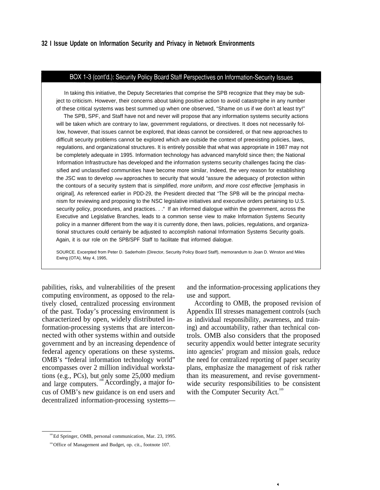#### BOX 1-3 (cont'd.): Security Policy Board Staff Perspectives on Information-Security Issues

In taking this initiative, the Deputy Secretaries that comprise the SPB recognize that they may be subject to criticism. However, their concerns about taking positive action to avoid catastrophe in any number of these critical systems was best summed up when one observed, "Shame on us if we don't at least try!"

The SPB, SPF, and Staff have not and never will propose that any information systems security actions will be taken which are contrary to law, government regulations, or directives. It does not necessarily follow, however, that issues cannot be explored, that ideas cannot be considered, or that new approaches to difficult security problems cannot be explored which are outside the context of preexisting policies, laws, regulations, and organizational structures. It is entirely possible that what was appropriate in 1987 may not be completely adequate in 1995. Information technology has advanced manyfold since then; the National Information Infrastructure has developed and the information systems security challenges facing the classified and unclassified communities have become more similar, Indeed, the very reason for establishing the JSC was to develop new approaches to security that would "assure the adequacy of protection within the contours of a security system that is simplified, more uniform, and more cost effective [emphasis in original], As referenced earlier in PDD-29, the President directed that "The SPB will be the principal mechanism for reviewing and proposing to the NSC legislative initiatives and executive orders pertaining to U.S. security policy, procedures, and practices. . . " If an informed dialogue within the government, across the Executive and Legislative Branches, leads to a common sense view to make Information Systems Security policy in a manner different from the way it is currently done, then laws, policies, regulations, and organizational structures could certainly be adjusted to accomplish national Information Systems Security goals. Again, it is our role on the SPB/SPF Staff to facilitate that informed dialogue.

SOURCE. Excerpted from Peter D. Saderholm (Director, Security Policy Board Staff), memorandum to Joan D. Winston and Miles Ewing (OTA), May 4, 1995,

pabilities, risks, and vulnerabilities of the present and the information-processing applications they computing environment, as opposed to the relatively closed, centralized processing environment of the past. Today's processing environment is characterized by open, widely distributed information-processing systems that are interconnected with other systems within and outside government and by an increasing dependence of federal agency operations on these systems. OMB's "federal information technology world" encompasses over 2 million individual workstations (e.g., PCs), but only some  $25,000$  medium and large computers. 108 Accordingly, a major focus of OMB's new guidance is on end users and decentralized information-processing systems—

use and support.

According to OMB, the proposed revision of Appendix III stresses management controls (such as individual responsibility, awareness, and training) and accountability, rather than technical controls. OMB also considers that the proposed security appendix would better integrate security into agencies' program and mission goals, reduce the need for centralized reporting of paper security plans, emphasize the management of risk rather than its measurement, and revise governmentwide security responsibilities to be consistent with the Computer Security Act.<sup>109</sup>

¥.

<sup>108</sup> Ed Springer, OMB, personal communication, Mar. 23, 1995.

<sup>&</sup>lt;sup>109</sup> Office of Management and Budget, op. cit., footnote 107.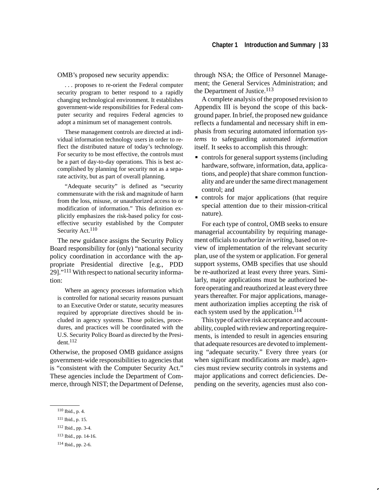OMB's proposed new security appendix:

. . . proposes to re-orient the Federal computer security program to better respond to a rapidly changing technological environment. It establishes government-wide responsibilities for Federal computer security and requires Federal agencies to adopt a minimum set of management controls.

These management controls are directed at individual information technology users in order to reflect the distributed nature of today's technology. For security to be most effective, the controls must be a part of day-to-day operations. This is best accomplished by planning for security not as a separate activity, but as part of overall planning.

"Adequate security" is defined as "security commensurate with the risk and magnitude of harm from the loss, misuse, or unauthorized access to or modification of information." This definition explicitly emphasizes the risk-based policy for costeffective security established by the Computer Security Act.<sup>110</sup>

The new guidance assigns the Security Policy Board responsibility for (only) "national security policy coordination in accordance with the appropriate Presidential directive [e.g., PDD 29]."<sup>111</sup> With respect to national security information:

Where an agency processes information which is controlled for national security reasons pursuant to an Executive Order or statute, security measures required by appropriate directives should be included in agency systems. Those policies, procedures, and practices will be coordinated with the U.S. Security Policy Board as directed by the President.112

Otherwise, the proposed OMB guidance assigns government-wide responsibilities to agencies that is "consistent with the Computer Security Act." These agencies include the Department of Commerce, through NIST; the Department of Defense,

110 Ibid., p. 4.

through NSA; the Office of Personnel Management; the General Services Administration; and the Department of Justice.<sup>113</sup>

A complete analysis of the proposed revision to Appendix III is beyond the scope of this background paper. In brief, the proposed new guidance reflects a fundamental and necessary shift in emphasis from securing automated information *systems* to safeguarding automated *information* itself. It seeks to accomplish this through:  $\ddot{\phantom{0}}$ 

- controls for general support systems (including hardware, software, information, data, applications, and people) that share common functionality and are under the same direct management control; and
- controls for major applications (that require special attention due to their mission-critical nature).

For each type of control, OMB seeks to ensure managerial accountability by requiring management officials to *authorize in writing*, based on review of implementation of the relevant security plan, use of the system or application. For general support systems, OMB specifies that use should be re-authorized at least every three years. Similarly, major applications must be authorized before operating and reauthorized at least every three years thereafter. For major applications, management authorization implies accepting the risk of each system used by the application.<sup>114</sup>

This type of active risk acceptance and accountability, coupled with review and reporting requirements, is intended to result in agencies ensuring that adequate resources are devoted to implementing "adequate security." Every three years (or when significant modifications are made), agencies must review security controls in systems and major applications and correct deficiencies. Depending on the severity, agencies must also con-

<sup>111</sup> Ibid., p. 15.

<sup>112</sup> Ibid., pp. 3-4.

<sup>113</sup> Ibid., pp. 14-16.

<sup>114</sup> Ibid., pp. 2-6.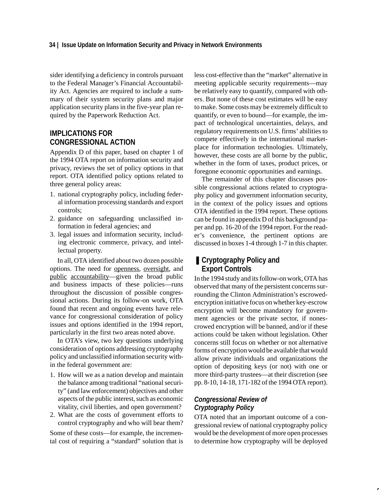sider identifying a deficiency in controls pursuant to the Federal Manager's Financial Accountability Act. Agencies are required to include a summary of their system security plans and major application security plans in the five-year plan required by the Paperwork Reduction Act.

# **IMPLICATIONS FOR CONGRESSIONAL ACTION**

Appendix D of this paper, based on chapter 1 of the 1994 OTA report on information security and privacy, reviews the set of policy options in that report. OTA identified policy options related to three general policy areas:

- 1. national cryptography policy, including federal information processing standards and export controls;
- 2. guidance on safeguarding unclassified information in federal agencies; and
- 3. legal issues and information security, including electronic commerce, privacy, and intellectual property.

In all, OTA identified about two dozen possible options. The need for openness, oversight, and public accountability—given the broad public and business impacts of these policies—runs throughout the discussion of possible congressional actions. During its follow-on work, OTA found that recent and ongoing events have relevance for congressional consideration of policy issues and options identified in the 1994 report, particularly in the first two areas noted above.

In OTA's view, two key questions underlying consideration of options addressing cryptography policy and unclassified information security within the federal government are:

- 1. How will we as a nation develop and maintain the balance among traditional "national security" (and law enforcement) objectives and other aspects of the public interest, such as economic vitality, civil liberties, and open government?
- 2. What are the costs of government efforts to control cryptography and who will bear them?

Some of these costs—for example, the incremental cost of requiring a "standard" solution that is less cost-effective than the "market" alternative in meeting applicable security requirements—may be relatively easy to quantify, compared with others. But none of these cost estimates will be easy to make. Some costs may be extremely difficult to quantify, or even to bound—for example, the impact of technological uncertainties, delays, and regulatory requirements on U.S. firms' abilities to compete effectively in the international marketplace for information technologies. Ultimately, however, these costs are all borne by the public, whether in the form of taxes, product prices, or foregone economic opportunities and earnings.

The remainder of this chapter discusses possible congressional actions related to cryptography policy and government information security, in the context of the policy issues and options OTA identified in the 1994 report. These options can be found in appendix D of this background paper and pp. 16-20 of the 1994 report. For the reader's convenience, the pertinent options are discussed in boxes 1-4 through 1-7 in this chapter.

# ■ **Cryptography Policy and Export Controls**

In the 1994 study and its follow-on work, OTA has observed that many of the persistent concerns surrounding the Clinton Administration's escrowedencryption initiative focus on whether key-escrow encryption will become mandatory for government agencies or the private sector, if nonescrowed encryption will be banned, and/or if these actions could be taken without legislation. Other concerns still focus on whether or not alternative forms of encryption would be available that would allow private individuals and organizations the option of depositing keys (or not) with one or more third-party trustees—at their discretion (see pp. 8-10, 14-18, 171-182 of the 1994 OTA report).

# *Congressional Review of Cryptography Policy*

OTA noted that an important outcome of a congressional review of national cryptography policy would be the development of more open processes to determine how cryptography will be deployed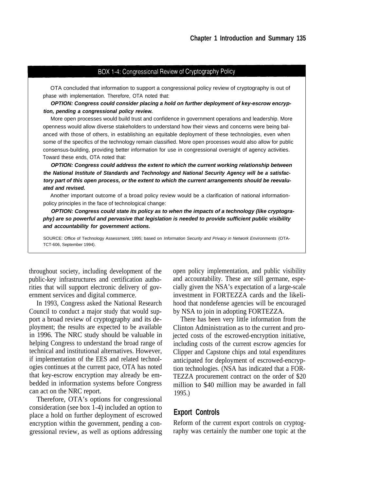## BOX 1-4: Congressional Review of Cryptography Policy

OTA concluded that information to support a congressional policy review of cryptography is out of phase with implementation. Therefore, OTA noted that:

**OPTION: Congress could consider placing a hold on further deployment of key-escrow encryption, pending a congressional policy review.**

More open processes would build trust and confidence in government operations and leadership. More openness would allow diverse stakeholders to understand how their views and concerns were being balanced with those of others, in establishing an equitable deployment of these technologies, even when some of the specifics of the technology remain classified. More open processes would also allow for public consensus-building, providing better information for use in congressional oversight of agency activities. Toward these ends, OTA noted that:

**OPTION: Congress could address the extent to which the current working relationship between the National Institute of Standards and Technology and National Security Agency will be a satisfactory part of this open process, or the extent to which the current arrangements should be reevaluated and revised.**

Another important outcome of a broad policy review would be a clarification of national informationpolicy principles in the face of technological change:

**OPTION: Congress could state its policy as to when the impacts of a technology (like cryptography) are so powerful and pervasive that legislation is needed to provide sufficient public visibility and accountability for government actions.**

SOURCE: Office of Technology Assessment, 1995; based on Information Security and Privacy in Network Environments (OTA-TCT-606, September 1994).

public-key infrastructures and certification authorities that will support electronic delivery of government services and digital commerce.

In 1993, Congress asked the National Research Council to conduct a major study that would support a broad review of cryptography and its deployment; the results are expected to be available in 1996. The NRC study should be valuable in helping Congress to understand the broad range of technical and institutional alternatives. However, if implementation of the EES and related technologies continues at the current pace, OTA has noted that key-escrow encryption may already be embedded in information systems before Congress can act on the NRC report.

Therefore, OTA's options for congressional consideration (see box 1-4) included an option to place a hold on further deployment of escrowed encryption within the government, pending a congressional review, as well as options addressing

throughout society, including development of the open policy implementation, and public visibility and accountability. These are still germane, especially given the NSA's expectation of a large-scale investment in FORTEZZA cards and the likelihood that nondefense agencies will be encouraged by NSA to join in adopting FORTEZZA.

> There has been very little information from the Clinton Administration as to the current and projected costs of the escrowed-encryption initiative, including costs of the current escrow agencies for Clipper and Capstone chips and total expenditures anticipated for deployment of escrowed-encryption technologies. (NSA has indicated that a FOR-TEZZA procurement contract on the order of \$20 million to \$40 million may be awarded in fall 1995.)

# **Export Controls**

Reform of the current export controls on cryptography was certainly the number one topic at the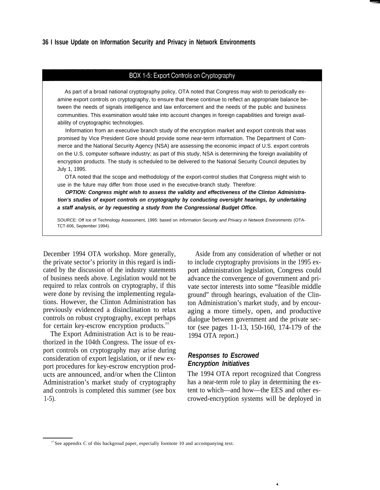## BOX 1-5: Export Controls on Cryptography

As part of a broad national cryptography policy, OTA noted that Congress may wish to periodically examine export controls on cryptography, to ensure that these continue to reflect an appropriate balance between the needs of signals intelligence and law enforcement and the needs of the public and business communities. This examination would take into account changes in foreign capabilities and foreign availability of cryptographic technologies.

Information from an executive branch study of the encryption market and export controls that was promised by Vice President Gore should provide some near-term information. The Department of Commerce and the National Security Agency (NSA) are assessing the economic impact of U.S. export controls on the U.S. computer software industry; as part of this study, NSA is determining the foreign availability of encryption products. The study is scheduled to be delivered to the National Security Council deputies by July 1, 1995.

OTA noted that the scope and methodology of the export-control studies that Congress might wish to use in the future may differ from those used in the executive-branch study. Therefore:

**OPTION: Congress might wish to assess the validity and effectiveness of the Clinton Administration's studies of export controls on cryptography by conducting oversight hearings, by undertaking a staff analysis, or by requesting a study from the Congressional Budget Office.**

SOURCE: Off Ice of Technology Assessment, 1995: based on Information Security and Privacy in Network Environments (OTA-TCT-606, September 1994).

December 1994 OTA workshop. More generally, the private sector's priority in this regard is indicated by the discussion of the industry statements of business needs above. Legislation would not be required to relax controls on cryptography, if this were done by revising the implementing regulations. However, the Clinton Administration has previously evidenced a disinclination to relax controls on robust cryptography, except perhaps for certain key-escrow encryption products.<sup>115</sup>

The Export Administration Act is to be reauthorized in the 104th Congress. The issue of export controls on cryptography may arise during consideration of export legislation, or if new export procedures for key-escrow encryption products are announced, and/or when the Clinton Administration's market study of cryptography and controls is completed this summer (see box 1-5).

Aside from any consideration of whether or not to include cryptography provisions in the 1995 export administration legislation, Congress could advance the convergence of government and private sector interests into some "feasible middle ground" through hearings, evaluation of the Clinton Administration's market study, and by encouraging a more timely, open, and productive dialogue between government and the private sector (see pages 11-13, 150-160, 174-179 of the 1994 OTA report.)

# *Responses to Escrowed Encryption Initiatives*

The 1994 OTA report recognized that Congress has a near-term role to play in determining the extent to which—and how—the EES and other escrowed-encryption systems will be deployed in

 $\vec{q}$ 

<sup>&</sup>lt;sup>115</sup> See appendix C of this backgroud paper, especially footnote 10 and accompanying text.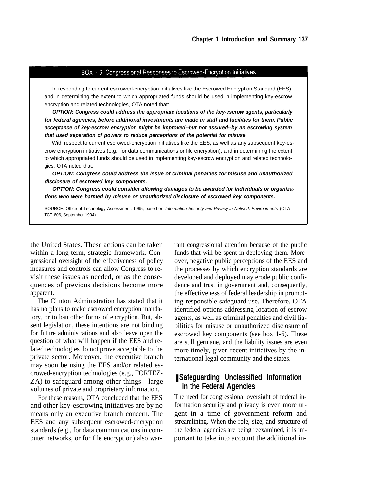## BOX 1-6: Congressional Responses to Escrowed-Encryption Initiatives

In responding to current escrowed-encryption initiatives like the Escrowed Encryption Standard (EES), and in determining the extent to which appropriated funds should be used in implementing key-escrow encryption and related technologies, OTA noted that:

**OPTION: Congress could address the appropriate locations of the key-escrow agents, particularly for federal agencies, before additional investments are made in staff and facilities for them. Public acceptance of key-escrow encryption might be improved--but not assured--by an escrowing system that used separation of powers to reduce perceptions of the potential for misuse.**

With respect to current escrowed-encryption initiatives like the EES, as well as any subsequent key-escrow encryption initiatives (e.g., for data communications or file encryption), and in determining the extent to which appropriated funds should be used in implementing key-escrow encryption and related technologies, OTA noted that:

**OPTION: Congress could address the issue of criminal penalties for misuse and unauthorized disclosure of escrowed key components.**

**OPTION: Congress could consider allowing damages to be awarded for individuals or organizations who were harmed by misuse or unauthorized disclosure of escrowed key components.**

SOURCE: Office of Technology Assessment, 1995; based on Information Security and Privacy in Network Environments (OTA-TCT-606, September 1994).

within a long-term, strategic framework. Congressional oversight of the effectiveness of policy measures and controls can allow Congress to revisit these issues as needed, or as the consequences of previous decisions become more apparent.

The Clinton Administration has stated that it has no plans to make escrowed encryption mandatory, or to ban other forms of encryption. But, absent legislation, these intentions are not binding for future administrations and also leave open the question of what will happen if the EES and related technologies do not prove acceptable to the private sector. Moreover, the executive branch may soon be using the EES and/or related escrowed-encryption technologies (e.g., FORTEZ-ZA) to safeguard-among other things—large volumes of private and proprietary information.

For these reasons, OTA concluded that the EES and other key-escrowing initiatives are by no means only an executive branch concern. The EES and any subsequent escrowed-encryption standards (e.g., for data communications in computer networks, or for file encryption) also war-

the United States. These actions can be taken rant congressional attention because of the public funds that will be spent in deploying them. Moreover, negative public perceptions of the EES and the processes by which encryption standards are developed and deployed may erode public confidence and trust in government and, consequently, the effectiveness of federal leadership in promoting responsible safeguard use. Therefore, OTA identified options addressing location of escrow agents, as well as criminal penalties and civil liabilities for misuse or unauthorized disclosure of escrowed key components (see box 1-6). These are still germane, and the liability issues are even more timely, given recent initiatives by the international legal community and the states.

# ❚ **Safeguarding Unclassified Information in the Federal Agencies**

The need for congressional oversight of federal information security and privacy is even more urgent in a time of government reform and streamlining. When the role, size, and structure of the federal agencies are being reexamined, it is important to take into account the additional in-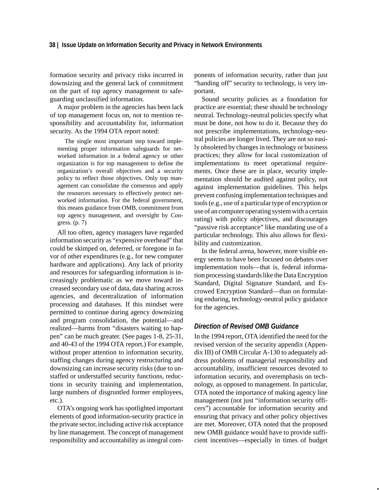## **38 | Issue Update on Information Security and Privacy in Network Environments**

formation security and privacy risks incurred in downsizing and the general lack of commitment on the part of top agency management to safeguarding unclassified information.

A major problem in the agencies has been lack of top management focus on, not to mention responsibility and accountability for, information security. As the 1994 OTA report noted:

The single most important step toward implementing proper information safeguards for networked information in a federal agency or other organization is for top management to define the organization's overall objectives and a security policy to reflect those objectives. Only top management can consolidate the consensus and apply the resources necessary to effectively protect networked information. For the federal government, this means guidance from OMB, commitment from top agency management, and oversight by Congress. (p. 7)

All too often, agency managers have regarded information security as "expensive overhead" that could be skimped on, deferred, or foregone in favor of other expenditures (e.g., for new computer hardware and applications). Any lack of priority and resources for safeguarding information is increasingly problematic as we move toward increased secondary use of data, data sharing across agencies, and decentralization of information processing and databases. If this mindset were permitted to continue during agency downsizing and program consolidation, the potential—and realized—harms from "disasters waiting to happen" can be much greater. (See pages 1-8, 25-31, and 40-43 of the 1994 OTA report.) For example, without proper attention to information security, staffing changes during agency restructuring and downsizing can increase security risks (due to unstaffed or understaffed security functions, reductions in security training and implementation, large numbers of disgruntled former employees, etc.).

OTA's ongoing work has spotlighted important elements of good information-security practice in the private sector, including active risk acceptance by line management. The concept of management responsibility and accountability as integral components of information security, rather than just "handing off" security to technology, is very important.

Sound security policies as a foundation for practice are essential; these should be technology neutral. Technology-neutral policies specify what must be done, not how to do it. Because they do not prescribe implementations, technology-neutral policies are longer lived. They are not so easily obsoleted by changes in technology or business practices; they allow for local customization of implementations to meet operational requirements. Once these are in place, security implementation should be audited against policy, not against implementation guidelines. This helps prevent confusing implementation techniques and tools (e.g., use of a particular type of encryption or use of an computer operating system with a certain rating) with policy objectives, and discourages "passive risk acceptance" like mandating use of a particular technology. This also allows for flexibility and customization.

In the federal arena, however, more visible energy seems to have been focused on debates over implementation tools—that is, federal information processing standards like the Data Encryption Standard, Digital Signature Standard, and Escrowed Encryption Standard—than on formulating enduring, technology-neutral policy guidance for the agencies.

## *Direction of Revised OMB Guidance*

In the 1994 report, OTA identified the need for the revised version of the security appendix (Appendix III) of OMB Circular A-130 to adequately address problems of managerial responsibility and accountability, insufficient resources devoted to information security, and overemphasis on technology, as opposed to management. In particular, OTA noted the importance of making agency line management (not just "information security officers") accountable for information security and ensuring that privacy and other policy objectives are met. Moreover, OTA noted that the proposed new OMB guidance would have to provide sufficient incentives—especially in times of budget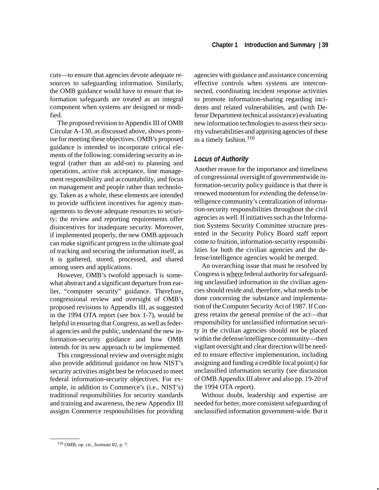cuts—to ensure that agencies devote adequate resources to safeguarding information. Similarly, the OMB guidance would have to ensure that information safeguards are treated as an integral component when systems are designed or modified.

The proposed revision to Appendix III of OMB Circular A-130, as discussed above, shows promise for meeting these objectives. OMB's proposed guidance is intended to incorporate critical elements of the following: considering security as integral (rather than an add-on) to planning and operations, active risk acceptance, line management responsibility and accountability, and focus on management and people rather than technology. Taken as a whole, these elements are intended to provide sufficient incentives for agency managements to devote adequate resources to security; the review and reporting requirements offer disincentives for inadequate security. Moreover, if implemented properly, the new OMB approach can make significant progress in the ultimate goal of tracking and securing the information itself, as it is gathered, stored, processed, and shared among users and applications.

However, OMB's twofold approach is somewhat abstract and a significant departure from earlier, "computer security" guidance. Therefore, congressional review and oversight of OMB's proposed revisions to Appendix III, as suggested in the 1994 OTA report (see box 1-7), would be helpful in ensuring that Congress, as well as federal agencies and the public, understand the new information-security guidance and how OMB intends for its new approach to be implemented.

This congressional review and oversight might also provide additional guidance on how NIST's security activities might best be refocused to meet federal information-security objectives. For example, in addition to Commerce's (i.e., NIST's) traditional responsibilities for security standards and training and awareness, the new Appendix III assigns Commerce responsibilities for providing agencies with guidance and assistance concerning effective controls when systems are interconnected, coordinating incident response activities to promote information-sharing regarding incidents and related vulnerabilities, and (with Defense Department technical assistance) evaluating new information technologies to assess their security vulnerabilities and apprising agencies of these in a timely fashion.<sup>116</sup>

## *Locus of Authority*

Another reason for the importance and timeliness of congressional oversight of governmentwide information-security policy guidance is that there is renewed momentum for extending the defense/intelligence community's centralization of information-security responsibilities throughout the civil agencies as well. If initiatives such as the Information Systems Security Committee structure presented in the Security Policy Board staff report come to fruition, information-security responsibilities for both the civilian agencies and the defense/intelligence agencies would be merged.

An overarching issue that must be resolved by Congress is where federal authority for safeguarding unclassified information in the civilian agencies should reside and, therefore, what needs to be done concerning the substance and implementation of the Computer Security Act of 1987. If Congress retains the general premise of the act—that responsibility for unclassified information security in the civilian agencies should not be placed within the defense/intelligence community—then vigilant oversight and clear direction will be needed to ensure effective implementation, including assigning and funding a credible focal point(s) for unclassified information security (see discussion of OMB Appendix III above and also pp. 19-20 of the 1994 OTA report).

Without doubt, leadership and expertise are needed for better, more consistent safeguarding of unclassified information government-wide. But it

<sup>116</sup> OMB, op. cit., footnote 82, p. 7.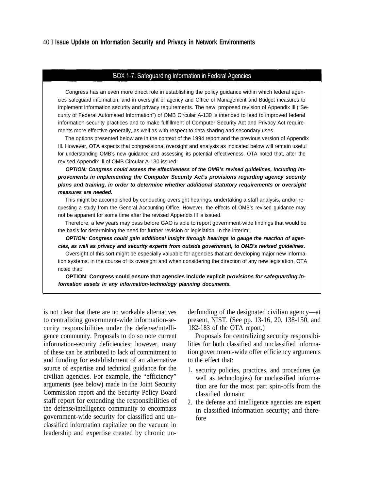## BOX 1-7: Safeguarding Information in Federal Agencies

Congress has an even more direct role in establishing the policy guidance within which federal agencies safeguard information, and in oversight of agency and Office of Management and Budget measures to implement information security and privacy requirements. The new, proposed revision of Appendix Ill ("Security of Federal Automated Information") of OMB Circular A-130 is intended to lead to improved federal information-security practices and to make fulfillment of Computer Security Act and Privacy Act requirements more effective generally, as well as with respect to data sharing and secondary uses.

The options presented below are in the context of the 1994 report and the previous version of Appendix Ill. However, OTA expects that congressional oversight and analysis as indicated below will remain useful for understanding OMB's new guidance and assessing its potential effectiveness. OTA noted that, after the revised Appendix Ill of OMB Circular A-130 issued:

**OPTION: Congress could assess the effectiveness of the OMB's revised guidelines, including improvements in implementing the Computer Security Act's provisions regarding agency security plans and training, in order to determine whether additional statutory requirements or oversight measures are needed.**

This might be accomplished by conducting oversight hearings, undertaking a staff analysis, and/or requesting a study from the General Accounting Office. However, the effects of OMB's revised guidance may not be apparent for some time after the revised Appendix Ill is issued.

Therefore, a few years may pass before GAO is able to report government-wide findings that would be the basis for determining the need for further revision or legislation. In the interim:

**OPTION: Congress could gain additional insight through hearings to gauge the reaction of agencies, as well as privacy and security experts from outside government, to OMB's revised guidelines.**

Oversight of this sort might be especially valuable for agencies that are developing major new information systems. in the course of its oversight and when considering the direction of any new legislation, OTA noted that:

**OPTION: Congress could ensure that agencies include explicit provisions for safeguarding information assets in any information-technology planning documents.**

is not clear that there are no workable alternatives derfunding of the designated civilian agency—at to centralizing government-wide information-security responsibilities under the defense/intelligence community. Proposals to do so note current information-security deficiencies; however, many of these can be attributed to lack of commitment to and funding for establishment of an alternative source of expertise and technical guidance for the civilian agencies. For example, the "efficiency" arguments (see below) made in the Joint Security Commission report and the Security Policy Board staff report for extending the responsibilities of the defense/intelligence community to encompass government-wide security for classified and unclassified information capitalize on the vacuum in leadership and expertise created by chronic un-

present, NIST. (See pp. 13-16, 20, 138-150, and 182-183 of the OTA report.)

Proposals for centralizing security responsibilities for both classified and unclassified information government-wide offer efficiency arguments to the effect that:

- 1. security policies, practices, and procedures (as well as technologies) for unclassified information are for the most part spin-offs from the classified domain;
- 2. the defense and intelligence agencies are expert in classified information security; and therefore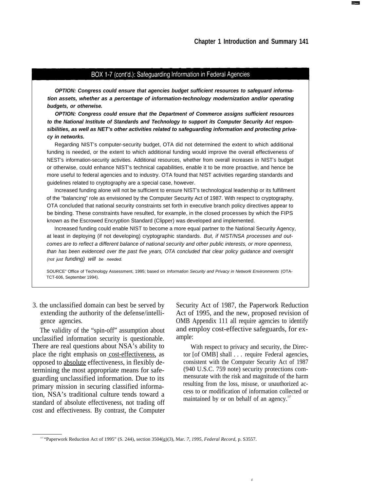## BOX 1-7 (cont'd.): Safeguarding Information in Federal Agencies

**OPTION: Congress could ensure that agencies budget sufficient resources to safeguard information assets, whether as a percentage of information-technology modernization and/or operating budgets, or otherwise.**

**OPTION: Congress could ensure that the Department of Commerce assigns sufficient resources to the National Institute of Standards and Technology to support its Computer Security Act responsibilities, as well as NET's other activities related to safeguarding information and protecting privacy in networks.**

Regarding NIST's computer-security budget, OTA did not determined the extent to which additional funding is needed, or the extent to which additional funding would improve the overall effectiveness of NEST's information-security activities. Additional resources, whether from overall increases in NIST's budget or otherwise, could enhance NIST's technical capabilities, enable it to be more proactive, and hence be more useful to federal agencies and to industry. OTA found that NIST activities regarding standards and guidelines related to cryptography are a special case, however.

Increased funding alone will not be sufficient to ensure NIST's technological leadership or its fulfillment of the "balancing" role as envisioned by the Computer Security Act of 1987. With respect to cryptography, OTA concluded that national security constraints set forth in executive branch policy directives appear to be binding. These constraints have resulted, for example, in the closed processes by which the FIPS known as the Escrowed Encryption Standard (Clipper) was developed and implemented.

Increased funding could enable NIST to become a more equal partner to the National Security Agency, at least in deploying (if not developing) cryptographic standards. But, if NIST/NSA processes and outcomes are to reflect a different balance of national security and other public interests, or more openness, than has been evidenced over the past five years, OTA concluded that clear policy guidance and oversight (not just funding) will be needed.

SOURCE" Office of Technology Assessment, 1995; based on Information Security and Privacy in Network Environments (OTA-TCT-606, September 1994).

extending the authority of the defense/intelligence agencies.

The validity of the "spin-off" assumption about unclassified information security is questionable. There are real questions about NSA's ability to place the right emphasis on cost-effectiveness, as opposed to absolute effectiveness, in flexibly determining the most appropriate means for safeguarding unclassified information. Due to its primary mission in securing classified information, NSA's traditional culture tends toward a standard of absolute effectiveness, not trading off cost and effectiveness. By contrast, the Computer

3. the unclassified domain can best be served by Security Act of 1987, the Paperwork Reduction Act of 1995, and the new, proposed revision of OMB Appendix 111 all require agencies to identify and employ cost-effective safeguards, for example:

> With respect to privacy and security, the Director [of OMB] shall . . . require Federal agencies, consistent with the Computer Security Act of 1987 (940 U.S.C. 759 note) security protections commensurate with the risk and magnitude of the harm resulting from the loss, misuse, or unauthorized access to or modification of information collected or maintained by or on behalf of an agency.<sup>117</sup>

<sup>117</sup>"Paperwork Reduction Act of 1995" (S. 244), section 3504(g)(3), Mar. *7, 1995, Federal Record,* p. S3557.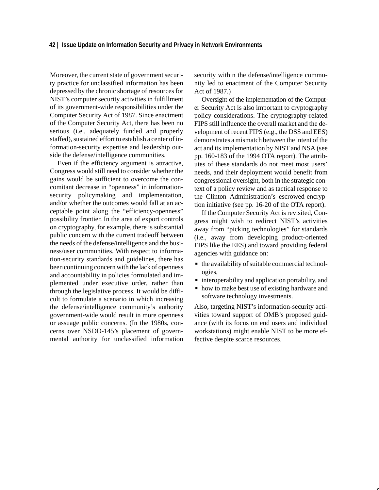Moreover, the current state of government security practice for unclassified information has been depressed by the chronic shortage of resources for NIST's computer security activities in fulfillment of its government-wide responsibilities under the Computer Security Act of 1987. Since enactment of the Computer Security Act, there has been no serious (i.e., adequately funded and properly staffed), sustained effort to establish a center of information-security expertise and leadership outside the defense/intelligence communities.

Even if the efficiency argument is attractive, Congress would still need to consider whether the gains would be sufficient to overcome the concomitant decrease in "openness" in informationsecurity policymaking and implementation, and/or whether the outcomes would fall at an acceptable point along the "efficiency-openness" possibility frontier. In the area of export controls on cryptography, for example, there is substantial public concern with the current tradeoff between the needs of the defense/intelligence and the business/user communities. With respect to information-security standards and guidelines, there has been continuing concern with the lack of openness and accountability in policies formulated and implemented under executive order, rather than through the legislative process. It would be difficult to formulate a scenario in which increasing the defense/intelligence community's authority government-wide would result in more openness or assuage public concerns. (In the 1980s, concerns over NSDD-145's placement of governmental authority for unclassified information security within the defense/intelligence community led to enactment of the Computer Security Act of 1987.)

Oversight of the implementation of the Computer Security Act is also important to cryptography policy considerations. The cryptography-related FIPS still influence the overall market and the development of recent FIPS (e.g., the DSS and EES) demonstrates a mismatch between the intent of the act and its implementation by NIST and NSA (see pp. 160-183 of the 1994 OTA report). The attributes of these standards do not meet most users' needs, and their deployment would benefit from congressional oversight, both in the strategic context of a policy review and as tactical response to the Clinton Administration's escrowed-encryption initiative (see pp. 16-20 of the OTA report).

If the Computer Security Act is revisited, Congress might wish to redirect NIST's activities away from "picking technologies" for standards (i.e., away from developing product-oriented FIPS like the EES) and toward providing federal agencies with guidance on: Ĩ

- the availability of suitable commercial technologies,
- interoperability and application portability, and
- how to make best use of existing hardware and software technology investments.

Also, targeting NIST's information-security activities toward support of OMB's proposed guidance (with its focus on end users and individual workstations) might enable NIST to be more effective despite scarce resources.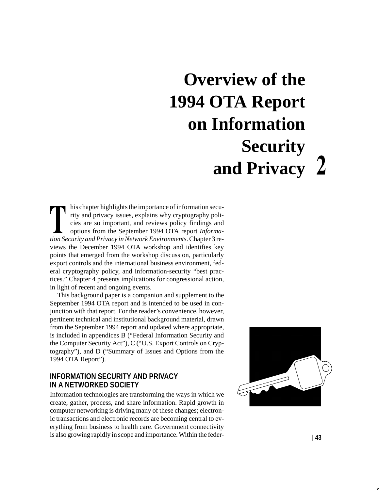# **Overview of the 1994 OTA Report on Information Security and Privacy**

his chapter highlights the importance of information security and privacy issues, explains why cryptography policies are so important, and reviews policy findings and options from the September 1994 OTA report *Information Security and Privacy in Network Environments.* Chapter 3 reviews the December 1994 OTA workshop and identifies key points that emerged from the workshop discussion, particularly export controls and the international business environment, federal cryptography policy, and information-security "best practices." Chapter 4 presents implications for congressional action, in light of recent and ongoing events.

This background paper is a companion and supplement to the September 1994 OTA report and is intended to be used in conjunction with that report. For the reader's convenience, however, pertinent technical and institutional background material, drawn from the September 1994 report and updated where appropriate, is included in appendices B ("Federal Information Security and the Computer Security Act"), C ("U.S. Export Controls on Cryptography"), and D ("Summary of Issues and Options from the 1994 OTA Report").

# **INFORMATION SECURITY AND PRIVACY IN A NETWORKED SOCIETY**

Information technologies are transforming the ways in which we create, gather, process, and share information. Rapid growth in computer networking is driving many of these changes; electronic transactions and electronic records are becoming central to everything from business to health care. Government connectivity is also growing rapidly in scope and importance. Within the feder- **| 43**

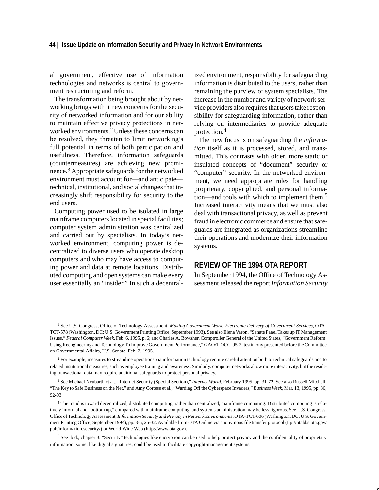## **44 | Issue Update on Information Security and Privacy in Network Environments**

al government, effective use of information technologies and networks is central to government restructuring and reform.<sup>1</sup>

The transformation being brought about by networking brings with it new concerns for the security of networked information and for our ability to maintain effective privacy protections in networked environments.2 Unless these concerns can be resolved, they threaten to limit networking's full potential in terms of both participation and usefulness. Therefore, information safeguards (countermeasures) are achieving new prominence.3 Appropriate safeguards for the networked environment must account for—and anticipate technical, institutional, and social changes that increasingly shift responsibility for security to the end users.

Computing power used to be isolated in large mainframe computers located in special facilities; computer system administration was centralized and carried out by specialists. In today's networked environment, computing power is decentralized to diverse users who operate desktop computers and who may have access to computing power and data at remote locations. Distributed computing and open systems can make every user essentially an "insider." In such a decentralized environment, responsibility for safeguarding information is distributed to the users, rather than remaining the purview of system specialists. The increase in the number and variety of network service providers also requires that users take responsibility for safeguarding information, rather than relying on intermediaries to provide adequate protection.<sup>4</sup>

The new focus is on safeguarding the *information* itself as it is processed, stored, and transmitted. This contrasts with older, more static or insulated concepts of "document" security or "computer" security. In the networked environment, we need appropriate rules for handling proprietary, copyrighted, and personal information—and tools with which to implement them.<sup>5</sup> Increased interactivity means that we must also deal with transactional privacy, as well as prevent fraud in electronic commerce and ensure that safeguards are integrated as organizations streamline their operations and modernize their information systems.

# **REVIEW OF THE 1994 OTA REPORT**

In September 1994, the Office of Technology Assessment released the report *Information Security*

<sup>1</sup> See U.S. Congress, Office of Technology Assessment, *Making Government Work: Electronic Delivery of Government Services*, OTA-TCT-578 (Washington, DC: U.S. Government Printing Office, September 1993). See also Elena Varon, "Senate Panel Takes up IT Management Issues," *Federal Computer Week*, Feb. 6, 1995, p. 6; and Charles A. Bowsher, Comptroller General of the United States, "Government Reform: Using Reengineering and Technology To Improve Government Performance," GAO/T-OCG-95-2, testimony presented before the Committee on Governmental Affairs, U.S. Senate, Feb. 2, 1995.

<sup>2</sup> For example, measures to streamline operations via information technology require careful attention both to technical safeguards and to related institutional measures, such as employee training and awareness. Similarly, computer networks allow more interactivity, but the resulting transactional data may require additional safeguards to protect personal privacy.

<sup>3</sup> See Michael Neubarth et al., "Internet Security (Special Section)," *Internet World*, February 1995, pp. 31-72. See also Russell Mitchell, "The Key to Safe Business on the Net," and Amy Cortese et al., "Warding Off the Cyberspace Invaders," *Business Week*, Mar. 13, 1995, pp. 86, 92-93.

<sup>4</sup> The trend is toward decentralized, distributed computing, rather than centralized, mainframe computing. Distributed computing is relatively informal and "bottom up," compared with mainframe computing, and systems administration may be less rigorous. See U.S. Congress, Office of Technology Assessment, *Information Security and Privacy in Network Environments*, OTA-TCT-606 (Washington, DC: U.S. Government Printing Office, September 1994), pp. 3-5, 25-32. Available from OTA Online via anonymous file transfer protocol (ftp://otabbs.ota.gov/ pub/information.security/) or World Wide Web (http://www.ota.gov).

<sup>5</sup> See ibid., chapter 3. "Security" technologies like encryption can be used to help protect privacy and the confidentiality of proprietary information; some, like digital signatures, could be used to facilitate copyright-management systems.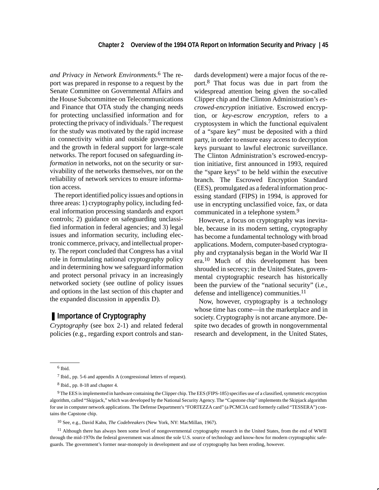*and Privacy in Network Environments.*6 The report was prepared in response to a request by the Senate Committee on Governmental Affairs and the House Subcommittee on Telecommunications and Finance that OTA study the changing needs for protecting unclassified information and for protecting the privacy of individuals.7 The request for the study was motivated by the rapid increase in connectivity within and outside government and the growth in federal support for large-scale networks. The report focused on safeguarding *information* in networks, not on the security or survivability of the networks themselves, nor on the reliability of network services to ensure information access.

The report identified policy issues and options in three areas: 1) cryptography policy, including federal information processing standards and export controls; 2) guidance on safeguarding unclassified information in federal agencies; and 3) legal issues and information security, including electronic commerce, privacy, and intellectual property. The report concluded that Congress has a vital role in formulating national cryptography policy and in determining how we safeguard information and protect personal privacy in an increasingly networked society (see outline of policy issues and options in the last section of this chapter and the expanded discussion in appendix D).

# ■ **Importance of Cryptography**

*Cryptography* (see box 2-1) and related federal policies (e.g., regarding export controls and standards development) were a major focus of the report.8 That focus was due in part from the widespread attention being given the so-called Clipper chip and the Clinton Administration's *escrowed-encryption* initiative. Escrowed encryption, or *key-escrow encryption,* refers to a cryptosystem in which the functional equivalent of a "spare key" must be deposited with a third party, in order to ensure easy access to decryption keys pursuant to lawful electronic surveillance. The Clinton Administration's escrowed-encryption initiative, first announced in 1993, required the "spare keys" to be held within the executive branch. The Escrowed Encryption Standard (EES), promulgated as a federal information processing standard (FIPS) in 1994, is approved for use in encrypting unclassified voice, fax, or data communicated in a telephone system.<sup>9</sup>

However, a focus on cryptography was inevitable, because in its modern setting, cryptography has become a fundamental technology with broad applications. Modern, computer-based cryptography and cryptanalysis began in the World War II era.10 Much of this development has been shrouded in secrecy; in the United States, governmental cryptographic research has historically been the purview of the "national security" (i.e., defense and intelligence) communities.<sup>11</sup>

Now, however, cryptography is a technology whose time has come—in the marketplace and in society. Cryptography is not arcane anymore. Despite two decades of growth in nongovernmental research and development, in the United States,

<sup>6</sup> Ibid.

<sup>7</sup> Ibid., pp. 5-6 and appendix A (congressional letters of request).

<sup>8</sup> Ibid., pp. 8-18 and chapter 4.

<sup>9</sup> The EES is implemented in hardware containing the Clipper chip. The EES (FIPS-185) specifies use of a classified, symmetric encryption algorithm, called "Skipjack," which was developed by the National Security Agency. The "Capstone chip" implements the Skipjack algorithm for use in computer network applications. The Defense Department's "FORTEZZA card" (a PCMCIA card formerly called "TESSERA") contains the Capstone chip.

<sup>10</sup> See, e.g., David Kahn, *The Codebreakers* (New York, NY: MacMillan, 1967).

<sup>&</sup>lt;sup>11</sup> Although there has always been some level of nongovernmental cryptography research in the United States, from the end of WWII through the mid-1970s the federal government was almost the sole U.S. source of technology and know-how for modern cryptographic safeguards. The government's former near-monopoly in development and use of cryptography has been eroding, however.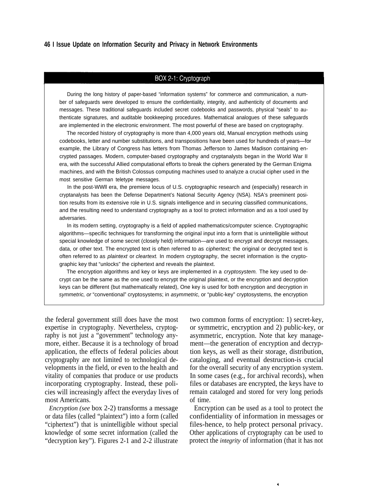## **46 I Issue Update on Information Security and Privacy in Network Environments**

## BOX 2-1: Cryptograph

During the long history of paper-based "information systems" for commerce and communication, a number of safeguards were developed to ensure the confidentiality, integrity, and authenticity of documents and messages. These traditional safeguards included secret codebooks and passwords, physical "seals" to authenticate signatures, and auditable bookkeeping procedures. Mathematical analogues of these safeguards are implemented in the electronic environment. The most powerful of these are based on cryptography.

The recorded history of cryptography is more than 4,000 years old, Manual encryption methods using codebooks, letter and number substitutions, and transpositions have been used for hundreds of years—for example, the Library of Congress has letters from Thomas Jefferson to James Madison containing encrypted passages. Modern, computer-based cryptography and cryptanalysts began in the World War II era, with the successful Allied computational efforts to break the ciphers generated by the German Enigma machines, and with the British Colossus computing machines used to analyze a crucial cipher used in the most sensitive German teletype messages.

In the post-WWll era, the premiere locus of U.S. cryptographic research and (especially) research in cryptanalysts has been the Defense Department's National Security Agency (NSA). NSA's preeminent position results from its extensive role in U.S. signals intelligence and in securing classified communications, and the resulting need to understand cryptography as a tool to protect information and as a tool used by adversaries.

In its modern setting, cryptography is a field of applied mathematics/computer science. Cryptographic algorithms—specific techniques for transforming the original input into a form that is unintelligible without special knowledge of some secret (closely held) information—are used to encrypt and decrypt messages, data, or other text. The encrypted text is often referred to as *ciphertext;* the original or decrypted text is often referred to as plaintext or cleartext. In modern cryptography, the secret information is the cryptographic key that "unlocks" the ciphertext and reveals the plaintext.

The encryption algorithms and key or keys are implemented in a *cryptosystem*. The key used to decrypt can be the same as the one used to encrypt the original plaintext, or the encryption and decryption keys can be different (but mathematically related), One key is used for both encryption and decryption in symmetric, or "conventional" cryptosystems; in asymmetric, or "public-key" cryptosystems, the encryption

the federal government still does have the most expertise in cryptography. Nevertheless, cryptography is not just a "government" technology anymore, either. Because it is a technology of broad application, the effects of federal policies about cryptography are not limited to technological developments in the field, or even to the health and vitality of companies that produce or use products incorporating cryptography. Instead, these policies will increasingly affect the everyday lives of most Americans.

*Encryption (see* box 2-2) transforms a message or data files (called "plaintext") into a form (called "ciphertext") that is unintelligible without special knowledge of some secret information (called the "decryption key"). Figures 2-1 and 2-2 illustrate two common forms of encryption: 1) secret-key, or symmetric, encryption and 2) public-key, or asymmetric, encryption. Note that key management—the generation of encryption and decryption keys, as well as their storage, distribution, cataloging, and eventual destruction-is crucial for the overall security of any encryption system. In some cases (e.g., for archival records), when files or databases are encrypted, the keys have to remain cataloged and stored for very long periods of time.

Encryption can be used as a tool to protect the confidentiality of information in messages or files-hence, to help protect personal privacy. Other applications of cryptography can be used to protect the *integrity* of information (that it has not

¥.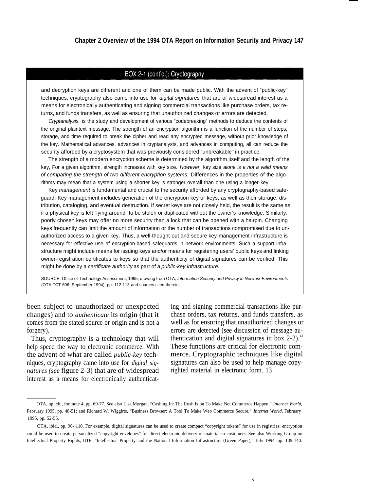# BOX 2-1 (cont'd.): Cryptography

and decryption keys are different and one of them can be made public. With the advent of "public-key" techniques, cryptography also came into use for digital signatures that are of widespread interest as a means for electronically authenticating and signing commercial transactions like purchase orders, tax returns, and funds transfers, as well as ensuring that unauthorized changes or errors are detected.

Cryptanalysis is the study and development of various "codebreaking" methods to deduce the contents of the original plaintext message. The strength of an encryption algorithm is a function of the number of steps, storage, and time required to break the cipher and read any encrypted message, without prior knowledge of the key. Mathematical advances, advances in cryptanalysts, and advances in computing, all can reduce the security afforded by a cryptosystem that was previously considered "unbreakable" in practice.

The strength of a modern encryption scheme is determined by the algorithm itself and the length of the key, For a given algorithm, strength increases with key size. However, key size alone is a not a valid means of comparing the strength of two different encryption systems. Differences in the properties of the algorithms may mean that a system using a shorter key is stronger overall than one using a longer key.

Key management is fundamental and crucial to the security afforded by any cryptography-based safeguard. Key management includes generation of the encryption key or keys, as well as their storage, distribution, cataloging, and eventual destruction. If secret keys are not closely held, the result is the same as if a physical key is left "lying around" to be stolen or duplicated without the owner's knowledge. Similarly, poorly chosen keys may offer no more security than a lock that can be opened with a hairpin. Changing keys frequently can limit the amount of information or the number of transactions compromised due to unauthorized access to a given key. Thus, a well-thought-out and secure key-management infrastructure is necessary for effective use of encryption-based safeguards in network environments. Such a support infrastructure might include means for issuing keys and/or means for registering users' public keys and linking owner-registration certificates to keys so that the authenticity of digital signatures can be verified. This might be done by a certificate authority as part of a public-key infrastructure.

SOURCE: Office of Technology Assessment, 1995; drawing from OTA, Information Security and Privacy in Network Environments (OTA-TCT-606, September 1994), pp. 112-113 and sources cited therein.

been subject to unauthorized or unexpected changes) and to *authenticate* its origin (that it comes from the stated source or origin and is not a forgery).

Thus, cryptography is a technology that will help speed the way to electronic commerce. With the advent of what are called *public-key* techniques, cryptography came into use for *digital signatures (see* figure 2-3) that are of widespread interest as a means for electronically authenticating and signing commercial transactions like purchase orders, tax returns, and funds transfers, as well as for ensuring that unauthorized changes or errors are detected (see discussion of message authentication and digital signatures in box 2-2).<sup>12</sup> These functions are critical for electronic commerce. Cryptographic techniques like digital signatures can also be used to help manage copyrighted material in electronic form. 13

Ń

<sup>12</sup>OTA, op. cit., footnote 4, pp. 69-77. See also Lisa Morgan, "Cashing In: The Rush Is on To Make Net Commerce Happen," *Internet World,* February 1995, pp. 48-51; and Richard W. Wiggirts, "Business Browser: A Tool To Make Web Commerce Secure," *Internet World,* February 1995, pp. 52-55.

<sup>13</sup>OTA, ibid., pp. 96- 110. For example, digital signatures can be used to create compact "copyright tokens" for use in registries; encryption could be used to create personalized "copyright envelopes" for direct electronic delivery of material to customers. See also Working Group on Intellectual Property Rights, IITF, "Intellectual Property and the National Information Infrastructure (Green Paper)," July 1994, pp. 139-140.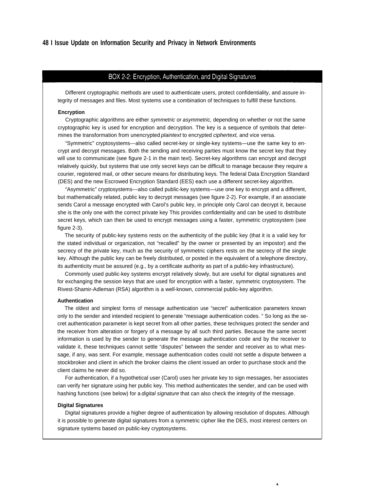#### BOX 2-2: Encryption, Authentication, and Digital Signatures

Different cryptographic methods are used to authenticate users, protect confidentiality, and assure integrity of messages and files. Most systems use a combination of techniques to fulfill these functions.

#### **Encryption**

Cryptographic algorithms are either symmetric or asymmetric, depending on whether or not the same cryptographic key is used for encryption and decryption. The key is a sequence of symbols that determines the transformation from unencrypted plaintext to encrypted ciphertext, and vice versa.

"Symmetric" cryptosystems---also called secret-key or single-key systems—use the same key to encrypt and decrypt messages. Both the sending and receiving parties must know the secret key that they will use to communicate (see figure 2-1 in the main text). Secret-key algorithms can encrypt and decrypt relatively quickly, but systems that use only secret keys can be difficult to manage because they require a courier, registered mail, or other secure means for distributing keys. The federal Data Encryption Standard (DES) and the new Escrowed Encryption Standard (EES) each use a different secret-key algorithm.

"Asymmetric" cryptosystems---also called public-key systems—use one key to encrypt and a different, but mathematically related, public key to decrypt messages (see figure 2-2). For example, if an associate sends Carol a message encrypted with Carol's public key, in principle only Carol can decrypt it, because she is the only one with the correct private key This provides confidentiality and can be used to distribute secret keys, which can then be used to encrypt messages using a faster, symmetric cryptosystem (see figure 2-3).

The security of public-key systems rests on the authenticity of the public key (that it is a valid key for the stated individual or organization, not "recalled" by the owner or presented by an impostor) and the secrecy of the private key, much as the security of symmetric ciphers rests on the secrecy of the single key. Although the public key can be freely distributed, or posted in the equivalent of a telephone directory, its authenticity must be assured (e.g., by a certificate authority as part of a public-key infrastructure).

Commonly used public-key systems encrypt relatively slowly, but are useful for digital signatures and for exchanging the session keys that are used for encryption with a faster, symmetric cryptosystem. The Rivest-Shamir-Adleman (RSA) algorithm is a well-known, commercial public-key algorithm.

#### **Authentication**

The oldest and simplest forms of message authentication use "secret" authentication parameters known only to the sender and intended recipient to generate "message authentication codes. " So long as the secret authentication parameter is kept secret from all other parties, these techniques protect the sender and the receiver from alteration or forgery of a message by all such third parties. Because the same secret information is used by the sender to generate the message authentication code and by the receiver to validate it, these techniques cannot settle "disputes" between the sender and receiver as to what message, if any, was sent. For example, message authentication codes could not settle a dispute between a stockbroker and client in which the broker claims the client issued an order to purchase stock and the client claims he never did so.

For authentication, if a hypothetical user (Carol) uses her private key to sign messages, her associates can verify her signature using her public key. This method authenticates the sender, and can be used with hashing functions (see below) for a *digital signature* that can also check the integrity of the message.

#### **Digital Signatures**

Digital signatures provide a higher degree of authentication by allowing resolution of disputes. Although it is possible to generate digital signatures from a symmetric cipher like the DES, most interest centers on signature systems based on public-key cryptosystems.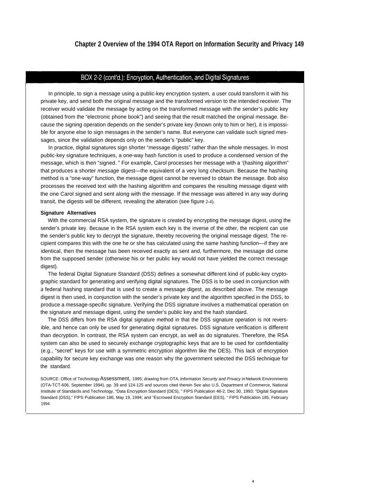## BOX 2-2 (cont'd.): Encryption, Authentication, and Digital Signatures

In principle, to sign a message using a public-key encryption system, a user could transform it with his private key, and send both the original message and the transformed version to the intended receiver. The receiver would validate the message by acting on the transformed message with the sender's public key (obtained from the "electronic phone book") and seeing that the result matched the original message. Because the signing operation depends on the sender's private key (known only to him or her), it is impossible for anyone else to sign messages in the sender's name. But everyone can validate such signed messages, since the validation depends only on the sender's "public" key.

In practice, digital signatures sign shorter "message digests" rather than the whole messages. In most public-key signature techniques, a one-way hash function is used to produce a condensed version of the message, which is then "signed. " For example, Carol processes her message with a '(hashing algorithm" that produces a shorter message digest—the equivalent of a very long checksum. Because the hashing method is a "one-way" function, the message digest cannot be reversed to obtain the message. Bob also processes the received text with the hashing algorithm and compares the resulting message digest with the one Carol signed and sent along with the message. If the message was altered in any way during transit, the digests will be different, revealing the alteration (see figure 2-4).

#### **Signature Alternatives**

With the commercial RSA system, the signature is created by encrypting the message digest, using the sender's private key. Because in the RSA system each key is the inverse of the other, the recipient can use the sender's public key to decrypt the signature, thereby recovering the original message digest. The recipient compares this with the one he or she has calculated using the same hashing function—if they are identical, then the message has been received exactly as sent and, furthermore, the message did come from the supposed sender (otherwise his or her public key would not have yielded the correct message digest).

The federal Digital Signature Standard (DSS) defines a somewhat different kind of public-key cryptographic standard for generating and verifying digital signatures. The DSS is to be used in conjunction with a federal hashing standard that is used to create a message digest, as described above. The message digest is then used, in conjunction with the sender's private key and the algorithm specified in the DSS, to produce a message-specific signature. Verifying the DSS signature involves a mathematical operation on the signature and message digest, using the sender's public key and the hash standard.

The DSS differs from the RSA digital signature method in that the DSS signature operation is not reversible, and hence can only be used for generating digital signatures. DSS signature verification is different than decryption. In contrast, the RSA system can encrypt, as well as do signatures. Therefore, the RSA system can also be used to securely exchange cryptographic keys that are to be used for confidentiality (e.g., "secret" keys for use with a symmetric encryption algorithm like the DES). This lack of encryption capability for secure key exchange was one reason why the government selected the DSS technique for the standard.

SOURCE: Office of Technology Assessment, 1995; drawing from OTA, Information Security and Privacy in Network Environments (OTA-TCT-606, September 1994), pp. 39 and 124-125 and sources cited therein See also U.S. Department of Commerce, National Institute of Standards and Technology, "Data Encryption Standard (DES), " FIPS Publication 46-2, Dec 30, 1993; "Digital Signature Standard (DSS)," FIPS Publication 186, May 19, 1994; and "Escrowed Encryption Standard (EES), " FIPS Publication 185, February 1994.

¥.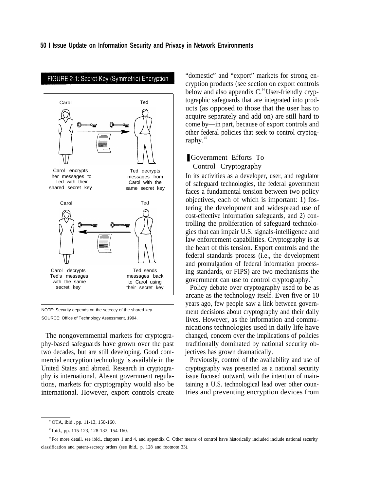

# FIGURE 2-1: Secret-Key (Symmetric) Encryption

NOTE: Security depends on the secrecy of the shared key. SOURCE: Office of Technology Assessment, 1994.

The nongovernmental markets for cryptography-based safeguards have grown over the past two decades, but are still developing. Good commercial encryption technology is available in the United States and abroad. Research in cryptography is international. Absent government regulations, markets for cryptography would also be international. However, export controls create

"domestic" and "export" markets for strong encryption products (see section on export controls below and also appendix  $C<sup>14</sup>$  User-friendly cryptographic safeguards that are integrated into products (as opposed to those that the user has to acquire separately and add on) are still hard to come by—in part, because of export controls and other federal policies that seek to control cryptography. $15$ 

# ❚ Government Efforts To Control Cryptography

In its activities as a developer, user, and regulator of safeguard technologies, the federal government faces a fundamental tension between two policy objectives, each of which is important: 1) fostering the development and widespread use of cost-effective information safeguards, and 2) controlling the proliferation of safeguard technologies that can impair U.S. signals-intelligence and law enforcement capabilities. Cryptography is at the heart of this tension. Export controls and the federal standards process (i.e., the development and promulgation of federal information processing standards, or FIPS) are two mechanisms the government can use to control cryptography.<sup>16</sup>

Policy debate over cryptography used to be as arcane as the technology itself. Even five or 10 years ago, few people saw a link between government decisions about cryptography and their daily lives. However, as the information and communications technologies used in daily life have changed, concern over the implications of policies traditionally dominated by national security objectives has grown dramatically.

Previously, control of the availability and use of cryptography was presented as a national security issue focused outward, with the intention of maintaining a U.S. technological lead over other countries and preventing encryption devices from

<sup>14</sup>OTA, ibid., pp. 11-13, 150-160.

<sup>&</sup>lt;sup>15</sup> Ibid., pp. 115-123, 128-132, 154-160.

<sup>&</sup>lt;sup>16</sup> For more detail, see ibid., chapters 1 and 4, and appendix C. Other means of control have historically included include national security classification and patent-secrecy orders (see ibid., p. 128 and footnote 33).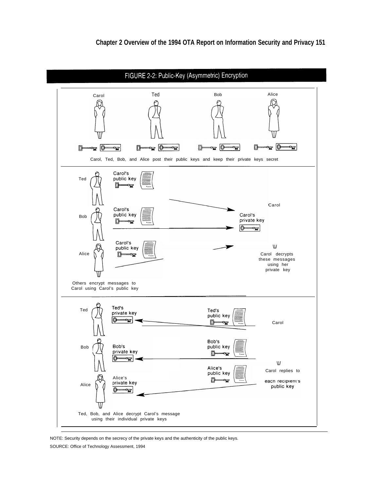

NOTE: Security depends on the secrecy of the private keys and the authenticity of the public keys.

SOURCE: Office of Technology Assessment, 1994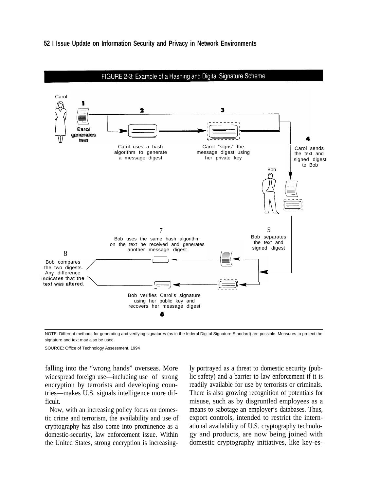



NOTE: Different methods for generating and verifying signatures (as in the federal Digital Signature Standard) are possible. Measures to protect the signature and text may also be used.

SOURCE: Office of Technology Assessment, 1994

falling into the "wrong hands" overseas. More widespread foreign use—including use of strong encryption by terrorists and developing countries—makes U.S. signals intelligence more difficult.

Now, with an increasing policy focus on domestic crime and terrorism, the availability and use of cryptography has also come into prominence as a domestic-security, law enforcement issue. Within the United States, strong encryption is increasingly portrayed as a threat to domestic security (public safety) and a barrier to law enforcement if it is readily available for use by terrorists or criminals. There is also growing recognition of potentials for misuse, such as by disgruntled employees as a means to sabotage an employer's databases. Thus, export controls, intended to restrict the international availability of U.S. cryptography technology and products, are now being joined with domestic cryptography initiatives, like key-es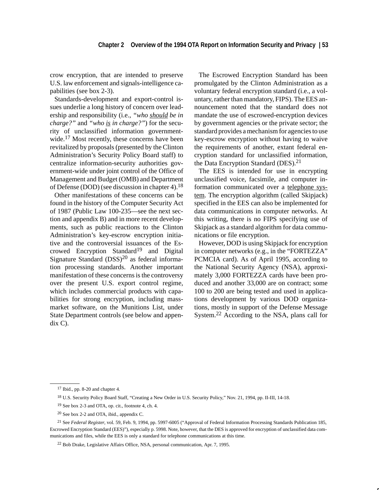crow encryption, that are intended to preserve U.S. law enforcement and signals-intelligence capabilities (see box 2-3).

Standards-development and export-control issues underlie a long history of concern over leadership and responsibility (i.e., *"who should be in charge?"* and *"who is in charge?"*) for the security of unclassified information governmentwide.<sup>17</sup> Most recently, these concerns have been revitalized by proposals (presented by the Clinton Administration's Security Policy Board staff) to centralize information-security authorities government-wide under joint control of the Office of Management and Budget (OMB) and Department of Defense (DOD) (see discussion in chapter 4).18

Other manifestations of these concerns can be found in the history of the Computer Security Act of 1987 (Public Law 100-235—see the next section and appendix B) and in more recent developments, such as public reactions to the Clinton Administration's key-escrow encryption initiative and the controversial issuances of the Escrowed Encryption Standard<sup>19</sup> and Digital Signature Standard  $(DSS)^{20}$  as federal information processing standards. Another important manifestation of these concerns is the controversy over the present U.S. export control regime, which includes commercial products with capabilities for strong encryption, including massmarket software, on the Munitions List, under State Department controls (see below and appendix C).

The Escrowed Encryption Standard has been promulgated by the Clinton Administration as a voluntary federal encryption standard (i.e., a voluntary, rather than mandatory, FIPS). The EES announcement noted that the standard does not mandate the use of escrowed-encryption devices by government agencies or the private sector; the standard provides a mechanism for agencies to use key-escrow encryption without having to waive the requirements of another, extant federal encryption standard for unclassified information, the Data Encryption Standard (DES).<sup>21</sup>

The EES is intended for use in encrypting unclassified voice, facsimile, and computer information communicated over a telephone system. The encryption algorithm (called Skipjack) specified in the EES can also be implemented for data communications in computer networks. At this writing, there is no FIPS specifying use of Skipjack as a standard algorithm for data communications or file encryption.

However, DOD is using Skipjack for encryption in computer networks (e.g., in the "FORTEZZA" PCMCIA card). As of April 1995, according to the National Security Agency (NSA), approximately 3,000 FORTEZZA cards have been produced and another 33,000 are on contract; some 100 to 200 are being tested and used in applications development by various DOD organizations, mostly in support of the Defense Message System.22 According to the NSA, plans call for

<sup>17</sup> Ibid., pp. 8-20 and chapter 4.

<sup>18</sup> U.S. Security Policy Board Staff, "Creating a New Order in U.S. Security Policy," Nov. 21, 1994, pp. II-III, 14-18.

<sup>19</sup> See box 2-3 and OTA, op. cit., footnote 4, ch. 4.

<sup>20</sup> See box 2-2 and OTA, ibid., appendix C.

<sup>21</sup> See *Federal Register*, vol. 59, Feb. 9, 1994, pp. 5997-6005 ("Approval of Federal Information Processing Standards Publication 185, Escrowed Encryption Standard (EES)"), especially p. 5998. Note, however, that the DES is approved for encryption of unclassified data communications and files, while the EES is only a standard for telephone communications at this time.

<sup>22</sup> Bob Drake, Legislative Affairs Office, NSA, personal communication, Apr. 7, 1995.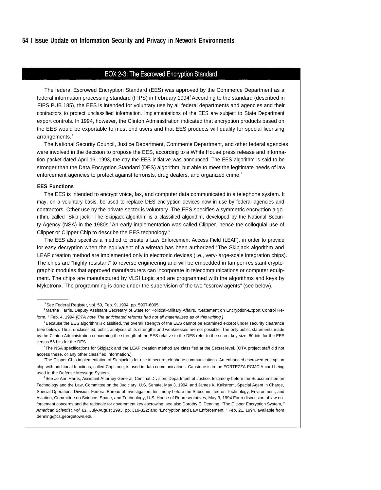## **54 I Issue Update on Information Security and Privacy in Network Environments**

# BOX 2-3: The Escrowed Encryption Standard

The federal Escrowed Encryption Standard (EES) was approved by the Commerce Department as a federal information processing standard (FIPS) in February 1994. According to the standard (described in FIPS PUB 185), the EES is intended for voluntary use by all federal departments and agencies and their contractors to protect unclassified information. Implementations of the EES are subject to State Department export controls. In 1994, however, the Clinton Administration indicated that encryption products based on the EES would be exportable to most end users and that EES products will qualify for special licensing arrangements.<sup>2</sup>

The National Security Council, Justice Department, Commerce Department, and other federal agencies were involved in the decision to propose the EES, according to a White House press release and information packet dated April 16, 1993, the day the EES initiative was announced. The EES algorithm is said to be stronger than the Data Encryption Standard (DES) algorithm, but able to meet the legitimate needs of law enforcement agencies to protect against terrorists, drug dealers, and organized crime.<sup>3</sup>

#### **EES Functions**

The EES is intended to encrypt voice, fax, and computer data communicated in a telephone system. It may, on a voluntary basis, be used to replace DES encryption devices now in use by federal agencies and contractors. Other use by the private sector is voluntary. The EES specifies a symmetric encryption algorithm, called "Skip jack." The Skipjack algorithm is a classified algorithm, developed by the National Security Agency (NSA) in the 1980s.<sup>4</sup>An early implementation was called Clipper, hence the colloquial use of Clipper or Clipper Chip to describe the EES technology.<sup>5</sup>

The EES also specifies a method to create a Law Enforcement Access Field (LEAF), in order to provide for easy decryption when the equivalent of a wiretap has been authorized.<sup>8</sup>The Skipjack algorithm and LEAF creation method are implemented only in electronic devices (i.e., very-large-scale integration chips). The chips are "highly resistant" to reverse engineering and will be embedded in tamper-resistant cryptographic modules that approved manufacturers can incorporate in telecommunications or computer equipment. The chips are manufactured by VLSI Logic and are programmed with the algorithms and keys by Mykotronx. The programming is done under the supervision of the two "escrow agents" (see below).

 $1$ See Federal Register, vol. 59, Feb. 9, 1994, pp. 5997-6005.

<sup>2</sup> Martha Harris, Deputy Assistant Secretary of State for Political-Milltary Affairs, "Statement on Encryption-Export Control Reform, " Feb. 4, 1994 [OTA note The anticipated reforms had not all materialized as of this writing.]

<sup>&</sup>lt;sup>3</sup>Because the EES algorithm is classified, the overall strength of the EES cannot be examined except under security clearance (see below). Thus, unclassified, public analyses of its strengths and weaknesses are not possible. The only public statements made by the Clinton Administration concerning the strength of the EES relative to the DES refer to the secret-key size: 80 bits for the EES versus 56 bits for the DES

<sup>4</sup>The NSA specifications for Skipjack and the LEAF creation method are classified at the Secret level. (OTA project staff did not access these, or any other classified information.)

<sup>5</sup>The Clipper Chip implementation of Skipjack is for use in secure telephone communications. An enhanced escrowed-encryption chip with additional functions, called Capstone, is used in data communications. Capstone is in the FORTEZZA PCMCIA card being used in the Defense Message System

<sup>&</sup>lt;sup>6</sup>See Jo Ann Harris, Assistant Attorney General, Criminal Division, Department of Justice, testimony before the Subcommittee on Technology and the Law, Committee on the Judiciary, U.S. Senate, May 3, 1994; and James K. Kallstrom, Special Agent in Charge, Special Operations Division, Federal Bureau of Investigation, testimony before the Subcommittee on Technology, Environment, and Aviation, Committee on Science, Space, and Technology, U.S. House of Representatives, May 3, 1994 For a discussion of law enforcement concerns and the rationale for government key escrowing, see also Dorothy E. Denning, "The Clipper Encryption System, " American Scientist, vol. 81, July-August 1993, pp. 319-322; and "Encryption and Law Enforcement, " Feb. 21, 1994, available from denning@cs.georgetown.edu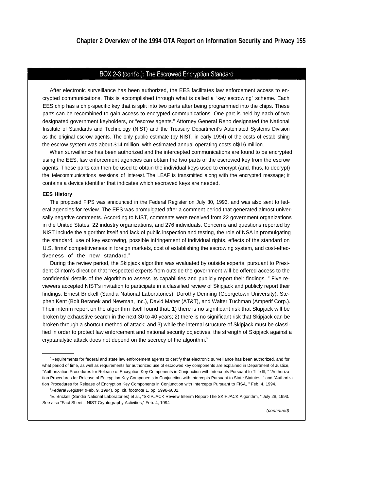## BOX 2-3 (cont'd.): The Escrowed Encryption Standard

After electronic surveillance has been authorized, the EES facilitates law enforcement access to encrypted communications. This is accomplished through what is called a "key escrowing" scheme. Each EES chip has a chip-specific key that is split into two parts after being programmed into the chips. These parts can be recombined to gain access to encrypted communications. One part is held by each of two designated government keyholders, or "escrow agents." Attorney General Reno designated the National Institute of Standards and Technology (NIST) and the Treasury Department's Automated Systems Division as the original escrow agents. The only public estimate (by NIST, in early 1994) of the costs of establishing the escrow system was about \$14 million, with estimated annual operating costs of\$16 million.

When surveillance has been authorized and the intercepted communications are found to be encrypted using the EES, law enforcement agencies can obtain the two parts of the escrowed key from the escrow agents. These parts can then be used to obtain the individual keys used to encrypt (and, thus, to decrypt) the telecommunications sessions of interest. The LEAF is transmitted along with the encrypted message; it contains a device identifier that indicates which escrowed keys are needed.

#### **EES History**

The proposed FIPS was announced in the Federal Register on July 30, 1993, and was also sent to federal agencies for review. The EES was promulgated after a comment period that generated almost universally negative comments. According to NIST, comments were received from 22 government organizations in the United States, 22 industry organizations, and 276 individuals. Concerns and questions reported by NIST include the algorithm itself and lack of public inspection and testing, the role of NSA in promulgating the standard, use of key escrowing, possible infringement of individual rights, effects of the standard on U.S. firms' competitiveness in foreign markets, cost of establishing the escrowing system, and cost-effectiveness of the new standard.<sup>8</sup>

During the review period, the Skipjack algorithm was evaluated by outside experts, pursuant to President Clinton's direction that "respected experts from outside the government will be offered access to the confidential details of the algorithm to assess its capabilities and publicly report their findings. " Five reviewers accepted NIST's invitation to participate in a classified review of Skipjack and publicly report their findings: Ernest Brickell (Sandia National Laboratories), Dorothy Denning (Georgetown University), Stephen Kent (Bolt Beranek and Newman, Inc.), David Maher (AT&T), and Walter Tuchman (Amperif Corp.). Their interim report on the algorithm itself found that: 1) there is no significant risk that Skipjack will be broken by exhaustive search in the next 30 to 40 years; 2) there is no significant risk that Skipjack can be broken through a shortcut method of attack; and 3) while the internal structure of Skipjack must be classified in order to protect law enforcement and national security objectives, the strength of Skipjack against a cryptanalytic attack does not depend on the secrecy of the algorithm.<sup>9</sup>

<sup>&</sup>lt;sup>7</sup> Requirements for federal and state law enforcement agents to certify that electronic surveillance has been authorized, and for what period of time, as well as requirements for authorized use of escrowed key components are explained in Department of Justice, "Authorization Procedures for Release of Encryption Key Components in Conjunction with Intercepts Pursuant to Title Ill, " "Authorization Procedures for Release of Encryption Key Components in Conjunction with Intercepts Pursuant to State Statutes, " and "Authorization Procedures for Release of Encryption Key Components in Conjunction with Intercepts Pursuant to FISA, " Feb. 4, 1994.

<sup>&</sup>lt;sup>8</sup> Federal Register (Feb. 9, 1994), op. cit. footnote 1, pp. 5998-6002.

<sup>9</sup>E. Brickell (Sandia National Laboratories) et al., "SKIPJACK Review Interim Report-The SKIPJACK Algorithm, " July 28, 1993. See also "Fact Sheet—NIST Cryptography Activities," Feb. 4, 1994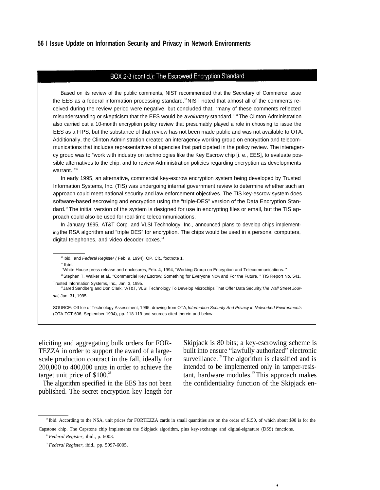## **56 I Issue Update on Information Security and Privacy in Network Environments**

#### BOX 2-3 (cont'd.): The Escrowed Encryption Standard

Based on its review of the public comments, NIST recommended that the Secretary of Commerce issue the EES as a federal information processing standard.<sup>10</sup> NIST noted that almost all of the comments received during the review period were negative, but concluded that, "many of these comments reflected misunderstanding or skepticism that the EES would be a voluntary standard." "The Clinton Administration also carried out a 10-month encryption policy review that presumably played a role in choosing to issue the EES as a FIPS, but the substance of that review has not been made public and was not available to OTA. Additionally, the Clinton Administration created an interagency working group on encryption and telecommunications that includes representatives of agencies that participated in the policy review. The interagency group was to "work with industry on technologies like the Key Escrow chip [i. e., EES], to evaluate possible alternatives to the chip, and to review Administration policies regarding encryption as developments warrant. "<sup>12</sup>

In early 1995, an alternative, commercial key-escrow encryption system being developed by Trusted Information Systems, Inc. (TIS) was undergoing internal government review to determine whether such an approach could meet national security and law enforcement objectives. The TIS key-escrow system does software-based escrowing and encryption using the "triple-DES" version of the Data Encryption Standard.<sup>13</sup> The initial version of the system is designed for use in encrypting files or email, but the TIS approach could also be used for real-time telecommunications.

In January 1995, AT&T Corp. and VLSI Technology, Inc., announced plans to develop chips implementing the RSA algorithm and "triple DES" for encryption. The chips would be used in a personal computers, digital telephones, and video decoder boxes.<sup>14</sup>

<sup>11</sup> Ibid.

<sup>13</sup> Stephen T. Walker et al., "Commercial Key Escrow: Something for Everyone Now and For the Future, " TIS Report No. 541, Trusted Information Systems, Inc., Jan. 3, 1995.

<sup>4</sup> Jared Sandberg and Don Clark, "AT&T, VLSI Technology To Develop Microchips That Offer Data Security, The Wall Street Journal, Jan. 31, 1995.

SOURCE: Off Ice of Technology Assessment, 1995; drawing from OTA, Information Security And Privacy in Networked Environments (OTA-TCT-606, September 1994), pp. 118-119 and sources cited therein and below.

TEZZA in order to support the award of a largescale production contract in the fall, ideally for 200,000 to 400,000 units in order to achieve the target unit price of  $$100.<sup>23</sup>$ 

The algorithm specified in the EES has not been published. The secret encryption key length for

eliciting and aggregating bulk orders for FOR- Skipjack is 80 bits; a key-escrowing scheme is built into ensure "lawfully authorized" electronic surveillance.  $24$  The algorithm is classified and is intended to be implemented only in tamper-resistant, hardware modules. $25$ This approach makes the confidentiality function of the Skipjack en-

k.

<sup>&</sup>lt;sup>10</sup>Ibid., and Federal Register (Feb. 9, 1994), OP. Cit., footnote 1.

<sup>12</sup>White House press release and enclosures, Feb. 4, 1994, "Working Group on Encryption and Telecommunications. "

<sup>&</sup>lt;sup>23</sup>Ibid. According to the NSA, unit prices for FORTEZZA cards in small quantities are on the order of \$150, of which about \$98 is for the Capstone chip. The Capstone chip implements the Skipjack algorithm, plus key-exchange and digital-signature (DSS) functions.

<sup>&</sup>lt;sup>24</sup> Federal Register, ibid., p. 6003.

<sup>25</sup> *Federal Register,* ibid., pp. 5997-6005.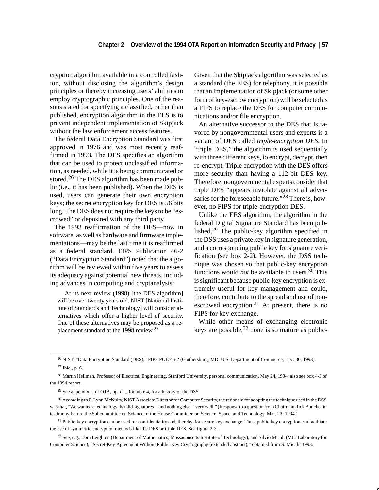cryption algorithm available in a controlled fashion, without disclosing the algorithm's design principles or thereby increasing users' abilities to employ cryptographic principles. One of the reasons stated for specifying a classified, rather than published, encryption algorithm in the EES is to prevent independent implementation of Skipjack without the law enforcement access features.

The federal Data Encryption Standard was first approved in 1976 and was most recently reaffirmed in 1993. The DES specifies an algorithm that can be used to protect unclassified information, as needed, while it is being communicated or stored.<sup>26</sup> The DES algorithm has been made public (i.e., it has been published). When the DES is used, users can generate their own encryption keys; the secret encryption key for DES is 56 bits long. The DES does not require the keys to be "escrowed" or deposited with any third party.

The 1993 reaffirmation of the DES—now in software, as well as hardware and firmware implementations—may be the last time it is reaffirmed as a federal standard. FIPS Publication 46-2 ("Data Encryption Standard") noted that the algorithm will be reviewed within five years to assess its adequacy against potential new threats, including advances in computing and cryptanalysis:

At its next review (1998) [the DES algorithm] will be over twenty years old. NIST [National Institute of Standards and Technology] will consider alternatives which offer a higher level of security. One of these alternatives may be proposed as a replacement standard at the 1998 review.27

Given that the Skipjack algorithm was selected as a standard (the EES) for telephony, it is possible that an implementation of Skipjack (or some other form of key-escrow encryption) will be selected as a FIPS to replace the DES for computer communications and/or file encryption.

An alternative successor to the DES that is favored by nongovernmental users and experts is a variant of DES called *triple-encryption DES*. In "triple DES," the algorithm is used sequentially with three different keys, to encrypt, decrypt, then re-encrypt. Triple encryption with the DES offers more security than having a 112-bit DES key. Therefore, nongovernmental experts consider that triple DES "appears inviolate against all adversaries for the foreseeable future."<sup>28</sup> There is, however, no FIPS for triple-encryption DES.

Unlike the EES algorithm, the algorithm in the federal Digital Signature Standard has been published.29 The public-key algorithm specified in the DSS uses a private key in signature generation, and a corresponding public key for signature verification (see box 2-2). However, the DSS technique was chosen so that public-key encryption functions would *not* be available to users.30 This is significant because public-key encryption is extremely useful for key management and could, therefore, contribute to the spread and use of nonescrowed encryption.<sup>31</sup> At present, there is no FIPS for key exchange.

While other means of exchanging electronic keys are possible,  $32$  none is so mature as public-

<sup>26</sup> NIST, "Data Encryption Standard (DES)," FIPS PUB 46-2 (Gaithersburg, MD: U.S. Department of Commerce, Dec. 30, 1993). 27 Ibid., p. 6.

 $^{28}$  Martin Hellman, Professor of Electrical Engineering, Stanford University, personal communication, May 24, 1994; also see box 4-3 of the 1994 report.

<sup>29</sup> See appendix C of OTA, op. cit., footnote 4, for a history of the DSS.

<sup>30</sup> According to F. Lynn McNulty, NIST Associate Director for Computer Security, the rationale for adopting the technique used in the DSS was that, "We wanted a technology that did signatures—and nothing else—very well." (Response to a question from Chairman Rick Boucher in testimony before the Subcommittee on Science of the House Committee on Science, Space, and Technology, Mar. 22, 1994.)

<sup>&</sup>lt;sup>31</sup> Public-key encryption can be used for confidentiality and, thereby, for secure key exchange. Thus, public-key encryption can facilitate the use of symmetric encryption methods like the DES or triple DES. See figure 2-3.

<sup>32</sup> See, e.g., Tom Leighton (Department of Mathematics, Massachusetts Institute of Technology), and Silvio Micali (MIT Laboratory for Computer Science), "Secret-Key Agreement Without Public-Key Cryptography (extended abstract)," obtained from S. Micali, 1993.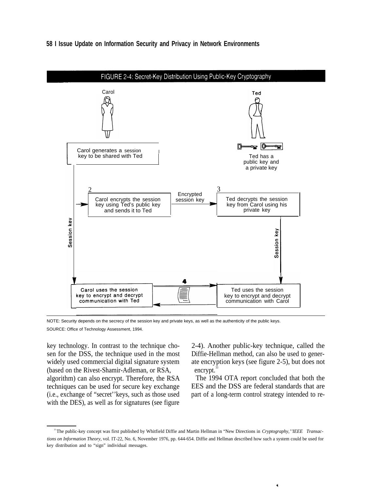

## **58 I Issue Update on Information Security and Privacy in Network Environments**

NOTE: Security depends on the secrecy of the session key and private keys, as well as the authenticity of the public keys. SOURCE: Office of Technology Assessment, 1994.

key technology. In contrast to the technique cho- 2-4). Another public-key technique, called the sen for the DSS, the technique used in the most Diffie-Hellman method, can also be used to generwidely used commercial digital signature system ate encryption keys (see figure 2-5), but does not (based on the Rivest-Shamir-Adleman, or RSA, encrypt. algorithm) can also encrypt. Therefore, the RSA The 1994 OTA report concluded that both the with the DES), as well as for signatures (see figure

techniques can be used for secure key exchange EES and the DSS are federal standards that are (i.e., exchange of "secret''keys, such as those used part of a long-term control strategy intended to re-

 $\tilde{\mathbf{z}}$ 

<sup>&</sup>lt;sup>33</sup> The public-key concept was first published by Whitfield Diffie and Martin Hellman in "New Directions in *Cryptography," IEEE* Transac*tions on Information Theory,* vol. IT-22, No. 6, November 1976, pp. 644-654. Diffie and Hellman described how such a system could be used for key distribution and to "sign" individual messages.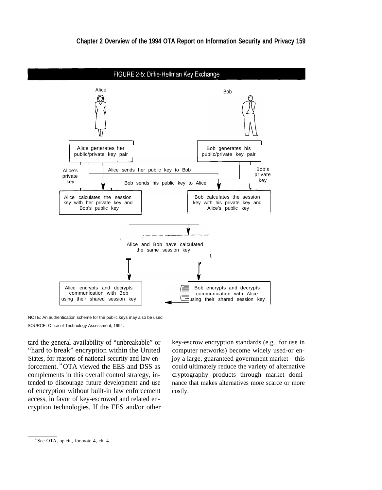

NOTE: An authentication scheme for the public keys may also be used SOURCE: Office of Technology Assessment, 1994.

tard the general availability of "unbreakable" or "hard to break" encryption within the United States, for reasons of national security and law enforcement. <sup>34</sup>OTA viewed the EES and DSS as complements in this overall control strategy, intended to discourage future development and use of encryption without built-in law enforcement access, in favor of key-escrowed and related encryption technologies. If the EES and/or other

key-escrow encryption standards (e.g., for use in computer networks) become widely used-or enjoy a large, guaranteed government market—this could ultimately reduce the variety of alternative cryptography products through market dominance that makes alternatives more scarce or more costly.

<sup>&</sup>lt;sup>34</sup>See OTA, op.cit., footnote 4, ch. 4.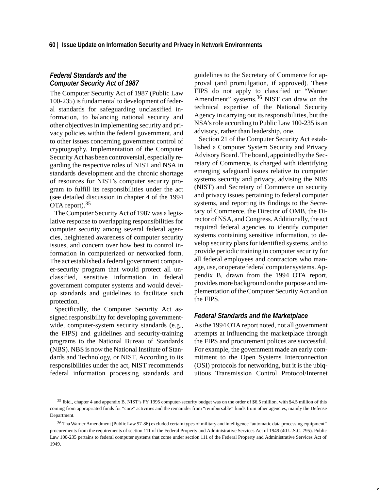# *Federal Standards and the Computer Security Act of 1987*

The Computer Security Act of 1987 (Public Law 100-235) is fundamental to development of federal standards for safeguarding unclassified information, to balancing national security and other objectives in implementing security and privacy policies within the federal government, and to other issues concerning government control of cryptography. Implementation of the Computer Security Act has been controversial, especially regarding the respective roles of NIST and NSA in standards development and the chronic shortage of resources for NIST's computer security program to fulfill its responsibilities under the act (see detailed discussion in chapter 4 of the 1994 OTA report).35

The Computer Security Act of 1987 was a legislative response to overlapping responsibilities for computer security among several federal agencies, heightened awareness of computer security issues, and concern over how best to control information in computerized or networked form. The act established a federal government computer-security program that would protect all unclassified, sensitive information in federal government computer systems and would develop standards and guidelines to facilitate such protection.

Specifically, the Computer Security Act assigned responsibility for developing governmentwide, computer-system security standards (e.g., the FIPS) and guidelines and security-training programs to the National Bureau of Standards (NBS). NBS is now the National Institute of Standards and Technology, or NIST. According to its responsibilities under the act, NIST recommends federal information processing standards and guidelines to the Secretary of Commerce for approval (and promulgation, if approved). These FIPS do not apply to classified or "Warner Amendment" systems.<sup>36</sup> NIST can draw on the technical expertise of the National Security Agency in carrying out its responsibilities, but the NSA's role according to Public Law 100-235 is an advisory, rather than leadership, one.

Section 21 of the Computer Security Act established a Computer System Security and Privacy Advisory Board. The board, appointed by the Secretary of Commerce, is charged with identifying emerging safeguard issues relative to computer systems security and privacy, advising the NBS (NIST) and Secretary of Commerce on security and privacy issues pertaining to federal computer systems, and reporting its findings to the Secretary of Commerce, the Director of OMB, the Director of NSA, and Congress. Additionally, the act required federal agencies to identify computer systems containing sensitive information, to develop security plans for identified systems, and to provide periodic training in computer security for all federal employees and contractors who manage, use, or operate federal computer systems. Appendix B, drawn from the 1994 OTA report, provides more background on the purpose and implementation of the Computer Security Act and on the FIPS.

## *Federal Standards and the Marketplace*

As the 1994 OTA report noted, not all government attempts at influencing the marketplace through the FIPS and procurement polices are successful. For example, the government made an early commitment to the Open Systems Interconnection (OSI) protocols for networking, but it is the ubiquitous Transmission Control Protocol/Internet

<sup>35</sup> Ibid., chapter 4 and appendix B. NIST's FY 1995 computer-security budget was on the order of \$6.5 million, with \$4.5 million of this coming from appropriated funds for "core" activities and the remainder from "reimbursable" funds from other agencies, mainly the Defense Department.

<sup>36</sup> Tha Warner Amendment (Public Law 97-86) excluded certain types of military and intelligence "automatic data processing equipment" procurements from the requirements of section 111 of the Federal Property and Administrative Services Act of 1949 (40 U.S.C. 795). Public Law 100-235 pertains to federal computer systems that come under section 111 of the Federal Property and Administrative Services Act of 1949.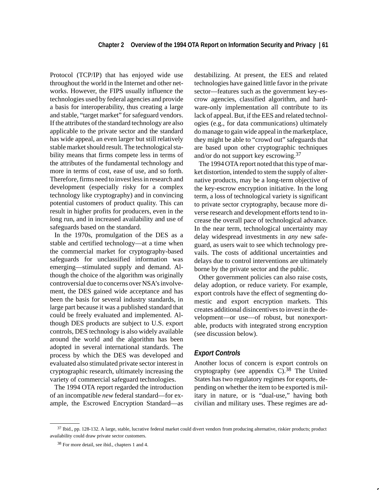Protocol (TCP/IP) that has enjoyed wide use throughout the world in the Internet and other networks. However, the FIPS usually influence the technologies used by federal agencies and provide a basis for interoperability, thus creating a large and stable, "target market" for safeguard vendors. If the attributes of the standard technology are also applicable to the private sector and the standard has wide appeal, an even larger but still relatively stable market should result. The technological stability means that firms compete less in terms of the attributes of the fundamental technology and more in terms of cost, ease of use, and so forth. Therefore, firms need to invest less in research and development (especially risky for a complex technology like cryptography) and in convincing potential customers of product quality. This can result in higher profits for producers, even in the long run, and in increased availability and use of safeguards based on the standard.

In the 1970s, promulgation of the DES as a stable and certified technology—at a time when the commercial market for cryptography-based safeguards for unclassified information was emerging—stimulated supply and demand. Although the choice of the algorithm was originally controversial due to concerns over NSA's involvement, the DES gained wide acceptance and has been the basis for several industry standards, in large part because it was a published standard that could be freely evaluated and implemented. Although DES products are subject to U.S. export controls, DES technology is also widely available around the world and the algorithm has been adopted in several international standards. The process by which the DES was developed and evaluated also stimulated private sector interest in cryptographic research, ultimately increasing the variety of commercial safeguard technologies.

The 1994 OTA report regarded the introduction of an incompatible *new* federal standard—for example, the Escrowed Encryption Standard—as destabilizing. At present, the EES and related technologies have gained little favor in the private sector—features such as the government key-escrow agencies, classified algorithm, and hardware-only implementation all contribute to its lack of appeal. But, if the EES and related technologies (e.g., for data communications) ultimately do manage to gain wide appeal in the marketplace, they might be able to "crowd out" safeguards that are based upon other cryptographic techniques and/or do not support key escrowing.<sup>37</sup>

The 1994 OTA report noted that this type of market distortion, intended to stem the supply of alternative products, may be a long-term objective of the key-escrow encryption initiative. In the long term, a loss of technological variety is significant to private sector cryptography, because more diverse research and development efforts tend to increase the overall pace of technological advance. In the near term, technological uncertainty may delay widespread investments in *any* new safeguard, as users wait to see which technology prevails. The costs of additional uncertainties and delays due to control interventions are ultimately borne by the private sector and the public.

Other government policies can also raise costs, delay adoption, or reduce variety. For example, export controls have the effect of segmenting domestic and export encryption markets. This creates additional disincentives to invest in the development—or use—of robust, but nonexportable, products with integrated strong encryption (see discussion below).

## *Export Controls*

Another locus of concern is export controls on cryptography (see appendix  $C$ ).<sup>38</sup> The United States has two regulatory regimes for exports, depending on whether the item to be exported is military in nature, or is "dual-use," having both civilian and military uses. These regimes are ad-

<sup>37</sup> Ibid., pp. 128-132. A large, stable, lucrative federal market could divert vendors from producing alternative, riskier products; product availability could draw private sector customers.

<sup>38</sup> For more detail, see ibid., chapters 1 and 4.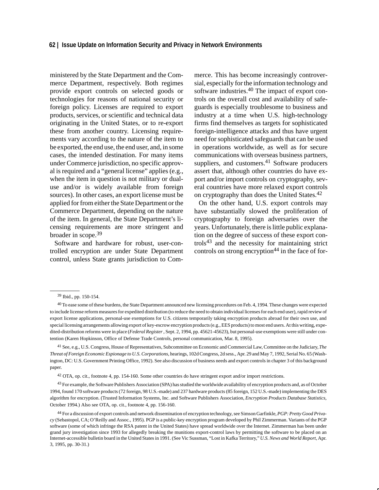## **62 | Issue Update on Information Security and Privacy in Network Environments**

ministered by the State Department and the Commerce Department, respectively. Both regimes provide export controls on selected goods or technologies for reasons of national security or foreign policy. Licenses are required to export products, services, or scientific and technical data originating in the United States, or to re-export these from another country. Licensing requirements vary according to the nature of the item to be exported, the end use, the end user, and, in some cases, the intended destination. For many items under Commerce jurisdiction, no specific approval is required and a "general license" applies (e.g., when the item in question is not military or dualuse and/or is widely available from foreign sources). In other cases, an export license must be applied for from either the State Department or the Commerce Department, depending on the nature of the item. In general, the State Department's licensing requirements are more stringent and broader in scope.<sup>39</sup>

Software and hardware for robust, user-controlled encryption are under State Department control, unless State grants jurisdiction to Commerce. This has become increasingly controversial, especially for the information technology and software industries.<sup>40</sup> The impact of export controls on the overall cost and availability of safeguards is especially troublesome to business and industry at a time when U.S. high-technology firms find themselves as targets for sophisticated foreign-intelligence attacks and thus have urgent need for sophisticated safeguards that can be used in operations worldwide, as well as for secure communications with overseas business partners, suppliers, and customers.<sup>41</sup> Software producers assert that, although other countries do have export and/or import controls on cryptography, several countries have more relaxed export controls on cryptography than does the United States.<sup>42</sup>

On the other hand, U.S. export controls may have substantially slowed the proliferation of cryptography to foreign adversaries over the years. Unfortunately, there is little public explanation on the degree of success of these export controls43 and the necessity for maintaining strict controls on strong encryption $44$  in the face of for-

41 See, e.g., U.S. Congress, House of Representatives, Subcommittee on Economic and Commercial Law, Committee on the Judiciary, *The Threat of Foreign Economic Espionage to U.S. Corporations*, hearings, 102d Congress, 2d sess., Apr. 29 and May 7, 1992, Serial No. 65 (Washington, DC: U.S. Government Printing Office, 1992). See also discussion of business needs and export controls in chapter 3 of this background paper.

42 OTA, op. cit., footnote 4, pp. 154-160. Some other countries do have stringent export and/or import restrictions.

43 For example, the Software Publishers Association (SPA) has studied the worldwide availability of encryption products and, as of October 1994, found 170 software products (72 foreign, 98 U.S.-made) and 237 hardware products (85 foreign, 152 U.S.-made) implementing the DES algorithm for encryption. (Trusted Information Systems, Inc. and Software Publishers Association, *Encryption Products Database Statistics*, October 1994.) Also see OTA, op. cit., footnote 4, pp. 156-160.

<sup>39</sup> Ibid., pp. 150-154.

<sup>40</sup> To ease some of these burdens, the State Department announced new licensing procedures on Feb. 4, 1994. These changes were expected to include license reform measures for expedited distribution (to reduce the need to obtain individual licenses for each end user), rapid review of export license applications, personal-use exemptions for U.S. citizens temporarily taking encryption products abroad for their own use, and special licensing arrangements allowing export of key-escrow encryption products (e.g., EES products) to most end users. At this writing, expedited-distribution reforms were in place (*Federal Register* , Sept. 2, 1994, pp. 45621-45623), but personal-use exemptions were still under contention (Karen Hopkinson, Office of Defense Trade Controls, personal communication, Mar. 8, 1995).

<sup>44</sup> For a discussion of export controls and network dissemination of encryption technology, see Simson Garfinkle, *PGP: Pretty Good Privacy* (Sebastopol, CA; O'Reilly and Assoc., 1995). PGP is a public-key encryption program developed by Phil Zimmerman. Variants of the PGP software (some of which infringe the RSA patent in the United States) have spread worldwide over the Internet. Zimmerman has been under grand jury investigation since 1993 for allegedly breaking the munitions export-control laws by permitting the software to be placed on an Internet-accessible bulletin board in the United States in 1991. (See Vic Sussman, "Lost in Kafka Territory," *U.S. News and World Report*, Apr. 3, 1995, pp. 30-31.)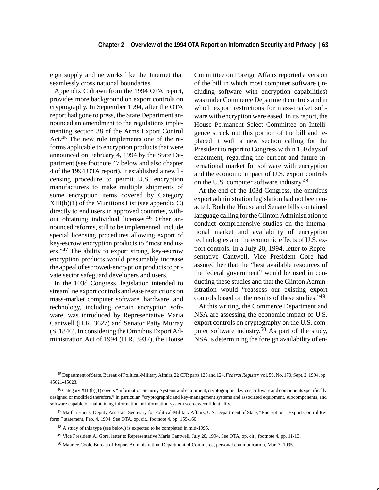eign supply and networks like the Internet that seamlessly cross national boundaries.

Appendix C drawn from the 1994 OTA report, provides more background on export controls on cryptography. In September 1994, after the OTA report had gone to press, the State Department announced an amendment to the regulations implementing section 38 of the Arms Export Control Act.45 The new rule implements one of the reforms applicable to encryption products that were announced on February 4, 1994 by the State Department (see footnote 47 below and also chapter 4 of the 1994 OTA report). It established a new licensing procedure to permit U.S. encryption manufacturers to make multiple shipments of some encryption items covered by Category  $XIII(b)(1)$  of the Munitions List (see appendix C) directly to end users in approved countries, without obtaining individual licenses.46 Other announced reforms, still to be implemented, include special licensing procedures allowing export of key-escrow encryption products to "most end users."47 The ability to export strong, key-escrow encryption products would presumably increase the appeal of escrowed-encryption products to private sector safeguard developers and users.

In the 103d Congress, legislation intended to streamline export controls and ease restrictions on mass-market computer software, hardware, and technology, including certain encryption software, was introduced by Representative Maria Cantwell (H.R. 3627) and Senator Patty Murray (S. 1846). In considering the Omnibus Export Administration Act of 1994 (H.R. 3937), the House Committee on Foreign Affairs reported a version of the bill in which most computer software (including software with encryption capabilities) was under Commerce Department controls and in which export restrictions for mass-market software with encryption were eased. In its report, the House Permanent Select Committee on Intelligence struck out this portion of the bill and replaced it with a new section calling for the President to report to Congress within 150 days of enactment, regarding the current and future international market for software with encryption and the economic impact of U.S. export controls on the U.S. computer software industry.<sup>48</sup>

At the end of the 103d Congress, the omnibus export administration legislation had not been enacted. Both the House and Senate bills contained language calling for the Clinton Administration to conduct comprehensive studies on the international market and availability of encryption technologies and the economic effects of U.S. export controls. In a July 20, 1994, letter to Representative Cantwell, Vice President Gore had assured her that the "best available resources of the federal government" would be used in conducting these studies and that the Clinton Administration would "reassess our existing export controls based on the results of these studies."49

At this writing, the Commerce Department and NSA are assessing the economic impact of U.S. export controls on cryptography on the U.S. computer software industry.<sup>50</sup> As part of the study, NSA is determining the foreign availability of en-

<sup>45</sup> Department of State, Bureau of Political-Military Affairs, 22 CFR parts 123 and 124, *Federal Register*, vol. 59, No. 170, Sept. 2, 1994, pp. 45621-45623.

<sup>46</sup> Category XIII(b)(1) covers "Information Security Systems and equipment, cryptographic devices, software and components specifically designed or modified therefore," in particular, "cryptographic and key-management systems and associated equipment, subcomponents, and software capable of maintaining information or information-system secrecy/confidentiality."

<sup>47</sup> Martha Harris, Deputy Assistant Secretary for Political-Military Affairs, U.S. Department of State, "Encryption—Export Control Reform," statement, Feb. 4, 1994. See OTA, op. cit., footnote 4, pp. 159-160.

<sup>48</sup> A study of this type (see below) is expected to be completed in mid-1995.

<sup>49</sup> Vice President Al Gore, letter to Representative Maria Cantwell, July 20, 1994. See OTA, op. cit., footnote 4, pp. 11-13.

<sup>50</sup> Maurice Cook, Bureau of Export Administration, Department of Commerce, personal communication, Mar. 7, 1995.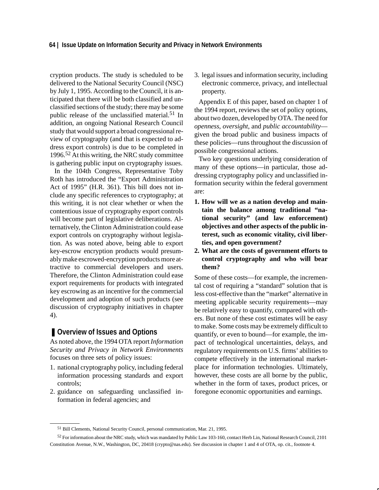cryption products. The study is scheduled to be delivered to the National Security Council (NSC) by July 1, 1995. According to the Council, it is anticipated that there will be both classified and unclassified sections of the study; there may be some public release of the unclassified material.<sup>51</sup> In addition, an ongoing National Research Council study that would support a broad congressional review of cryptography (and that is expected to address export controls) is due to be completed in 1996.52 At this writing, the NRC study committee is gathering public input on cryptography issues.

In the 104th Congress, Representative Toby Roth has introduced the "Export Administration Act of 1995" (H.R. 361). This bill does not include any specific references to cryptography; at this writing, it is not clear whether or when the contentious issue of cryptography export controls will become part of legislative deliberations. Alternatively, the Clinton Administration could ease export controls on cryptography without legislation. As was noted above, being able to export key-escrow encryption products would presumably make escrowed-encryption products more attractive to commercial developers and users. Therefore, the Clinton Administration could ease export requirements for products with integrated key escrowing as an incentive for the commercial development and adoption of such products (see discussion of cryptography initiatives in chapter 4).

# ■ Overview of Issues and Options

As noted above, the 1994 OTA report *Information Security and Privacy in Network Environments* focuses on three sets of policy issues:

- 1. national cryptography policy, including federal information processing standards and export controls;
- 2. guidance on safeguarding unclassified information in federal agencies; and

3. legal issues and information security, including electronic commerce, privacy, and intellectual property.

Appendix E of this paper, based on chapter 1 of the 1994 report, reviews the set of policy options, about two dozen, developed by OTA. The need for *openness*, *oversight*, and *public accountability* given the broad public and business impacts of these policies—runs throughout the discussion of possible congressional actions.

Two key questions underlying consideration of many of these options—in particular, those addressing cryptography policy and unclassified information security within the federal government are:

- **1. How will we as a nation develop and maintain the balance among traditional "national security" (and law enforcement) objectives and other aspects of the public interest, such as economic vitality, civil liberties, and open government?**
- **2. What are the costs of government efforts to control cryptography and who will bear them?**

Some of these costs—for example, the incremental cost of requiring a "standard" solution that is less cost-effective than the "market" alternative in meeting applicable security requirements—may be relatively easy to quantify, compared with others. But none of these cost estimates will be easy to make. Some costs may be extremely difficult to quantify, or even to bound—for example, the impact of technological uncertainties, delays, and regulatory requirements on U.S. firms' abilities to compete effectively in the international marketplace for information technologies. Ultimately, however, these costs are all borne by the public, whether in the form of taxes, product prices, or foregone economic opportunities and earnings.

<sup>51</sup> Bill Clements, National Security Council, personal communication, Mar. 21, 1995.

<sup>52</sup> For information about the NRC study, which was mandated by Public Law 103-160, contact Herb Lin, National Research Council, 2101 Constitution Avenue, N.W., Washington, DC, 20418 (crypto@nas.edu). See discussion in chapter 1 and 4 of OTA, op. cit., footnote 4.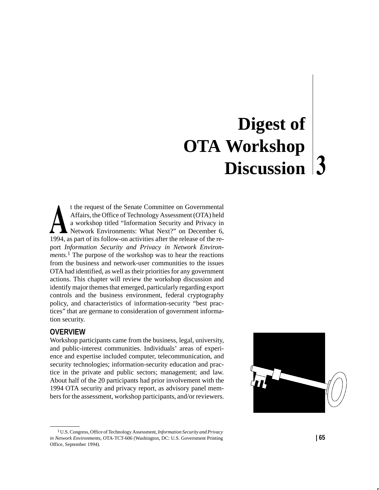# **Digest of OTA Workshop Discussion**

t the request of the Senate Committee on Governmental Affairs, the Office of Technology Assessment (OTA) held a workshop titled "Information Security and Privacy in Network Environments: What Next?" on December 6, 1994, as part of its follow-on activities after the release of the report *Information Security and Privacy in Network Environments*. <sup>1</sup> The purpose of the workshop was to hear the reactions from the business and network-user communities to the issues OTA had identified, as well as their priorities for any government actions. This chapter will review the workshop discussion and identify major themes that emerged, particularly regarding export controls and the business environment, federal cryptography policy, and characteristics of information-security "best practices" that are germane to consideration of government information security.

# **OVERVIEW**

Workshop participants came from the business, legal, university, and public-interest communities. Individuals' areas of experience and expertise included computer, telecommunication, and security technologies; information-security education and practice in the private and public sectors; management; and law. About half of the 20 participants had prior involvement with the 1994 OTA security and privacy report, as advisory panel members for the assessment, workshop participants, and/or reviewers.



<sup>1</sup> U.S. Congress, Office of Technology Assessment, *Information Security and Privacy in Network Environments*, OTA-TCT-606 (Washington, DC: U.S. Government Printing Office, September 1994).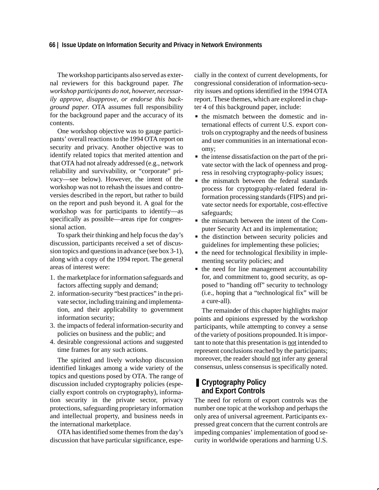#### **66 | Issue Update on Information Security and Privacy in Network Environments**

The workshop participants also served as external reviewers for this background paper. *The workshop participants do not, however, necessarily approve, disapprove, or endorse this background paper*. OTA assumes full responsibility for the background paper and the accuracy of its contents.

One workshop objective was to gauge participants' overall reactions to the 1994 OTA report on security and privacy. Another objective was to identify related topics that merited attention and that OTA had not already addressed (e.g., network reliability and survivability, or "corporate" privacy—see below). However, the intent of the workshop was not to rehash the issues and controversies described in the report, but rather to build on the report and push beyond it. A goal for the workshop was for participants to identify—as specifically as possible—areas ripe for congressional action.

To spark their thinking and help focus the day's discussion, participants received a set of discussion topics and questions in advance (see box 3-1), along with a copy of the 1994 report. The general areas of interest were:

- 1. the marketplace for information safeguards and factors affecting supply and demand;
- 2. information-security "best practices" in the private sector, including training and implementation, and their applicability to government information security;
- 3. the impacts of federal information-security and policies on business and the public; and
- 4. desirable congressional actions and suggested time frames for any such actions.

The spirited and lively workshop discussion identified linkages among a wide variety of the topics and questions posed by OTA. The range of discussion included cryptography policies (especially export controls on cryptography), information security in the private sector, privacy protections, safeguarding proprietary information and intellectual property, and business needs in the international marketplace.

OTA has identified some themes from the day's discussion that have particular significance, especially in the context of current developments, for congressional consideration of information-security issues and options identified in the 1994 OTA report. These themes, which are explored in chapter 4 of this background paper, include:  $\ddot{\phantom{0}}$ 

- the mismatch between the domestic and international effects of current U.S. export controls on cryptography and the needs of business and user communities in an international economy;
- the intense dissatisfaction on the part of the private sector with the lack of openness and progress in resolving cryptography-policy issues;
- the mismatch between the federal standards process for cryptography-related federal information processing standards (FIPS) and private sector needs for exportable, cost-effective safeguards;
- the mismatch between the intent of the Computer Security Act and its implementation;
- the distinction between security policies and guidelines for implementing these policies;
- the need for technological flexibility in implementing security policies; and
- the need for line management accountability for, and commitment to, good security, as opposed to "handing off" security to technology (i.e., hoping that a "technological fix" will be a cure-all).

The remainder of this chapter highlights major points and opinions expressed by the workshop participants, while attempting to convey a sense of the variety of positions propounded. It is important to note that this presentation is not intended to represent conclusions reached by the participants; moreover, the reader should not infer any general consensus, unless consensus is specifically noted.

# ■ **Cryptography Policy and Export Controls**

The need for reform of export controls was the number one topic at the workshop and perhaps the only area of universal agreement. Participants expressed great concern that the current controls are impeding companies' implementation of good security in worldwide operations and harming U.S.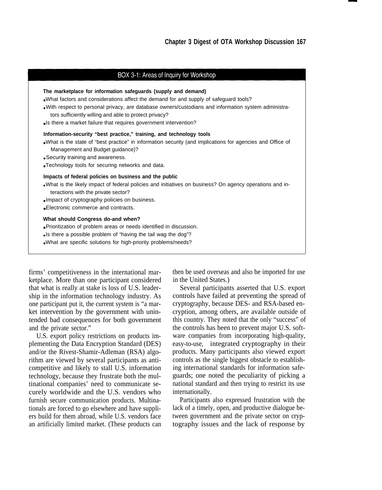#### BOX 3-1: Areas of Inquiry for Workshop

| The marketplace for information safeguards (supply and demand)<br>• What factors and considerations affect the demand for and supply of safeguard tools?<br>-With respect to personal privacy, are database owners/custodians and information system administra-<br>tors sufficiently willing and able to protect privacy?<br>Is there a market failure that requires government intervention? |
|------------------------------------------------------------------------------------------------------------------------------------------------------------------------------------------------------------------------------------------------------------------------------------------------------------------------------------------------------------------------------------------------|
| Information-security "best practice," training, and technology tools<br>■What is the state of "best practice" in information security (and implications for agencies and Office of<br>Management and Budget guidance)?<br>• Security training and awareness.<br>Technology tools for securing networks and data.                                                                               |
| Impacts of federal policies on business and the public<br>. What is the likely impact of federal policies and initiatives on business? On agency operations and in-<br>teractions with the private sector?<br>. Impact of cryptography policies on business.<br>Electronic commerce and contracts.                                                                                             |
| What should Congress do-and when?<br>. Prioritization of problem areas or needs identified in discussion.<br>• Is there a possible problem of "having the tail wag the dog"?<br>. What are specific solutions for high-priority problems/needs?                                                                                                                                                |

firms' competitiveness in the international marketplace. More than one participant considered that what is really at stake is loss of U.S. leadership in the information technology industry. As one participant put it, the current system is "a market intervention by the government with unintended bad consequences for both government and the private sector."

U.S. export policy restrictions on products implementing the Data Encryption Standard (DES) and/or the Rivest-Shamir-Adleman (RSA) algorithm are viewed by several participants as anticompetitive and likely to stall U.S. information technology, because they frustrate both the multinational companies' need to communicate securely worldwide and the U.S. vendors who furnish secure communication products. Multinationals are forced to go elsewhere and have suppliers build for them abroad, while U.S. vendors face an artificially limited market. (These products can then be used overseas and also be imported for use in the United States.)

Several participants asserted that U.S. export controls have failed at preventing the spread of cryptography, because DES- and RSA-based encryption, among others, are available outside of this country. They noted that the only "success" of the controls has been to prevent major U.S. software companies from incorporating high-quality, easy-to-use, integrated cryptography in their products. Many participants also viewed export controls as the single biggest obstacle to establishing international standards for information safeguards; one noted the peculiarity of picking a national standard and then trying to restrict its use internationally.

Participants also expressed frustration with the lack of a timely, open, and productive dialogue between government and the private sector on cryptography issues and the lack of response by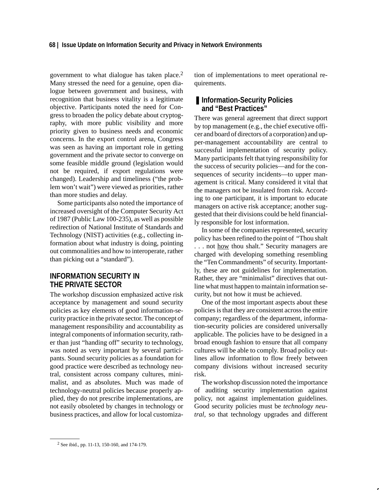government to what dialogue has taken place.2 Many stressed the need for a genuine, open dialogue between government and business, with recognition that business vitality is a legitimate objective. Participants noted the need for Congress to broaden the policy debate about cryptography, with more public visibility and more priority given to business needs and economic concerns. In the export control arena, Congress was seen as having an important role in getting government and the private sector to converge on some feasible middle ground (legislation would not be required, if export regulations were changed). Leadership and timeliness ("the problem won't wait") were viewed as priorities, rather than more studies and delay.

Some participants also noted the importance of increased oversight of the Computer Security Act of 1987 (Public Law 100-235), as well as possible redirection of National Institute of Standards and Technology (NIST) activities (e.g., collecting information about what industry is doing, pointing out commonalities and how to interoperate, rather than picking out a "standard").

## **INFORMATION SECURITY IN THE PRIVATE SECTOR**

The workshop discussion emphasized active risk acceptance by management and sound security policies as key elements of good information-security practice in the private sector. The concept of management responsibility and accountability as integral components of information security, rather than just "handing off" security to technology, was noted as very important by several participants. Sound security policies as a foundation for good practice were described as technology neutral, consistent across company cultures, minimalist, and as absolutes. Much was made of technology-neutral policies because properly applied, they do not prescribe implementations, are not easily obsoleted by changes in technology or business practices, and allow for local customization of implementations to meet operational requirements.

## ■ **Information-Security Policies and "Best Practices"**

There was general agreement that direct support by top management (e.g., the chief executive officer and board of directors of a corporation) and upper-management accountability are central to successful implementation of security policy. Many participants felt that tying responsibility for the success of security policies—and for the consequences of security incidents—to upper management is critical. Many considered it vital that the managers not be insulated from risk. According to one participant, it is important to educate managers on active risk acceptance; another suggested that their divisions could be held financially responsible for lost information.

In some of the companies represented, security policy has been refined to the point of "Thou shalt ... not <u>how</u> thou shalt." Security managers are charged with developing something resembling the "Ten Commandments" of security. Importantly, these are not guidelines for implementation. Rather, they are "minimalist" directives that outline what must happen to maintain information security, but not how it must be achieved.

One of the most important aspects about these policies is that they are consistent across the entire company; regardless of the department, information-security policies are considered universally applicable. The policies have to be designed in a broad enough fashion to ensure that all company cultures will be able to comply. Broad policy outlines allow information to flow freely between company divisions without increased security risk.

The workshop discussion noted the importance of auditing security implementation against policy, not against implementation guidelines. Good security policies must be *technology neutral,* so that technology upgrades and different

<sup>2</sup> See ibid., pp. 11-13, 150-160, and 174-179.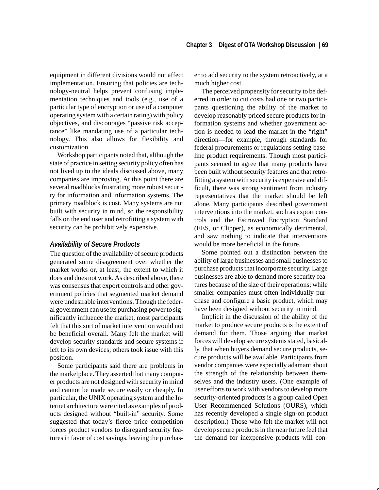equipment in different divisions would not affect implementation. Ensuring that policies are technology-neutral helps prevent confusing implementation techniques and tools (e.g., use of a particular type of encryption or use of a computer operating system with a certain rating) with policy objectives, and discourages "passive risk acceptance" like mandating use of a particular technology. This also allows for flexibility and customization.

Workshop participants noted that, although the state of practice in setting security policy often has not lived up to the ideals discussed above, many companies are improving. At this point there are several roadblocks frustrating more robust security for information and information systems. The primary roadblock is cost. Many systems are not built with security in mind, so the responsibility falls on the end user and retrofitting a system with security can be prohibitively expensive.

#### *Availability of Secure Products*

The question of the availability of secure products generated some disagreement over whether the market works or, at least, the extent to which it does and does not work. As described above, there was consensus that export controls and other government policies that segmented market demand were undesirable interventions. Though the federal government can use its purchasing power to significantly influence the market, most participants felt that this sort of market intervention would not be beneficial overall. Many felt the market will develop security standards and secure systems if left to its own devices; others took issue with this position.

Some participants said there are problems in the marketplace. They asserted that many computer products are not designed with security in mind and cannot be made secure easily or cheaply. In particular, the UNIX operating system and the Internet architecture were cited as examples of products designed without "built-in" security. Some suggested that today's fierce price competition forces product vendors to disregard security features in favor of cost savings, leaving the purchaser to add security to the system retroactively, at a much higher cost.

The perceived propensity for security to be deferred in order to cut costs had one or two participants questioning the ability of the market to develop reasonably priced secure products for information systems and whether government action is needed to lead the market in the "right" direction—for example, through standards for federal procurements or regulations setting baseline product requirements. Though most participants seemed to agree that many products have been built without security features and that retrofitting a system with security is expensive and difficult, there was strong sentiment from industry representatives that the market should be left alone. Many participants described government interventions into the market, such as export controls and the Escrowed Encryption Standard (EES, or Clipper), as economically detrimental, and saw nothing to indicate that interventions would be more beneficial in the future.

Some pointed out a distinction between the ability of large businesses and small businesses to purchase products that incorporate security. Large businesses are able to demand more security features because of the size of their operations; while smaller companies must often individually purchase and configure a basic product, which may have been designed without security in mind.

Implicit in the discussion of the ability of the market to produce secure products is the extent of demand for them. Those arguing that market forces will develop secure systems stated, basically, that when buyers demand secure products, secure products will be available. Participants from vendor companies were especially adamant about the strength of the relationship between themselves and the industry users. (One example of user efforts to work with vendors to develop more security-oriented products is a group called Open User Recommended Solutions (OURS), which has recently developed a single sign-on product description.) Those who felt the market will not develop secure products in the near future feel that the demand for inexpensive products will con-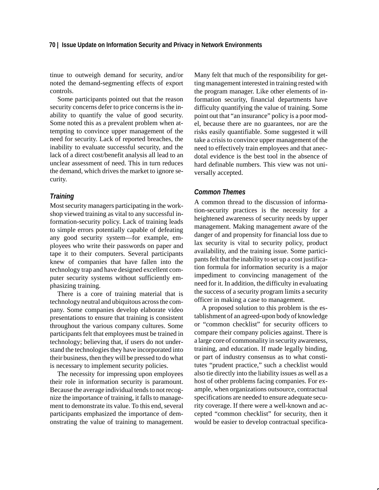tinue to outweigh demand for security, and/or noted the demand-segmenting effects of export controls.

Some participants pointed out that the reason security concerns defer to price concerns is the inability to quantify the value of good security. Some noted this as a prevalent problem when attempting to convince upper management of the need for security. Lack of reported breaches, the inability to evaluate successful security, and the lack of a direct cost/benefit analysis all lead to an unclear assessment of need. This in turn reduces the demand, which drives the market to ignore security.

#### *Training*

Most security managers participating in the workshop viewed training as vital to any successful information-security policy. Lack of training leads to simple errors potentially capable of defeating any good security system—for example, employees who write their passwords on paper and tape it to their computers. Several participants knew of companies that have fallen into the technology trap and have designed excellent computer security systems without sufficiently emphasizing training.

There is a core of training material that is technology neutral and ubiquitous across the company. Some companies develop elaborate video presentations to ensure that training is consistent throughout the various company cultures. Some participants felt that employees must be trained in technology; believing that, if users do not understand the technologies they have incorporated into their business, then they will be pressed to do what is necessary to implement security policies.

The necessity for impressing upon employees their role in information security is paramount. Because the average individual tends to not recognize the importance of training, it falls to management to demonstrate its value. To this end, several participants emphasized the importance of demonstrating the value of training to management. Many felt that much of the responsibility for getting management interested in training rested with the program manager. Like other elements of information security, financial departments have difficulty quantifying the value of training. Some point out that "an insurance" policy is a poor model, because there are no guarantees, nor are the risks easily quantifiable. Some suggested it will take a crisis to convince upper management of the need to effectively train employees and that anecdotal evidence is the best tool in the absence of hard definable numbers. This view was not universally accepted.

#### *Common Themes*

A common thread to the discussion of information-security practices is the necessity for a heightened awareness of security needs by upper management. Making management aware of the danger of and propensity for financial loss due to lax security is vital to security policy, product availability, and the training issue. Some participants felt that the inability to set up a cost justification formula for information security is a major impediment to convincing management of the need for it. In addition, the difficulty in evaluating the success of a security program limits a security officer in making a case to management.

A proposed solution to this problem is the establishment of an agreed-upon body of knowledge or "common checklist" for security officers to compare their company policies against. There is a large core of commonality in security awareness, training, and education. If made legally binding, or part of industry consensus as to what constitutes "prudent practice," such a checklist would also tie directly into the liability issues as well as a host of other problems facing companies. For example, when organizations outsource, contractual specifications are needed to ensure adequate security coverage. If there were a well-known and accepted "common checklist" for security, then it would be easier to develop contractual specifica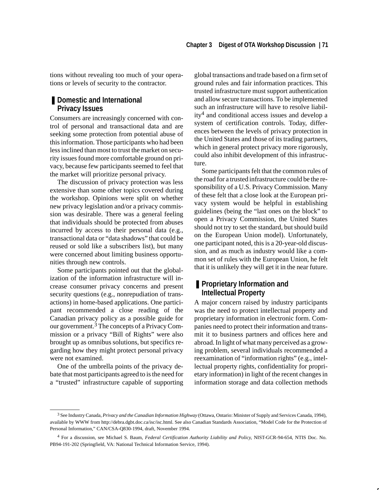tions without revealing too much of your operations or levels of security to the contractor.

# ■ **Domestic and International Privacy Issues**

Consumers are increasingly concerned with control of personal and transactional data and are seeking some protection from potential abuse of this information. Those participants who had been less inclined than most to trust the market on security issues found more comfortable ground on privacy, because few participants seemed to feel that the market will prioritize personal privacy.

The discussion of privacy protection was less extensive than some other topics covered during the workshop. Opinions were split on whether new privacy legislation and/or a privacy commission was desirable. There was a general feeling that individuals should be protected from abuses incurred by access to their personal data (e.g., transactional data or "data shadows" that could be reused or sold like a subscribers list), but many were concerned about limiting business opportunities through new controls.

Some participants pointed out that the globalization of the information infrastructure will increase consumer privacy concerns and present security questions (e.g., nonrepudiation of transactions) in home-based applications. One participant recommended a close reading of the Canadian privacy policy as a possible guide for our government.<sup>3</sup> The concepts of a Privacy Commission or a privacy "Bill of Rights" were also brought up as omnibus solutions, but specifics regarding how they might protect personal privacy were not examined.

One of the umbrella points of the privacy debate that most participants agreed to is the need for a "trusted" infrastructure capable of supporting global transactions and trade based on a firm set of ground rules and fair information practices. This trusted infrastructure must support authentication and allow secure transactions. To be implemented such an infrastructure will have to resolve liability4 and conditional access issues and develop a system of certification controls. Today, differences between the levels of privacy protection in the United States and those of its trading partners, which in general protect privacy more rigorously, could also inhibit development of this infrastructure.

Some participants felt that the common rules of the road for a trusted infrastructure could be the responsibility of a U.S. Privacy Commission. Many of these felt that a close look at the European privacy system would be helpful in establishing guidelines (being the "last ones on the block" to open a Privacy Commission, the United States should not try to set the standard, but should build on the European Union model). Unfortunately, one participant noted, this is a 20-year-old discussion, and as much as industry would like a common set of rules with the European Union, he felt that it is unlikely they will get it in the near future.

# ■ **Proprietary Information and Intellectual Property**

A major concern raised by industry participants was the need to protect intellectual property and proprietary information in electronic form. Companies need to protect their information and transmit it to business partners and offices here and abroad. In light of what many perceived as a growing problem, several individuals recommended a reexamination of "information rights" (e.g., intellectual property rights, confidentiality for proprietary information) in light of the recent changes in information storage and data collection methods

<sup>3</sup> See Industry Canada, *Privacy and the Canadian Information Highway* (Ottawa, Ontario: Minister of Supply and Services Canada, 1994), available by WWW from http://debra.dgbt.doc.ca/isc/isc.html. See also Canadian Standards Association, "Model Code for the Protection of Personal Information," CAN/CSA-Q830-1994, draft, November 1994.

<sup>4</sup> For a discussion, see Michael S. Baum, *Federal Certification Authority Liability and Policy,* NIST-GCR-94-654, NTIS Doc. No. PB94-191-202 (Springfield, VA: National Technical Information Service, 1994).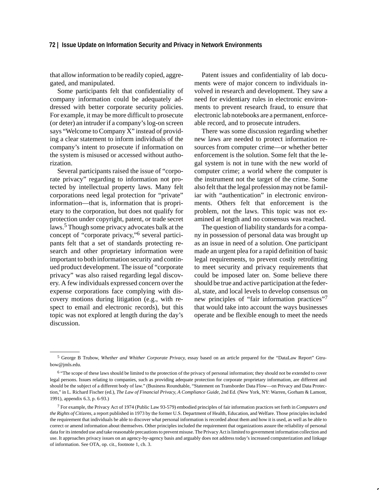that allow information to be readily copied, aggregated, and manipulated.

Some participants felt that confidentiality of company information could be adequately addressed with better corporate security policies. For example, it may be more difficult to prosecute (or deter) an intruder if a company's log-on screen says "Welcome to Company X" instead of providing a clear statement to inform individuals of the company's intent to prosecute if information on the system is misused or accessed without authorization.

Several participants raised the issue of "corporate privacy" regarding to information not protected by intellectual property laws. Many felt corporations need legal protection for "private" information—that is, information that is proprietary to the corporation, but does not qualify for protection under copyright, patent, or trade secret laws.5 Though some privacy advocates balk at the concept of "corporate privacy,"6 several participants felt that a set of standards protecting research and other proprietary information were important to both information security and continued product development. The issue of "corporate privacy" was also raised regarding legal discovery. A few individuals expressed concern over the expense corporations face complying with discovery motions during litigation (e.g., with respect to email and electronic records), but this topic was not explored at length during the day's discussion.

Patent issues and confidentiality of lab documents were of major concern to individuals involved in research and development. They saw a need for evidentiary rules in electronic environments to prevent research fraud, to ensure that electronic lab notebooks are a permanent, enforceable record, and to prosecute intruders.

There was some discussion regarding whether new laws are needed to protect information resources from computer crime—or whether better enforcement is the solution. Some felt that the legal system is not in tune with the new world of computer crime; a world where the computer is the instrument not the target of the crime. Some also felt that the legal profession may not be familiar with "authentication" in electronic environments. Others felt that enforcement is the problem, not the laws. This topic was not examined at length and no consensus was reached.

The question of liability standards for a company in possession of personal data was brought up as an issue in need of a solution. One participant made an urgent plea for a rapid definition of basic legal requirements, to prevent costly retrofitting to meet security and privacy requirements that could be imposed later on. Some believe there should be true and active participation at the federal, state, and local levels to develop consensus on new principles of "fair information practices" that would take into account the ways businesses operate and be flexible enough to meet the needs

<sup>5</sup> George B Trubow, *Whether and Whither Corporate Privacy*, essay based on an article prepared for the "DataLaw Report" Gtrubow@jmls.edu.

<sup>6 &</sup>quot;The scope of these laws should be limited to the protection of the privacy of personal information; they should not be extended to cover legal persons. Issues relating to companies, such as providing adequate protection for corporate proprietary information, are different and should be the subject of a different body of law." (Business Roundtable, "Statement on Transborder Data Flow—on Privacy and Data Protection," in L. Richard Fischer (ed.), *The Law of Financial Privacy, A Compliance Guide*, 2nd Ed. (New York, NY: Warren, Gorham & Lamont, 1991), appendix 6.3, p. 6-93.)

<sup>7</sup> For example, the Privacy Act of 1974 (Public Law 93-579) embodied principles of fair information practices set forth in *Computers and the Rights of Citizens*, a report published in 1973 by the former U.S. Department of Health, Education, and Welfare. Those principles included the requirement that individuals be able to discover what personal information is recorded about them and how it is used, as well as be able to correct or amend information about themselves. Other principles included the requirement that organizations assure the reliability of personal data for its intended use and take reasonable precautions to prevent misuse. The Privacy Act is limited to government information collection and use. It approaches privacy issues on an agency-by-agency basis and arguably does not address today's increased computerization and linkage of information. See OTA, op. cit., footnote 1, ch. 3.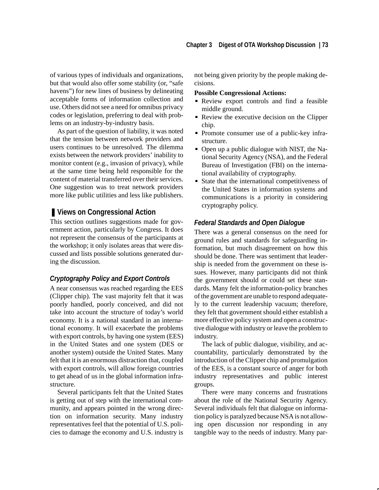of various types of individuals and organizations, but that would also offer some stability (or, "safe havens") for new lines of business by delineating acceptable forms of information collection and use. Others did not see a need for omnibus privacy codes or legislation, preferring to deal with problems on an industry-by-industry basis.

As part of the question of liability, it was noted that the tension between network providers and users continues to be unresolved. The dilemma exists between the network providers' inability to monitor content (e.g., invasion of privacy), while at the same time being held responsible for the content of material transferred over their services. One suggestion was to treat network providers more like public utilities and less like publishers.

# ■ Views on Congressional Action

This section outlines suggestions made for government action, particularly by Congress. It does not represent the consensus of the participants at the workshop; it only isolates areas that were discussed and lists possible solutions generated during the discussion.

### *Cryptography Policy and Export Controls*

A near consensus was reached regarding the EES (Clipper chip). The vast majority felt that it was poorly handled, poorly conceived, and did not take into account the structure of today's world economy. It is a national standard in an international economy. It will exacerbate the problems with export controls, by having one system (EES) in the United States and one system (DES or another system) outside the United States. Many felt that it is an enormous distraction that, coupled with export controls, will allow foreign countries to get ahead of us in the global information infrastructure.

Several participants felt that the United States is getting out of step with the international community, and appears pointed in the wrong direction on information security. Many industry representatives feel that the potential of U.S. policies to damage the economy and U.S. industry is not being given priority by the people making decisions.

# **Possible Congressional Actions:**

- Review export controls and find a feasible middle ground.
- Review the executive decision on the Clipper chip.
- Promote consumer use of a public-key infrastructure.
- Open up a public dialogue with NIST, the National Security Agency (NSA), and the Federal Bureau of Investigation (FBI) on the international availability of cryptography.
- State that the international competitiveness of the United States in information systems and communications is a priority in considering cryptography policy.

#### *Federal Standards and Open Dialogue*

There was a general consensus on the need for ground rules and standards for safeguarding information, but much disagreement on how this should be done. There was sentiment that leadership is needed from the government on these issues. However, many participants did not think the government should or could set these standards. Many felt the information-policy branches of the government are unable to respond adequately to the current leadership vacuum; therefore, they felt that government should either establish a more effective policy system and open a constructive dialogue with industry or leave the problem to industry.

The lack of public dialogue, visibility, and accountability, particularly demonstrated by the introduction of the Clipper chip and promulgation of the EES, is a constant source of anger for both industry representatives and public interest groups.

There were many concerns and frustrations about the role of the National Security Agency. Several individuals felt that dialogue on information policy is paralyzed because NSA is not allowing open discussion nor responding in any tangible way to the needs of industry. Many par-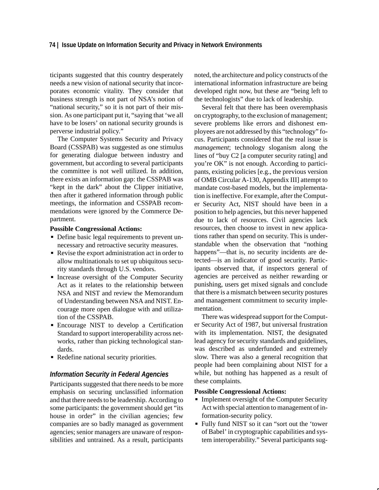ticipants suggested that this country desperately needs a new vision of national security that incorporates economic vitality. They consider that business strength is not part of NSA's notion of "national security," so it is not part of their mission. As one participant put it, "saying that 'we all have to be losers' on national security grounds is perverse industrial policy."

The Computer Systems Security and Privacy Board (CSSPAB) was suggested as one stimulus for generating dialogue between industry and government, but according to several participants the committee is not well utilized. In addition, there exists an information gap: the CSSPAB was "kept in the dark" about the Clipper initiative, then after it gathered information through public meetings, the information and CSSPAB recommendations were ignored by the Commerce Department.

# **Possible Congressional Actions:**

- Define basic legal requirements to prevent unnecessary and retroactive security measures.
- Revise the export administration act in order to allow multinationals to set up ubiquitous security standards through U.S. vendors.
- **Increase oversight of the Computer Security** Act as it relates to the relationship between NSA and NIST and review the Memorandum of Understanding between NSA and NIST. Encourage more open dialogue with and utilization of the CSSPAB.
- Encourage NIST to develop a Certification Standard to support interoperability across networks, rather than picking technological standards.
- Redefine national security priorities.

#### *Information Security in Federal Agencies*

Participants suggested that there needs to be more emphasis on securing unclassified information and that there needs to be leadership. According to some participants: the government should get "its house in order" in the civilian agencies; few companies are so badly managed as government agencies; senior managers are unaware of responsibilities and untrained. As a result, participants noted, the architecture and policy constructs of the international information infrastructure are being developed right now, but these are "being left to the technologists" due to lack of leadership.

Several felt that there has been overemphasis on cryptography, to the exclusion of management; severe problems like errors and dishonest employees are not addressed by this "technology" focus. Participants considered that the real issue is *management*; technology sloganism along the lines of "buy C2 [a computer security rating] and you're OK" is not enough. According to participants, existing policies [e.g., the previous version of OMB Circular A-130, Appendix III] attempt to mandate cost-based models, but the implementation is ineffective. For example, after the Computer Security Act, NIST should have been in a position to help agencies, but this never happened due to lack of resources. Civil agencies lack resources, then choose to invest in new applications rather than spend on security. This is understandable when the observation that "nothing happens"—that is, no security incidents are detected—is an indicator of good security. Participants observed that, if inspectors general of agencies are perceived as neither rewarding or punishing, users get mixed signals and conclude that there is a mismatch between security postures and management commitment to security implementation.

There was widespread support for the Computer Security Act of 1987, but universal frustration with its implementation. NIST, the designated lead agency for security standards and guidelines, was described as underfunded and extremely slow. There was also a general recognition that people had been complaining about NIST for a while, but nothing has happened as a result of these complaints.

# **Possible Congressional Actions:**

- Implement oversight of the Computer Security Act with special attention to management of information-security policy.
- Fully fund NIST so it can "sort out the 'tower of Babel' in cryptographic capabilities and system interoperability." Several participants sug-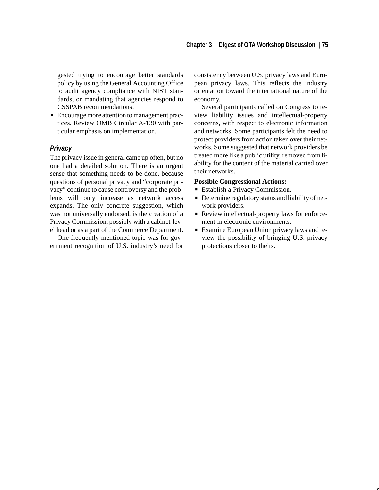gested trying to encourage better standards policy by using the General Accounting Office to audit agency compliance with NIST standards, or mandating that agencies respond to CSSPAB recommendations.

 Encourage more attention to management practices. Review OMB Circular A-130 with particular emphasis on implementation.

#### *Privacy*

The privacy issue in general came up often, but no one had a detailed solution. There is an urgent sense that something needs to be done, because questions of personal privacy and "corporate privacy" continue to cause controversy and the problems will only increase as network access expands. The only concrete suggestion, which was not universally endorsed, is the creation of a Privacy Commission, possibly with a cabinet-level head or as a part of the Commerce Department.

One frequently mentioned topic was for government recognition of U.S. industry's need for consistency between U.S. privacy laws and European privacy laws. This reflects the industry orientation toward the international nature of the economy.

Several participants called on Congress to review liability issues and intellectual-property concerns, with respect to electronic information and networks. Some participants felt the need to protect providers from action taken over their networks. Some suggested that network providers be treated more like a public utility, removed from liability for the content of the material carried over their networks.

# **Possible Congressional Actions:**

- Establish a Privacy Commission.
- Determine regulatory status and liability of network providers.
- Review intellectual-property laws for enforcement in electronic environments.
- Examine European Union privacy laws and review the possibility of bringing U.S. privacy protections closer to theirs.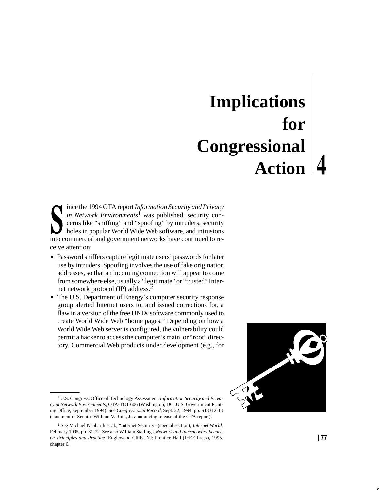# **Implications for Congressional Action**

ince the 1994 OTA report *Information Security and Privacy in Network Environments*1 was published, security concerns like "sniffing" and "spoofing" by intruders, security holes in popular World Wide Web software, and intrusions into commercial and government networks have continued to receive attention:  $\overline{\phantom{0}}$ 

- Password sniffers capture legitimate users' passwords for later use by intruders. Spoofing involves the use of fake origination addresses, so that an incoming connection will appear to come from somewhere else, usually a "legitimate" or "trusted" Internet network protocol (IP) address.<sup>2</sup>
- The U.S. Department of Energy's computer security response group alerted Internet users to, and issued corrections for, a flaw in a version of the free UNIX software commonly used to create World Wide Web "home pages." Depending on how a World Wide Web server is configured, the vulnerability could permit a hacker to access the computer's main, or "root" directory. Commercial Web products under development (e.g., for



<sup>1</sup> U.S. Congress, Office of Technology Assessment, *Information Security and Privacy in Network Environments*, OTA-TCT-606 (Washington, DC: U.S. Government Printing Office, September 1994). See *Congressional Record*, Sept. 22, 1994, pp. S13312-13 (statement of Senator William V. Roth, Jr. announcing release of the OTA report).

<sup>2</sup> See Michael Neubarth et al., "Internet Security" (special section), *Internet World*, February 1995, pp. 31-72. See also William Stallings, *Network and Internetwork Security: Principles and Practice* (Englewood Cliffs, NJ: Prentice Hall (IEEE Press), 1995, chapter 6.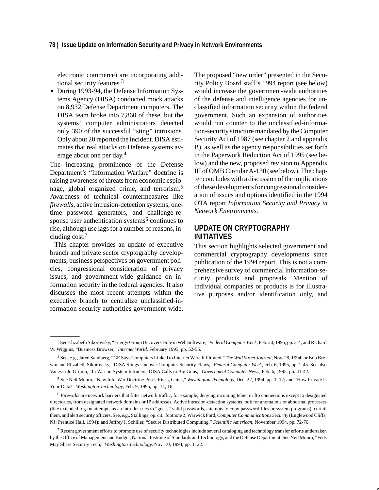#### **78 | Issue Update on Information Security and Privacy in Network Environments**

electronic commerce) are incorporating additional security features.3

During 1993-94, the Defense Information Systems Agency (DISA) conducted mock attacks on 8,932 Defense Department computers. The DISA team broke into 7,860 of these, but the systems' computer administrators detected only 390 of the successful "sting" intrusions. Only about 20 reported the incident. DISA estimates that real attacks on Defense systems average about one per day.<sup>4</sup>

The increasing prominence of the Defense Department's "Information Warfare" doctrine is raising awareness of threats from economic espionage, global organized crime, and terrorism.5 Awareness of technical countermeasures like *firewalls*, active intrusion-detection systems, onetime password generators, and challenge-response user authentication systems $6$  continues to rise, although use lags for a number of reasons, including cost.<sup>7</sup>

This chapter provides an update of executive branch and private sector cryptography developments, business perspectives on government policies, congressional consideration of privacy issues, and government-wide guidance on information security in the federal agencies. It also discusses the most recent attempts within the executive branch to centralize unclassified-information-security authorities government-wide. The proposed "new order" presented in the Security Policy Board staff's 1994 report (see below) would increase the government-wide authorities of the defense and intelligence agencies for unclassified information security within the federal government. Such an expansion of authorities would run counter to the unclassified-information-security structure mandated by the Computer Security Act of 1987 (see chapter 2 and appendix B), as well as the agency responsibilities set forth in the Paperwork Reduction Act of 1995 (see below) and the new, proposed revision to Appendix III of OMB Circular A-130 (see below). The chapter concludes with a discussion of the implications of these developments for congressional consideration of issues and options identified in the 1994 OTA report *Information Security and Privacy in Network Environments.*

# **UPDATE ON CRYPTOGRAPHY INITIATIVES**

This section highlights selected government and commercial cryptography developments since publication of the 1994 report. This is not a comprehensive survey of commercial information-security products and proposals. Mention of individual companies or products is for illustrative purposes and/or identification only, and

<sup>3</sup> See Elizabeth Sikorovsky, "Energy Group Uncovers Hole in Web Software," *Federal Computer Week,* Feb. 20, 1995*,* pp. 3-4; and Richard W. Wiggins, "Business Browser," *Internet World*, February 1995, pp. 52-55.

<sup>4</sup> See, e.g., Jared Sandberg, "GE Says Computers Linked to Internet Were Infiltrated," *The Wall Street Journal*, Nov. 28, 1994; or Bob Brewin and Elizabeth Sikorovsky, "DISA Stings Uncover Computer Security Flaws," *Federal Computer Week*, Feb. 6, 1995, pp. 1-45. See also Vanessa Jo Grimm, "In War on System Intruders, DISA Calls in Big Guns," *Government Computer News*, Feb. 6, 1995, pp. 41-42.

<sup>5</sup> See Neil Munro, "New Info-War Doctrine Poses Risks, Gains," *Washington Technology,* Dec. 22, 1994, pp. 1, 12; and "How Private Is Your Data?" *Washington Technology*, Feb. 9, 1995, pp. 14, 16.

<sup>6</sup> *Firewalls* are network barriers that filter network traffic, for example, denying incoming telnet or ftp connections except to designated directories, from designated network domains or IP addresses. Active intrusion-detection systems look for anomalous or abnormal processes (like extended log-on attempts as an intruder tries to "guess" valid passwords, attempts to copy password files or system programs), curtail them, and alert security officers. See, e.g., Stallings, op. cit., footnote 2; Warwick Ford, *Computer Communications Security* (Englewood Cliffs, NJ: Prentice Hall, 1994); and Jeffrey I. Schiller, "Secure Distributed Computing," *Scientific American*, November 1994, pp. 72-76.

 $<sup>7</sup>$  Recent government efforts to promote use of security technologies include several cataloging and technology transfer efforts undertaken</sup> by the Office of Management and Budget, National Institute of Standards and Technology, and the Defense Department. See Neil Munro, "Feds May Share Security Tech," *Washington Technology,* Nov. 10, 1994, pp. 1, 22.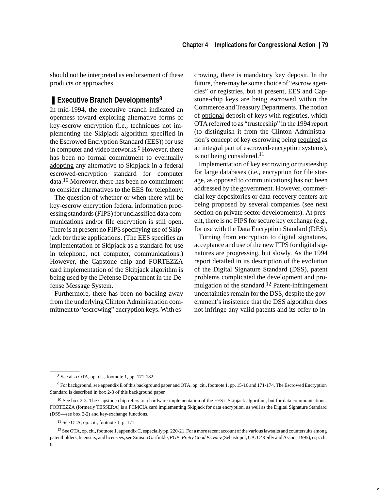should not be interpreted as endorsement of these products or approaches.

## ■ **Executive Branch Developments<sup>8</sup>**

In mid-1994, the executive branch indicated an openness toward exploring alternative forms of key-escrow encryption (i.e., techniques not implementing the Skipjack algorithm specified in the Escrowed Encryption Standard (EES)) for use in computer and video networks.<sup>9</sup> However, there has been no formal commitment to eventually adopting any alternative to Skipjack in a federal escrowed-encryption standard for computer data.10 Moreover, there has been no commitment to consider alternatives to the EES for telephony.

The question of whether or when there will be key-escrow encryption federal information processing standards (FIPS) for unclassified data communications and/or file encryption is still open. There is at present no FIPS specifying use of Skipjack for these applications. (The EES specifies an implementation of Skipjack as a standard for use in telephone, not computer, communications.) However, the Capstone chip and FORTEZZA card implementation of the Skipjack algorithm is being used by the Defense Department in the Defense Message System.

Furthermore, there has been no backing away from the underlying Clinton Administration commitment to "escrowing" encryption keys. With escrowing, there is mandatory key deposit. In the future, there may be some choice of "escrow agencies" or registries, but at present, EES and Capstone-chip keys are being escrowed within the Commerce and Treasury Departments. The notion of optional deposit of keys with registries, which OTA referred to as "trusteeship" in the 1994 report (to distinguish it from the Clinton Administration's concept of key escrowing being required as an integral part of escrowed-encryption systems), is not being considered.<sup>11</sup>

Implementation of key escrowing or trusteeship for large databases (i.e., encryption for file storage, as opposed to communications) has not been addressed by the government. However, commercial key depositories or data-recovery centers are being proposed by several companies (see next section on private sector developments). At present, there is no FIPS for secure key exchange (e.g., for use with the Data Encryption Standard (DES).

Turning from encryption to digital signatures, acceptance and use of the new FIPS for digital signatures are progressing, but slowly. As the 1994 report detailed in its description of the evolution of the Digital Signature Standard (DSS), patent problems complicated the development and promulgation of the standard.<sup>12</sup> Patent-infringement uncertainties remain for the DSS, despite the government's insistence that the DSS algorithm does not infringe any valid patents and its offer to in-

<sup>8</sup> See also OTA, op. cit., footnote 1, pp. 171-182.

<sup>9</sup> For background, see appendix E of this background paper and OTA, op. cit., footnote 1, pp. 15-16 and 171-174. The Escrowed Encryption Standard is described in box 2-3 of this background paper.

<sup>&</sup>lt;sup>10</sup> See box 2-3. The Capstone chip refers to a hardware implementation of the EES's Skipjack algorithm, but for data communications. FORTEZZA (formerly TESSERA) is a PCMCIA card implementing Skipjack for data encryption, as well as the Digital Signature Standard (DSS—see box 2-2) and key-exchange functions.

 $11$  See OTA, op. cit., footnote 1, p. 171.

<sup>&</sup>lt;sup>12</sup> See OTA, op. cit., footnote 1, appendix C, especially pp. 220-21. For a more recent account of the various lawsuits and countersuits among patentholders, licensers, and licensees, see Simson Garfinkle, *PGP: Pretty Good Privacy* (Sebastopol, CA: O'Reilly and Assoc., 1995), esp. ch. 6.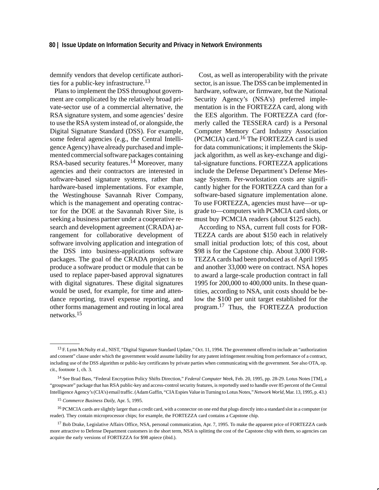demnify vendors that develop certificate authorities for a public-key infrastructure.<sup>13</sup>

Plans to implement the DSS throughout government are complicated by the relatively broad private-sector use of a commercial alternative, the RSA signature system, and some agencies' desire to use the RSA system instead of, or alongside, the Digital Signature Standard (DSS). For example, some federal agencies (e.g., the Central Intelligence Agency) have already purchased and implemented commercial software packages containing RSA-based security features.14 Moreover, many agencies and their contractors are interested in software-based signature systems, rather than hardware-based implementations. For example, the Westinghouse Savannah River Company, which is the management and operating contractor for the DOE at the Savannah River Site, is seeking a business partner under a cooperative research and development agreement (CRADA) arrangement for collaborative development of software involving application and integration of the DSS into business-applications software packages. The goal of the CRADA project is to produce a software product or module that can be used to replace paper-based approval signatures with digital signatures. These digital signatures would be used, for example, for time and attendance reporting, travel expense reporting, and other forms management and routing in local area networks.<sup>15</sup>

Cost, as well as interoperability with the private sector, is an issue. The DSS can be implemented in hardware, software, or firmware, but the National Security Agency's (NSA's) preferred implementation is in the FORTEZZA card, along with the EES algorithm. The FORTEZZA card (formerly called the TESSERA card) is a Personal Computer Memory Card Industry Association (PCMCIA) card.16 The FORTEZZA card is used for data communications; it implements the Skipjack algorithm, as well as key-exchange and digital-signature functions. FORTEZZA applications include the Defense Department's Defense Message System. Per-workstation costs are significantly higher for the FORTEZZA card than for a software-based signature implementation alone. To use FORTEZZA, agencies must have—or upgrade to—computers with PCMCIA card slots, or must buy PCMCIA readers (about \$125 each).

According to NSA, current full costs for FOR-TEZZA cards are about \$150 each in relatively small initial production lots; of this cost, about \$98 is for the Capstone chip. About 3,000 FOR-TEZZA cards had been produced as of April 1995 and another 33,000 were on contract. NSA hopes to award a large-scale production contract in fall 1995 for 200,000 to 400,000 units. In these quantities, according to NSA, unit costs should be below the \$100 per unit target established for the program.17 Thus, the FORTEZZA production

<sup>&</sup>lt;sup>13</sup> F. Lynn McNulty et al., NIST, "Digital Signature Standard Update," Oct. 11, 1994. The government offered to include an "authorization and consent" clause under which the government would assume liability for any patent infringement resulting from performance of a contract, including use of the DSS algorithm or public-key certificates by private parties when communicating with the government. See also OTA, op. cit., footnote 1, ch. 3.

<sup>14</sup> See Brad Bass, "Federal Encryption Policy Shifts Direction," *Federal Computer Week*, Feb. 20, 1995, pp. 28-29. Lotus Notes [TM], a "groupware" package that has RSA public-key and access-control security features, is reportedly used to handle over 85 percent of the Central Intelligence Agency's (CIA's) email traffic. (Adam Gaffin, "CIA Espies Value in Turning to Lotus Notes," *Network World*, Mar. 13, 1995, p. 43.)

<sup>15</sup> *Commerce Business Daily*, Apr. 5, 1995.

<sup>&</sup>lt;sup>16</sup> PCMCIA cards are slightly larger than a credit card, with a connector on one end that plugs directly into a standard slot in a computer (or reader). They contain microprocessor chips; for example, the FORTEZZA card contains a Capstone chip.

<sup>&</sup>lt;sup>17</sup> Bob Drake, Legislative Affairs Office, NSA, personal communication, Apr. 7, 1995. To make the apparent price of FORTEZZA cards more attractive to Defense Department customers in the short term, NSA is splitting the cost of the Capstone chip with them, so agencies can acquire the early versions of FORTEZZA for \$98 apiece (ibid.).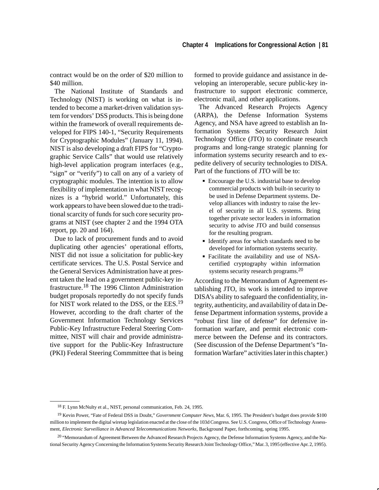contract would be on the order of \$20 million to \$40 million.

The National Institute of Standards and Technology (NIST) is working on what is intended to become a market-driven validation system for vendors' DSS products. This is being done within the framework of overall requirements developed for FIPS 140-1, "Security Requirements for Cryptographic Modules" (January 11, 1994). NIST is also developing a draft FIPS for "Cryptographic Service Calls" that would use relatively high-level application program interfaces (e.g., "sign" or "verify") to call on any of a variety of cryptographic modules. The intention is to allow flexibility of implementation in what NIST recognizes is a "hybrid world." Unfortunately, this work appears to have been slowed due to the traditional scarcity of funds for such core security programs at NIST (see chapter 2 and the 1994 OTA report, pp. 20 and 164).

Due to lack of procurement funds and to avoid duplicating other agencies' operational efforts, NIST did not issue a solicitation for public-key certificate services. The U.S. Postal Service and the General Services Administration have at present taken the lead on a government public-key infrastructure.18 The 1996 Clinton Administration budget proposals reportedly do not specify funds for NIST work related to the DSS, or the EES.<sup>19</sup> However, according to the draft charter of the Government Information Technology Services Public-Key Infrastructure Federal Steering Committee, NIST will chair and provide administrative support for the Public-Key Infrastructure (PKI) Federal Steering Commmittee that is being

formed to provide guidance and assistance in developing an interoperable, secure public-key infrastructure to support electronic commerce, electronic mail, and other applications.

The Advanced Research Projects Agency (ARPA), the Defense Information Systems Agency, and NSA have agreed to establish an Information Systems Security Research Joint Technology Office (JTO) to coordinate research programs and long-range strategic planning for information systems security research and to expedite delivery of security technologies to DISA. Part of the functions of JTO will be to: Ĩ

- **Encourage the U.S. industrial base to develop** commercial products with built-in security to be used in Defense Department systems. Develop alliances with industry to raise the level of security in all U.S. systems. Bring together private sector leaders in information security to advise JTO and build consensus for the resulting program.
- Identify areas for which standards need to be developed for information systems security.
- Facilitate the availability and use of NSAcertified cryptography within information systems security research programs.<sup>20</sup>

According to the Memorandum of Agreement establishing JTO, its work is intended to improve DISA's ability to safeguard the confidentiality, integrity, authenticity, and availability of data in Defense Department information systems, provide a "robust first line of defense" for defensive information warfare, and permit electronic commerce between the Defense and its contractors. (See discussion of the Defense Department's "Information Warfare" activities later in this chapter.)

<sup>18</sup> F. Lynn McNulty et al., NIST, personal communication, Feb. 24, 1995.

<sup>19</sup> Kevin Power, "Fate of Federal DSS in Doubt," *Government Computer News*, Mar. 6, 1995. The President's budget does provide \$100 million to implement the digital wiretap legislation enacted at the close of the 103d Congress. See U.S. Congress, Office of Technology Assessment, *Electronic Surveillance in Advanced Telecommunications Networks*, Background Paper, forthcoming, spring 1995.

<sup>&</sup>lt;sup>20</sup> "Memorandum of Agreement Between the Advanced Research Projects Agency, the Defense Information Systems Agency, and the National Security Agency Concerning the Information Systems Security Research Joint Technology Office," Mar. 3, 1995 (effective Apr. 2, 1995).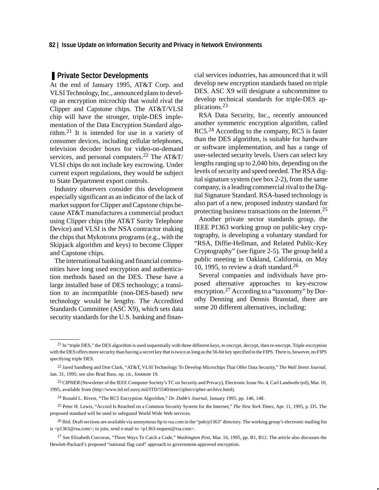### ■ Private Sector Developments

At the end of January 1995, AT&T Corp. and VLSI Technology, Inc., announced plans to develop an encryption microchip that would rival the Clipper and Capstone chips. The AT&T/VLSI chip will have the stronger, triple-DES implementation of the Data Encryption Standard algorithm.21 It is intended for use in a variety of consumer devices, including cellular telephones, television decoder boxes for video-on-demand services, and personal computers.<sup>22</sup> The AT&T/ VLSI chips do not include key escrowing. Under current export regulations, they would be subject to State Department export controls.

Industry observers consider this development especially significant as an indicator of the lack of market support for Clipper and Capstone chips because AT&T manufactures a commercial product using Clipper chips (the AT&T Surity Telephone Device) and VLSI is the NSA contractor making the chips that Mykotronx programs (e.g., with the Skipjack algorithm and keys) to become Clipper and Capstone chips.

The international banking and financial communities have long used encryption and authentication methods based on the DES. These have a large installed base of DES technology; a transition to an incompatible (non-DES-based) new technology would be lengthy. The Accredited Standards Committee (ASC X9), which sets data security standards for the U.S. banking and finan-

cial services industries, has announced that it will develop new encryption standards based on triple DES. ASC X9 will designate a subcommittee to develop technical standards for triple-DES applications.23

RSA Data Security, Inc., recently announced another symmetric encryption algorithm, called RC5.<sup>24</sup> According to the company, RC5 is faster than the DES algorithm, is suitable for hardware or software implementation, and has a range of user-selected security levels. Users can select key lengths ranging up to 2,040 bits, depending on the levels of security and speed needed. The RSA digital signature system (see box 2-2), from the same company, is a leading commercial rival to the Digital Signature Standard. RSA-based technology is also part of a new, proposed industry standard for protecting business transactions on the Internet.<sup>25</sup>

Another private sector standards group, the IEEE P1363 working group on public-key cryptography, is developing a voluntary standard for "RSA, Diffie-Hellman, and Related Public-Key Cryptography" (see figure 2-5). The group held a public meeting in Oakland, California, on May 10, 1995, to review a draft standard.<sup>26</sup>

Several companies and individuals have proposed alternative approaches to key-escrow encryption.<sup>27</sup> According to a "taxonomy" by Dorothy Denning and Dennis Branstad, there are some 20 different alternatives, including:

 $21$  In "triple DES," the DES algorithm is used sequentially with three different keys, to encrypt, decrypt, then re-encrypt. Triple encryption with the DES offers more security than having a secret key that is twice as long as the 56-bit key specified in the FIPS. There is, however, no FIPS specifying triple DES.

<sup>22</sup> Jared Sandberg and Don Clark, "AT&T, VLSI Technology To Develop Microchips That Offer Data Security," *The Wall Street Journal*, Jan. 31, 1995; see also Brad Bass, op. cit., footnote 19.

<sup>23</sup> *CIPHER* (Newsletter of the IEEE Computer Society's TC on Security and Privacy), Electronic Issue No. 4, Carl Landwehr (ed), Mar. 10, 1995, available from (http://www.itd.nrl.navy.mil/ITD/5540/ieee/cipher/cipher-archive.html).

<sup>24</sup> Ronald L. Rivest, "The RC5 Encryption Algorithm," *Dr. Dobb's Journal*, January 1995, pp. 146, 148.

<sup>25</sup> Peter H. Lewis, "Accord Is Reached on a Common Security System for the Internet," *The New York Times*, Apr. 11, 1995, p. D5. The proposed standard will be used to safeguard World Wide Web services.

<sup>&</sup>lt;sup>26</sup> Ibid. Draft sections are available via anonymous ftp to rsa.com in the "pub/p1363" directory. The working group's electronic mailing list is <p1363@rsa.com>; to join, send e-mail to <p1363-request@rsa.com>.

<sup>27</sup> See Elizabeth Corcoran, "Three Ways To Catch a Code," *Washington Post*, Mar. 16, 1995, pp. B1, B12. The article also discusses the Hewlett-Packard's proposed "national flag card" approach to government-approved encryption.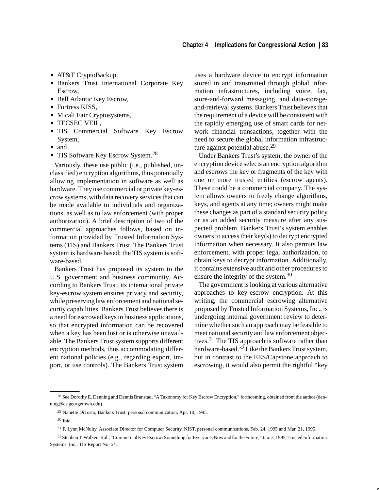- AT&T CryptoBackup,
- Bankers Trust International Corporate Key Escrow,
- Bell Atlantic Key Escrow,
- Fortress KISS,
- Micali Fair Cryptosystems,
- **TECSEC VEIL,**
- **TIS** Commercial Software Key Escrow System,
- $\blacksquare$  and
- **TIS Software Key Escrow System.**<sup>28</sup>

Variously, these use public (i.e., published, unclassified) encryption algorithms, thus potentially allowing implementation in software as well as hardware. They use commercial or private key-escrow systems, with data recovery services that can be made available to individuals and organizations, as well as to law enforcement (with proper authorization). A brief description of two of the commercial approaches follows, based on information provided by Trusted Information Systems (TIS) and Bankers Trust. The Bankers Trust system is hardware based; the TIS system is software-based.

Bankers Trust has proposed its system to the U.S. government and business community. According to Bankers Trust, its international private key-escrow system ensures privacy and security, while preserving law enforcement and national security capabilities. Bankers Trust believes there is a need for escrowed keys in business applications, so that encrypted information can be recovered when a key has been lost or is otherwise unavailable. The Bankers Trust system supports different encryption methods, thus accommodating different national policies (e.g., regarding export, import, or use controls). The Bankers Trust system uses a hardware device to encrypt information stored in and transmitted through global information infrastructures, including voice, fax, store-and-forward messaging, and data-storageand-retrieval systems. Bankers Trust believes that the requirement of a device will be consistent with the rapidly emerging use of smart cards for network financial transactions, together with the need to secure the global information infrastructure against potential abuse.<sup>29</sup>

Under Bankers Trust's system, the owner of the encryption device selects an encryption algorithm and escrows the key or fragments of the key with one or more trusted entities (escrow agents). These could be a commercial company. The system allows owners to freely change algorithms, keys, and agents at any time; owners might make these changes as part of a standard security policy or as an added security measure after any suspected problem. Bankers Trust's system enables owners to access their key(s) to decrypt encrypted information when necessary. It also permits law enforcement, with proper legal authorization, to obtain keys to decrypt information. Additionally, it contains extensive audit and other procedures to ensure the integrity of the system.<sup>30</sup>

The government is looking at various alternative approaches to key-escrow encryption. At this writing, the commercial escrowing alternative proposed by Trusted Information Systems, Inc., is undergoing internal government review to determine whether such an approach may be feasible to meet national security and law enforcement objectives.31 The TIS approach is software rather than hardware-based.<sup>32</sup> Like the Bankers Trust system, but in contrast to the EES/Capstone approach to escrowing, it would also permit the rightful "key

<sup>&</sup>lt;sup>28</sup> See Dorothy E. Denning and Dennis Branstad, "A Taxonomy for Key Escrow Encryption," forthcoming, obtained from the author (denning@cs.georgetown.edu).

<sup>29</sup> Nanette DiTosto, Bankers Trust, personal communication, Apr. 10, 1995.

<sup>30</sup> Ibid.

<sup>31</sup> F. Lynn McNulty, Associate Director for Computer Security, NIST, personal communications, Feb. 24, 1995 and Mar. 21, 1995.

<sup>32</sup> Stephen T. Walker, et al., "Commercial Key Escrow: Something for Everyone, Now and for the Future," Jan. 3, 1995, Trusted Information Systems, Inc., TIS Report No. 541.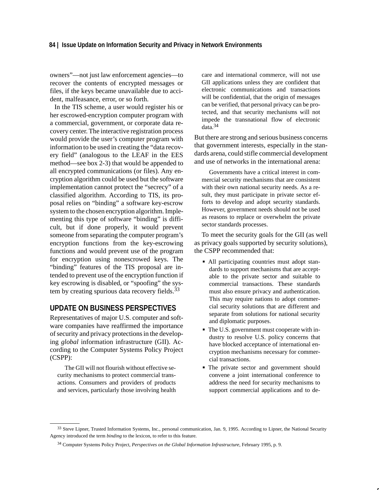owners"—not just law enforcement agencies—to recover the contents of encrypted messages or files, if the keys became unavailable due to accident, malfeasance, error, or so forth.

In the TIS scheme, a user would register his or her escrowed-encryption computer program with a commercial, government, or corporate data recovery center. The interactive registration process would provide the user's computer program with information to be used in creating the "data recovery field" (analogous to the LEAF in the EES method—see box 2-3) that would be appended to all encrypted communications (or files). Any encryption algorithm could be used but the software implementation cannot protect the "secrecy" of a classified algorithm. According to TIS, its proposal relies on "binding" a software key-escrow system to the chosen encryption algorithm. Implementing this type of software "binding" is difficult, but if done properly, it would prevent someone from separating the computer program's encryption functions from the key-escrowing functions and would prevent use of the program for encryption using nonescrowed keys. The "binding" features of the TIS proposal are intended to prevent use of the encryption function if key escrowing is disabled, or "spoofing" the system by creating spurious data recovery fields.<sup>33</sup>

## **UPDATE ON BUSINESS PERSPECTIVES**

Representatives of major U.S. computer and software companies have reaffirmed the importance of security and privacy protections in the developing *global* information infrastructure (GII). According to the Computer Systems Policy Project (CSPP):

The GII will not flourish without effective security mechanisms to protect commercial transactions. Consumers and providers of products and services, particularly those involving health

care and international commerce, will not use GII applications unless they are confident that electronic communications and transactions will be confidential, that the origin of messages can be verified, that personal privacy can be protected, and that security mechanisms will not impede the transnational flow of electronic data.34

But there are strong and serious business concerns that government interests, especially in the standards arena, could stifle commercial development and use of networks in the international arena:

Governments have a critical interest in commercial security mechanisms that are consistent with their own national security needs. As a result, they must participate in private sector efforts to develop and adopt security standards. However, government needs should not be used as reasons to replace or overwhelm the private sector standards processes.

To meet the security goals for the GII (as well as privacy goals supported by security solutions), the CSPP recommended that:

- All participating countries must adopt standards to support mechanisms that are acceptable to the private sector and suitable to commercial transactions. These standards must also ensure privacy and authentication. This may require nations to adopt commercial security solutions that are different and separate from solutions for national security and diplomatic purposes.
- The U.S. government must cooperate with industry to resolve U.S. policy concerns that have blocked acceptance of international encryption mechanisms necessary for commercial transactions.
- The private sector and government should convene a joint international conference to address the need for security mechanisms to support commercial applications and to de-

<sup>33</sup> Steve Lipner, Trusted Information Systems, Inc., personal communication, Jan. 9, 1995. According to Lipner, the National Security Agency introduced the term *binding* to the lexicon, to refer to this feature.

<sup>34</sup> Computer Systems Policy Project, *Perspectives on the Global Information Infrastructure*, February 1995, p. 9.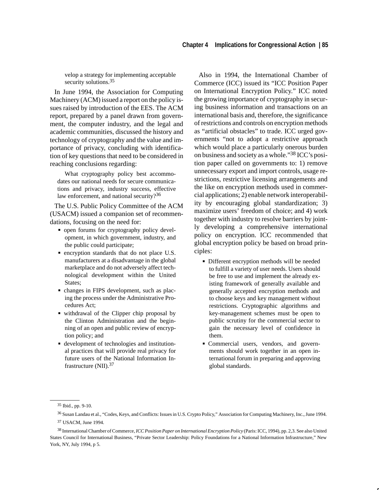velop a strategy for implementing acceptable security solutions.<sup>35</sup>

In June 1994, the Association for Computing Machinery (ACM) issued a report on the policy issues raised by introduction of the EES. The ACM report, prepared by a panel drawn from government, the computer industry, and the legal and academic communities, discussed the history and technology of cryptography and the value and importance of privacy, concluding with identification of key questions that need to be considered in reaching conclusions regarding:

What cryptography policy best accommodates our national needs for secure communications and privacy, industry success, effective law enforcement, and national security?<sup>36</sup>

The U.S. Public Policy Committee of the ACM (USACM) issued a companion set of recommendations, focusing on the need for:

- open forums for cryptography policy development, in which government, industry, and the public could participate;
- **encryption standards that do not place U.S.** manufacturers at a disadvantage in the global marketplace and do not adversely affect technological development within the United States;
- changes in FIPS development, such as placing the process under the Administrative Procedures Act;
- withdrawal of the Clipper chip proposal by the Clinton Administration and the beginning of an open and public review of encryption policy; and
- development of technologies and institutional practices that will provide real privacy for future users of the National Information Infrastructure (NII).37

Also in 1994, the International Chamber of Commerce (ICC) issued its "ICC Position Paper on International Encryption Policy." ICC noted the growing importance of cryptography in securing business information and transactions on an international basis and, therefore, the significance of restrictions and controls on encryption methods as "artificial obstacles" to trade. ICC urged governments "not to adopt a restrictive approach which would place a particularly onerous burden on business and society as a whole."38 ICC's position paper called on governments to: 1) remove unnecessary export and import controls, usage restrictions, restrictive licensing arrangements and the like on encryption methods used in commercial applications; 2) enable network interoperability by encouraging global standardization; 3) maximize users' freedom of choice; and 4) work together with industry to resolve barriers by jointly developing a comprehensive international policy on encryption. ICC recommended that global encryption policy be based on broad principles:

- Different encryption methods will be needed to fulfill a variety of user needs. Users should be free to use and implement the already existing framework of generally available and generally accepted encryption methods and to choose keys and key management without restrictions. Cryptographic algorithms and key-management schemes must be open to public scrutiny for the commercial sector to gain the necessary level of confidence in them.
- Commercial users, vendors, and governments should work together in an open international forum in preparing and approving global standards.

<sup>35</sup> Ibid., pp. 9-10.

<sup>36</sup> Susan Landau et al., "Codes, Keys, and Conflicts: Issues in U.S. Crypto Policy," Association for Computing Machinery, Inc., June 1994. 37 USACM, June 1994.

<sup>38</sup> International Chamber of Commerce, *ICC Position Paper on International Encryption Policy* (Paris: ICC, 1994), pp. 2,3. See also United States Council for International Business, "Private Sector Leadership: Policy Foundations for a National Information Infrastructure," New York, NY, July 1994, p 5.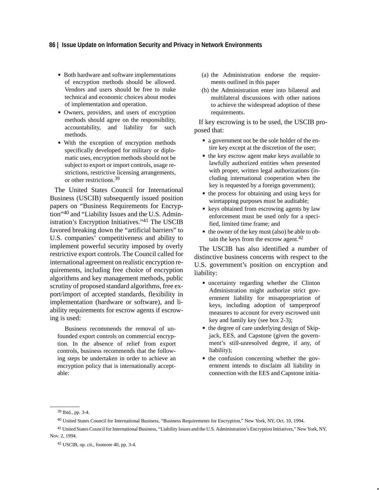#### **86 | Issue Update on Information Security and Privacy in Network Environments**

- **Both hardware and software implementations** of encryption methods should be allowed. Vendors and users should be free to make technical and economic choices about modes of implementation and operation.
- Owners, providers, and users of encryption methods should agree on the responsibility, accountability, and liability for such methods.
- With the exception of encryption methods specifically developed for military or diplomatic uses, encryption methods should not be subject to export or import controls, usage restrictions, restrictive licensing arrangements, or other restrictions.39

The United States Council for International Business (USCIB) subsequently issued position papers on "Business Requirements for Encryption"40 and "Liability Issues and the U.S. Administration's Encryption Initiatives."41 The USCIB favored breaking down the "artificial barriers" to U.S. companies' competitiveness and ability to implement powerful security imposed by overly restrictive export controls. The Council called for international agreement on realistic encryption requirements, including free choice of encryption algorithms and key management methods, public scrutiny of proposed standard algorithms, free export/import of accepted standards, flexibility in implementation (hardware or software), and liability requirements for escrow agents if escrowing is used:

Business recommends the removal of unfounded export controls on commercial encryption. In the absence of relief from export controls, business recommends that the following steps be undertaken in order to achieve an encryption policy that is internationally acceptable:

- (a) the Administration endorse the requirements outlined in this paper
- (b) the Administration enter into bilateral and multilateral discussions with other nations to achieve the widespread adoption of these requirements.

If key escrowing is to be used, the USCIB proposed that:

- a government not be the sole holder of the entire key except at the discretion of the user;
- the key escrow agent make keys available to lawfully authorized entities when presented with proper, written legal authorizations (including international cooperation when the key is requested by a foreign government);
- the process for obtaining and using keys for wiretapping purposes must be auditable;
- **keys obtained from escrowing agents by law** enforcement must be used only for a specified, limited time frame; and
- the owner of the key must (also) be able to obtain the keys from the escrow agent.<sup>42</sup>

The USCIB has also identified a number of distinctive business concerns with respect to the U.S. government's position on encryption and liability:

- uncertainty regarding whether the Clinton Administration might authorize strict government liability for misappropriation of keys, including adoption of tamperproof measures to account for every escrowed unit key and family key (see box 2-3);
- the degree of care underlying design of Skipjack, EES, and Capstone (given the government's still-unresolved degree, if any, of liability);
- the confusion concerning whether the government intends to disclaim all liability in connection with the EES and Capstone initia-

<sup>39</sup> Ibid., pp. 3-4.

<sup>40</sup> United States Council for International Business, "Business Requirements for Encryption," New York, NY, Oct. 10, 1994.

<sup>41</sup> United States Council for International Business, "Liability Issues and the U.S. Administration's Encryption Initiatives," New York, NY, Nov. 2, 1994.

<sup>42</sup> USCIB, op. cit., footnote 40, pp. 3-4.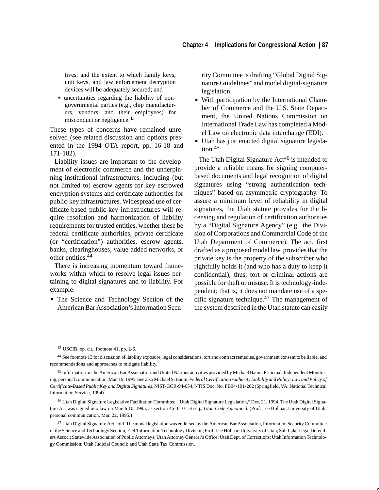tives, and the extent to which family keys, unit keys, and law enforcement decryption devices will be adequately secured; and

 uncertainties regarding the liability of nongovernmental parties (e.g., chip manufacturers, vendors, and their employees) for misconduct or negligence.<sup>43</sup>

These types of concerns have remained unresolved (see related discussion and options presented in the 1994 OTA report, pp. 16-18 and 171-182).

Liability issues are important to the development of electronic commerce and the underpinning institutional infrastructures, including (but not limited to) escrow agents for key-escrowed encryption systems and certificate authorities for public-key infrastructures. Widespread use of certificate-based public-key infrastructures will require resolution and harmonization of liability requirements for trusted entities, whether these be federal certificate authorities, private certificate (or "certification") authorities, escrow agents, banks, clearinghouses, value-added networks, or other entities.<sup>44</sup>

There is increasing momentum toward frameworks within which to resolve legal issues pertaining to digital signatures and to liability. For example:

 The Science and Technology Section of the American Bar Association's Information Security Committee is drafting "Global Digital Signature Guidelines" and model digital-signature legislation.

- With participation by the International Chamber of Commerce and the U.S. State Department, the United Nations Commission on International Trade Law has completed a Model Law on electronic data interchange (EDI).
- Utah has just enacted digital signature legislation.<sup>45</sup>

The Utah Digital Signature  $Act^{46}$  is intended to provide a reliable means for signing computerbased documents and legal recognition of digital signatures using "strong authentication techniques" based on asymmetric cryptography. To assure a minimum level of reliability in digital signatures, the Utah statute provides for the licensing and regulation of certification authorities by a "Digital Signature Agency" (e.g., the Division of Corporations and Commercial Code of the Utah Department of Commerce). The act, first drafted as a proposed model law, provides that the private key is the property of the subscriber who rightfully holds it (and who has a duty to keep it confidential); thus, tort or criminal actions are possible for theft or misuse. It is technology-independent; that is, it does not mandate use of a specific signature technique.<sup>47</sup> The management of the system described in the Utah statute can easily

<sup>43</sup> USCIB, op. cit., footnote 41, pp. 2-6.

<sup>44</sup> See footnote 13 for discussion of liability exposure, legal considerations, tort and contract remedies, government consent to be liable, and recommendations and approaches to mitigate liability.

<sup>45</sup> Information on the American Bar Association and United Nations activities provided by Michael Baum, Principal, Independent Monitoring, personal communication, Mar. 19, 1995. See also Michael S. Baum, *Federal Certification Authority Liability and Policy: Law and Policy of Certificate-Based Public Key and Digital Signatures*, NIST-GCR-94-654, NTIS Doc. No. PB94-191-202 (Springfield, VA: National Technical Information Service, 1994).

<sup>46</sup> Utah Digital Signature Legislative Facilitation Committee, "Utah Digital Signature Legislation," Dec. 21, 1994. The Utah Digital Signature Act was signed into law on March 10, 1995, as section 46-3-101 et seq., *Utah Code Annotated*. (Prof. Lee Hollaar, University of Utah, personal communication, Mar. 22, 1995.)

<sup>47</sup> Utah Digital Signature Act, ibid. The model legislation was endorsed by the American Bar Association, Information Security Committee of the Science and Technology Section, EDI/Information Technology Division; Prof. Lee Hollaar, University of Utah; Salt Lake Legal Defenders Assoc.; Statewide Association of Public Attorneys; Utah Attorney General's Office; Utah Dept. of Corrections; Utah Information Technology Commission; Utah Judicial Council; and Utah State Tax Commission.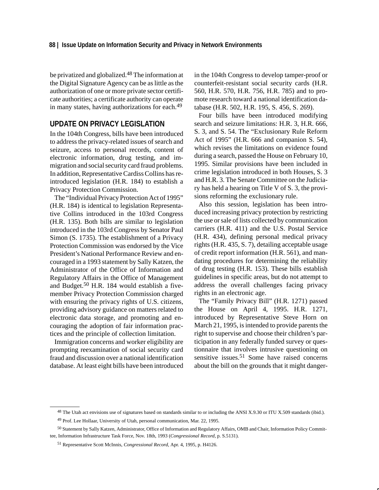be privatized and globalized.48 The information at the Digital Signature Agency can be as little as the authorization of one or more private sector certificate authorities; a certificate authority can operate in many states, having authorizations for each.<sup>49</sup>

# **UPDATE ON PRIVACY LEGISLATION**

In the 104th Congress, bills have been introduced to address the privacy-related issues of search and seizure, access to personal records, content of electronic information, drug testing, and immigration and social security card fraud problems. In addition, Representative Cardiss Collins has reintroduced legislation (H.R. 184) to establish a Privacy Protection Commission.

The "Individual Privacy Protection Act of 1995" (H.R. 184) is identical to legislation Representative Collins introduced in the 103rd Congress (H.R. 135). Both bills are similar to legislation introduced in the 103rd Congress by Senator Paul Simon (S. 1735). The establishment of a Privacy Protection Commission was endorsed by the Vice President's National Performance Review and encouraged in a 1993 statement by Sally Katzen, the Administrator of the Office of Information and Regulatory Affairs in the Office of Management and Budget.50 H.R. 184 would establish a fivemember Privacy Protection Commission charged with ensuring the privacy rights of U.S. citizens, providing advisory guidance on matters related to electronic data storage, and promoting and encouraging the adoption of fair information practices and the principle of collection limitation.

Immigration concerns and worker eligibility are prompting reexamination of social security card fraud and discussion over a national identification database. At least eight bills have been introduced in the 104th Congress to develop tamper-proof or counterfeit-resistant social security cards (H.R. 560, H.R. 570, H.R. 756, H.R. 785) and to promote research toward a national identification database (H.R. 502, H.R. 195, S. 456, S. 269).

Four bills have been introduced modifying search and seizure limitations: H.R. 3, H.R. 666, S. 3, and S. 54. The "Exclusionary Rule Reform Act of 1995" (H.R. 666 and companion S. 54), which revises the limitations on evidence found during a search, passed the House on February 10, 1995. Similar provisions have been included in crime legislation introduced in both Houses, S. 3 and H.R. 3. The Senate Committee on the Judiciary has held a hearing on Title V of S. 3, the provisions reforming the exclusionary rule.

Also this session, legislation has been introduced increasing privacy protection by restricting the use or sale of lists collected by communication carriers (H.R. 411) and the U.S. Postal Service (H.R. 434), defining personal medical privacy rights (H.R. 435, S. 7), detailing acceptable usage of credit report information (H.R. 561), and mandating procedures for determining the reliability of drug testing (H.R. 153). These bills establish guidelines in specific areas, but do not attempt to address the overall challenges facing privacy rights in an electronic age.

The "Family Privacy Bill" (H.R. 1271) passed the House on April 4, 1995. H.R. 1271, introduced by Representative Steve Horn on March 21, 1995, is intended to provide parents the right to supervise and choose their children's participation in any federally funded survey or questionnaire that involves intrusive questioning on sensitive issues.<sup>51</sup> Some have raised concerns about the bill on the grounds that it might danger-

<sup>&</sup>lt;sup>48</sup> The Utah act envisions use of signatures based on standards similar to or including the ANSI X.9.30 or ITU X.509 standards (ibid.).

<sup>49</sup> Prof. Lee Hollaar, University of Utah, personal communication, Mar. 22, 1995.

<sup>50</sup> Statement by Sally Katzen, Administrator, Office of Information and Regulatory Affairs, OMB and Chair, Information Policy Committee, Information Infrastructure Task Force, Nov. 18th, 1993 (*Congressional Record*, p. S.5131).

<sup>51</sup> Representative Scott McInnis, *Congressional Record*, Apr. 4, 1995, p. H4126.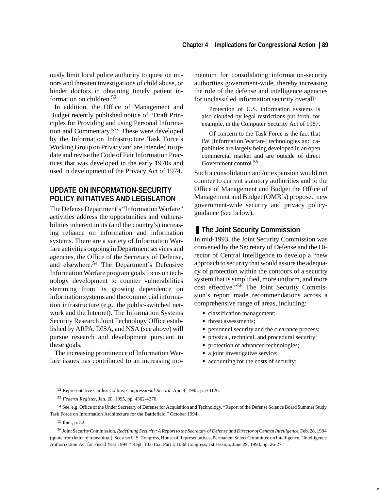ously limit local police authority to question minors and threaten investigations of child abuse, or hinder doctors in obtaining timely patient information on children.<sup>52</sup>

In addition, the Office of Management and Budget recently published notice of "Draft Principles for Providing and using Personal Information and Commentary.53" These were developed by the Information Infrastructure Task Force's Working Group on Privacy and are intended to update and revise the Code of Fair Information Practices that was developed in the early 1970s and used in development of the Privacy Act of 1974.

# **UPDATE ON INFORMATION-SECURITY POLICY INITIATIVES AND LEGISLATION**

The Defense Department's "Information Warfare" activities address the opportunities and vulnerabilities inherent in its (and the country's) increasing reliance on information and information systems. There are a variety of Information Warfare activities ongoing in Department services and agencies, the Office of the Secretary of Defense, and elsewhere.54 The Department's Defensive Information Warfare program goals focus on technology development to counter vulnerabilities stemming from its growing dependence on information systems and the commercial information infrastructure (e.g., the public-switched network and the Internet). The Information Systems Security Research Joint Technology Office established by ARPA, DISA, and NSA (see above) will pursue research and development pursuant to these goals.

The increasing prominence of Information Warfare issues has contributed to an increasing momentum for consolidating information-security authorities government-wide, thereby increasing the role of the defense and intelligence agencies for unclassified information security overall:

Protection of U.S. information systems is also clouded by legal restrictions put forth, for example, in the Computer Security Act of 1987.

Of concern to the Task Force is the fact that IW [Information Warfare] technologies and capabilities are largely being developed in an open commercial market and are outside of direct Government control.55

Such a consolidation and/or expansion would run counter to current statutory authorities and to the Office of Management and Budget the Office of Management and Budget (OMB's) proposed new government-wide security and privacy policyguidance (see below).

# ■ The Joint Security Commission

In mid-1993, the Joint Security Commission was convened by the Secretary of Defense and the Director of Central Intelligence to develop a "new approach to security that would assure the adequacy of protection within the contours of a security system that is simplified, more uniform, and more cost effective."56 The Joint Security Commission's report made recommendations across a comprehensive range of areas, including:

- classification management;
- threat assessments;
- **Personnel security and the clearance process;**
- physical, technical, and procedural security;
- **protection of advanced technologies;**
- a joint investigative service;
- accounting for the costs of security;

<sup>52</sup> Representative Cardiss Collins, *Congressional Record*, Apr. 4, 1995, p. H4126.

<sup>53</sup> *Federal Register*, Jan. 20, 1995, pp. 4362-4370.

<sup>54</sup> See, e.g. Office of the Under Secretary of Defense for Acquisition and Technology, "Report of the Defense Science Board Summer Study Task Force on Information Architecture for the Battlefield," October 1994.

<sup>55</sup> Ibid., p. 52.

<sup>56</sup> Joint Security Commission, *Redefining Security: A Report to the Secretary of Defense and Director of Central Intelligence*, Feb. 28, 1994 (quote from letter of transmittal). See also U.S. Congress, House of Representatives, Permanent Select Committee on Intelligence, "Intelligence Authorization Act for Fiscal Year 1994," Rept. 103-162, Part I, 103d Congress, 1st session, June 29, 1993, pp. 26-27.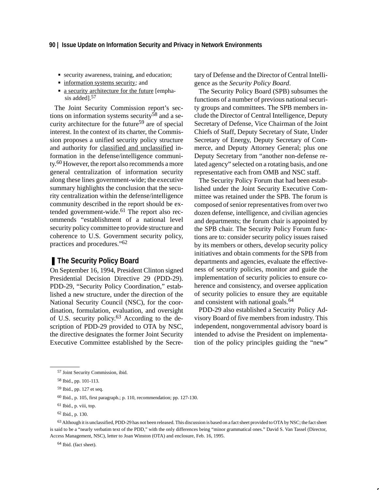- security awareness, training, and education;
- information systems security*;* and
- a security architecture for the future [emphasis added].<sup>57</sup>

The Joint Security Commission report's sections on information systems security<sup>58</sup> and a security architecture for the future<sup>59</sup> are of special interest. In the context of its charter, the Commission proposes a unified security policy structure and authority for classified and unclassified information in the defense/intelligence community.60 However, the report also recommends a more general centralization of information security along these lines government-wide; the executive summary highlights the conclusion that the security centralization within the defense/intelligence community described in the report should be extended government-wide.<sup>61</sup> The report also recommends "establishment of a national level security policy committee to provide structure and coherence to U.S. Government security policy, practices and procedures."62

### ■ The Security Policy Board

On September 16, 1994, President Clinton signed Presidential Decision Directive 29 (PDD-29). PDD-29, "Security Policy Coordination," established a new structure, under the direction of the National Security Council (NSC), for the coordination, formulation, evaluation, and oversight of U.S. security policy.63 According to the description of PDD-29 provided to OTA by NSC, the directive designates the former Joint Security Executive Committee established by the Secretary of Defense and the Director of Central Intelligence as the *Security Policy Board*.

The Security Policy Board (SPB) subsumes the functions of a number of previous national security groups and committees. The SPB members include the Director of Central Intelligence, Deputy Secretary of Defense, Vice Chairman of the Joint Chiefs of Staff, Deputy Secretary of State, Under Secretary of Energy, Deputy Secretary of Commerce, and Deputy Attorney General; plus one Deputy Secretary from "another non-defense related agency" selected on a rotating basis, and one representative each from OMB and NSC staff.

The Security Policy Forum that had been established under the Joint Security Executive Committee was retained under the SPB. The forum is composed of senior representatives from over two dozen defense, intelligence, and civilian agencies and departments; the forum chair is appointed by the SPB chair. The Security Policy Forum functions are to: consider security policy issues raised by its members or others, develop security policy initiatives and obtain comments for the SPB from departments and agencies, evaluate the effectiveness of security policies, monitor and guide the implementation of security policies to ensure coherence and consistency, and oversee application of security policies to ensure they are equitable and consistent with national goals.<sup>64</sup>

PDD-29 also established a Security Policy Advisory Board of five members from industry. This independent, nongovernmental advisory board is intended to advise the President on implementation of the policy principles guiding the "new"

64 Ibid. (fact sheet).

<sup>57</sup> Joint Security Commission, ibid.

<sup>58</sup> Ibid., pp. 101-113.

<sup>59</sup> Ibid., pp. 127 et seq.

<sup>60</sup> Ibid., p. 105, first paragraph.; p. 110, recommendation; pp. 127-130.

<sup>61</sup> Ibid., p. viii, top.

<sup>62</sup> Ibid., p. 130.

<sup>&</sup>lt;sup>63</sup> Although it is unclassified, PDD-29 has not been released. This discussion is based on a fact sheet provided to OTA by NSC; the fact sheet is said to be a "nearly verbatim text of the PDD," with the only differences being "minor grammatical ones." David S. Van Tassel (Director, Access Management, NSC), letter to Joan Winston (OTA) and enclosure, Feb. 16, 1995.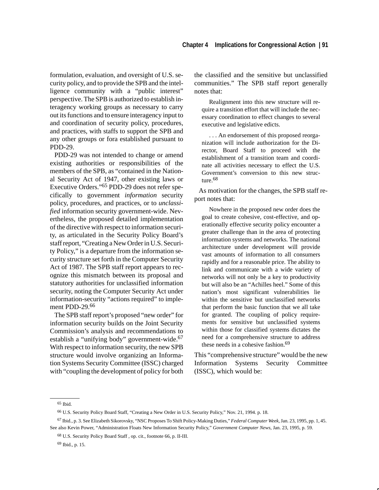formulation, evaluation, and oversight of U.S. security policy, and to provide the SPB and the intelligence community with a "public interest" perspective. The SPB is authorized to establish interagency working groups as necessary to carry out its functions and to ensure interagency input to and coordination of security policy, procedures, and practices, with staffs to support the SPB and any other groups or fora established pursuant to PDD-29.

PDD-29 was not intended to change or amend existing authorities or responsibilities of the members of the SPB, as "contained in the National Security Act of 1947, other existing laws or Executive Orders."65 PDD-29 does not refer specifically to government *information* security policy, procedures, and practices, or to *unclassified* information security government-wide. Nevertheless, the proposed detailed implementation of the directive with respect to information security, as articulated in the Security Policy Board's staff report, "Creating a New Order in U.S. Security Policy," is a departure from the information security structure set forth in the Computer Security Act of 1987. The SPB staff report appears to recognize this mismatch between its proposal and statutory authorities for unclassified information security, noting the Computer Security Act under information-security "actions required" to implement PDD-29.<sup>66</sup>

The SPB staff report's proposed "new order" for information security builds on the Joint Security Commission's analysis and recommendations to establish a "unifying body" government-wide.<sup>67</sup> With respect to information security, the new SPB structure would involve organizing an Information Systems Security Committee (ISSC) charged with "coupling the development of policy for both the classified and the sensitive but unclassified communities." The SPB staff report generally notes that:

Realignment into this new structure will require a transition effort that will include the necessary coordination to effect changes to several executive and legislative edicts.

. . . An endorsement of this proposed reorganization will include authorization for the Director, Board Staff to proceed with the establishment of a transition team and coordinate all activities necessary to effect the U.S. Government's conversion to this new structure.<sup>68</sup>

As motivation for the changes, the SPB staff report notes that:

Nowhere in the proposed new order does the goal to create cohesive, cost-effective, and operationally effective security policy encounter a greater challenge than in the area of protecting information systems and networks. The national architecture under development will provide vast amounts of information to all consumers rapidly and for a reasonable price. The ability to link and communicate with a wide variety of networks will not only be a key to productivity but will also be an "Achilles heel." Some of this nation's most significant vulnerabilities lie within the sensitive but unclassified networks that perform the basic function that we all take for granted. The coupling of policy requirements for sensitive but unclassified systems within those for classified systems dictates the need for a comprehensive structure to address these needs in a cohesive fashion.<sup>69</sup>

This "comprehensive structure" would be the new Information Systems Security Committee (ISSC), which would be:

<sup>65</sup> Ibid.

<sup>66</sup> U.S. Security Policy Board Staff, "Creating a New Order in U.S. Security Policy," Nov. 21, 1994. p. 18.

<sup>67</sup> Ibid., p. 3. See Elizabeth Sikorovsky, "NSC Proposes To Shift Policy-Making Duties," *Federal Computer Week*, Jan. 23, 1995, pp. 1, 45. See also Kevin Power, "Administration Floats New Information Security Policy," *Government Computer News*, Jan. 23, 1995, p. 59.

<sup>68</sup> U.S. Security Policy Board Staff , op. cit., footnote 66, p. II-III.

<sup>69</sup> Ibid., p. 15.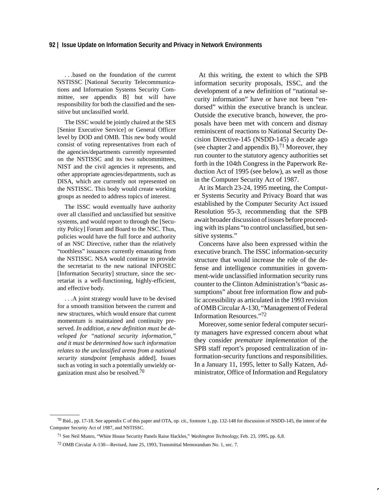. . .based on the foundation of the current NSTISSC [National Security Telecommunications and Information Systems Security Committee, see appendix B] but will have responsibility for both the classified and the sensitive but unclassified world.

The ISSC would be jointly chaired at the SES [Senior Executive Service] or General Officer level by DOD and OMB. This new body would consist of voting representatives from each of the agencies/departments currently represented on the NSTISSC and its two subcommittees, NIST and the civil agencies it represents, and other appropriate agencies/departments, such as DISA, which are currently not represented on the NSTISSC. This body would create working groups as needed to address topics of interest.

The ISSC would eventually have authority over all classified and unclassified but sensitive systems, and would report to through the [Security Policy] Forum and Board to the NSC. Thus, policies would have the full force and authority of an NSC Directive, rather than the relatively "toothless" issuances currently emanating from the NSTISSC. NSA would continue to provide the secretariat to the new national INFOSEC [Information Security] structure, since the secretariat is a well-functioning, highly-efficient, and effective body.

. . .A joint strategy would have to be devised for a smooth transition between the current and new structures, which would ensure that current momentum is maintained and continuity preserved. *In addition, a new definition must be developed for "national security information," and it must be determined how such information relates to the unclassified arena from a national security standpoint* [emphasis added]. Issues such as voting in such a potentially unwieldy organization must also be resolved.70

At this writing, the extent to which the SPB information security proposals, ISSC, and the development of a new definition of "national security information" have or have not been "endorsed" within the executive branch is unclear. Outside the executive branch, however, the proposals have been met with concern and dismay reminiscent of reactions to National Security Decision Directive-145 (NSDD-145) a decade ago (see chapter 2 and appendix B).<sup>71</sup> Moreover, they run counter to the statutory agency authorities set forth in the 104th Congress in the Paperwork Reduction Act of 1995 (see below), as well as those in the Computer Security Act of 1987.

At its March 23-24, 1995 meeting, the Computer Systems Security and Privacy Board that was established by the Computer Security Act issued Resolution 95-3, recommending that the SPB await broader discussion of issues before proceeding with its plans "to control unclassified, but sensitive systems."

Concerns have also been expressed within the executive branch. The ISSC information-security structure that would increase the role of the defense and intelligence communities in government-wide unclassified information security runs counter to the Clinton Administration's "basic assumptions" about free information flow and public accessibility as articulated in the 1993 revision of OMB Circular A-130, "Management of Federal Information Resources."72

Moreover, some senior federal computer security managers have expressed concern about what they consider *premature implementation* of the SPB staff report's proposed centralization of information-security functions and responsibilities. In a January 11, 1995, letter to Sally Katzen, Administrator, Office of Information and Regulatory

<sup>70</sup> Ibid., pp. 17-18. See appendix C of this paper and OTA, op. cit., footnote 1, pp. 132-148 for discussion of NSDD-145, the intent of the Computer Security Act of 1987, and NSTISSC.

<sup>71</sup> See Neil Munro, "White House Security Panels Raise Hackles," *Washington Technology*, Feb. 23, 1995, pp. 6,8.

<sup>72</sup> OMB Circular A-130—Revised, June 25, 1993, Transmittal Memorandum No. 1, sec. 7.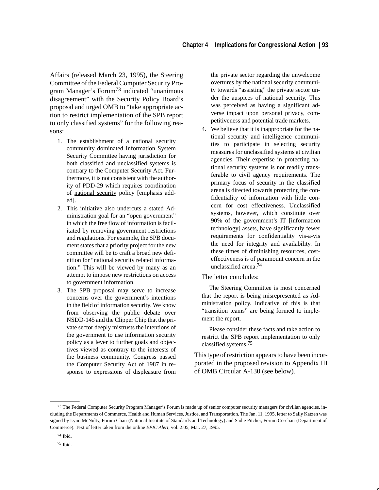Affairs (released March 23, 1995), the Steering Committee of the Federal Computer Security Program Manager's Forum73 indicated "unanimous disagreement" with the Security Policy Board's proposal and urged OMB to "take appropriate action to restrict implementation of the SPB report to only classified systems" for the following reasons:

- 1. The establishment of a national security community dominated Information System Security Committee having jurisdiction for both classified and unclassified systems is contrary to the Computer Security Act. Furthermore, it is not consistent with the authority of PDD-29 which requires coordination of national security policy [emphasis added].
- 2. This initiative also undercuts a stated Administration goal for an "open government" in which the free flow of information is facilitated by removing government restrictions and regulations. For example, the SPB document states that a priority project for the new committee will be to craft a broad new definition for "national security related information." This will be viewed by many as an attempt to impose new restrictions on access to government information.
- 3. The SPB proposal may serve to increase concerns over the government's intentions in the field of information security. We know from observing the public debate over NSDD-145 and the Clipper Chip that the private sector deeply mistrusts the intentions of the government to use information security policy as a lever to further goals and objectives viewed as contrary to the interests of the business community. Congress passed the Computer Security Act of 1987 in response to expressions of displeasure from

the private sector regarding the unwelcome overtures by the national security community towards "assisting" the private sector under the auspices of national security. This was perceived as having a significant adverse impact upon personal privacy, competitiveness and potential trade markets.

4. We believe that it is inappropriate for the national security and intelligence communities to participate in selecting security measures for unclassified systems at civilian agencies. Their expertise in protecting national security systems is not readily transferable to civil agency requirements. The primary focus of security in the classified arena is directed towards protecting the confidentiality of information with little concern for cost effectiveness. Unclassified systems, however, which constitute over 90% of the government's IT [information technology] assets, have significantly fewer requirements for confidentiality vis-a-vis the need for integrity and availability. In these times of diminishing resources, costeffectiveness is of paramount concern in the unclassified arena.74

#### The letter concludes:

The Steering Committee is most concerned that the report is being misrepresented as Administration policy. Indicative of this is that "transition teams" are being formed to implement the report.

Please consider these facts and take action to restrict the SPB report implementation to only classified systems.75

This type of restriction appears to have been incorporated in the proposed revision to Appendix III of OMB Circular A-130 (see below).

<sup>&</sup>lt;sup>73</sup> The Federal Computer Security Program Manager's Forum is made up of senior computer security managers for civilian agencies, including the Departments of Commerce, Health and Human Services, Justice, and Transportation. The Jan. 11, 1995, letter to Sally Katzen was signed by Lynn McNulty, Forum Chair (National Institute of Standards and Technology) and Sadie Pitcher, Forum Co-chair (Department of Commerce). Text of letter taken from the online *EPIC Alert,* vol. 2.05, Mar. 27, 1995.

<sup>74</sup> Ibid.

<sup>75</sup> Ibid.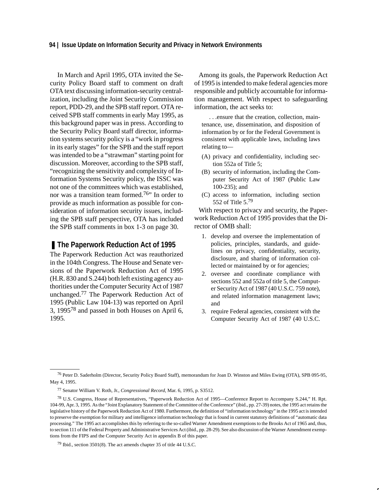#### **94 | Issue Update on Information Security and Privacy in Network Environments**

In March and April 1995, OTA invited the Security Policy Board staff to comment on draft OTA text discussing information-security centralization, including the Joint Security Commission report, PDD-29, and the SPB staff report. OTA received SPB staff comments in early May 1995, as this background paper was in press. According to the Security Policy Board staff director, information systems security policy is a "work in progress in its early stages" for the SPB and the staff report was intended to be a "strawman" starting point for discussion. Moreover, according to the SPB staff, "recognizing the sensitivity and complexity of Information Systems Security policy, the ISSC was not one of the committees which was established, nor was a transition team formed.<sup>76</sup>" In order to provide as much information as possible for consideration of information security issues, including the SPB staff perspective, OTA has included the SPB staff comments in box 1-3 on page 30.

#### ■ The Paperwork Reduction Act of 1995

The Paperwork Reduction Act was reauthorized in the 104th Congress. The House and Senate versions of the Paperwork Reduction Act of 1995 (H.R. 830 and S.244) both left existing agency authorities under the Computer Security Act of 1987 unchanged.77 The Paperwork Reduction Act of 1995 (Public Law 104-13) was reported on April 3, 199578 and passed in both Houses on April 6, 1995*.*

Among its goals, the Paperwork Reduction Act of 1995 is intended to make federal agencies more responsible and publicly accountable for information management. With respect to safeguarding information, the act seeks to:

. . .ensure that the creation, collection, maintenance, use, dissemination, and disposition of information by or for the Federal Government is consistent with applicable laws, including laws relating to—

- (A) privacy and confidentiality, including section 552a of Title 5;
- (B) security of information, including the Computer Security Act of 1987 (Public Law 100-235); and
- (C) access to information, including section 552 of Title 5.79

With respect to privacy and security, the Paperwork Reduction Act of 1995 provides that the Director of OMB shall:

- 1. develop and oversee the implementation of policies, principles, standards, and guidelines on privacy, confidentiality, security, disclosure, and sharing of information collected or maintained by or for agencies;
- 2. oversee and coordinate compliance with sections 552 and 552a of title 5, the Computer Security Act of 1987 (40 U.S.C. 759 note), and related information management laws; and
- 3. require Federal agencies, consistent with the Computer Security Act of 1987 (40 U.S.C.

<sup>76</sup> Peter D. Saderholm (Director, Security Policy Board Staff), memorandum for Joan D. Winston and Miles Ewing (OTA), SPB 095-95, May 4, 1995.

<sup>77</sup> Senator William V. Roth, Jr., *Congressional Record*, Mar. 6, 1995, p. S3512.

<sup>78</sup> U.S. Congress, House of Representatives, "Paperwork Reduction Act of 1995—Conference Report to Accompany S.244," H. Rpt. 104-99, Apr. 3, 1995. As the "Joint Explanatory Statement of the Committee of the Conference" (ibid., pp. 27-39) notes, the 1995 act retains the legislative history of the Paperwork Reduction Act of 1980. Furthermore, the definition of "information technology" in the 1995 act is intended to preserve the exemption for military and intelligence information technology that is found in current statutory definitions of "automatic data processing." The 1995 act accomplishes this by referring to the so-called Warner Amendment exemptions to the Brooks Act of 1965 and, thus, to section 111 of the Federal Property and Administrative Services Act (ibid., pp. 28-29). See also discussion of the Warner Amendment exemptions from the FIPS and the Computer Security Act in appendix B of this paper.

<sup>79</sup> Ibid., section 3501(8). The act amends chapter 35 of title 44 U.S.C.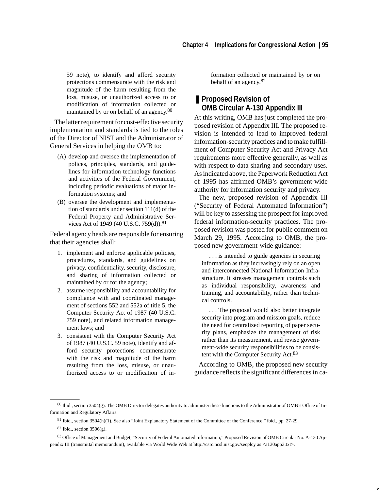59 note), to identify and afford security protections commensurate with the risk and magnitude of the harm resulting from the loss, misuse, or unauthorized access to or modification of information collected or maintained by or on behalf of an agency.80

The latter requirement for cost-effective security implementation and standards is tied to the roles of the Director of NIST and the Administrator of General Services in helping the OMB to:

- (A) develop and oversee the implementation of polices, principles, standards, and guidelines for information technology functions and activities of the Federal Government, including periodic evaluations of major information systems; and
- (B) oversee the development and implementation of standards under section 111(d) of the Federal Property and Administrative Services Act of 1949 (40 U.S.C. 759(d)).<sup>81</sup>

Federal agency heads are responsible for ensuring that their agencies shall:

- 1. implement and enforce applicable policies, procedures, standards, and guidelines on privacy, confidentiality, security, disclosure, and sharing of information collected or maintained by or for the agency;
- 2. assume responsibility and accountability for compliance with and coordinated management of sections 552 and 552a of title 5, the Computer Security Act of 1987 (40 U.S.C. 759 note), and related information management laws; and
- 3. consistent with the Computer Security Act of 1987 (40 U.S.C. 59 note), identify and afford security protections commensurate with the risk and magnitude of the harm resulting from the loss, misuse, or unauthorized access to or modification of in-

formation collected or maintained by or on behalf of an agency.82

# ■ **Proposed Revision of OMB Circular A-130 Appendix III**

At this writing, OMB has just completed the proposed revision of Appendix III. The proposed revision is intended to lead to improved federal information-security practices and to make fulfillment of Computer Security Act and Privacy Act requirements more effective generally, as well as with respect to data sharing and secondary uses. As indicated above, the Paperwork Reduction Act of 1995 has affirmed OMB's government-wide authority for information security and privacy.

The new, proposed revision of Appendix III ("Security of Federal Automated Information") will be key to assessing the prospect for improved federal information-security practices. The proposed revision was posted for public comment on March 29, 1995. According to OMB, the proposed new government-wide guidance:

. . . is intended to guide agencies in securing information as they increasingly rely on an open and interconnected National Information Infrastructure. It stresses management controls such as individual responsibility, awareness and training, and accountability, rather than technical controls.

. . . The proposal would also better integrate security into program and mission goals, reduce the need for centralized reporting of paper security plans, emphasize the management of risk rather than its measurement, and revise government-wide security responsibilities to be consistent with the Computer Security Act.<sup>83</sup>

According to OMB, the proposed new security guidance reflects the significant differences in ca-

<sup>80</sup> Ibid., section 3504(g). The OMB Director delegates authority to administer these functions to the Administrator of OMB's Office of Information and Regulatory Affairs.

<sup>81</sup> Ibid., section 3504(h)(1). See also "Joint Explanatory Statement of the Committee of the Conference," ibid., pp. 27-29.

 $82$  Ibid., section 3506(g).

<sup>83</sup> Office of Management and Budget, "Security of Federal Automated Information," Proposed Revision of OMB Circular No. A-130 Appendix III (transmittal memorandum), available via World Wide Web at http://csrc.ncsl.nist.gov/secplcy as <a130app3.txt>.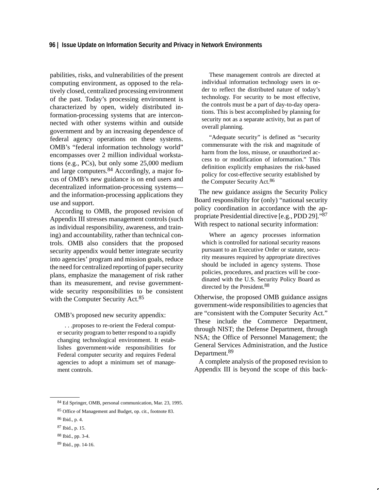pabilities, risks, and vulnerabilities of the present computing environment, as opposed to the relatively closed, centralized processing environment of the past. Today's processing environment is characterized by open, widely distributed information-processing systems that are interconnected with other systems within and outside government and by an increasing dependence of federal agency operations on these systems. OMB's "federal information technology world" encompasses over 2 million individual workstations (e.g., PCs), but only some 25,000 medium and large computers.84 Accordingly, a major focus of OMB's new guidance is on end users and decentralized information-processing systems and the information-processing applications they use and support.

According to OMB, the proposed revision of Appendix III stresses management controls (such as individual responsibility, awareness, and training) and accountability, rather than technical controls. OMB also considers that the proposed security appendix would better integrate security into agencies' program and mission goals, reduce the need for centralized reporting of paper security plans, emphasize the management of risk rather than its measurement, and revise governmentwide security responsibilities to be consistent with the Computer Security Act.<sup>85</sup>

OMB's proposed new security appendix:

. . .proposes to re-orient the Federal computer security program to better respond to a rapidly changing technological environment. It establishes government-wide responsibilities for Federal computer security and requires Federal agencies to adopt a minimum set of management controls.

These management controls are directed at individual information technology users in order to reflect the distributed nature of today's technology. For security to be most effective, the controls must be a part of day-to-day operations. This is best accomplished by planning for security not as a separate activity, but as part of overall planning.

"Adequate security" is defined as "security commensurate with the risk and magnitude of harm from the loss, misuse, or unauthorized access to or modification of information." This definition explicitly emphasizes the risk-based policy for cost-effective security established by the Computer Security Act.86

The new guidance assigns the Security Policy Board responsibility for (only) "national security policy coordination in accordance with the appropriate Presidential directive [e.g., PDD 29]."87 With respect to national security information:

Where an agency processes information which is controlled for national security reasons pursuant to an Executive Order or statute, security measures required by appropriate directives should be included in agency systems. Those policies, procedures, and practices will be coordinated with the U.S. Security Policy Board as directed by the President.<sup>88</sup>

Otherwise, the proposed OMB guidance assigns government-wide responsibilities to agencies that are "consistent with the Computer Security Act." These include the Commerce Department, through NIST; the Defense Department, through NSA; the Office of Personnel Management; the General Services Administration, and the Justice Department.<sup>89</sup>

A complete analysis of the proposed revision to Appendix III is beyond the scope of this back-

<sup>84</sup> Ed Springer, OMB, personal communication, Mar. 23, 1995.

<sup>85</sup> Office of Management and Budget, op. cit., footnote 83.

<sup>86</sup> Ibid., p. 4.

<sup>87</sup> Ibid., p. 15.

<sup>88</sup> Ibid., pp. 3-4.

<sup>89</sup> Ibid., pp. 14-16.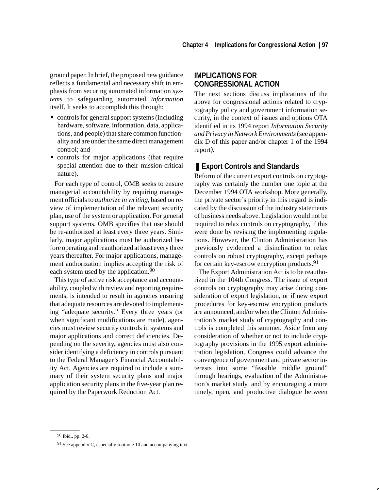ground paper. In brief, the proposed new guidance reflects a fundamental and necessary shift in emphasis from securing automated information *systems* to safeguarding automated *information* itself. It seeks to accomplish this through:

- controls for general support systems (including hardware, software, information, data, applications, and people) that share common functionality and are under the same direct management control; and
- controls for major applications (that require special attention due to their mission-critical nature).

For each type of control, OMB seeks to ensure managerial accountability by requiring management officials to *authorize in writing*, based on review of implementation of the relevant security plan, use of the system or application. For general support systems, OMB specifies that use should be re-authorized at least every three years. Similarly, major applications must be authorized before operating and reauthorized at least every three years thereafter. For major applications, management authorization implies accepting the risk of each system used by the application.<sup>90</sup>

This type of active risk acceptance and accountability, coupled with review and reporting requirements, is intended to result in agencies ensuring that adequate resources are devoted to implementing "adequate security." Every three years (or when significant modifications are made), agencies must review security controls in systems and major applications and correct deficiencies. Depending on the severity, agencies must also consider identifying a deficiency in controls pursuant to the Federal Manager's Financial Accountability Act. Agencies are required to include a summary of their system security plans and major application security plans in the five-year plan required by the Paperwork Reduction Act.

# **IMPLICATIONS FOR CONGRESSIONAL ACTION**

The next sections discuss implications of the above for congressional actions related to cryptography policy and government information security, in the context of issues and options OTA identified in its 1994 report *Information Security and Privacy in Network Environments* (see appendix D of this paper and/or chapter 1 of the 1994 report*).*

# ■ **Export Controls and Standards**

Reform of the current export controls on cryptography was certainly the number one topic at the December 1994 OTA workshop. More generally, the private sector's priority in this regard is indicated by the discussion of the industry statements of business needs above. Legislation would not be required to relax controls on cryptography, if this were done by revising the implementing regulations. However, the Clinton Administration has previously evidenced a disinclination to relax controls on robust cryptography, except perhaps for certain key-escrow encryption products.<sup>91</sup>

The Export Administration Act is to be reauthorized in the 104th Congress. The issue of export controls on cryptography may arise during consideration of export legislation, or if new export procedures for key-escrow encryption products are announced, and/or when the Clinton Administration's market study of cryptography and controls is completed this summer. Aside from any consideration of whether or not to include cryptography provisions in the 1995 export administration legislation, Congress could advance the convergence of government and private sector interests into some "feasible middle ground" through hearings, evaluation of the Administration's market study, and by encouraging a more timely, open, and productive dialogue between

<sup>90</sup> Ibid., pp. 2-6.

<sup>91</sup> See appendix C, especially footnote 10 and accompanying text.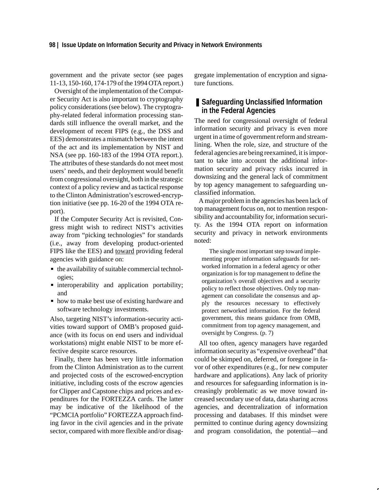government and the private sector (see pages 11-13, 150-160, 174-179 of the 1994 OTA report.)

Oversight of the implementation of the Computer Security Act is also important to cryptography policy considerations (see below). The cryptography-related federal information processing standards still influence the overall market, and the development of recent FIPS (e.g., the DSS and EES) demonstrates a mismatch between the intent of the act and its implementation by NIST and NSA (see pp. 160-183 of the 1994 OTA report.). The attributes of these standards do not meet most users' needs, and their deployment would benefit from congressional oversight, both in the strategic context of a policy review and as tactical response to the Clinton Administration's escrowed-encryption initiative (see pp. 16-20 of the 1994 OTA report).

If the Computer Security Act is revisited, Congress might wish to redirect NIST's activities away from "picking technologies" for standards (i.e., away from developing product-oriented FIPS like the EES) and toward providing federal agencies with guidance on:

- the availability of suitable commercial technologies;
- interoperability and application portability; and
- how to make best use of existing hardware and software technology investments.

Also, targeting NIST's information-security activities toward support of OMB's proposed guidance (with its focus on end users and individual workstations) might enable NIST to be more effective despite scarce resources.

Finally, there has been very little information from the Clinton Administration as to the current and projected costs of the escrowed-encryption initiative, including costs of the escrow agencies for Clipper and Capstone chips and prices and expenditures for the FORTEZZA cards. The latter may be indicative of the likelihood of the "PCMCIA portfolio" FORTEZZA approach finding favor in the civil agencies and in the private sector, compared with more flexible and/or disag-

gregate implementation of encryption and signature functions.

# ■ Safeguarding Unclassified Information **in the Federal Agencies**

The need for congressional oversight of federal information security and privacy is even more urgent in a time of government reform and streamlining. When the role, size, and structure of the federal agencies are being reexamined, it is important to take into account the additional information security and privacy risks incurred in downsizing and the general lack of commitment by top agency management to safeguarding unclassified information.

A major problem in the agencies has been lack of top management focus on, not to mention responsibility and accountability for, information security. As the 1994 OTA report on information security and privacy in network environments noted:

The single most important step toward implementing proper information safeguards for networked information in a federal agency or other organization is for top management to define the organization's overall objectives and a security policy to reflect those objectives. Only top management can consolidate the consensus and apply the resources necessary to effectively protect networked information. For the federal government, this means guidance from OMB, commitment from top agency management, and oversight by Congress. (p. 7)

All too often, agency managers have regarded information security as "expensive overhead" that could be skimped on, deferred, or foregone in favor of other expenditures (e.g., for new computer hardware and applications). Any lack of priority and resources for safeguarding information is increasingly problematic as we move toward increased secondary use of data, data sharing across agencies, and decentralization of information processing and databases. If this mindset were permitted to continue during agency downsizing and program consolidation, the potential—and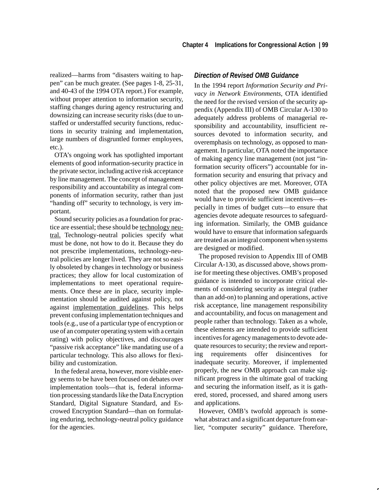realized—harms from "disasters waiting to happen" can be much greater. (See pages 1-8, 25-31, and 40-43 of the 1994 OTA report.) For example, without proper attention to information security, staffing changes during agency restructuring and downsizing can increase security risks (due to unstaffed or understaffed security functions, reductions in security training and implementation, large numbers of disgruntled former employees, etc.).

OTA's ongoing work has spotlighted important elements of good information-security practice in the private sector, including active risk acceptance by line management. The concept of management responsibility and accountability as integral components of information security, rather than just "handing off" security to technology, is very important.

Sound security policies as a foundation for practice are essential; these should be technology neutral. Technology-neutral policies specify what must be done, not how to do it. Because they do not prescribe implementations, technology-neutral policies are longer lived. They are not so easily obsoleted by changes in technology or business practices; they allow for local customization of implementations to meet operational requirements. Once these are in place, security implementation should be audited against policy, not against implementation guidelines. This helps prevent confusing implementation techniques and tools (e.g., use of a particular type of encryption or use of an computer operating system with a certain rating) with policy objectives, and discourages "passive risk acceptance" like mandating use of a particular technology. This also allows for flexibility and customization.

In the federal arena, however, more visible energy seems to be have been focused on debates over implementation tools—that is, federal information processing standards like the Data Encryption Standard, Digital Signature Standard, and Escrowed Encryption Standard—than on formulating enduring, technology-neutral policy guidance for the agencies.

#### *Direction of Revised OMB Guidance*

In the 1994 report *Information Security and Privacy in Network Environments,* OTA identified the need for the revised version of the security appendix (Appendix III) of OMB Circular A-130 to adequately address problems of managerial responsibility and accountability, insufficient resources devoted to information security, and overemphasis on technology, as opposed to management. In particular, OTA noted the importance of making agency line management (not just "information security officers") accountable for information security and ensuring that privacy and other policy objectives are met. Moreover, OTA noted that the proposed new OMB guidance would have to provide sufficient incentives—especially in times of budget cuts—to ensure that agencies devote adequate resources to safeguarding information. Similarly, the OMB guidance would have to ensure that information safeguards are treated as an integral component when systems are designed or modified.

The proposed revision to Appendix III of OMB Circular A-130, as discussed above, shows promise for meeting these objectives. OMB's proposed guidance is intended to incorporate critical elements of considering security as integral (rather than an add-on) to planning and operations, active risk acceptance, line management responsibility and accountability, and focus on management and people rather than technology. Taken as a whole, these elements are intended to provide sufficient incentives for agency managements to devote adequate resources to security; the review and reporting requirements offer disincentives for inadequate security. Moreover, if implemented properly, the new OMB approach can make significant progress in the ultimate goal of tracking and securing the information itself, as it is gathered, stored, processed, and shared among users and applications.

However, OMB's twofold approach is somewhat abstract and a significant departure from earlier, "computer security" guidance. Therefore,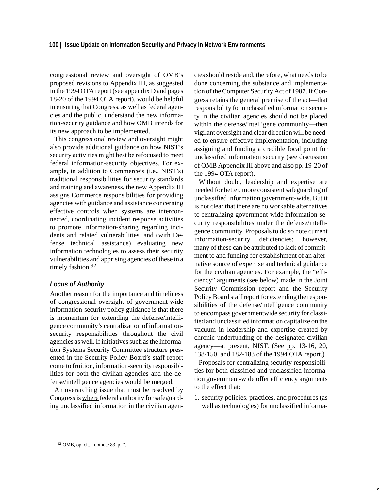congressional review and oversight of OMB's proposed revisions to Appendix III, as suggested in the 1994 OTA report (see appendix D and pages 18-20 of the 1994 OTA report), would be helpful in ensuring that Congress, as well as federal agencies and the public, understand the new information-security guidance and how OMB intends for its new approach to be implemented.

This congressional review and oversight might also provide additional guidance on how NIST's security activities might best be refocused to meet federal information-security objectives. For example, in addition to Commerce's (i.e., NIST's) traditional responsibilities for security standards and training and awareness, the new Appendix III assigns Commerce responsibilities for providing agencies with guidance and assistance concerning effective controls when systems are interconnected, coordinating incident response activities to promote information-sharing regarding incidents and related vulnerabilities, and (with Defense technical assistance) evaluating new information technologies to assess their security vulnerabilities and apprising agencies of these in a timely fashion.<sup>92</sup>

#### *Locus of Authority*

Another reason for the importance and timeliness of congressional oversight of government-wide information-security policy guidance is that there is momentum for extending the defense/intelligence community's centralization of informationsecurity responsibilities throughout the civil agencies as well. If initiatives such as the Information Systems Security Committee structure presented in the Security Policy Board's staff report come to fruition, information-security responsibilities for both the civilian agencies and the defense/intelligence agencies would be merged.

An overarching issue that must be resolved by Congress is where federal authority for safeguarding unclassified information in the civilian agencies should reside and, therefore, what needs to be done concerning the substance and implementation of the Computer Security Act of 1987. If Congress retains the general premise of the act—that responsibility for unclassified information security in the civilian agencies should not be placed within the defense/intelligene community—then vigilant oversight and clear direction will be needed to ensure effective implementation, including assigning and funding a credible focal point for unclassified information security (see discussion of OMB Appendix III above and also pp. 19-20 of the 1994 OTA report).

Without doubt, leadership and expertise are needed for better, more consistent safeguarding of unclassified information government-wide. But it is not clear that there are no workable alternatives to centralizing government-wide information-security responsibilities under the defense/intelligence community. Proposals to do so note current information-security deficiencies; however, many of these can be attributed to lack of commitment to and funding for establishment of an alternative source of expertise and technical guidance for the civilian agencies. For example, the "efficiency" arguments (see below) made in the Joint Security Commission report and the Security Policy Board staff report for extending the responsibilities of the defense/intelligence community to encompass governmentwide security for classified and unclassified information capitalize on the vacuum in leadership and expertise created by chronic underfunding of the designated civilian agency—at present, NIST. (See pp. 13-16, 20, 138-150, and 182-183 of the 1994 OTA report.)

Proposals for centralizing security responsibilities for both classified and unclassified information government-wide offer efficiency arguments to the effect that:

1. security policies, practices, and procedures (as well as technologies) for unclassified informa-

<sup>92</sup> OMB, op. cit., footnote 83, p. 7.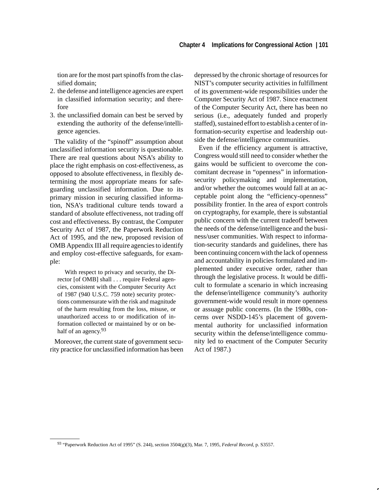tion are for the most part spinoffs from the classified domain;

- 2. the defense and intelligence agencies are expert in classified information security; and therefore
- 3. the unclassified domain can best be served by extending the authority of the defense/intelligence agencies.

The validity of the "spinoff" assumption about unclassified information security is questionable. There are real questions about NSA's ability to place the right emphasis on cost-effectiveness, as opposed to absolute effectiveness, in flexibly determining the most appropriate means for safeguarding unclassified information. Due to its primary mission in securing classified information, NSA's traditional culture tends toward a standard of absolute effectiveness, not trading off cost and effectiveness. By contrast, the Computer Security Act of 1987, the Paperwork Reduction Act of 1995, and the new, proposed revision of OMB Appendix III all require agencies to identify and employ cost-effective safeguards, for example:

With respect to privacy and security, the Director [of OMB] shall . . . require Federal agencies, consistent with the Computer Security Act of 1987 (940 U.S.C. 759 note) security protections commensurate with the risk and magnitude of the harm resulting from the loss, misuse, or unauthorized access to or modification of information collected or maintained by or on behalf of an agency.<sup>93</sup>

Moreover, the current state of government security practice for unclassified information has been depressed by the chronic shortage of resources for NIST's computer security activities in fulfillment of its government-wide responsibilities under the Computer Security Act of 1987. Since enactment of the Computer Security Act, there has been no serious (i.e., adequately funded and properly staffed), sustained effort to establish a center of information-security expertise and leadership outside the defense/intelligence communities.

Even if the efficiency argument is attractive, Congress would still need to consider whether the gains would be sufficient to overcome the concomitant decrease in "openness" in informationsecurity policymaking and implementation, and/or whether the outcomes would fall at an acceptable point along the "efficiency-openness" possibility frontier. In the area of export controls on cryptography, for example, there is substantial public concern with the current tradeoff between the needs of the defense/intelligence and the business/user communities. With respect to information-security standards and guidelines, there has been continuing concern with the lack of openness and accountability in policies formulated and implemented under executive order, rather than through the legislative process. It would be difficult to formulate a scenario in which increasing the defense/intelligence community's authority government-wide would result in more openness or assuage public concerns. (In the 1980s, concerns over NSDD-145's placement of governmental authority for unclassified information security within the defense/intelligence community led to enactment of the Computer Security Act of 1987.)

<sup>93 &</sup>quot;Paperwork Reduction Act of 1995" (S. 244), section 3504(g)(3), Mar. 7, 1995, *Federal Record*, p. S3557.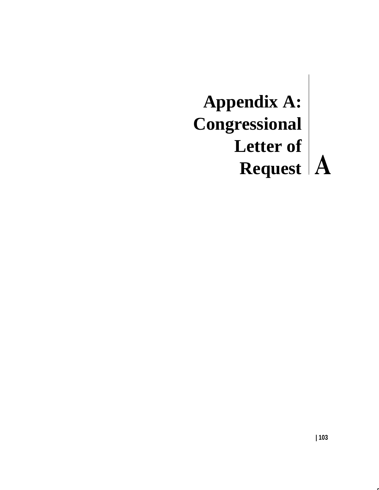# **Appendix A: Congressional Letter of Request**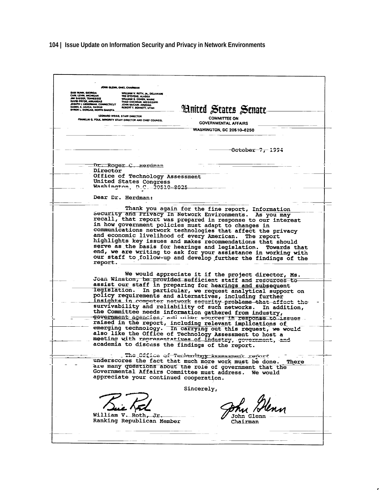### **104 | Issue Update on Information Security and Privacy in Network Environments**

**IN GLENN, OHIO, CHAIRMAN WILL CHANWARE**<br>**TED STEVENS, ALASKA<br>TED STEVENS, ALASKA<br>WILLIAM S. COMEN, MASSISTPR<br>TANA COCHAM, ARIZONA<br>JOHN MCCAIN, ARIZONA<br>ROBERT F. BENNETT, UTAH** CARL LEVIN, MICHIGAN<br>JIM SASSER, TENNESSE<br>DAVID REVOR ARCAME **Hnited States Senate** L NORTH DAKOTA LEONARD WEISS, STAFF DIRECTOR **COMMITTEE ON** KLIN G. POLK, MINORITY STAFF DIRECTOR AND CHIEF COUNSEL **GOVERNMENTAL AFFAIRS WASHINGTON, DC 20510-6250** October 7, 1994 Dr. Roger C. Herdman Director Office of Technology Assessment United States Congress Washington, D.C. 20510-8025 Dear Dr. Herdman: Thank you again for the fine report, Information<br>security and Privacy In Network Environments. As you may recall, that report was prepared in response to our interest in how government policies must adapt to changes in<br>communications network technologies that affect the privacy and economic livelihood of every American. The report highlights key issues and makes recommendations that should serve as the basis for hearings and legislation. Towards that end, we are writing to ask for your assistance in working with our staff to follow-up and develop further the findings of the report. We would appreciate it if the project director, Ms. Joan Winston, be provided sufficient staff and recourses-tosoundation, be provided sufficient start and resources-to-<br>assist our staff in preparing for hearings and subsequent<br>legislation. In particular, we request analytical support on<br>policy requirements and alternatives, includ insights in computer network security problems that affect the<br>survivability and reliability of such networks. In addition,<br>the Committee needs information gathered from industry,<br>covernment against a subjection in the com government agencies, and other sources in response to issues raised in the report, including relevant implications of<br>emerging technology. In carrying out this request, we would callog like the Office of Technology Assessment to host a<br>meeting with representatives of industry, government, and<br>meeting with representatives of industry, government, and academia to discuss the findings of the report. The Office of Technology Assessment report underscores the fact that much more work must be done. There are many questions about the role of government that the Governmental Affairs Committee must address. We would appreciate your continued cooperation. Sincerely, William V. Roth, Jr. **John Glenn** Ranking Republican Member Chairman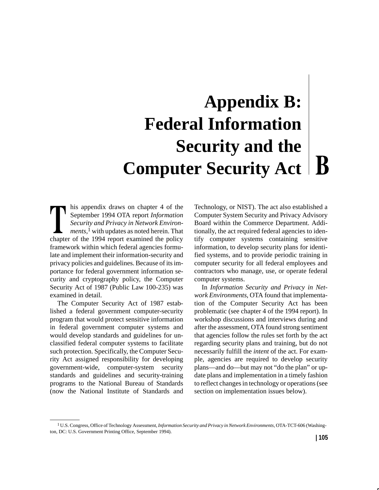## **Appendix B: Federal Information Security and the**  $\mathbf{B}$  **Computer Security Act**

his appendix draws on chapter 4 of the September 1994 OTA report *Information Security and Privacy in Network Environments,*1 with updates as noted herein. That chapter of the 1994 report examined the policy framework within which federal agencies formulate and implement their information-security and privacy policies and guidelines. Because of its importance for federal government information security and cryptography policy, the Computer Security Act of 1987 (Public Law 100-235) was examined in detail.

The Computer Security Act of 1987 established a federal government computer-security program that would protect sensitive information in federal government computer systems and would develop standards and guidelines for unclassified federal computer systems to facilitate such protection. Specifically, the Computer Security Act assigned responsibility for developing government-wide, computer-system security standards and guidelines and security-training programs to the National Bureau of Standards (now the National Institute of Standards and Technology, or NIST). The act also established a Computer System Security and Privacy Advisory Board within the Commerce Department. Additionally, the act required federal agencies to identify computer systems containing sensitive information, to develop security plans for identified systems, and to provide periodic training in computer security for all federal employees and contractors who manage, use, or operate federal computer systems.

In *Information Security and Privacy in Network Environments*, OTA found that implementation of the Computer Security Act has been problematic (see chapter 4 of the 1994 report). In workshop discussions and interviews during and after the assessment, OTA found strong sentiment that agencies follow the rules set forth by the act regarding security plans and training, but do not necessarily fulfill the *intent* of the act. For example, agencies are required to develop security plans—and do—but may not "do the plan" or update plans and implementation in a timely fashion to reflect changes in technology or operations (see section on implementation issues below).

<sup>1</sup> U.S. Congress, Office of Technology Assessment, *Information Security and Privacy in Network Environments,* OTA-TCT-606 (Washington, DC: U.S. Government Printing Office, September 1994).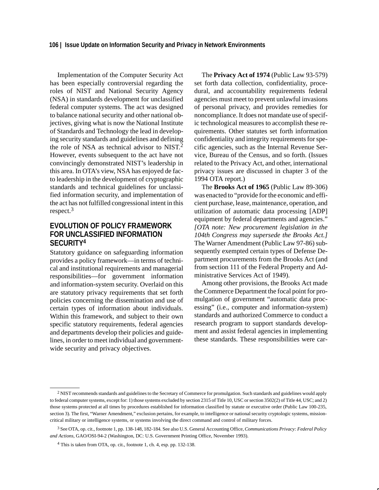Implementation of the Computer Security Act has been especially controversial regarding the roles of NIST and National Security Agency (NSA) in standards development for unclassified federal computer systems. The act was designed to balance national security and other national objectives, giving what is now the National Institute of Standards and Technology the lead in developing security standards and guidelines and defining the role of NSA as technical advisor to NIST.<sup>2</sup> However, events subsequent to the act have not convincingly demonstrated NIST's leadership in this area. In OTA's view, NSA has enjoyed de facto leadership in the development of cryptographic standards and technical guidelines for unclassified information security, and implementation of the act has not fulfilled congressional intent in this respect.3

### **EVOLUTION OF POLICY FRAMEWORK FOR UNCLASSIFIED INFORMATION SECURITY4**

Statutory guidance on safeguarding information provides a policy framework—in terms of technical and institutional requirements and managerial responsibilities—for government information and information-system security. Overlaid on this are statutory privacy requirements that set forth policies concerning the dissemination and use of certain types of information about individuals. Within this framework, and subject to their own specific statutory requirements, federal agencies and departments develop their policies and guidelines, in order to meet individual and governmentwide security and privacy objectives.

The **Privacy Act of 1974** (Public Law 93-579) set forth data collection, confidentiality, procedural, and accountability requirements federal agencies must meet to prevent unlawful invasions of personal privacy, and provides remedies for noncompliance. It does not mandate use of specific technological measures to accomplish these requirements. Other statutes set forth information confidentiality and integrity requirements for specific agencies, such as the Internal Revenue Service, Bureau of the Census, and so forth. (Issues related to the Privacy Act, and other, international privacy issues are discussed in chapter 3 of the 1994 OTA report.)

The **Brooks Act of 1965** (Public Law 89-306) was enacted to "provide for the economic and efficient purchase, lease, maintenance, operation, and utilization of automatic data processing [ADP] equipment by federal departments and agencies." *[OTA note: New procurement legislation in the 104th Congress may supersede the Brooks Act.]* The Warner Amendment (Public Law 97-86) subsequently exempted certain types of Defense Department procurements from the Brooks Act (and from section 111 of the Federal Property and Administrative Services Act of 1949).

Among other provisions, the Brooks Act made the Commerce Department the focal point for promulgation of government "automatic data processing" (i.e., computer and information-system) standards and authorized Commerce to conduct a research program to support standards development and assist federal agencies in implementing these standards. These responsibilities were car-

<sup>2</sup> NIST recommends standards and guidelines to the Secretary of Commerce for promulgation. Such standards and guidelines would apply to federal computer systems, except for: 1) those systems excluded by section 2315 of Title 10, USC or section 3502(2) of Title 44, USC; and 2) those systems protected at all times by procedures established for information classified by statute or executive order (Public Law 100-235, section 3). The first, "Warner Amendment," exclusion pertains, for example, to intelligence or national security cryptologic systems, missioncritical military or intelligence systems, or systems involving the direct command and control of military forces.

<sup>3</sup> See OTA, op. cit., footnote 1, pp. 138-148, 182-184. See also U.S. General Accounting Office, *Communications Privacy: Federal Policy and Actions,* GAO/OSI-94-2 (Washington, DC: U.S. Government Printing Office, November 1993).

<sup>4</sup> This is taken from OTA, op. cit., footnote 1, ch. 4, esp. pp. 132-138.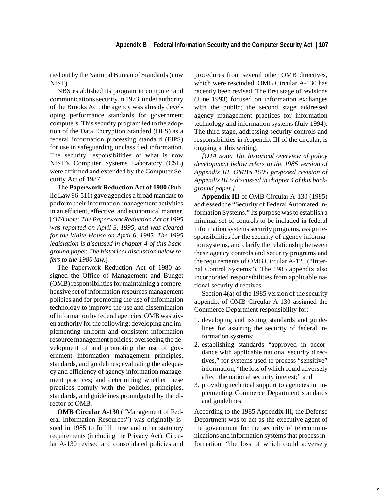ried out by the National Bureau of Standards (now NIST).

NBS established its program in computer and communications security in 1973, under authority of the Brooks Act; the agency was already developing performance standards for government computers. This security program led to the adoption of the Data Encryption Standard (DES) as a federal information processing standard (FIPS) for use in safeguarding unclassified information. The security responsibilities of what is now NIST's Computer Systems Laboratory (CSL) were affirmed and extended by the Computer Security Act of 1987.

The **Paperwork Reduction Act of 1980** (Public Law 96-511) gave agencies a broad mandate to perform their information-management activities in an efficient, effective, and economical manner. [*OTA note: The Paperwork Reduction Act of 1995 was reported on April 3, 1995, and was cleared for the White House on April 6, 1995. The 1995 legislation is discussed in chapter 4 of this background paper. The historical discussion below refers to the 1980 law.*]

The Paperwork Reduction Act of 1980 assigned the Office of Management and Budget (OMB) responsibilities for maintaining a comprehensive set of information resources management policies and for promoting the use of information technology to improve the use and dissemination of information by federal agencies. OMB was given authority for the following: developing and implementing uniform and consistent information resource management policies; overseeing the development of and promoting the use of government information management principles, standards, and guidelines; evaluating the adequacy and efficiency of agency information management practices; and determining whether these practices comply with the policies, principles, standards, and guidelines promulgated by the director of OMB.

**OMB Circular A-130** ("Management of Federal Information Resources") was originally issued in 1985 to fulfill these and other statutory requirements (including the Privacy Act). Circular A-130 revised and consolidated policies and procedures from several other OMB directives, which were rescinded. OMB Circular A-130 has recently been revised. The first stage of revisions (June 1993) focused on information exchanges with the public; the second stage addressed agency management practices for information technology and information systems (July 1994). The third stage, addressing security controls and responsibilities in Appendix III of the circular, is ongoing at this writing.

*[OTA note: The historical overview of policy development below refers to the 1985 version of Appendix III. OMB's 1995 proposed revision of Appendix III is discussed in chapter 4 of this background paper.]*

**Appendix III** of OMB Circular A-130 (1985) addressed the "Security of Federal Automated Information Systems." Its purpose was to establish a minimal set of controls to be included in federal information systems security programs, assign responsibilities for the security of agency information systems, and clarify the relationship between these agency controls and security programs and the requirements of OMB Circular A-123 ("Internal Control Systems"). The 1985 appendix also incorporated responsibilities from applicable national security directives.

Section 4(a) of the 1985 version of the security appendix of OMB Circular A-130 assigned the Commerce Department responsibility for:

- 1. developing and issuing standards and guidelines for assuring the security of federal information systems;
- 2. establishing standards "approved in accordance with applicable national security directives," for systems used to process "sensitive" information, "the loss of which could adversely affect the national security interest;" and
- 3. providing technical support to agencies in implementing Commerce Department standards and guidelines.

According to the 1985 Appendix III, the Defense Department was to act as the executive agent of the government for the security of telecommunications and information systems that process information, "the loss of which could adversely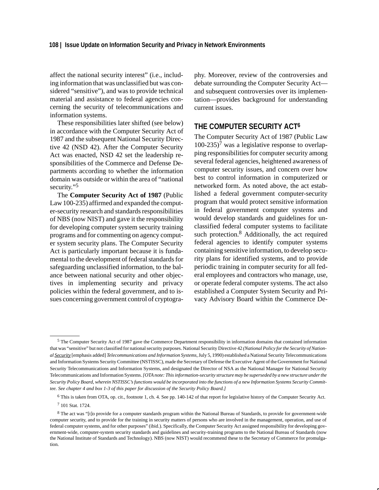affect the national security interest" (i.e., including information that was unclassified but was considered "sensitive"), and was to provide technical material and assistance to federal agencies concerning the security of telecommunications and information systems.

These responsibilities later shifted (see below) in accordance with the Computer Security Act of 1987 and the subsequent National Security Directive 42 (NSD 42). After the Computer Security Act was enacted, NSD 42 set the leadership responsibilities of the Commerce and Defense Departments according to whether the information domain was outside or within the area of "national security."<sup>5</sup>

The **Computer Security Act of 1987** (Public Law 100-235) affirmed and expanded the computer-security research and standards responsibilities of NBS (now NIST) and gave it the responsibility for developing computer system security training programs and for commenting on agency computer system security plans. The Computer Security Act is particularly important because it is fundamental to the development of federal standards for safeguarding unclassified information, to the balance between national security and other objectives in implementing security and privacy policies within the federal government, and to issues concerning government control of cryptography. Moreover, review of the controversies and debate surrounding the Computer Security Act and subsequent controversies over its implementation—provides background for understanding current issues.

### **THE COMPUTER SECURITY ACT6**

The Computer Security Act of 1987 (Public Law  $100-235$ <sup>7</sup> was a legislative response to overlapping responsibilities for computer security among several federal agencies, heightened awareness of computer security issues, and concern over how best to control information in computerized or networked form. As noted above, the act established a federal government computer-security program that would protect sensitive information in federal government computer systems and would develop standards and guidelines for unclassified federal computer systems to facilitate such protection.<sup>8</sup> Additionally, the act required federal agencies to identify computer systems containing sensitive information, to develop security plans for identified systems, and to provide periodic training in computer security for all federal employees and contractors who manage, use, or operate federal computer systems. The act also established a Computer System Security and Privacy Advisory Board within the Commerce De-

<sup>5</sup> The Computer Security Act of 1987 gave the Commerce Department responsibility in information domains that contained information that was "sensitive" but not classified for national security purposes. National Security Directive 42 *(National Policy for the Security of National Security* [emphasis added] *Telecommunications and Information Systems*, July 5, 1990) established a National Security Telecommunications and Information Systems Security Committee (NSTISSC), made the Secretary of Defense the Executive Agent of the Government for National Security Telecommunications and Information Systems, and designated the Director of NSA as the National Manager for National Security Telecommunications and Information Systems. *[OTA note: This information-security structure may be superseded by a new structure under the Security Policy Board, wherein NSTISSC's functions would be incorporated into the functions of a new Information Systems Security Committee. See chapter 4 and box 1-3 of this paper for discussion of the Security Policy Board.]*

<sup>6</sup> This is taken from OTA, op. cit., footnote 1, ch. 4. See pp. 140-142 of that report for legislative history of the Computer Security Act.

<sup>7 101</sup> Stat. 1724.

<sup>8</sup> The act was "[t]o provide for a computer standards program within the National Bureau of Standards, to provide for government-wide computer security, and to provide for the training in security matters of persons who are involved in the management, operation, and use of federal computer systems, and for other purposes" (ibid.). Specifically, the Computer Security Act assigned responsibility for developing government-wide, computer-system security standards and guidelines and security-training programs to the National Bureau of Standards (now the National Institute of Standards and Technology). NBS (now NIST) would recommend these to the Secretary of Commerce for promulgation.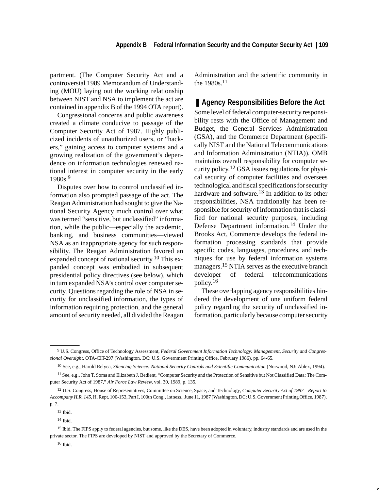partment. (The Computer Security Act and a controversial 1989 Memorandum of Understanding (MOU) laying out the working relationship between NIST and NSA to implement the act are contained in appendix B of the 1994 OTA report).

Congressional concerns and public awareness created a climate conducive to passage of the Computer Security Act of 1987. Highly publicized incidents of unauthorized users, or "hackers," gaining access to computer systems and a growing realization of the government's dependence on information technologies renewed national interest in computer security in the early 1980s.9

Disputes over how to control unclassified information also prompted passage of the act. The Reagan Administration had sought to give the National Security Agency much control over what was termed "sensitive, but unclassified" information, while the public—especially the academic, banking, and business communities—viewed NSA as an inappropriate agency for such responsibility. The Reagan Administration favored an expanded concept of national security.<sup>10</sup> This expanded concept was embodied in subsequent presidential policy directives (see below), which in turn expanded NSA's control over computer security. Questions regarding the role of NSA in security for unclassified information, the types of information requiring protection, and the general amount of security needed, all divided the Reagan Administration and the scientific community in the  $1980s$ <sup>11</sup>

### ■ Agency Responsibilities Before the Act

Some level of federal computer-security responsibility rests with the Office of Management and Budget, the General Services Administration (GSA), and the Commerce Department (specifically NIST and the National Telecommunications and Information Administration (NTIA)). OMB maintains overall responsibility for computer security policy.<sup>12</sup> GSA issues regulations for physical security of computer facilities and oversees technological and fiscal specifications for security hardware and software.<sup>13</sup> In addition to its other responsibilities, NSA traditionally has been responsible for security of information that is classified for national security purposes, including Defense Department information.14 Under the Brooks Act, Commerce develops the federal information processing standards that provide specific codes, languages, procedures, and techniques for use by federal information systems managers.<sup>15</sup> NTIA serves as the executive branch developer of federal telecommunications policy.<sup>16</sup>

These overlapping agency responsibilities hindered the development of one uniform federal policy regarding the security of unclassified information, particularly because computer security

<sup>9</sup> U.S. Congress, Office of Technology Assessment, *Federal Government Information Technology: Management, Security and Congressional Oversight,* OTA-CIT-297 (Washington, DC: U.S. Government Printing Office, February 1986), pp. 64-65.

<sup>10</sup> See, e.g., Harold Relyea, *Silencing Science: National Security Controls and Scientific Communication* (Norwood, NJ: Ablex, 1994).

<sup>11</sup> See, e.g., John T. Soma and Elizabeth J. Bedient, "Computer Security and the Protection of Sensitive but Not Classified Data: The Computer Security Act of 1987," *Air Force Law Review,* vol. 30, 1989, p. 135.

<sup>12</sup> U.S. Congress, House of Representatives, Committee on Science, Space, and Technology, *Computer Security Act of 1987—Report to Accompany H.R. 145*, H. Rept. 100-153, Part I, 100th Cong., 1st sess., June 11, 1987 (Washington, DC: U.S. Government Printing Office, 1987), p. 7.

<sup>13</sup> Ibid.

<sup>14</sup> Ibid.

<sup>&</sup>lt;sup>15</sup> Ibid. The FIPS apply to federal agencies, but some, like the DES, have been adopted in voluntary, industry standards and are used in the private sector. The FIPS are developed by NIST and approved by the Secretary of Commerce.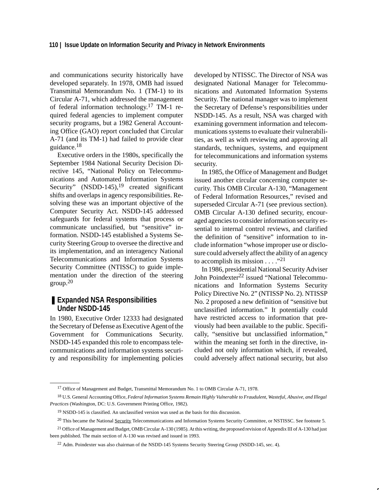and communications security historically have developed separately. In 1978, OMB had issued Transmittal Memorandum No. 1 (TM-1) to its Circular A-71, which addressed the management of federal information technology.17 TM-1 required federal agencies to implement computer security programs, but a 1982 General Accounting Office (GAO) report concluded that Circular A-71 (and its TM-1) had failed to provide clear guidance.18

Executive orders in the 1980s, specifically the September 1984 National Security Decision Directive 145, "National Policy on Telecommunications and Automated Information Systems Security"  $(NSDD-145)$ ,<sup>19</sup> created significant shifts and overlaps in agency responsibilities. Resolving these was an important objective of the Computer Security Act. NSDD-145 addressed safeguards for federal systems that process or communicate unclassified, but "sensitive" information. NSDD-145 established a Systems Security Steering Group to oversee the directive and its implementation, and an interagency National Telecommunications and Information Systems Security Committee (NTISSC) to guide implementation under the direction of the steering  $\rm{group.}^{20}$ 

### ■ **Expanded NSA Responsibilities Under NSDD-145**

In 1980, Executive Order 12333 had designated the Secretary of Defense as Executive Agent of the Government for Communications Security. NSDD-145 expanded this role to encompass telecommunications and information systems security and responsibility for implementing policies developed by NTISSC. The Director of NSA was designated National Manager for Telecommunications and Automated Information Systems Security. The national manager was to implement the Secretary of Defense's responsibilities under NSDD-145. As a result, NSA was charged with examining government information and telecommunications systems to evaluate their vulnerabilities, as well as with reviewing and approving all standards, techniques, systems, and equipment for telecommunications and information systems security.

In 1985, the Office of Management and Budget issued another circular concerning computer security. This OMB Circular A-130, "Management of Federal Information Resources," revised and superseded Circular A-71 (see previous section). OMB Circular A-130 defined security, encouraged agencies to consider information security essential to internal control reviews, and clarified the definition of "sensitive" information to include information "whose improper use or disclosure could adversely affect the ability of an agency to accomplish its mission . . . ."<sup>21</sup>

In 1986, presidential National Security Adviser John Poindexter<sup>22</sup> issued "National Telecommunications and Information Systems Security Policy Directive No. 2" (NTISSP No. 2). NTISSP No. 2 proposed a new definition of "sensitive but unclassified information." It potentially could have restricted access to information that previously had been available to the public. Specifically, "sensitive but unclassified information," within the meaning set forth in the directive, included not only information which, if revealed, could adversely affect national security, but also

<sup>&</sup>lt;sup>17</sup> Office of Management and Budget, Transmittal Memorandum No. 1 to OMB Circular A-71, 1978.

<sup>18</sup> U.S. General Accounting Office, *Federal Information Systems Remain Highly Vulnerable to Fraudulent, Wasteful, Abusive, and Illegal Practices* (Washington, DC: U.S. Government Printing Office, 1982).

<sup>19</sup> NSDD-145 is classified. An unclassified version was used as the basis for this discussion.

<sup>&</sup>lt;sup>20</sup> This became the National Security Telecommunications and Information Systems Security Committee, or NSTISSC. See footnote 5.

<sup>&</sup>lt;sup>21</sup> Office of Management and Budget, OMB Circular A-130 (1985). At this writing, the proposed revision of Appendix III of A-130 had just been published. The main section of A-130 was revised and issued in 1993.

<sup>22</sup> Adm. Poindexter was also chairman of the NSDD-145 Systems Security Steering Group (NSDD-145, sec. 4).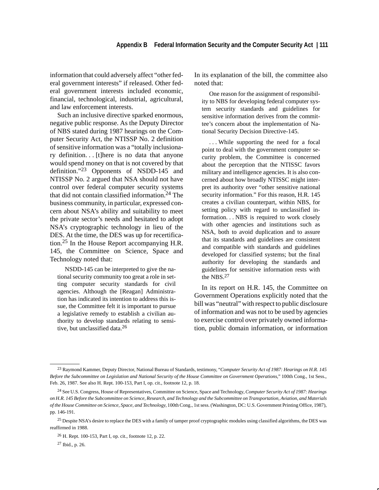information that could adversely affect "other federal government interests" if released. Other federal government interests included economic, financial, technological, industrial, agricultural, and law enforcement interests.

Such an inclusive directive sparked enormous, negative public response. As the Deputy Director of NBS stated during 1987 hearings on the Computer Security Act, the NTISSP No. 2 definition of sensitive information was a "totally inclusionary definition. . [t]here is no data that anyone would spend money on that is not covered by that definition."23 Opponents of NSDD-145 and NTISSP No. 2 argued that NSA should not have control over federal computer security systems that did not contain classified information.24 The business community, in particular, expressed concern about NSA's ability and suitability to meet the private sector's needs and hesitated to adopt NSA's cryptographic technology in lieu of the DES. At the time, the DES was up for recertification.25 In the House Report accompanying H.R. 145, the Committee on Science, Space and Technology noted that:

NSDD-145 can be interpreted to give the national security community too great a role in setting computer security standards for civil agencies. Although the [Reagan] Administration has indicated its intention to address this issue, the Committee felt it is important to pursue a legislative remedy to establish a civilian authority to develop standards relating to sensitive, but unclassified data.26

In its explanation of the bill, the committee also noted that:

One reason for the assignment of responsibility to NBS for developing federal computer system security standards and guidelines for sensitive information derives from the committee's concern about the implementation of National Security Decision Directive-145.

. . . While supporting the need for a focal point to deal with the government computer security problem, the Committee is concerned about the perception that the NTISSC favors military and intelligence agencies. It is also concerned about how broadly NTISSC might interpret its authority over "other sensitive national security information." For this reason, H.R. 145 creates a civilian counterpart, within NBS, for setting policy with regard to unclassified information. . . NBS is required to work closely with other agencies and institutions such as NSA, both to avoid duplication and to assure that its standards and guidelines are consistent and compatible with standards and guidelines developed for classified systems; but the final authority for developing the standards and guidelines for sensitive information rests with the NBS.27

In its report on H.R. 145, the Committee on Government Operations explicitly noted that the bill was "neutral" with respect to public disclosure of information and was not to be used by agencies to exercise control over privately owned information, public domain information, or information

<sup>23</sup> Raymond Kammer, Deputy Director, National Bureau of Standards, testimony, "*Computer Security Act of 1987: Hearings on H.R. 145 Before the Subcommittee on Legislation and National Security of the House Committee on Government Operations*," 100th Cong., 1st Sess., Feb. 26, 1987. See also H. Rept. 100-153, Part I, op. cit., footnote 12, p. 18.

<sup>24</sup> See U.S. Congress, House of Representatives, Committee on Science, Space and Technology, *Computer Security Act of 1987: Hearings on H.R. 145 Before the Subcommittee on Science, Research, and Technology and the Subcommittee on Transportation, Aviation, and Materials of the House Committee on Science, Space, and Technology,* 100th Cong., 1st sess. (Washington, DC: U.S. Government Printing Office, 1987), pp. 146-191.

<sup>&</sup>lt;sup>25</sup> Despite NSA's desire to replace the DES with a family of tamper proof cryptographic modules using classified algorithms, the DES was reaffirmed in 1988.

<sup>26</sup> H. Rept. 100-153, Part I, op. cit., footnote 12, p. 22.

<sup>27</sup> Ibid., p. 26.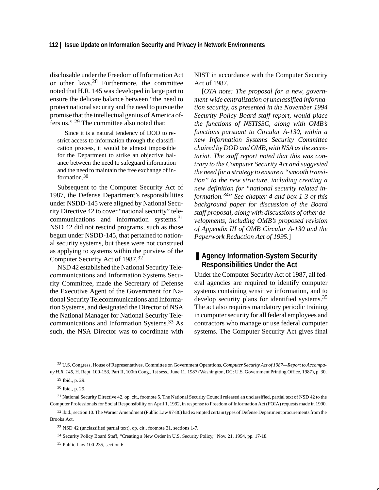disclosable under the Freedom of Information Act or other laws.28 Furthermore, the committee noted that H.R. 145 was developed in large part to ensure the delicate balance between "the need to protect national security and the need to pursue the promise that the intellectual genius of America offers us." 29 The committee also noted that:

Since it is a natural tendency of DOD to restrict access to information through the classification process, it would be almost impossible for the Department to strike an objective balance between the need to safeguard information and the need to maintain the free exchange of information.30

Subsequent to the Computer Security Act of 1987, the Defense Department's responsibilities under NSDD-145 were aligned by National Security Directive 42 to cover "national security" telecommunications and information systems.31 NSD 42 did not rescind programs, such as those begun under NSDD-145, that pertained to national security systems, but these were not construed as applying to systems within the purview of the Computer Security Act of 1987.32

NSD 42 established the National Security Telecommunications and Information Systems Security Committee, made the Secretary of Defense the Executive Agent of the Government for National Security Telecommunications and Information Systems, and designated the Director of NSA the National Manager for National Security Telecommunications and Information Systems.33 As such, the NSA Director was to coordinate with NIST in accordance with the Computer Security Act of 1987.

[*OTA note: The proposal for a new, government-wide centralization of unclassified information security, as presented in the November 1994 Security Policy Board staff report, would place the functions of NSTISSC, along with OMB's functions pursuant to Circular A-130, within a new Information Systems Security Committee chaired by DOD and OMB, with NSA as the secretariat. The staff report noted that this was contrary to the Computer Security Act and suggested the need for a strategy to ensure a "smooth transition" to the new structure, including creating a new definition for "national security related information.34" See chapter 4 and box 1-3 of this background paper for discussion of the Board staff proposal, along with discussions of other developments, including OMB's proposed revision of Appendix III of OMB Circular A-130 and the Paperwork Reduction Act of 1995.*]

### ■ Agency Information-System Security **Responsibilities Under the Act**

Under the Computer Security Act of 1987, all federal agencies are required to identify computer systems containing sensitive information, and to develop security plans for identified systems.<sup>35</sup> The act also requires mandatory periodic training in computer security for all federal employees and contractors who manage or use federal computer systems. The Computer Security Act gives final

<sup>28</sup> U.S. Congress, House of Representatives, Committee on Government Operations, *Computer Security Act of 1987—Report to Accompany H.R. 145*, H. Rept. 100-153, Part II, 100th Cong., 1st sess., June 11, 1987 (Washington, DC: U.S. Government Printing Office, 1987), p. 30.

<sup>29</sup> Ibid., p. 29.

<sup>30</sup> Ibid., p. 29.

<sup>&</sup>lt;sup>31</sup> National Security Directive 42, op. cit., footnote 5. The National Security Council released an unclassified, partial text of NSD 42 to the Computer Professionals for Social Responsibility on April 1, 1992, in response to Freedom of Information Act (FOIA) requests made in 1990.

<sup>&</sup>lt;sup>32</sup> Ibid., section 10. The Warner Amendment (Public Law 97-86) had exempted certain types of Defense Department procurements from the Brooks Act.

<sup>33</sup> NSD 42 (unclassified partial text), op. cit., footnote 31, sections 1-7.

<sup>34</sup> Security Policy Board Staff, "Creating a New Order in U.S. Security Policy," Nov. 21, 1994, pp. 17-18.

<sup>35</sup> Public Law 100-235, section 6.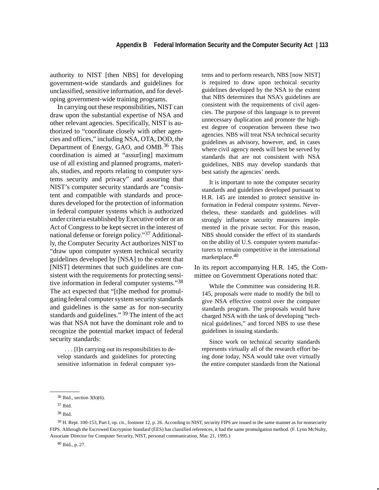authority to NIST [then NBS] for developing government-wide standards and guidelines for unclassified, sensitive information, and for developing government-wide training programs.

In carrying out these responsibilities, NIST can draw upon the substantial expertise of NSA and other relevant agencies. Specifically, NIST is authorized to "coordinate closely with other agencies and offices," including NSA, OTA, DOD, the Department of Energy, GAO, and OMB.<sup>36</sup> This coordination is aimed at "assur[ing] maximum use of all existing and planned programs, materials, studies, and reports relating to computer systems security and privacy" and assuring that NIST's computer security standards are "consistent and compatible with standards and procedures developed for the protection of information in federal computer systems which is authorized under criteria established by Executive order or an Act of Congress to be kept secret in the interest of national defense or foreign policy."37 Additionally, the Computer Security Act authorizes NIST to "draw upon computer system technical security guidelines developed by [NSA] to the extent that [NIST] determines that such guidelines are consistent with the requirements for protecting sensitive information in federal computer systems."<sup>38</sup> The act expected that "[t]he method for promulgating federal computer system security standards and guidelines is the same as for non-security standards and guidelines." 39 The intent of the act was that NSA not have the dominant role and to recognize the potential market impact of federal security standards:

. . . [I]n carrying out its responsibilities to develop standards and guidelines for protecting sensitive information in federal computer sys-

tems and to perform research, NBS [now NIST] is required to draw upon technical security guidelines developed by the NSA to the extent that NBS determines that NSA's guidelines are consistent with the requirements of civil agencies. The purpose of this language is to prevent unnecessary duplication and promote the highest degree of cooperation between these two agencies. NBS will treat NSA technical security guidelines as advisory, however, and, in cases where civil agency needs will best be served by standards that are not consistent with NSA guidelines, NBS may develop standards that best satisfy the agencies' needs.

It is important to note the computer security standards and guidelines developed pursuant to H.R. 145 are intended to protect sensitive information in Federal computer systems. Nevertheless, these standards and guidelines will strongly influence security measures implemented in the private sector. For this reason, NBS should consider the effect of its standards on the ability of U.S. computer system manufacturers to remain competitive in the international marketplace.40

In its report accompanying H.R. 145, the Committee on Government Operations noted that:

While the Committee was considering H.R. 145, proposals were made to modify the bill to give NSA effective control over the computer standards program. The proposals would have charged NSA with the task of developing "technical guidelines," and forced NBS to use these guidelines in issuing standards.

Since work on technical security standards represents virtually all of the research effort being done today, NSA would take over virtually the entire computer standards from the National

<sup>39</sup> H. Rept. 100-153, Part I, op. cit., footnote 12, p. 26. According to NIST, security FIPS are issued in the same manner as for nonsecurity FIPS. Although the Escrowed Encryption Standard (EES) has classified references, it had the same promulgation method. (F. Lynn McNulty, Associate Director for Computer Security, NIST, personal communication, Mar. 21, 1995.)

40 Ibid., p. 27.

<sup>36</sup> Ibid., section 3(b)(6).

<sup>37</sup> Ibid.

<sup>38</sup> Ibid.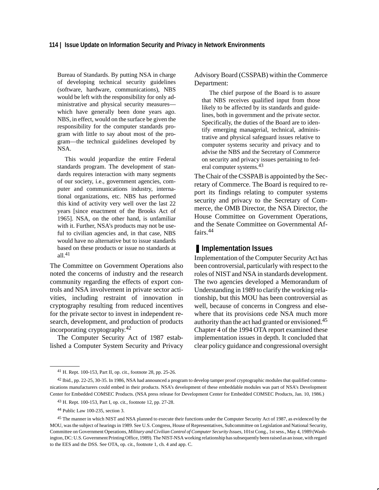Bureau of Standards. By putting NSA in charge of developing technical security guidelines (software, hardware, communications), NBS would be left with the responsibility for only administrative and physical security measures which have generally been done years ago. NBS, in effect, would on the surface be given the responsibility for the computer standards program with little to say about most of the program—the technical guidelines developed by NSA.

This would jeopardize the entire Federal standards program. The development of standards requires interaction with many segments of our society, i.e., government agencies, computer and communications industry, international organizations, etc. NBS has performed this kind of activity very well over the last 22 years [since enactment of the Brooks Act of 1965]. NSA, on the other hand, is unfamiliar with it. Further, NSA's products may not be useful to civilian agencies and, in that case, NBS would have no alternative but to issue standards based on these products or issue no standards at  $all.<sup>41</sup>$ 

The Committee on Government Operations also noted the concerns of industry and the research community regarding the effects of export controls and NSA involvement in private sector activities, including restraint of innovation in cryptography resulting from reduced incentives for the private sector to invest in independent research, development, and production of products incorporating cryptography.<sup>42</sup>

The Computer Security Act of 1987 established a Computer System Security and Privacy Advisory Board (CSSPAB) within the Commerce Department:

The chief purpose of the Board is to assure that NBS receives qualified input from those likely to be affected by its standards and guidelines, both in government and the private sector. Specifically, the duties of the Board are to identify emerging managerial, technical, administrative and physical safeguard issues relative to computer systems security and privacy and to advise the NBS and the Secretary of Commerce on security and privacy issues pertaining to federal computer systems.43

The Chair of the CSSPAB is appointed by the Secretary of Commerce. The Board is required to report its findings relating to computer systems security and privacy to the Secretary of Commerce, the OMB Director, the NSA Director, the House Committee on Government Operations, and the Senate Committee on Governmental Affairs.<sup>44</sup>

### ■ **Implementation Issues**

Implementation of the Computer Security Act has been controversial, particularly with respect to the roles of NIST and NSA in standards development. The two agencies developed a Memorandum of Understanding in 1989 to clarify the working relationship, but this MOU has been controversial as well, because of concerns in Congress and elsewhere that its provisions cede NSA much more authority than the act had granted or envisioned.<sup>45</sup> Chapter 4 of the 1994 OTA report examined these implementation issues in depth. It concluded that clear policy guidance and congressional oversight

<sup>41</sup> H. Rept. 100-153, Part II, op. cit., footnote 28, pp. 25-26.

<sup>42</sup> Ibid., pp. 22-25, 30-35. In 1986, NSA had announced a program to develop tamper proof cryptographic modules that qualified communications manufacturers could embed in their products. NSA's development of these embeddable modules was part of NSA's Development Center for Embedded COMSEC Products. (NSA press release for Development Center for Embedded COMSEC Products, Jan. 10, 1986.)

<sup>43</sup> H. Rept. 100-153, Part I, op. cit., footnote 12, pp. 27-28.

<sup>44</sup> Public Law 100-235, section 3.

<sup>&</sup>lt;sup>45</sup> The manner in which NIST and NSA planned to execute their functions under the Computer Security Act of 1987, as evidenced by the MOU, was the subject of hearings in 1989. See U.S. Congress, House of Representatives, Subcommittee on Legislation and National Security, Committee on Government Operations*, Military and Civilian Control of Computer Security Issues,* 101st Cong., 1st sess., May 4, 1989 (Washington, DC: U.S. Government Printing Office, 1989). The NIST-NSA working relationship has subsequently been raised as an issue, with regard to the EES and the DSS. See OTA, op. cit., footnote 1, ch. 4 and app. C.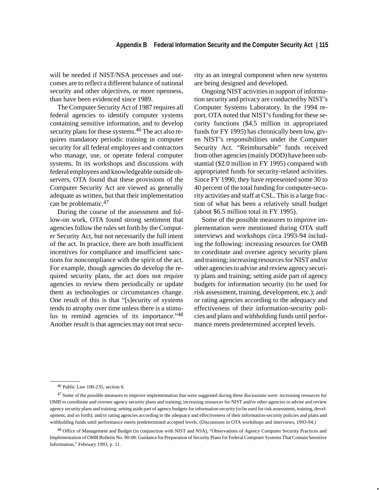will be needed if NIST/NSA processes and outcomes are to reflect a different balance of national security and other objectives, or more openness, than have been evidenced since 1989.

The Computer Security Act of 1987 requires all federal agencies to identify computer systems containing sensitive information, and to develop security plans for these systems.<sup>46</sup> The act also requires mandatory periodic training in computer security for all federal employees and contractors who manage, use, or operate federal computer systems. In its workshops and discussions with federal employees and knowledgeable outside observers, OTA found that these provisions of the Computer Security Act are viewed as generally adequate as written, but that their implementation can be problematic.47

During the course of the assessment and follow-on work, OTA found strong sentiment that agencies follow the rules set forth by the Computer Security Act, but not necessarily the full intent of the act. In practice, there are both insufficient incentives for compliance and insufficient sanctions for noncompliance with the spirit of the act. For example, though agencies do develop the required security plans, the act does not require agencies to review them periodically or update them as technologies or circumstances change. One result of this is that "[s]ecurity of systems tends to atrophy over time unless there is a stimulus to remind agencies of its importance."48 Another result is that agencies may not treat security as an integral component when new systems are being designed and developed.

Ongoing NIST activities in support of information security and privacy are conducted by NIST's Computer Systems Laboratory. In the 1994 report, OTA noted that NIST's funding for these security functions (\$4.5 million in appropriated funds for FY 1995) has chronically been low, given NIST's responsibilities under the Computer Security Act. "Reimbursable" funds received from other agencies (mainly DOD) have been substantial (\$2.0 million in FY 1995) compared with appropriated funds for security-related activities. Since FY 1990, they have represented some 30 to 40 percent of the total funding for computer-security activities and staff at CSL. This is a large fraction of what has been a relatively small budget (about \$6.5 million total in FY 1995).

Some of the possible measures to improve implementation were mentioned during OTA staff interviews and workshops circa 1993-94 including the following: increasing resources for OMB to coordinate and oversee agency security plans and training; increasing resources for NIST and/or other agencies to advise and review agency security plans and training; setting aside part of agency budgets for information security (to be used for risk assessment, training, development, etc.); and/ or rating agencies according to the adequacy and effectiveness of their information-security policies and plans and withholding funds until performance meets predetermined accepted levels.

<sup>46</sup> Public Law 100-235, section 6.

<sup>&</sup>lt;sup>47</sup> Some of the possible measures to improve implementation that were suggested during these discussions were: increasing resources for OMB to coordinate and oversee agency security plans and training; increasing resources for NIST and/or other agencies to advise and review agency security plans and training; setting aside part of agency budgets for information security (to be used for risk assessment, training, development, and so forth); and/or rating agencies according to the adequacy and effectiveness of their information-security policies and plans and withholding funds until performance meets predetermined accepted levels. (Discussions in OTA workshops and interviews, 1993-94.)

<sup>48</sup> Office of Management and Budget (in conjunction with NIST and NSA), "Observations of Agency Computer Security Practices and Implementation of OMB Bulletin No. 90-08: Guidance for Preparation of Security Plans for Federal Computer Systems That Contain Sensitive Information," February 1993, p. 11.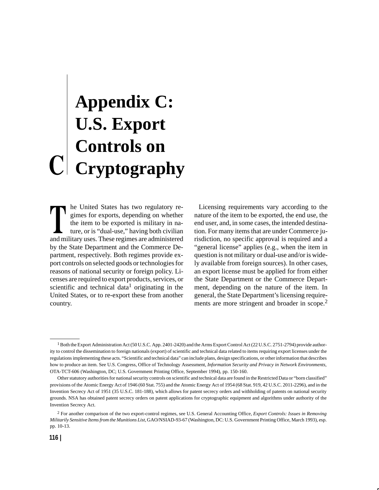## **Appendix C: U.S. Export Controls on Cryptography**

he United States has two regulatory regimes for exports, depending on whether the item to be exported is military in nature, or is "dual-use," having both civilian and military uses. These regimes are administered by the State Department and the Commerce Department, respectively. Both regimes provide export controls on selected goods or technologies for reasons of national security or foreign policy. Licenses are required to export products, services, or scientific and technical data<sup>1</sup> originating in the United States, or to re-export these from another country.

Licensing requirements vary according to the nature of the item to be exported, the end use, the end user, and, in some cases, the intended destination. For many items that are under Commerce jurisdiction, no specific approval is required and a "general license" applies (e.g., when the item in question is not military or dual-use and/or is widely available from foreign sources). In other cases, an export license must be applied for from either the State Department or the Commerce Department, depending on the nature of the item. In general, the State Department's licensing requirements are more stringent and broader in scope.<sup>2</sup>

<sup>&</sup>lt;sup>1</sup> Both the Export Administration Act (50 U.S.C. App. 2401-2420) and the Arms Export Control Act (22 U.S.C. 2751-2794) provide authority to control the dissemination to foreign nationals (export) of scientific and technical data related to items requiring export licenses under the regulations implementing these acts. "Scientific and technical data" can include plans, design specifications, or other information that describes how to produce an item. See U.S. Congress, Office of Technology Assessment, *Information Security and Privacy in Network Environments,* OTA-TCT-606 (Washington, DC; U.S. Government Printing Office, September 1994), pp. 150-160.

Other statutory authorities for national security controls on scientific and technical data are found in the Restricted Data or "born classified" provisions of the Atomic Energy Act of 1946 (60 Stat. 755) and the Atomic Energy Act of 1954 (68 Stat. 919, 42 U.S.C. 2011-2296), and in the Invention Secrecy Act of 1951 (35 U.S.C. 181-188), which allows for patent secrecy orders and withholding of patents on national security grounds. NSA has obtained patent secrecy orders on patent applications for cryptographic equipment and algorithms under authority of the Invention Secrecy Act.

<sup>2</sup> For another comparison of the two export-control regimes, see U.S. General Accounting Office, *Export Controls: Issues in Removing Militarily Sensitive Items from the Munitions List,* GAO/NSIAD-93-67 (Washington, DC: U.S. Government Printing Office, March 1993), esp. pp. 10-13.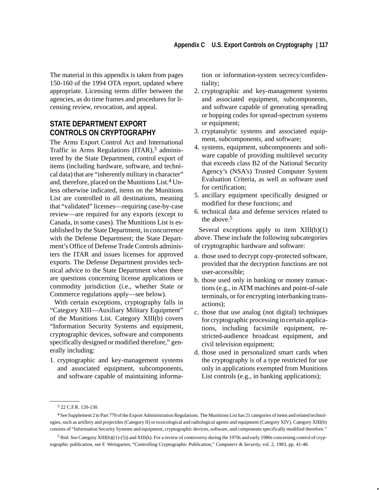The material in this appendix is taken from pages 150-160 of the 1994 OTA report, updated where appropriate. Licensing terms differ between the agencies, as do time frames and procedures for licensing review, revocation, and appeal.

### **STATE DEPARTMENT EXPORT CONTROLS ON CRYPTOGRAPHY**

The Arms Export Control Act and International Traffic in Arms Regulations  $(ITAR)$ ,<sup>3</sup> administered by the State Department, control export of items (including hardware, software, and technical data) that are "inherently military in character" and, therefore, placed on the Munitions List.<sup>4</sup> Unless otherwise indicated, items on the Munitions List are controlled to all destinations, meaning that "validated" licenses—requiring case-by-case review—are required for any exports (except to Canada, in some cases). The Munitions List is established by the State Department, in concurrence with the Defense Department; the State Department's Office of Defense Trade Controls administers the ITAR and issues licenses for approved exports. The Defense Department provides technical advice to the State Department when there are questions concerning license applications or commodity jurisdiction (i.e., whether State or Commerce regulations apply—see below).

With certain exceptions, cryptography falls in "Category XIII—Auxiliary Military Equipment" of the Munitions List. Category XIII(b) covers "Information Security Systems and equipment, cryptographic devices, software and components specifically designed or modified therefore," generally including:

1. cryptographic and key-management systems and associated equipment, subcomponents, and software capable of maintaining information or information-system secrecy/confidentiality;

- 2. cryptographic and key-management systems and associated equipment, subcomponents, and software capable of generating spreading or hopping codes for spread-spectrum systems or equipment;
- 3. cryptanalytic systems and associated equipment, subcomponents, and software;
- 4. systems, equipment, subcomponents and software capable of providing multilevel security that exceeds class B2 of the National Security Agency's (NSA's) Trusted Computer System Evaluation Criteria, as well as software used for certification;
- 5. ancillary equipment specifically designed or modified for these functions; and
- 6. technical data and defense services related to the above.<sup>5</sup>

Several exceptions apply to item  $XIII(b)(1)$ above. These include the following subcategories of cryptographic hardware and software:

- a. those used to decrypt copy-protected software, provided that the decryption functions are not user-accessible;
- b. those used only in banking or money transactions (e.g., in ATM machines and point-of-sale terminals, or for encrypting interbanking transactions);
- c. those that use analog (not digital) techniques for cryptographic processing in certain applications, including facsimile equipment, restricted-audience broadcast equipment, and civil television equipment;
- d. those used in personalized smart cards when the cryptography is of a type restricted for use only in applications exempted from Munitions List controls (e.g., in banking applications);

<sup>3 22</sup> C.F.R. 120-130.

<sup>4</sup> See Supplement 2 to Part 770 of the Export Administration Regulations. The Munitions List has 21 categories of items and related technologies, such as artillery and projectiles (Category II) or toxicological and radiological agents and equipment (Category XIV). Category XIII(b) consists of "Information Security Systems and equipment, cryptographic devices, software, and components specifically modified therefore."

<sup>5</sup> Ibid. See Category XIII(b)((1)-(5)) and XIII(k). For a review of controversy during the 1970s and early 1980s concerning control of cryptographic publication, see F. Weingarten, "Controlling Cryptographic Publication," *Computers & Security,* vol. 2, 1983, pp. 41-48.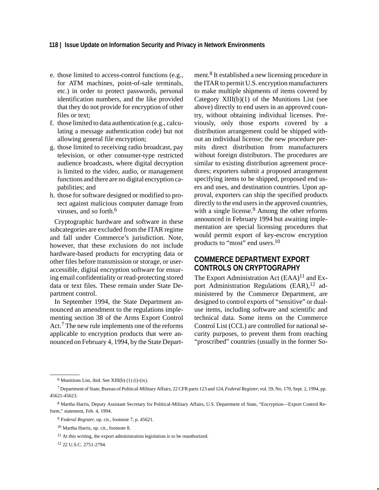### **118 | Issue Update on Information Security and Privacy in Network Environments**

- e. those limited to access-control functions (e.g., for ATM machines, point-of-sale terminals, etc.) in order to protect passwords, personal identification numbers, and the like provided that they do not provide for encryption of other files or text;
- f. those limited to data authentication (e.g., calculating a message authentication code) but not allowing general file encryption;
- g. those limited to receiving radio broadcast, pay television, or other consumer-type restricted audience broadcasts, where digital decryption is limited to the video, audio, or management functions and there are no digital encryption capabilities; and
- h. those for software designed or modified to protect against malicious computer damage from viruses, and so forth.6

Cryptographic hardware and software in these subcategories are excluded from the ITAR regime and fall under Commerce's jurisdiction. Note, however, that these exclusions do not include hardware-based products for encrypting data or other files before transmission or storage, or useraccessible, digital encryption software for ensuring email confidentiality or read-protecting stored data or text files. These remain under State Department control.

In September 1994, the State Department announced an amendment to the regulations implementing section 38 of the Arms Export Control Act.7 The new rule implements one of the reforms applicable to encryption products that were announced on February 4, 1994, by the State Department.8 It established a new licensing procedure in the ITAR to permit U.S. encryption manufacturers to make multiple shipments of items covered by Category XIII(b)(1) of the Munitions List (see above) directly to end users in an approved country, without obtaining individual licenses. Previously, only those exports covered by a distribution arrangement could be shipped without an individual license; the new procedure permits direct distribution from manufacturers without foreign distributors. The procedures are similar to existing distribution agreement procedures; exporters submit a proposed arrangement specifying items to be shipped, proposed end users and uses, and destination countries. Upon approval, exporters can ship the specified products directly to the end users in the approved countries, with a single license.<sup>9</sup> Among the other reforms announced in February 1994 but awaiting implementation are special licensing procedures that would permit export of key-escrow encryption products to "most" end users.<sup>10</sup>

### **COMMERCE DEPARTMENT EXPORT CONTROLS ON CRYPTOGRAPHY**

The Export Administration Act  $(EAA)^{11}$  and Export Administration Regulations (EAR),<sup>12</sup> administered by the Commerce Department, are designed to control exports of "sensitive" or dualuse items, including software and scientific and technical data. Some items on the Commerce Control List (CCL) are controlled for national security purposes, to prevent them from reaching "proscribed" countries (usually in the former So-

 $6$  Munitions List, ibid. See XIII(b) (1) (i)-(ix).

<sup>7</sup> Department of State, Bureau of Political-Military Affairs, 22 CFR parts 123 and 124, *Federal Register*, vol. 59, No. 170, Sept. 2, 1994, pp. 45621-45623.

<sup>8</sup> Martha Harris, Deputy Assistant Secretary for Political-Military Affairs, U.S. Department of State, "Encryption—Export Control Reform," statement, Feb. 4, 1994.

<sup>9</sup> *Federal Register*, op. cit., footnote 7, p. 45621.

<sup>10</sup> Martha Harris, op. cit., footnote 8.

 $11$  At this writing, the export administration legislation is to be reauthorized.

<sup>12 22</sup> U.S.C. 2751-2794.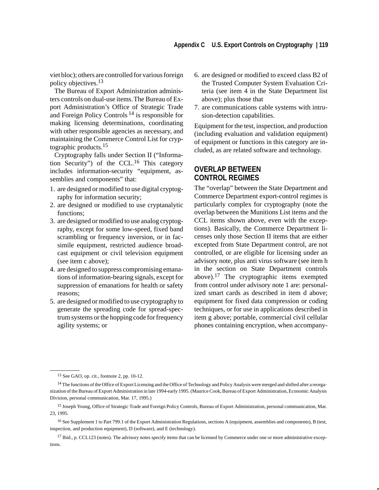viet bloc); others are controlled for various foreign policy objectives.13

The Bureau of Export Administration administers controls on dual-use items.The Bureau of Export Administration's Office of Strategic Trade and Foreign Policy Controls 14 is responsible for making licensing determinations, coordinating with other responsible agencies as necessary, and maintaining the Commerce Control List for cryptographic products.<sup>15</sup>

Cryptography falls under Section II ("Information Security") of the CCL.16 This category includes information-security "equipment, assemblies and components" that:

- 1. are designed or modified to use digital cryptography for information security;
- 2. are designed or modified to use cryptanalytic functions;
- 3. are designed or modified to use analog cryptography, except for some low-speed, fixed band scrambling or frequency inversion, or in facsimile equipment, restricted audience broadcast equipment or civil television equipment (see item c above);
- 4. are designed to suppress compromising emanations of information-bearing signals, except for suppression of emanations for health or safety reasons;
- 5. are designed or modified to use cryptography to generate the spreading code for spread-spectrum systems or the hopping code for frequency agility systems; or
- 6. are designed or modified to exceed class B2 of the Trusted Computer System Evaluation Criteria (see item 4 in the State Department list above); plus those that
- 7. are communications cable systems with intrusion-detection capabilities.

Equipment for the test, inspection, and production (including evaluation and validation equipment) of equipment or functions in this category are included, as are related software and technology.

### **OVERLAP BETWEEN CONTROL REGIMES**

The "overlap" between the State Department and Commerce Department export-control regimes is particularly complex for cryptography (note the overlap between the Munitions List items and the CCL items shown above, even with the exceptions). Basically, the Commerce Department licenses only those Section II items that are either excepted from State Department control, are not controlled, or are eligible for licensing under an advisory note, plus anti virus software (see item h in the section on State Department controls above).<sup>17</sup> The cryptographic items exempted from control under advisory note 1 are: personalized smart cards as described in item d above; equipment for fixed data compression or coding techniques, or for use in applications described in item g above; portable, commercial civil cellular phones containing encryption, when accompany-

<sup>13</sup> See GAO, op. cit., footnote 2, pp. 10-12.

<sup>&</sup>lt;sup>14</sup> The functions of the Office of Export Licensing and the Office of Technology and Policy Analysis were merged and shifted after a reorganization of the Bureau of Export Administration in late 1994-early 1995. (Maurice Cook, Bureau of Export Administration, Economic Analysis Division, personal communication, Mar. 17, 1995.)

<sup>&</sup>lt;sup>15</sup> Joseph Young, Office of Strategic Trade and Foreign Policy Controls, Bureau of Export Administration, personal communication, Mar. 23, 1995.

<sup>16</sup> See Supplement 1 to Part 799.1 of the Export Administration Regulations, sections A (equipment, assemblies and components), B (test, inspection, and production equipment), D (software), and E (technology).

<sup>&</sup>lt;sup>17</sup> Ibid., p. CCL123 (notes). The advisory notes specify items that can be licensed by Commerce under one or more administrative exceptions.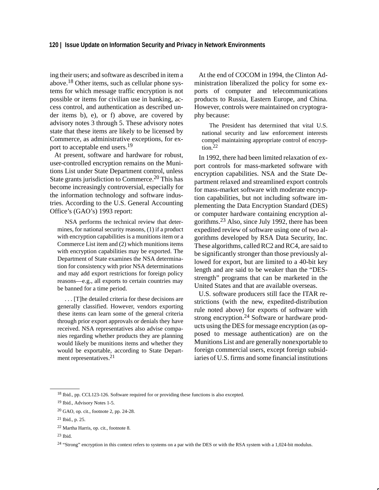ing their users; and software as described in item a above.18 Other items, such as cellular phone systems for which message traffic encryption is not possible or items for civilian use in banking, access control, and authentication as described under items b), e), or f) above, are covered by advisory notes 3 through 5. These advisory notes state that these items are likely to be licensed by Commerce, as administrative exceptions, for export to acceptable end users.<sup>19</sup>

At present, software and hardware for robust, user-controlled encryption remains on the Munitions List under State Department control, unless State grants jurisdiction to Commerce.<sup>20</sup> This has become increasingly controversial, especially for the information technology and software industries. According to the U.S. General Accounting Office's (GAO's) 1993 report:

NSA performs the technical review that determines, for national security reasons, (1) if a product with encryption capabilities is a munitions item or a Commerce List item and (2) which munitions items with encryption capabilities may be exported. The Department of State examines the NSA determination for consistency with prior NSA determinations and may add export restrictions for foreign policy reasons—e.g., all exports to certain countries may be banned for a time period.

. . . [T]he detailed criteria for these decisions are generally classified. However, vendors exporting these items can learn some of the general criteria through prior export approvals or denials they have received. NSA representatives also advise companies regarding whether products they are planning would likely be munitions items and whether they would be exportable, according to State Department representatives.21

At the end of COCOM in 1994, the Clinton Administration liberalized the policy for some exports of computer and telecommunications products to Russia, Eastern Europe, and China. However, controls were maintained on cryptography because:

The President has determined that vital U.S. national security and law enforcement interests compel maintaining appropriate control of encryption.<sup>22</sup>

In 1992, there had been limited relaxation of export controls for mass-marketed software with encryption capabilities. NSA and the State Department relaxed and streamlined export controls for mass-market software with moderate encryption capabilities, but not including software implementing the Data Encryption Standard (DES) or computer hardware containing encryption algorithms.23 Also, since July 1992, there has been expedited review of software using one of two algorithms developed by RSA Data Security, Inc. These algorithms, called RC2 and RC4, are said to be significantly stronger than those previously allowed for export, but are limited to a 40-bit key length and are said to be weaker than the "DESstrength" programs that can be marketed in the United States and that are available overseas.

U.S. software producers still face the ITAR restrictions (with the new, expedited-distribution rule noted above) for exports of software with strong encryption.<sup>24</sup> Software or hardware products using the DES for message encryption (as opposed to message authentication) are on the Munitions List and are generally nonexportable to foreign commercial users, except foreign subsidiaries of U.S. firms and some financial institutions

<sup>18</sup> Ibid., pp. CCL123-126. Software required for or providing these functions is also excepted.

<sup>19</sup> Ibid., Advisory Notes 1-5.

<sup>20</sup> GAO, op. cit., footnote 2, pp. 24-28.

<sup>21</sup> Ibid., p. 25.

<sup>22</sup> Martha Harris, op. cit., footnote 8.

 $23$  Ibid.

<sup>&</sup>lt;sup>24</sup> "Strong" encryption in this context refers to systems on a par with the DES or with the RSA system with a 1,024-bit modulus.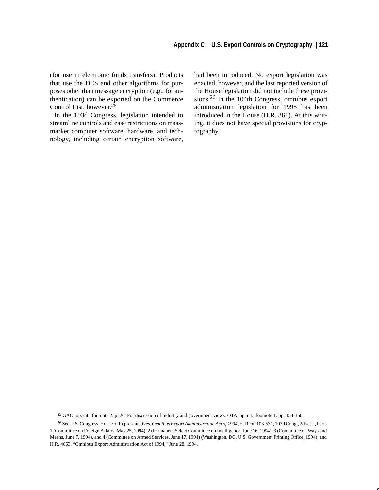(for use in electronic funds transfers). Products that use the DES and other algorithms for purposes other than message encryption (e.g., for authentication) can be exported on the Commerce Control List, however. $2\overline{5}$ 

In the 103d Congress, legislation intended to streamline controls and ease restrictions on massmarket computer software, hardware, and technology, including certain encryption software, had been introduced. No export legislation was enacted, however, and the last reported version of the House legislation did not include these provisions.26 In the 104th Congress, omnibus export administration legislation for 1995 has been introduced in the House (H.R. 361). At this writing, it does not have special provisions for cryptography.

<sup>25</sup> GAO, op. cit., footnote 2, p. 26. For discussion of industry and government views, OTA, op. cit., footnote 1, pp. 154-160.

<sup>26</sup> See U.S. Congress, House of Representatives, *Omnibus Export Administration Act of 1994,* H. Rept. 103-531, 103d Cong., 2d sess., Parts 1 (Committee on Foreign Affairs, May 25, 1994), 2 (Permanent Select Committee on Intelligence, June 16, 1994), 3 (Committee on Ways and Means, June 7, 1994), and 4 (Committee on Armed Services, June 17, 1994) (Washington, DC, U.S. Government Printing Office, 1994); and H.R. 4663, "Omnibus Export Administration Act of 1994," June 28, 1994.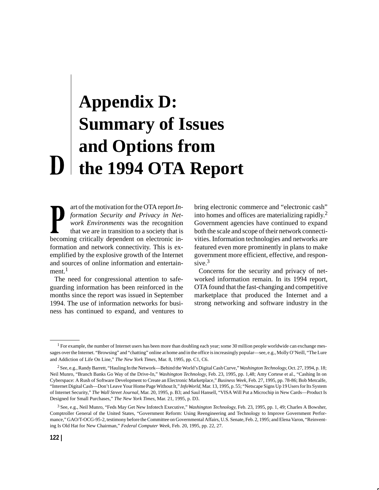## **Appendix D: Summary of Issues and Options from the 1994 OTA Report**

art of the motivation for the OTA report *Information Security and Privacy in Network Environments* was the recognition that we are in transition to a society that is becoming critically dependent on electronic information and network connectivity. This is exemplified by the explosive growth of the Internet and sources of online information and entertain $ment.<sup>1</sup>$ 

The need for congressional attention to safeguarding information has been reinforced in the months since the report was issued in September 1994. The use of information networks for business has continued to expand, and ventures to bring electronic commerce and "electronic cash" into homes and offices are materializing rapidly.<sup>2</sup> Government agencies have continued to expand both the scale and scope of their network connectivities. Information technologies and networks are featured even more prominently in plans to make government more efficient, effective, and responsive. $3$ 

Concerns for the security and privacy of networked information remain. In its 1994 report, OTA found that the fast-changing and competitive marketplace that produced the Internet and a strong networking and software industry in the

<sup>&</sup>lt;sup>1</sup> For example, the number of Internet users has been more than doubling each year; some 30 million people worldwide can exchange messages over the Internet. "Browsing" and "chatting" online at home and in the office is increasingly popular—see, e.g., Molly O'Neill, "The Lure and Addiction of Life On Line," *The New York Times*, Mar. 8, 1995, pp. C1, C6.

<sup>2</sup> See, e.g., Randy Barrett, "Hauling In the Network—Behind the World's Digital Cash Curve," *Washington Technology*, Oct. 27, 1994, p. 18; Neil Munro, "Branch Banks Go Way of the Drive-In," *Washington Technology,* Feb. 23, 1995, pp. 1,48; Amy Cortese et al., "Cashing In on Cyberspace: A Rush of Software Development to Create an Electronic Marketplace," *Business Week*, Feb. 27, 1995, pp. 78-86; Bob Metcalfe, "Internet Digital Cash—Don't Leave Your Home Page Without It," *InfoWorld*, Mar. 13, 1995, p. 55; "Netscape Signs Up 19 Users for Its System of Internet Security," *The Wall Street Journal*, Mar. 20, 1995, p. B3; and Saul Hansell, "VISA Will Put a Microchip in New Cards—Product Is Designed for Small Purchases," *The New York Times*, Mar. 21, 1995, p. D3.

<sup>3</sup> See, e.g., Neil Munro, "Feds May Get New Infotech Executive," *Washington Technology*, Feb. 23, 1995, pp. 1, 49; Charles A Bowsher, Comptroller General of the United States, "Government Reform: Using Reengineering and Technology to Improve Government Performance," GAO/T-OCG-95-2, testimony before the Committee on Governmental Affairs, U.S. Senate, Feb. 2, 1995; and Elena Varon, "Reinventing Is Old Hat for New Chairman," *Federal Computer Week*, Feb. 20, 1995, pp. 22, 27.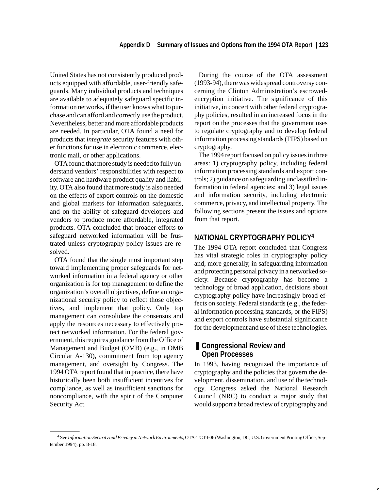United States has not consistently produced products equipped with affordable, user-friendly safeguards. Many individual products and techniques are available to adequately safeguard specific information networks, if the user knows what to purchase and can afford and correctly use the product. Nevertheless, better and more affordable products are needed. In particular, OTA found a need for products that *integrate* security features with other functions for use in electronic commerce, electronic mail, or other applications.

OTA found that more study is needed to fully understand vendors' responsibilities with respect to software and hardware product quality and liability. OTA also found that more study is also needed on the effects of export controls on the domestic and global markets for information safeguards, and on the ability of safeguard developers and vendors to produce more affordable, integrated products. OTA concluded that broader efforts to safeguard networked information will be frustrated unless cryptography-policy issues are resolved.

OTA found that the single most important step toward implementing proper safeguards for networked information in a federal agency or other organization is for top management to define the organization's overall objectives, define an organizational security policy to reflect those objectives, and implement that policy. Only top management can consolidate the consensus and apply the resources necessary to effectively protect networked information. For the federal government, this requires guidance from the Office of Management and Budget (OMB) (e.g., in OMB Circular A-130), commitment from top agency management, and oversight by Congress. The 1994 OTA report found that in practice, there have historically been both insufficient incentives for compliance, as well as insufficient sanctions for noncompliance, with the spirit of the Computer Security Act.

During the course of the OTA assessment (1993-94), there was widespread controversy concerning the Clinton Administration's escrowedencryption initiative. The significance of this initiative, in concert with other federal cryptography policies, resulted in an increased focus in the report on the processes that the government uses to regulate cryptography and to develop federal information processing standards (FIPS) based on cryptography.

The 1994 report focused on policy issues in three areas: 1) cryptography policy, including federal information processing standards and export controls; 2) guidance on safeguarding unclassified information in federal agencies; and 3) legal issues and information security, including electronic commerce, privacy, and intellectual property. The following sections present the issues and options from that report.

### **NATIONAL CRYPTOGRAPHY POLICY4**

The 1994 OTA report concluded that Congress has vital strategic roles in cryptography policy and, more generally, in safeguarding information and protecting personal privacy in a networked society. Because cryptography has become a technology of broad application, decisions about cryptography policy have increasingly broad effects on society. Federal standards (e.g., the federal information processing standards, or the FIPS) and export controls have substantial significance for the development and use of these technologies.

### ■ Congressional Review and **Open Processes**

In 1993, having recognized the importance of cryptography and the policies that govern the development, dissemination, and use of the technology, Congress asked the National Research Council (NRC) to conduct a major study that would support a broad review of cryptography and

<sup>4</sup> See *Information Security and Privacy in Network Environments,* OTA-TCT-606 (Washington, DC; U.S. Government Printing Office, September 1994), pp. 8-18.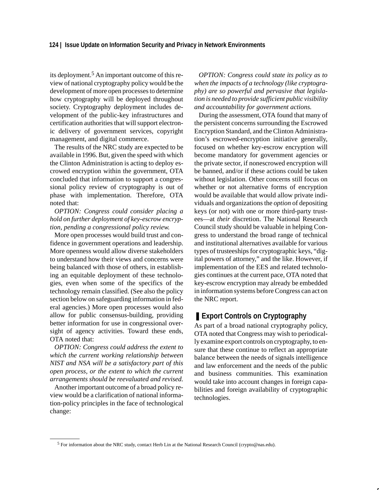its deployment.5 An important outcome of this review of national cryptography policy would be the development of more open processes to determine how cryptography will be deployed throughout society. Cryptography deployment includes development of the public-key infrastructures and certification authorities that will support electronic delivery of government services, copyright management, and digital commerce.

The results of the NRC study are expected to be available in 1996. But, given the speed with which the Clinton Administration is acting to deploy escrowed encryption within the government, OTA concluded that information to support a congressional policy review of cryptography is out of phase with implementation. Therefore, OTA noted that:

*OPTION: Congress could consider placing a hold on further deployment of key-escrow encryption, pending a congressional policy review.*

More open processes would build trust and confidence in government operations and leadership. More openness would allow diverse stakeholders to understand how their views and concerns were being balanced with those of others, in establishing an equitable deployment of these technologies, even when some of the specifics of the technology remain classified. (See also the policy section below on safeguarding information in federal agencies.) More open processes would also allow for public consensus-building, providing better information for use in congressional oversight of agency activities. Toward these ends, OTA noted that:

*OPTION: Congress could address the extent to which the current working relationship between NIST and NSA will be a satisfactory part of this open process, or the extent to which the current arrangements should be reevaluated and revised*.

Another important outcome of a broad policy review would be a clarification of national information-policy principles in the face of technological change:

*OPTION: Congress could state its policy as to when the impacts of a technology (like cryptography) are so powerful and pervasive that legislation is needed to provide sufficient public visibility and accountability for government actions.*

During the assessment, OTA found that many of the persistent concerns surrounding the Escrowed Encryption Standard, and the Clinton Administration's escrowed-encryption initiative generally, focused on whether key-escrow encryption will become mandatory for government agencies or the private sector, if nonescrowed encryption will be banned, and/or if these actions could be taken without legislation. Other concerns still focus on whether or not alternative forms of encryption would be available that would allow private individuals and organizations the *option* of depositing keys (or not) with one or more third-party trustees—at *their* discretion. The National Research Council study should be valuable in helping Congress to understand the broad range of technical and institutional alternatives available for various types of trusteeships for cryptographic keys, "digital powers of attorney," and the like. However, if implementation of the EES and related technologies continues at the current pace, OTA noted that key-escrow encryption may already be embedded in information systems before Congress can act on the NRC report.

### ❚ **Export Controls on Cryptography**

As part of a broad national cryptography policy, OTA noted that Congress may wish to periodically examine export controls on cryptography, to ensure that these continue to reflect an appropriate balance between the needs of signals intelligence and law enforcement and the needs of the public and business communities. This examination would take into account changes in foreign capabilities and foreign availability of cryptographic technologies.

<sup>5</sup> For information about the NRC study, contact Herb Lin at the National Research Council (crypto@nas.edu).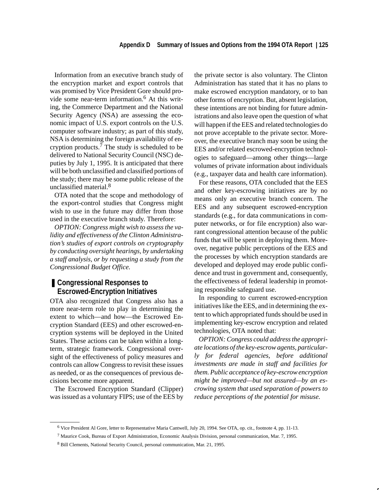Information from an executive branch study of the encryption market and export controls that was promised by Vice President Gore should provide some near-term information.<sup>6</sup> At this writing, the Commerce Department and the National Security Agency (NSA) are assessing the economic impact of U.S. export controls on the U.S. computer software industry; as part of this study, NSA is determining the foreign availability of encryption products.7 The study is scheduled to be delivered to National Security Council (NSC) deputies by July 1, 1995. It is anticipated that there will be both unclassified and classified portions of the study; there may be some public release of the unclassified material.8

OTA noted that the scope and methodology of the export-control studies that Congress might wish to use in the future may differ from those used in the executive branch study. Therefore:

*OPTION: Congress might wish to assess the validity and effectiveness of the Clinton Administration's studies of export controls on cryptography by conducting oversight hearings, by undertaking a staff analysis, or by requesting a study from the Congressional Budget Office.*

### ■ **Congressional Responses to Escrowed-Encryption Initiatives**

OTA also recognized that Congress also has a more near-term role to play in determining the extent to which—and how—the Escrowed Encryption Standard (EES) and other escrowed-encryption systems will be deployed in the United States. These actions can be taken within a longterm, strategic framework. Congressional oversight of the effectiveness of policy measures and controls can allow Congress to revisit these issues as needed, or as the consequences of previous decisions become more apparent.

The Escrowed Encryption Standard (Clipper) was issued as a voluntary FIPS; use of the EES by the private sector is also voluntary. The Clinton Administration has stated that it has no plans to make escrowed encryption mandatory, or to ban other forms of encryption. But, absent legislation, these intentions are not binding for future administrations and also leave open the question of what will happen if the EES and related technologies do not prove acceptable to the private sector. Moreover, the executive branch may soon be using the EES and/or related escrowed-encryption technologies to safeguard—among other things—large volumes of private information about individuals (e.g., taxpayer data and health care information).

For these reasons, OTA concluded that the EES and other key-escrowing initiatives are by no means only an executive branch concern. The EES and any subsequent escrowed-encryption standards (e.g., for data communications in computer networks, or for file encryption) also warrant congressional attention because of the public funds that will be spent in deploying them. Moreover, negative public perceptions of the EES and the processes by which encryption standards are developed and deployed may erode public confidence and trust in government and, consequently, the effectiveness of federal leadership in promoting responsible safeguard use.

In responding to current escrowed-encryption initiatives like the EES, and in determining the extent to which appropriated funds should be used in implementing key-escrow encryption and related technologies, OTA noted that:

*OPTION: Congress could address the appropriate locations of the key-escrow agents, particularly for federal agencies, before additional investments are made in staff and facilities for them. Public acceptance of key-escrow encryption might be improved—but not assured—by an escrowing system that used separation of powers to reduce perceptions of the potential for misuse.*

<sup>6</sup> Vice President Al Gore, letter to Representative Maria Cantwell, July 20, 1994. See OTA, op. cit., footnote 4, pp. 11-13.

<sup>7</sup> Maurice Cook, Bureau of Export Administration, Economic Analysis Division, personal communication, Mar. 7, 1995.

<sup>8</sup> Bill Clements, National Security Council, personal communication, Mar. 21, 1995.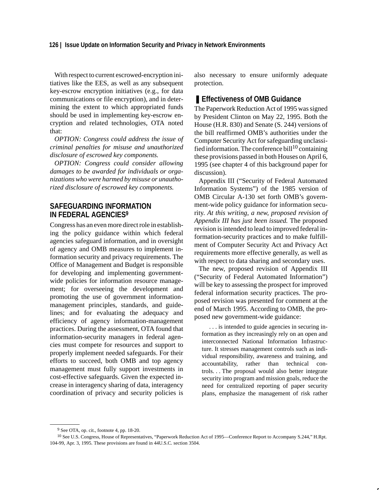### **126 | Issue Update on Information Security and Privacy in Network Environments**

With respect to current escrowed-encryption initiatives like the EES, as well as any subsequent key-escrow encryption initiatives (e.g., for data communications or file encryption), and in determining the extent to which appropriated funds should be used in implementing key-escrow encryption and related technologies, OTA noted that:

*OPTION: Congress could address the issue of criminal penalties for misuse and unauthorized disclosure of escrowed key components.*

*OPTION: Congress could consider allowing damages to be awarded for individuals or organizations who were harmed by misuse or unauthorized disclosure of escrowed key components.*

### **SAFEGUARDING INFORMATION IN FEDERAL AGENCIES9**

Congress has an even more direct role in establishing the policy guidance within which federal agencies safeguard information, and in oversight of agency and OMB measures to implement information security and privacy requirements. The Office of Management and Budget is responsible for developing and implementing governmentwide policies for information resource management; for overseeing the development and promoting the use of government informationmanagement principles, standards, and guidelines; and for evaluating the adequacy and efficiency of agency information-management practices. During the assessment, OTA found that information-security managers in federal agencies must compete for resources and support to properly implement needed safeguards. For their efforts to succeed, both OMB and top agency management must fully support investments in cost-effective safeguards. Given the expected increase in interagency sharing of data, interagency coordination of privacy and security policies is also necessary to ensure uniformly adequate protection.

### ■ **Effectiveness of OMB Guidance**

The Paperwork Reduction Act of 1995 was signed by President Clinton on May 22, 1995. Both the House (H.R. 830) and Senate (S. 244) versions of the bill reaffirmed OMB's authorities under the Computer Security Act for safeguarding unclassified information. The conference bill<sup>10</sup> containing these provisions passed in both Houses on April 6, 1995 (see chapter 4 of this background paper for discussion).

Appendix III ("Security of Federal Automated Information Systems") of the 1985 version of OMB Circular A-130 set forth OMB's government-wide policy guidance for information security. *At this writing, a new, proposed revision of Appendix III has just been issued.* The proposed revision is intended to lead to improved federal information-security practices and to make fulfillment of Computer Security Act and Privacy Act requirements more effective generally, as well as with respect to data sharing and secondary uses.

The new, proposed revision of Appendix III ("Security of Federal Automated Information") will be key to assessing the prospect for improved federal information security practices. The proposed revision was presented for comment at the end of March 1995. According to OMB, the proposed new government-wide guidance:

. . . is intended to guide agencies in securing information as they increasingly rely on an open and interconnected National Information Infrastructure. It stresses management controls such as individual responsibility, awareness and training, and accountability, rather than technical controls. . . The proposal would also better integrate security into program and mission goals, reduce the need for centralized reporting of paper security plans, emphasize the management of risk rather

<sup>9</sup> See OTA, op. cit., footnote 4, pp. 18-20.

<sup>10</sup> See U.S. Congress, House of Representatives, "Paperwork Reduction Act of 1995—Conference Report to Accompany S.244," H.Rpt. 104-99, Apr. 3, 1995. These provisions are found in 44U.S.C. section 3504.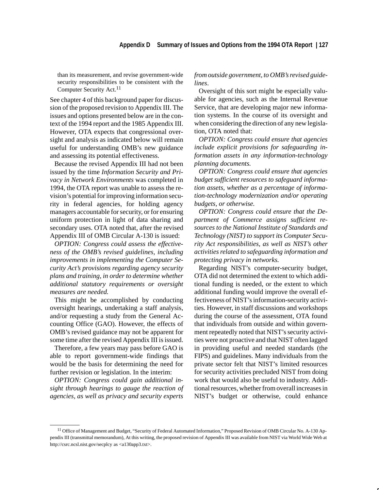than its measurement, and revise government-wide security responsibilities to be consistent with the Computer Security Act.<sup>11</sup>

See chapter 4 of this background paper for discussion of the proposed revision to Appendix III. The issues and options presented below are in the context of the 1994 report and the 1985 Appendix III. However, OTA expects that congressional oversight and analysis as indicated below will remain useful for understanding OMB's new guidance and assessing its potential effectiveness.

Because the revised Appendix III had not been issued by the time *Information Security and Privacy in Network Environments* was completed in 1994, the OTA report was unable to assess the revision's potential for improving information security in federal agencies, for holding agency managers accountable for security, or for ensuring uniform protection in light of data sharing and secondary uses. OTA noted that, after the revised Appendix III of OMB Circular A-130 is issued:

*OPTION: Congress could assess the effectiveness of the OMB's revised guidelines, including improvements in implementing the Computer Security Act's provisions regarding agency security plans and training, in order to determine whether additional statutory requirements or oversight measures are needed.*

This might be accomplished by conducting oversight hearings, undertaking a staff analysis, and/or requesting a study from the General Accounting Office (GAO). However, the effects of OMB's revised guidance may not be apparent for some time after the revised Appendix III is issued.

Therefore, a few years may pass before GAO is able to report government-wide findings that would be the basis for determining the need for further revision or legislation. In the interim:

*OPTION: Congress could gain additional insight through hearings to gauge the reaction of agencies, as well as privacy and security experts*

*from outside government, to OMB's revised guidelines*.

Oversight of this sort might be especially valuable for agencies, such as the Internal Revenue Service, that are developing major new information systems. In the course of its oversight and when considering the direction of any new legislation, OTA noted that:

*OPTION: Congress could ensure that agencies include explicit provisions for safeguarding information assets in any information-technology planning documents.*

*OPTION: Congress could ensure that agencies budget sufficient resources to safeguard information assets, whether as a percentage of information-technology modernization and/or operating budgets, or otherwise.*

*OPTION: Congress could ensure that the Department of Commerce assigns sufficient resources to the National Institute of Standards and Technology (NIST) to support its Computer Security Act responsibilities, as well as NIST's other activities related to safeguarding information and protecting privacy in networks.*

Regarding NIST's computer-security budget, OTA did not determined the extent to which additional funding is needed, or the extent to which additional funding would improve the overall effectiveness of NIST's information-security activities. However, in staff discussions and workshops during the course of the assessment, OTA found that individuals from outside and within government repeatedly noted that NIST's security activities were not proactive and that NIST often lagged in providing useful and needed standards (the FIPS) and guidelines. Many individuals from the private sector felt that NIST's limited resources for security activities precluded NIST from doing work that would also be useful to industry. Additional resources, whether from overall increases in NIST's budget or otherwise, could enhance

<sup>&</sup>lt;sup>11</sup> Office of Management and Budget, "Security of Federal Automated Information," Proposed Revision of OMB Circular No. A-130 Appendix III (transmittal memorandum), At this writing, the proposed revision of Appendix III was available from NIST via World Wide Web at http://csrc.ncsl.nist.gov/secplcy as <a130app3.txt>.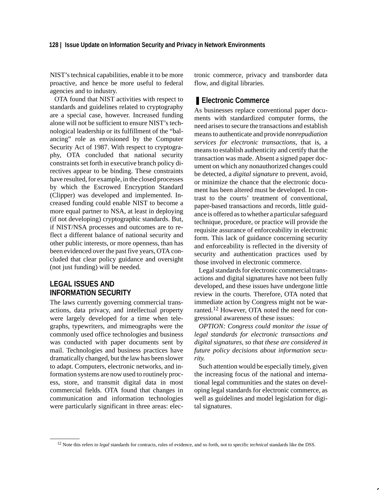NIST's technical capabilities, enable it to be more proactive, and hence be more useful to federal agencies and to industry.

OTA found that NIST activities with respect to standards and guidelines related to cryptography are a special case, however. Increased funding alone will not be sufficient to ensure NIST's technological leadership or its fulfillment of the "balancing" role as envisioned by the Computer Security Act of 1987. With respect to cryptography, OTA concluded that national security constraints set forth in executive branch policy directives appear to be binding. These constraints have resulted, for example, in the closed processes by which the Escrowed Encryption Standard (Clipper) was developed and implemented. Increased funding could enable NIST to become a more equal partner to NSA, at least in deploying (if not developing) cryptographic standards. But, if NIST/NSA processes and outcomes are to reflect a different balance of national security and other public interests, or more openness, than has been evidenced over the past five years, OTA concluded that clear policy guidance and oversight (not just funding) will be needed.

### **LEGAL ISSUES AND INFORMATION SECURITY**

The laws currently governing commercial transactions, data privacy, and intellectual property were largely developed for a time when telegraphs, typewriters, and mimeographs were the commonly used office technologies and business was conducted with paper documents sent by mail. Technologies and business practices have dramatically changed, but the law has been slower to adapt. Computers, electronic networks, and information systems are now used to routinely process, store, and transmit digital data in most commercial fields. OTA found that changes in communication and information technologies were particularly significant in three areas: electronic commerce, privacy and transborder data flow, and digital libraries.

### ■ **Electronic Commerce**

As businesses replace conventional paper documents with standardized computer forms, the need arises to secure the transactions and establish means to authenticate and provide *nonrepudiation services for electronic transactions*, that is, a means to establish authenticity and certify that the transaction was made. Absent a signed paper document on which any nonauthorized changes could be detected, a *digital signature* to prevent, avoid, or minimize the chance that the electronic document has been altered must be developed. In contrast to the courts' treatment of conventional, paper-based transactions and records, little guidance is offered as to whether a particular safeguard technique, procedure, or practice will provide the requisite assurance of enforceability in electronic form. This lack of guidance concerning security and enforceability is reflected in the diversity of security and authentication practices used by those involved in electronic commerce.

Legal standards for electronic commercial transactions and digital signatures have not been fully developed, and these issues have undergone little review in the courts. Therefore, OTA noted that immediate action by Congress might not be warranted.<sup>12</sup> However, OTA noted the need for congressional awareness of these issues:

*OPTION: Congress could monitor the issue of legal standards for electronic transactions and digital signatures, so that these are considered in future policy decisions about information security.*

Such attention would be especially timely, given the increasing focus of the national and international legal communities and the states on developing legal standards for electronic commerce, as well as guidelines and model legislation for digital signatures.

<sup>12</sup> Note this refers to *legal* standards for contracts, rules of evidence, and so forth, not to specific *technical* standards like the DSS.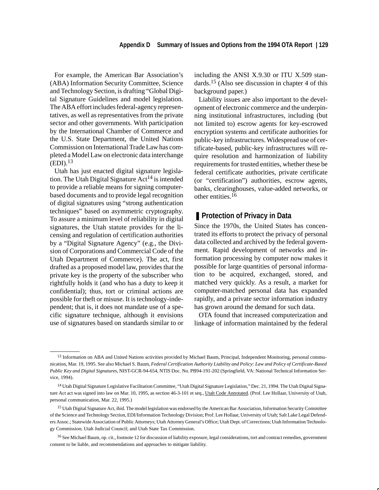For example, the American Bar Association's (ABA) Information Security Committee, Science and Technology Section, is drafting "Global Digital Signature Guidelines and model legislation. The ABA effort includes federal-agency representatives, as well as representatives from the private sector and other governments. With participation by the International Chamber of Commerce and the U.S. State Department, the United Nations Commission on International Trade Law has completed a Model Law on electronic data interchange  $(EDI).<sup>13</sup>$ 

Utah has just enacted digital signature legislation. The Utah Digital Signature  $Act^{14}$  is intended to provide a reliable means for signing computerbased documents and to provide legal recognition of digital signatures using "strong authentication techniques" based on asymmetric cryptography. To assure a minimum level of reliability in digital signatures, the Utah statute provides for the licensing and regulation of certification authorities by a "Digital Signature Agency" (e.g., the Division of Corporations and Commercial Code of the Utah Department of Commerce). The act, first drafted as a proposed model law, provides that the private key is the property of the subscriber who rightfully holds it (and who has a duty to keep it confidential); thus, tort or criminal actions are possible for theft or misuse. It is technology-independent; that is, it does not mandate use of a specific signature technique, although it envisions use of signatures based on standards similar to or including the ANSI X.9.30 or ITU X.509 standards.15 (Also see discussion in chapter 4 of this background paper.)

Liability issues are also important to the development of electronic commerce and the underpinning institutional infrastructures, including (but not limited to) escrow agents for key-escrowed encryption systems and certificate authorities for public-key infrastructures. Widespread use of certificate-based, public-key infrastructures will require resolution and harmonization of liability requirements for trusted entities, whether these be federal certificate authorities, private certificate (or "certification") authorities, escrow agents, banks, clearinghouses, value-added networks, or other entities.<sup>16</sup>

### ■ **Protection of Privacy in Data**

Since the 1970s, the United States has concentrated its efforts to protect the privacy of personal data collected and archived by the federal government. Rapid development of networks and information processing by computer now makes it possible for large quantities of personal information to be acquired, exchanged, stored, and matched very quickly. As a result, a market for computer-matched personal data has expanded rapidly, and a private sector information industry has grown around the demand for such data.

OTA found that increased computerization and linkage of information maintained by the federal

<sup>&</sup>lt;sup>13</sup> Information on ABA and United Nations activities provided by Michael Baum, Principal, Independent Monitoring, personal communication, Mar. 19, 1995. See also Michael S. Baum, *Federal Certification Authority Liability and Policy: Law and Policy of Certificate-Based Public Key and Digital Signatures*, NIST-GCR-94-654, NTIS Doc. No. PB94-191-202 (Springfield, VA: National Technical Information Service, 1994).

<sup>14</sup> Utah Digital Signature Legislative Facilitation Committee, "Utah Digital Signature Legislation," Dec. 21, 1994. The Utah Digital Signature Act act was signed into law on Mar. 10, 1995, as section 46-3-101 et seq., Utah Code Annotated. (Prof. Lee Hollaar, University of Utah, personal communication, Mar. 22, 1995.)

<sup>&</sup>lt;sup>15</sup> Utah Digital Signature Act, ibid. The model legislation was endorsed by the American Bar Association, Information Security Committee of the Science and Technology Section, EDI/Information Technology Division; Prof. Lee Hollaar, University of Utah; Salt Lake Legal Defenders Assoc.; Statewide Association of Public Attorneys; Utah Attorney General's Office; Utah Dept. of Corrections; Utah Information Technology Commission; Utah Judicial Council; and Utah State Tax Commission.

<sup>16</sup> See Michael Baum, op. cit., footnote 12 for discussion of liability exposure, legal considerations, tort and contract remedies, government consent to be liable, and recommendations and approaches to mitigate liability.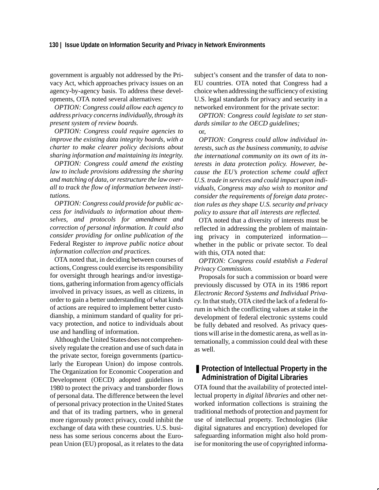government is arguably not addressed by the Privacy Act, which approaches privacy issues on an agency-by-agency basis. To address these developments, OTA noted several alternatives:

*OPTION: Congress could allow each agency to address privacy concerns individually, through its present system of review boards.*

*OPTION: Congress could require agencies to improve the existing data integrity boards, with a charter to make clearer policy decisions about sharing information and maintaining its integrity.*

*OPTION: Congress could amend the existing law to include provisions addressing the sharing and matching of data, or restructure the law overall to track the flow of information between institutions.*

*OPTION: Congress could provide for public access for individuals to information about themselves, and protocols for amendment and correction of personal information. It could also consider providing for online publication of the* Federal Register *to improve public notice about information collection and practices.*

OTA noted that, in deciding between courses of actions, Congress could exercise its responsibility for oversight through hearings and/or investigations, gathering information from agency officials involved in privacy issues, as well as citizens, in order to gain a better understanding of what kinds of actions are required to implement better custodianship, a minimum standard of quality for privacy protection, and notice to individuals about use and handling of information.

Although the United States does not comprehensively regulate the creation and use of such data in the private sector, foreign governments (particularly the European Union) do impose controls. The Organization for Economic Cooperation and Development (OECD) adopted guidelines in 1980 to protect the privacy and transborder flows of personal data. The difference between the level of personal privacy protection in the United States and that of its trading partners, who in general more rigorously protect privacy, could inhibit the exchange of data with these countries. U.S. business has some serious concerns about the European Union (EU) proposal, as it relates to the data subject's consent and the transfer of data to non-EU countries. OTA noted that Congress had a choice when addressing the sufficiency of existing U.S. legal standards for privacy and security in a networked environment for the private sector:

*OPTION: Congress could legislate to set standards similar to the OECD guidelines;*

or,

*OPTION: Congress could allow individual interests, such as the business community, to advise the international community on its own of its interests in data protection policy. However, because the EU's protection scheme could affect U.S. trade in services and could impact upon individuals, Congress may also wish to monitor and consider the requirements of foreign data protection rules as they shape U.S. security and privacy policy to assure that all interests are reflected.*

OTA noted that a diversity of interests must be reflected in addressing the problem of maintaining privacy in computerized information whether in the public or private sector. To deal with this, OTA noted that:

*OPTION: Congress could establish a Federal Privacy Commission.*

Proposals for such a commission or board were previously discussed by OTA in its 1986 report *Electronic Record Systems and Individual Privacy*. In that study, OTA cited the lack of a federal forum in which the conflicting values at stake in the development of federal electronic systems could be fully debated and resolved. As privacy questions will arise in the domestic arena, as well as internationally, a commission could deal with these as well.

### ■ Protection of Intellectual Property in the **Administration of Digital Libraries**

OTA found that the availability of protected intellectual property in *digital libraries* and other networked information collections is straining the traditional methods of protection and payment for use of intellectual property. Technologies (like digital signatures and encryption) developed for safeguarding information might also hold promise for monitoring the use of copyrighted informa-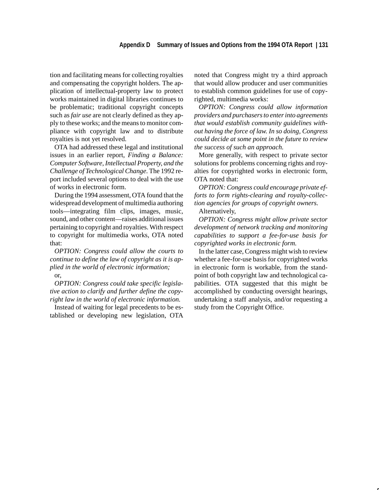### **Appendix D Summary of Issues and Options from the 1994 OTA Report | 131**

tion and facilitating means for collecting royalties and compensating the copyright holders. The application of intellectual-property law to protect works maintained in digital libraries continues to be problematic; traditional copyright concepts such as *fair use* are not clearly defined as they apply to these works; and the means to monitor compliance with copyright law and to distribute royalties is not yet resolved.

OTA had addressed these legal and institutional issues in an earlier report, *Finding a Balance: Computer Software, Intellectual Property, and the Challenge of Technological Change*. The 1992 report included several options to deal with the use of works in electronic form.

During the 1994 assessment, OTA found that the widespread development of multimedia authoring tools—integrating film clips, images, music, sound, and other content—raises additional issues pertaining to copyright and royalties. With respect to copyright for multimedia works, OTA noted that:

*OPTION: Congress could allow the courts to continue to define the law of copyright as it is applied in the world of electronic information;* or,

*OPTION: Congress could take specific legislative action to clarify and further define the copyright law in the world of electronic information.*

Instead of waiting for legal precedents to be established or developing new legislation, OTA noted that Congress might try a third approach that would allow producer and user communities to establish common guidelines for use of copyrighted, multimedia works:

*OPTION: Congress could allow information providers and purchasers to enter into agreements that would establish community guidelines without having the force of law. In so doing, Congress could decide at some point in the future to review the success of such an approach.*

More generally, with respect to private sector solutions for problems concerning rights and royalties for copyrighted works in electronic form, OTA noted that:

*OPTION: Congress could encourage private efforts to form rights-clearing and royalty-collection agencies for groups of copyright owners.*

Alternatively,

*OPTION: Congress might allow private sector development of network tracking and monitoring capabilities to support a fee-for-use basis for copyrighted works in electronic form.*

In the latter case, Congress might wish to review whether a fee-for-use basis for copyrighted works in electronic form is workable, from the standpoint of both copyright law and technological capabilities. OTA suggested that this might be accomplished by conducting oversight hearings, undertaking a staff analysis, and/or requesting a study from the Copyright Office.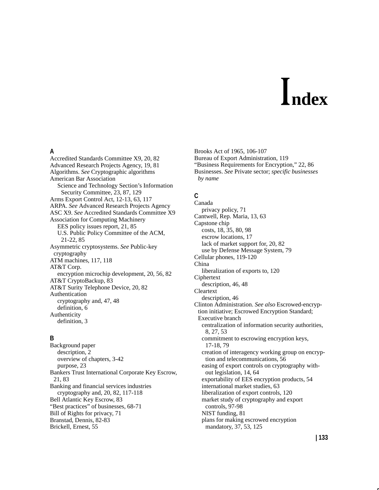# **ndex**

### **A**

Accredited Standards Committee X9, 20, 82 Advanced Research Projects Agency, 19, 81 Algorithms. *See* Cryptographic algorithms American Bar Association Science and Technology Section's Information Security Committee, 23, 87, 129 Arms Export Control Act, 12-13, 63, 117 ARPA. *See* Advanced Research Projects Agency ASC X9. *See* Accredited Standards Committee X9 Association for Computing Machinery EES policy issues report, 21, 85 U.S. Public Policy Committee of the ACM, 21-22, 85 Asymmetric cryptosystems. *See* Public-key cryptography ATM machines, 117, 118 AT&T Corp. encryption microchip development, 20, 56, 82 AT&T CryptoBackup, 83 AT&T Surity Telephone Device, 20, 82 Authentication cryptography and, 47, 48 definition, 6 Authenticity definition, 3

### **B**

Background paper description, 2 overview of chapters, 3-42 purpose, 23 Bankers Trust International Corporate Key Escrow, 21, 83 Banking and financial services industries cryptography and, 20, 82, 117-118 Bell Atlantic Key Escrow, 83 "Best practices" of businesses, 68-71 Bill of Rights for privacy, 71 Branstad, Dennis, 82-83 Brickell, Ernest, 55

Brooks Act of 1965, 106-107 Bureau of Export Administration, 119 "Business Requirements for Encryption," 22, 86 Businesses. *See* Private sector; *specific businesses by name*

### **C**

Canada privacy policy, 71 Cantwell, Rep. Maria, 13, 63 Capstone chip costs, 18, 35, 80, 98 escrow locations, 17 lack of market support for, 20, 82 use by Defense Message System, 79 Cellular phones, 119-120 China liberalization of exports to, 120 Ciphertext description, 46, 48 Cleartext description, 46 Clinton Administration. *See also* Escrowed-encryption initiative; Escrowed Encryption Standard; Executive branch centralization of information security authorities, 8, 27, 53 commitment to escrowing encryption keys, 17-18, 79 creation of interagency working group on encryption and telecommunications, 56 easing of export controls on cryptography without legislation, 14, 64 exportability of EES encryption products, 54 international market studies, 63 liberalization of export controls, 120 market study of cryptography and export controls, 97-98 NIST funding, 81 plans for making escrowed encryption mandatory, 37, 53, 125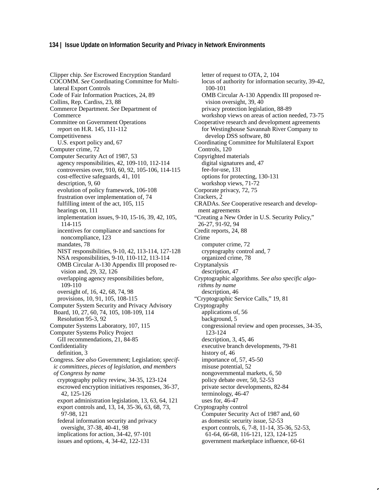### **134 | Issue Update on Information Security and Privacy in Network Environments**

Clipper chip. *See* Escrowed Encryption Standard COCOMM. *See* Coordinating Committee for Multilateral Export Controls Code of Fair Information Practices, 24, 89 Collins, Rep. Cardiss, 23, 88 Commerce Department. *See* Department of Commerce Committee on Government Operations report on H.R. 145, 111-112 Competitiveness U.S. export policy and, 67 Computer crime, 72 Computer Security Act of 1987, 53 agency responsibilities, 42, 109-110, 112-114 controversies over, 910, 60, 92, 105-106, 114-115 cost-effective safeguards, 41, 101 description, 9, 60 evolution of policy framework, 106-108 frustration over implementation of, 74 fulfilling intent of the act, 105, 115 hearings on, 111 implementation issues, 9-10, 15-16, 39, 42, 105, 114-115 incentives for compliance and sanctions for noncompliance, 123 mandates, 78 NIST responsibilities, 9-10, 42, 113-114, 127-128 NSA responsibilities, 9-10, 110-112, 113-114 OMB Circular A-130 Appendix III proposed revision and, 29, 32, 126 overlapping agency responsibilities before, 109-110 oversight of, 16, 42, 68, 74, 98 provisions, 10, 91, 105, 108-115 Computer System Security and Privacy Advisory Board, 10, 27, 60, 74, 105, 108-109, 114 Resolution 95-3, 92 Computer Systems Laboratory, 107, 115 Computer Systems Policy Project GII recommendations, 21, 84-85 Confidentiality definition, 3 Congress. *See also* Government; Legislation; *specific committees, pieces of legislation, and members of Congress by name* cryptography policy review, 34-35, 123-124 escrowed encryption initiatives responses, 36-37, 42, 125-126 export administration legislation, 13, 63, 64, 121 export controls and, 13, 14, 35-36, 63, 68, 73, 97-98, 121 federal information security and privacy oversight, 37-38, 40-41, 98 implications for action, 34-42, 97-101 issues and options, 4, 34-42, 122-131

letter of request to OTA, 2, 104 locus of authority for information security, 39-42, 100-101 OMB Circular A-130 Appendix III proposed revision oversight, 39, 40 privacy protection legislation, 88-89 workshop views on areas of action needed, 73-75 Cooperative research and development agreements for Westinghouse Savannah River Company to develop DSS software, 80 Coordinating Committee for Multilateral Export Controls, 120 Copyrighted materials digital signatures and, 47 fee-for-use, 131 options for protecting, 130-131 workshop views, 71-72 Corporate privacy, 72, 75 Crackers, 2 CRADAs. *See* Cooperative research and development agreements "Creating a New Order in U.S. Security Policy," 26-27, 91-92, 94 Credit reports, 24, 88 Crime computer crime, 72 cryptography control and, 7 organized crime, 78 Cryptanalysis description, 47 Cryptographic algorithms. *See also specific algorithms by name* description, 46 "Cryptographic Service Calls," 19, 81 Cryptography applications of, 56 background, 5 congressional review and open processes, 34-35, 123-124 description, 3, 45, 46 executive branch developments, 79-81 history of, 46 importance of, 57, 45-50 misuse potential, 52 nongovernmental markets, 6, 50 policy debate over, 50, 52-53 private sector developments, 82-84 terminology, 46-47 uses for, 46-47 Cryptography control Computer Security Act of 1987 and, 60 as domestic security issue, 52-53 export controls, 6, 7-8, 11-14, 35-36, 52-53, 61-64, 66-68, 116-121, 123, 124-125 government marketplace influence, 60-61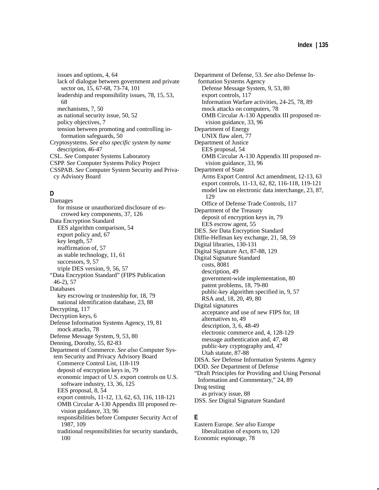issues and options, 4, 64 lack of dialogue between government and private sector on, 15, 67-68, 73-74, 101 leadership and responsibility issues, 78, 15, 53, 68 mechanisms, 7, 50 as national security issue, 50, 52 policy objectives, 7 tension between promoting and controlling information safeguards, 50 Cryptosystems. *See also specific system by name* description, 46-47 CSL. *See* Computer Systems Laboratory CSPP. *See* Computer Systems Policy Project CSSPAB. *See* Computer System Security and Privacy Advisory Board

### **D**

100

Damages for misuse or unauthorized disclosure of escrowed key components, 37, 126 Data Encryption Standard EES algorithm comparison, 54 export policy and, 67 key length, 57 reaffirmation of, 57 as stable technology, 11, 61 successors, 9, 57 triple DES version, 9, 56, 57 "Data Encryption Standard" (FIPS Publication 46-2), 57 Databases key escrowing or trusteeship for, 18, 79 national identification database, 23, 88 Decrypting, 117 Decryption keys, 6 Defense Information Systems Agency, 19, 81 mock attacks, 78 Defense Message System, 9, 53, 80 Denning, Dorothy, 55, 82-83 Department of Commerce. *See also* Computer System Security and Privacy Advisory Board Commerce Control List, 118-119 deposit of encryption keys in, 79 economic impact of U.S. export controls on U.S. software industry, 13, 36, 125 EES proposal, 8, 54 export controls, 11-12, 13, 62, 63, 116, 118-121 OMB Circular A-130 Appendix III proposed revision guidance, 33, 96 responsibilities before Computer Security Act of 1987, 109 traditional responsibilities for security standards, Department of Defense, 53. *See also* Defense Information Systems Agency Defense Message System, 9, 53, 80 export controls, 117 Information Warfare activities, 24-25, 78, 89 mock attacks on computers, 78 OMB Circular A-130 Appendix III proposed revision guidance, 33, 96 Department of Energy UNIX flaw alert, 77 Department of Justice EES proposal, 54 OMB Circular A-130 Appendix III proposed revision guidance, 33, 96 Department of State Arms Export Control Act amendment, 12-13, 63 export controls, 11-13, 62, 82, 116-118, 119-121 model law on electronic data interchange, 23, 87, 129 Office of Defense Trade Controls, 117 Department of the Treasury deposit of encryption keys in, 79 EES escrow agent, 55 DES. *See* Data Encryption Standard Diffie-Hellman key exchange, 21, 58, 59 Digital libraries, 130-131 Digital Signature Act, 87-88, 129 Digital Signature Standard costs, 8081 description, 49 government-wide implementation, 80 patent problems, 18, 79-80 public-key algorithm specified in, 9, 57 RSA and, 18, 20, 49, 80 Digital signatures acceptance and use of new FIPS for, 18 alternatives to, 49 description, 3, 6, 48-49 electronic commerce and, 4, 128-129 message authentication and, 47, 48 public-key cryptography and, 47 Utah statute, 87-88 DISA. *See* Defense Information Systems Agency DOD. *See* Department of Defense "Draft Principles for Providing and Using Personal Information and Commentary," 24, 89 Drug testing as privacy issue, 88 DSS. *See* Digital Signature Standard

### **E**

Eastern Europe. *See also* Europe liberalization of exports to, 120 Economic espionage, 78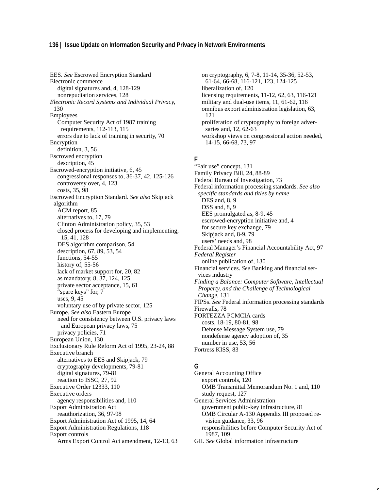### **136 | Issue Update on Information Security and Privacy in Network Environments**

EES. *See* Escrowed Encryption Standard Electronic commerce digital signatures and, 4, 128-129 nonrepudiation services, 128 *Electronic Record Systems and Individual Privacy*, 130 Employees Computer Security Act of 1987 training requirements, 112-113, 115 errors due to lack of training in security, 70 Encryption definition, 3, 56 Escrowed encryption description, 45 Escrowed-encryption initiative, 6, 45 congressional responses to, 36-37, 42, 125-126 controversy over, 4, 123 costs, 35, 98 Escrowed Encryption Standard. *See also* Skipjack algorithm ACM report, 85 alternatives to, 17, 79 Clinton Administration policy, 35, 53 closed process for developing and implementing, 15, 41, 128 DES algorithm comparison, 54 description, 67, 89, 53, 54 functions, 54-55 history of, 55-56 lack of market support for, 20, 82 as mandatory, 8, 37, 124, 125 private sector acceptance, 15, 61 "spare keys" for, 7 uses, 9, 45 voluntary use of by private sector, 125 Europe. *See also* Eastern Europe need for consistency between U.S. privacy laws and European privacy laws, 75 privacy policies, 71 European Union, 130 Exclusionary Rule Reform Act of 1995, 23-24, 88 Executive branch alternatives to EES and Skipjack, 79 cryptography developments, 79-81 digital signatures, 79-81 reaction to ISSC, 27, 92 Executive Order 12333, 110 Executive orders agency responsibilities and, 110 Export Administration Act reauthorization, 36, 97-98 Export Administration Act of 1995, 14, 64 Export Administration Regulations, 118 Export controls Arms Export Control Act amendment, 12-13, 63

on cryptography, 6, 7-8, 11-14, 35-36, 52-53, 61-64, 66-68, 116-121, 123, 124-125 liberalization of, 120 licensing requirements, 11-12, 62, 63, 116-121 military and dual-use items, 11, 61-62, 116 omnibus export administration legislation, 63, 121 proliferation of cryptography to foreign adversaries and, 12, 62-63 workshop views on congressional action needed, 14-15, 66-68, 73, 97

### **F**

"Fair use" concept, 131 Family Privacy Bill, 24, 88-89 Federal Bureau of Investigation, 73 Federal information processing standards. *See also specific standards and titles by name* DES and, 8, 9 DSS and, 8, 9 EES promulgated as, 8-9, 45 escrowed-encryption initiative and, 4 for secure key exchange, 79 Skipjack and, 8-9, 79 users' needs and, 98 Federal Manager's Financial Accountability Act, 97 *Federal Register* online publication of, 130 Financial services. *See* Banking and financial services industry *Finding a Balance: Computer Software, Intellectual Property, and the Challenge of Technological Change*, 131 FIPSs. *See* Federal information processing standards Firewalls, 78 FORTEZZA PCMCIA cards costs, 18-19, 80-81, 98 Defense Message System use, 79 nondefense agency adoption of, 35 number in use, 53, 56 Fortress KISS, 83

### **G**

General Accounting Office export controls, 120 OMB Transmittal Memorandum No. 1 and, 110 study request, 127 General Services Administration government public-key infrastructure, 81 OMB Circular A-130 Appendix III proposed revision guidance, 33, 96 responsibilities before Computer Security Act of 1987, 109 GII. *See* Global information infrastructure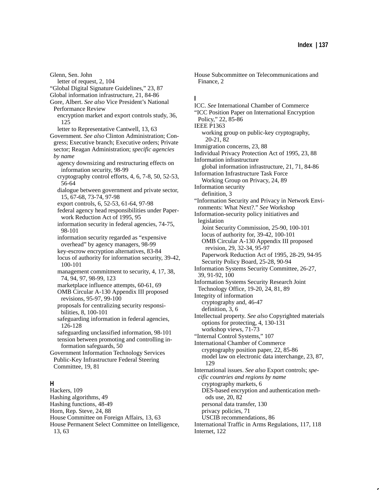Glenn, Sen. John letter of request, 2, 104 "Global Digital Signature Guidelines," 23, 87 Global information infrastructure, 21, 84-86 Gore, Albert. *See also* Vice President's National Performance Review encryption market and export controls study, 36, 125 letter to Representative Cantwell, 13, 63 Government. *See also* Clinton Administration; Congress; Executive branch; Executive orders; Private sector; Reagan Administration; *specific agencies by name* agency downsizing and restructuring effects on information security, 98-99 cryptography control efforts, 4, 6, 7-8, 50, 52-53, 56-64 dialogue between government and private sector, 15, 67-68, 73-74, 97-98 export controls, 6, 52-53, 61-64, 97-98 federal agency head responsibilities under Paperwork Reduction Act of 1995, 95 information security in federal agencies, 74-75, 98-101 information security regarded as "expensive overhead" by agency managers, 98-99 key-escrow encryption alternatives, 83-84 locus of authority for information security, 39-42, 100-101 management commitment to security, 4, 17, 38, 74, 94, 97, 98-99, 123 marketplace influence attempts, 60-61, 69 OMB Circular A-130 Appendix III proposed revisions, 95-97, 99-100 proposals for centralizing security responsibilities, 8, 100-101 safeguarding information in federal agencies, 126-128 safeguarding unclassified information, 98-101 tension between promoting and controlling information safeguards, 50 Government Information Technology Services Public-Key Infrastructure Federal Steering Committee, 19, 81 **H** Hackers, 109

Hashing algorithms, 49 Hashing functions, 48-49 Horn, Rep. Steve, 24, 88 House Committee on Foreign Affairs, 13, 63 House Permanent Select Committee on Intelligence, 13, 63

House Subcommittee on Telecommunications and Finance, 2

### **I**

ICC. *See* International Chamber of Commerce "ICC Position Paper on International Encryption Policy," 22, 85-86 IEEE P1363 working group on public-key cryptography, 20-21, 82 Immigration concerns, 23, 88 Individual Privacy Protection Act of 1995, 23, 88 Information infrastructure global information infrastructure, 21, 71, 84-86 Information Infrastructure Task Force Working Group on Privacy, 24, 89 Information security definition, 3 "Information Security and Privacy in Network Environments: What Next?." *See* Workshop Information-security policy initiatives and legislation Joint Security Commission, 25-90, 100-101 locus of authority for, 39-42, 100-101 OMB Circular A-130 Appendix III proposed revision, 29, 32-34, 95-97 Paperwork Reduction Act of 1995, 28-29, 94-95 Security Policy Board, 25-28, 90-94 Information Systems Security Committee, 26-27, 39, 91-92, 100 Information Systems Security Research Joint Technology Office, 19-20, 24, 81, 89 Integrity of information cryptography and, 46-47 definition, 3, 6 Intellectual property. *See also* Copyrighted materials options for protecting, 4, 130-131 workshop views, 71-73 "Internal Control Systems," 107 International Chamber of Commerce cryptography position paper, 22, 85-86 model law on electronic data interchange, 23, 87, 129 International issues. *See also* Export controls; *specific countries and regions by name* cryptography markets, 6 DES-based encryption and authentication methods use, 20, 82 personal data transfer, 130 privacy policies, 71 USCIB recommendations, 86 International Traffic in Arms Regulations, 117, 118 Internet, 122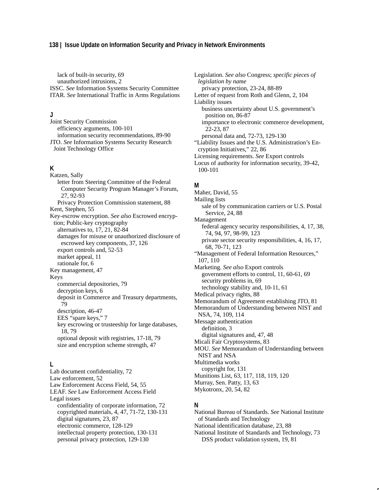### **138 | Issue Update on Information Security and Privacy in Network Environments**

lack of built-in security, 69 unauthorized intrusions, 2 ISSC. *See* Information Systems Security Committee ITAR. *See* International Traffic in Arms Regulations

### **J**

Joint Security Commission efficiency arguments, 100-101 information security recommendations, 89-90 JTO. *See* Information Systems Security Research Joint Technology Office

### **K**

Katzen, Sally letter from Steering Committee of the Federal Computer Security Program Manager's Forum, 27, 92-93 Privacy Protection Commission statement, 88 Kent, Stephen, 55 Key-escrow encryption. *See also* Escrowed encryption; Public-key cryptography alternatives to, 17, 21, 82-84 damages for misuse or unauthorized disclosure of escrowed key components, 37, 126 export controls and, 52-53 market appeal, 11 rationale for, 6 Key management, 47 Keys commercial depositories, 79 decryption keys, 6 deposit in Commerce and Treasury departments, 79 description, 46-47 EES "spare keys," 7 key escrowing or trusteeship for large databases, 18, 79 optional deposit with registries, 17-18, 79 size and encryption scheme strength, 47

### **L**

Lab document confidentiality, 72 Law enforcement, 52 Law Enforcement Access Field, 54, 55 LEAF. *See* Law Enforcement Access Field Legal issues confidentiality of corporate information, 72 copyrighted materials, 4, 47, 71-72, 130-131 digital signatures, 23, 87 electronic commerce, 128-129 intellectual property protection, 130-131 personal privacy protection, 129-130

Legislation. *See also* Congress; *specific pieces of legislation by name* privacy protection, 23-24, 88-89 Letter of request from Roth and Glenn, 2, 104 Liability issues business uncertainty about U.S. government's position on, 86-87 importance to electronic commerce development, 22-23, 87 personal data and, 72-73, 129-130 "Liability Issues and the U.S. Administration's Encryption Initiatives," 22, 86 Licensing requirements. *See* Export controls Locus of authority for information security, 39-42, 100-101

### **M**

Maher, David, 55 Mailing lists

sale of by communication carriers or U.S. Postal Service, 24, 88

Management

federal agency security responsibilities, 4, 17, 38, 74, 94, 97, 98-99, 123 private sector security responsibilities, 4, 16, 17, 68, 70-71, 123

"Management of Federal Information Resources," 107, 110

Marketing. *See also* Export controls government efforts to control, 11, 60-61, 69 security problems in, 69 technology stability and, 10-11, 61

Medical privacy rights, 88

Memorandum of Agreement establishing JTO, 81 Memorandum of Understanding between NIST and

NSA, 74, 109, 114

Message authentication

definition, 3

digital signatures and, 47, 48

Micali Fair Cryptosystems, 83

MOU. *See* Memorandum of Understanding between NIST and NSA

Multimedia works

copyright for, 131 Munitions List, 63, 117, 118, 119, 120

Murray, Sen. Patty, 13, 63

Mykotronx, 20, 54, 82

### **N**

National Bureau of Standards. *See* National Institute of Standards and Technology National identification database, 23, 88 National Institute of Standards and Technology, 73 DSS product validation system, 19, 81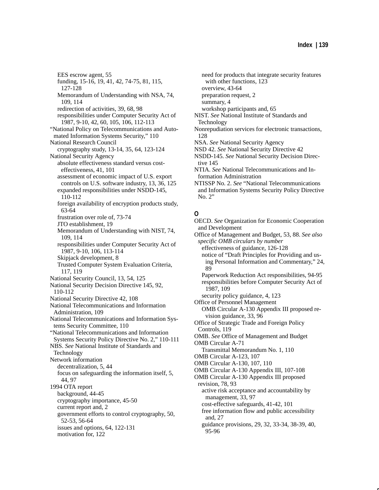EES escrow agent, 55 funding, 15-16, 19, 41, 42, 74-75, 81, 115, 127-128 Memorandum of Understanding with NSA, 74, 109, 114 redirection of activities, 39, 68, 98 responsibilities under Computer Security Act of 1987, 9-10, 42, 60, 105, 106, 112-113 "National Policy on Telecommunications and Automated Information Systems Security," 110 National Research Council cryptography study, 13-14, 35, 64, 123-124 National Security Agency absolute effectiveness standard versus costeffectiveness, 41, 101 assessment of economic impact of U.S. export controls on U.S. software industry, 13, 36, 125 expanded responsibilities under NSDD-145, 110-112 foreign availability of encryption products study, 63-64 frustration over role of, 73-74 JTO establishment, 19 Memorandum of Understanding with NIST, 74, 109, 114 responsibilities under Computer Security Act of 1987, 9-10, 106, 113-114 Skipjack development, 8 Trusted Computer System Evaluation Criteria, 117, 119 National Security Council, 13, 54, 125 National Security Decision Directive 145, 92, 110-112 National Security Directive 42, 108 National Telecommunications and Information Administration, 109 National Telecommunications and Information Systems Security Committee, 110 "National Telecommunications and Information Systems Security Policy Directive No. 2," 110-111 NBS. *See* National Institute of Standards and Technology Network information decentralization, 5, 44 focus on safeguarding the information itself, 5, 44, 97 1994 OTA report background, 44-45 cryptography importance, 45-50 current report and, 2 government efforts to control cryptography, 50, 52-53, 56-64 issues and options, 64, 122-131 motivation for, 122

- need for products that integrate security features with other functions, 123 overview, 43-64 preparation request, 2 summary, 4 workshop participants and, 65 NIST. *See* National Institute of Standards and Technology Nonrepudiation services for electronic transactions,
- 128
- NSA. *See* National Security Agency
- NSD 42. *See* National Security Directive 42
- NSDD-145. *See* National Security Decision Directive 145
- NTIA. *See* National Telecommunications and Information Administration
- NTISSP No. 2. *See* "National Telecommunications and Information Systems Security Policy Directive No. 2"

### **O**

- OECD. *See* Organization for Economic Cooperation and Development
- Office of Management and Budget, 53, 88. *See also specific OMB circulars by number*

effectiveness of guidance, 126-128

notice of "Draft Principles for Providing and using Personal Information and Commentary," 24, 89

Paperwork Reduction Act responsibilities, 94-95 responsibilities before Computer Security Act of 1987, 109

security policy guidance, 4, 123

Office of Personnel Management

OMB Circular A-130 Appendix III proposed revision guidance, 33, 96

Office of Strategic Trade and Foreign Policy Controls, 119

OMB. *See* Office of Management and Budget

OMB Circular A-71

Transmittal Memorandum No. 1, 110

OMB Circular A-123, 107 OMB Circular A-130, 107, 110

- OMB Circular A-130 Appendix III, 107-108
- OMB Circular A-130 Appendix III proposed
- revision, 78, 93 active risk acceptance and accountability by

management, 33, 97

cost-effective safeguards, 41-42, 101

free information flow and public accessibility and, 27

guidance provisions, 29, 32, 33-34, 38-39, 40, 95-96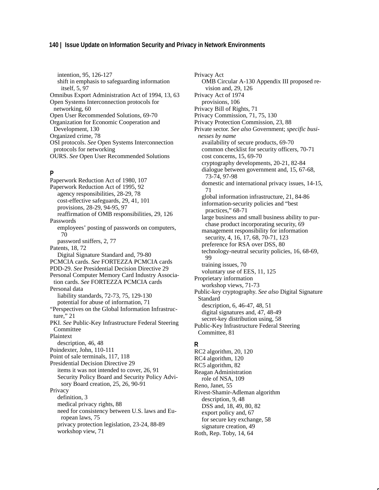### **140 | Issue Update on Information Security and Privacy in Network Environments**

intention, 95, 126-127 shift in emphasis to safeguarding information itself, 5, 97 Omnibus Export Administration Act of 1994, 13, 63 Open Systems Interconnection protocols for networking, 60 Open User Recommended Solutions, 69-70 Organization for Economic Cooperation and Development, 130 Organized crime, 78 OSI protocols. *See* Open Systems Interconnection protocols for networking OURS. *See* Open User Recommended Solutions

### **P**

Paperwork Reduction Act of 1980, 107 Paperwork Reduction Act of 1995, 92 agency responsibilities, 28-29, 78 cost-effective safeguards, 29, 41, 101 provisions, 28-29, 94-95, 97 reaffirmation of OMB responsibilities, 29, 126 Passwords employees' posting of passwords on computers, 70 password sniffers, 2, 77 Patents, 18, 72 Digital Signature Standard and, 79-80 PCMCIA cards. *See* FORTEZZA PCMCIA cards PDD-29. *See* Presidential Decision Directive 29 Personal Computer Memory Card Industry Association cards. *See* FORTEZZA PCMCIA cards Personal data liability standards, 72-73, 75, 129-130 potential for abuse of information, 71 "Perspectives on the Global Information Infrastructure," 21 PKI. See Public-Key Infrastructure Federal Steering Committee Plaintext description, 46, 48 Poindexter, John, 110-111 Point of sale terminals, 117, 118 Presidential Decision Directive 29 items it was not intended to cover, 26, 91 Security Policy Board and Security Policy Advisory Board creation, 25, 26, 90-91 Privacy definition, 3 medical privacy rights, 88 need for consistency between U.S. laws and European laws, 75 privacy protection legislation, 23-24, 88-89 workshop view, 71

Privacy Act OMB Circular A-130 Appendix III proposed revision and, 29, 126 Privacy Act of 1974 provisions, 106 Privacy Bill of Rights, 71 Privacy Commission, 71, 75, 130 Privacy Protection Commission, 23, 88 Private sector. *See also* Government; *specific businesses by name* availability of secure products, 69-70 common checklist for security officers, 70-71 cost concerns, 15, 69-70 cryptography developments, 20-21, 82-84 dialogue between government and, 15, 67-68, 73-74, 97-98 domestic and international privacy issues, 14-15, 71 global information infrastructure, 21, 84-86 information-security policies and "best practices," 68-71 large business and small business ability to purchase product incorporating security, 69 management responsibility for information security, 4, 16, 17, 68, 70-71, 123 preference for RSA over DSS, 80 technology-neutral security policies, 16, 68-69, 99 training issues, 70 voluntary use of EES, 11, 125 Proprietary information workshop views, 71-73 Public-key cryptography. *See also* Digital Signature Standard description, 6, 46-47, 48, 51 digital signatures and, 47, 48-49 secret-key distribution using, 58 Public-Key Infrastructure Federal Steering Committee, 81

### **R**

RC2 algorithm, 20, 120 RC4 algorithm, 120 RC5 algorithm, 82 Reagan Administration role of NSA, 109 Reno, Janet, 55 Rivest-Shamir-Adleman algorithm description, 9, 48 DSS and, 18, 49, 80, 82 export policy and, 67 for secure key exchange, 58 signature creation, 49 Roth, Rep. Toby, 14, 64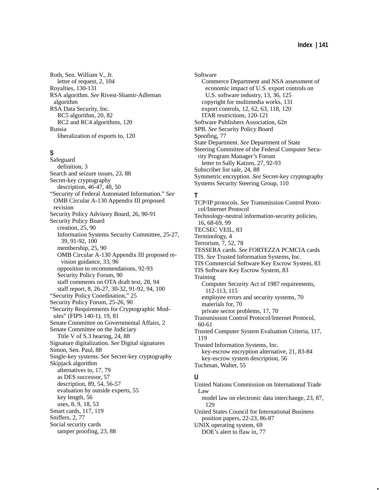Roth, Sen. William V., Jr. letter of request, 2, 104 Royalties, 130-131 RSA algorithm. *See* Rivest-Shamir-Adleman algorithm RSA Data Security, Inc. RC5 algorithm, 20, 82 RC2 and RC4 algorithms, 120 Russia liberalization of exports to, 120

## **S**

Safeguard definition, 3 Search and seizure issues, 23, 88 Secret-key cryptography description, 46-47, 48, 50 "Security of Federal Automated Information." *See* OMB Circular A-130 Appendix III proposed revision Security Policy Advisory Board, 26, 90-91 Security Policy Board creation, 25, 90 Information Systems Security Committee, 25-27, 39, 91-92, 100 membership, 25, 90 OMB Circular A-130 Appendix III proposed revision guidance, 33, 96 opposition to recommendations, 92-93 Security Policy Forum, 90 staff comments on OTA draft text, 28, 94 staff report, 8, 26-27, 30-32, 91-92, 94, 100 "Security Policy Coordination," 25 Security Policy Forum, 25-26, 90 "Security Requirements for Cryptographic Modules" (FIPS 140-1), 19, 81 Senate Committee on Governmental Affairs, 2 Senate Committee on the Judiciary Title V of S.3 hearing, 24, 88 Signature digitalization. *See* Digital signatures Simon, Sen. Paul, 88 Single-key systems. *See* Secret-key cryptography Skipjack algorithm alternatives to, 17, 79 as DES successor, 57 description, 89, 54, 56-57 evaluation by outside experts, 55 key length, 56 uses, 8, 9, 18, 53 Smart cards, 117, 119 Sniffers, 2, 77 Social security cards tamper proofing, 23, 88

Software Commerce Department and NSA assessment of economic impact of U.S. export controls on U.S. software industry, 13, 36, 125 copyright for multimedia works, 131 export controls, 12, 62, 63, 118, 120 ITAR restrictions, 120-121 Software Publishers Association, 62*n* SPB. *See* Security Policy Board Spoofing, 77 State Department. *See* Department of State Steering Committee of the Federal Computer Security Program Manager's Forum letter to Sally Katzen, 27, 92-93 Subscriber list sale, 24, 88 Symmetric encryption. *See* Secret-key cryptography Systems Security Steering Group, 110

#### **T**

TCP/IP protocols. *See* Transmission Control Protocol/Internet Protocol Technology-neutral information-security policies, 16, 68-69, 99 TECSEC VEIL, 83 Terminology, 4 Terrorism, 7, 52, 78 TESSERA cards. *See* FORTEZZA PCMCIA cards TIS. *See* Trusted Information Systems, Inc. TIS Commercial Software Key Escrow System, 83 TIS Software Key Escrow System, 83 Training Computer Security Act of 1987 requirements, 112-113, 115 employee errors and security systems, 70 materials for, 70 private sector problems, 17, 70 Transmission Control Protocol/Internet Protocol, 60-61 Trusted Computer System Evaluation Criteria, 117, 119 Trusted Information Systems, Inc. key-escrow encryption alternative, 21, 83-84 key-escrow system description, 56 Tuchman, Walter, 55 **U** United Nations Commission on International Trade Law model law on electronic data interchange, 23, 87, 129 United States Council for International Business position papers, 22-23, 86-87

UNIX operating system, 69 DOE's alert to flaw in, 77